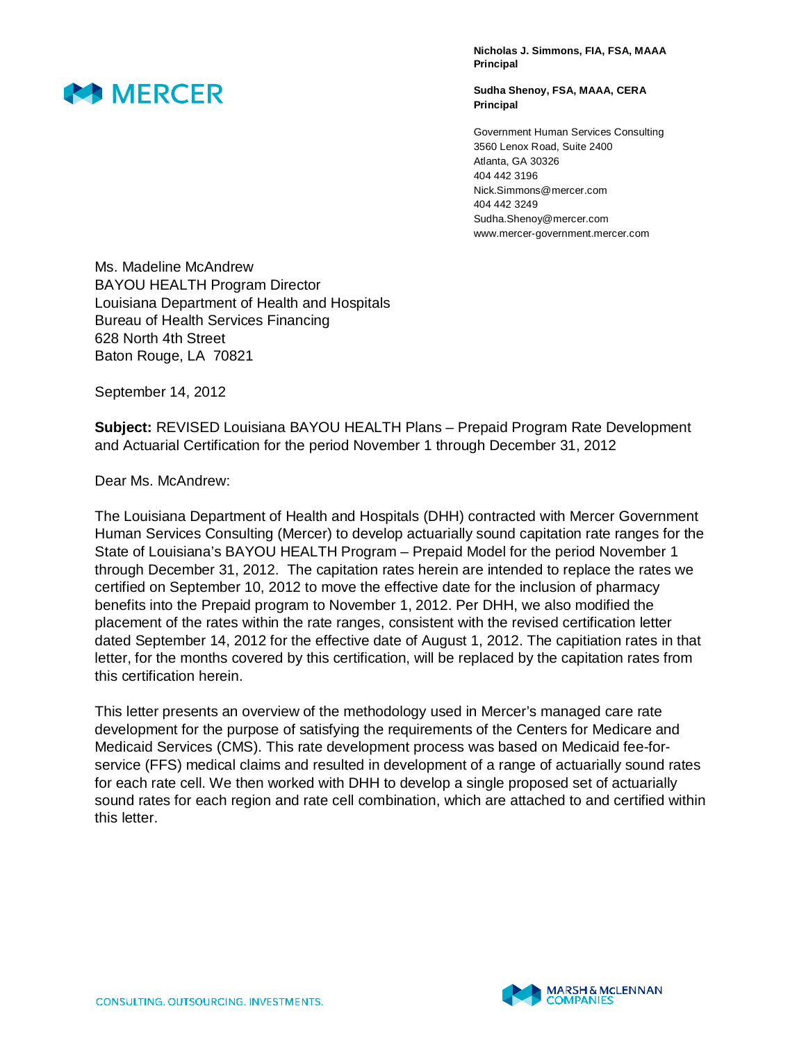

**Nicholas J. Simmons, FIA, FSA, MAAA Principal** 

**Sudha Shenoy, FSA, MAAA, CERA Principal** 

Government Human Services Consulting 3560 Lenox Road, Suite 2400 Atlanta, GA 30326 404 442 3196 Nick.Simmons@mercer.com 404 442 3249 Sudha.Shenoy@mercer.com www.mercer-government.mercer.com

Ms. Madeline McAndrew BAYOU HEALTH Program Director Louisiana Department of Health and Hospitals Bureau of Health Services Financing 628 North 4th Street Baton Rouge, LA 70821

September 14, 2012

**Subject:** REVISED Louisiana BAYOU HEALTH Plans – Prepaid Program Rate Development and Actuarial Certification for the period November 1 through December 31, 2012

Dear Ms. McAndrew:

The Louisiana Department of Health and Hospitals (DHH) contracted with Mercer Government Human Services Consulting (Mercer) to develop actuarially sound capitation rate ranges for the State of Louisiana's BAYOU HEALTH Program – Prepaid Model for the period November 1 through December 31, 2012. The capitation rates herein are intended to replace the rates we certified on September 10, 2012 to move the effective date for the inclusion of pharmacy benefits into the Prepaid program to November 1, 2012. Per DHH, we also modified the placement of the rates within the rate ranges, consistent with the revised certification letter dated September 14, 2012 for the effective date of August 1, 2012. The capitiation rates in that letter, for the months covered by this certification, will be replaced by the capitation rates from this certification herein.

This letter presents an overview of the methodology used in Mercer's managed care rate development for the purpose of satisfying the requirements of the Centers for Medicare and Medicaid Services (CMS). This rate development process was based on Medicaid fee-forservice (FFS) medical claims and resulted in development of a range of actuarially sound rates for each rate cell. We then worked with DHH to develop a single proposed set of actuarially sound rates for each region and rate cell combination, which are attached to and certified within this letter.

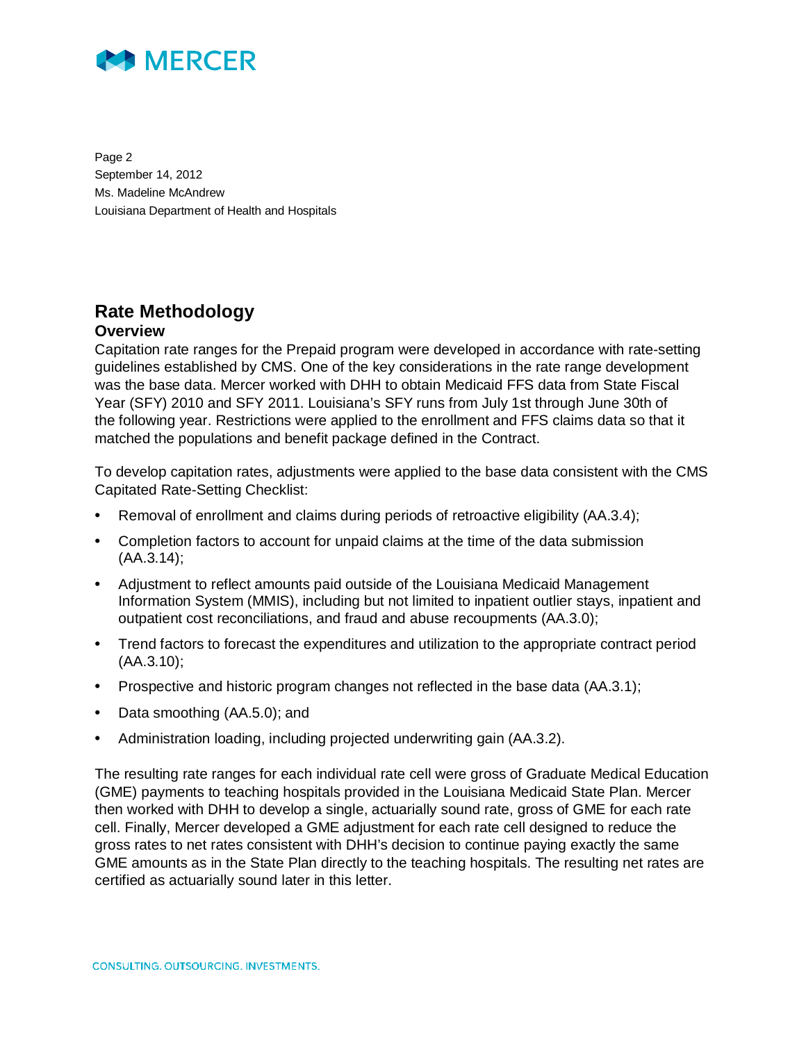

Page 2 September 14, 2012 Ms. Madeline McAndrew Louisiana Department of Health and Hospitals

# **Rate Methodology**

### **Overview**

Capitation rate ranges for the Prepaid program were developed in accordance with rate-setting guidelines established by CMS. One of the key considerations in the rate range development was the base data. Mercer worked with DHH to obtain Medicaid FFS data from State Fiscal Year (SFY) 2010 and SFY 2011. Louisiana's SFY runs from July 1st through June 30th of the following year. Restrictions were applied to the enrollment and FFS claims data so that it matched the populations and benefit package defined in the Contract.

To develop capitation rates, adjustments were applied to the base data consistent with the CMS Capitated Rate-Setting Checklist:

- Removal of enrollment and claims during periods of retroactive eligibility (AA.3.4);
- Completion factors to account for unpaid claims at the time of the data submission (AA.3.14);
- Adjustment to reflect amounts paid outside of the Louisiana Medicaid Management Information System (MMIS), including but not limited to inpatient outlier stays, inpatient and outpatient cost reconciliations, and fraud and abuse recoupments (AA.3.0);
- Trend factors to forecast the expenditures and utilization to the appropriate contract period (AA.3.10);
- Prospective and historic program changes not reflected in the base data (AA.3.1);
- Data smoothing (AA.5.0); and
- Administration loading, including projected underwriting gain (AA.3.2).

The resulting rate ranges for each individual rate cell were gross of Graduate Medical Education (GME) payments to teaching hospitals provided in the Louisiana Medicaid State Plan. Mercer then worked with DHH to develop a single, actuarially sound rate, gross of GME for each rate cell. Finally, Mercer developed a GME adjustment for each rate cell designed to reduce the gross rates to net rates consistent with DHH's decision to continue paying exactly the same GME amounts as in the State Plan directly to the teaching hospitals. The resulting net rates are certified as actuarially sound later in this letter.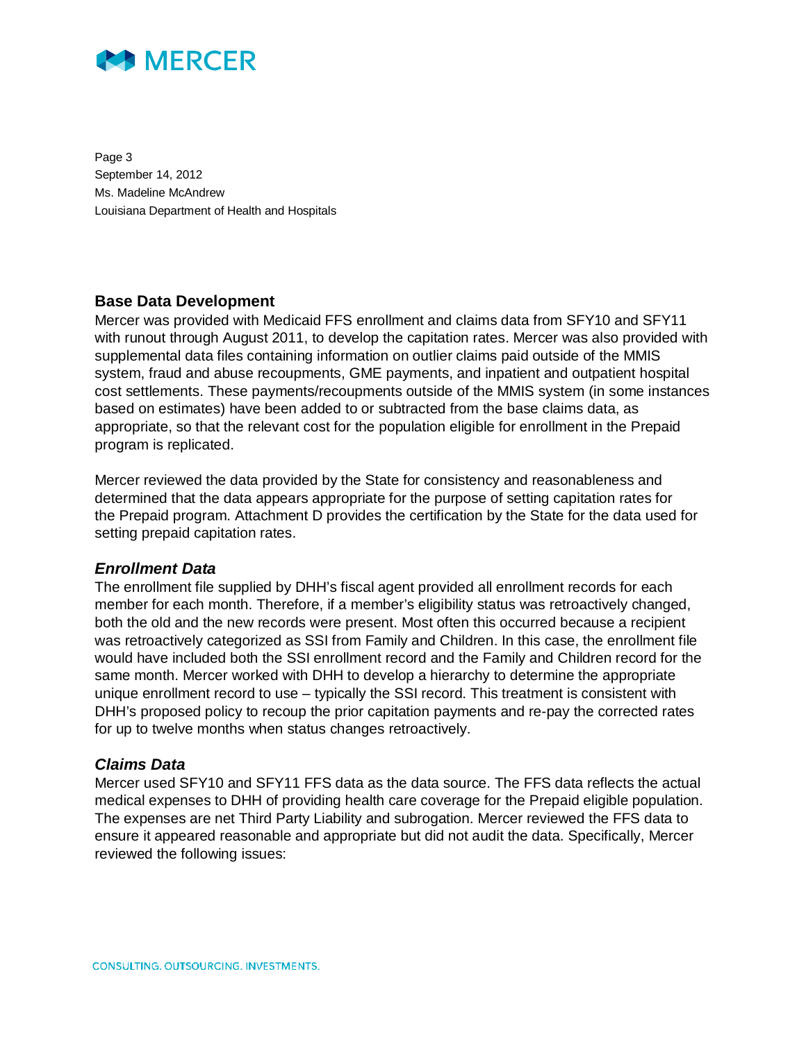

Page 3 September 14, 2012 Ms. Madeline McAndrew Louisiana Department of Health and Hospitals

#### **Base Data Development**

Mercer was provided with Medicaid FFS enrollment and claims data from SFY10 and SFY11 with runout through August 2011, to develop the capitation rates. Mercer was also provided with supplemental data files containing information on outlier claims paid outside of the MMIS system, fraud and abuse recoupments, GME payments, and inpatient and outpatient hospital cost settlements. These payments/recoupments outside of the MMIS system (in some instances based on estimates) have been added to or subtracted from the base claims data, as appropriate, so that the relevant cost for the population eligible for enrollment in the Prepaid program is replicated.

Mercer reviewed the data provided by the State for consistency and reasonableness and determined that the data appears appropriate for the purpose of setting capitation rates for the Prepaid program. Attachment D provides the certification by the State for the data used for setting prepaid capitation rates.

#### *Enrollment Data*

The enrollment file supplied by DHH's fiscal agent provided all enrollment records for each member for each month. Therefore, if a member's eligibility status was retroactively changed, both the old and the new records were present. Most often this occurred because a recipient was retroactively categorized as SSI from Family and Children. In this case, the enrollment file would have included both the SSI enrollment record and the Family and Children record for the same month. Mercer worked with DHH to develop a hierarchy to determine the appropriate unique enrollment record to use – typically the SSI record. This treatment is consistent with DHH's proposed policy to recoup the prior capitation payments and re-pay the corrected rates for up to twelve months when status changes retroactively.

#### *Claims Data*

Mercer used SFY10 and SFY11 FFS data as the data source. The FFS data reflects the actual medical expenses to DHH of providing health care coverage for the Prepaid eligible population. The expenses are net Third Party Liability and subrogation. Mercer reviewed the FFS data to ensure it appeared reasonable and appropriate but did not audit the data. Specifically, Mercer reviewed the following issues: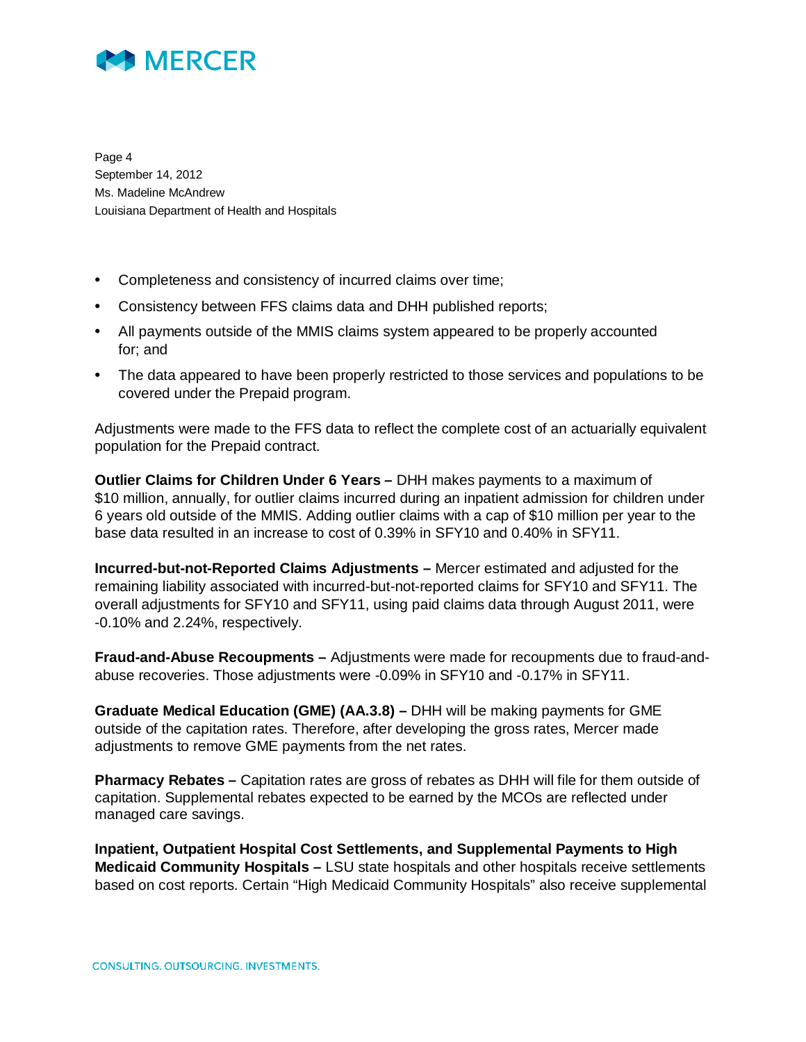

Page 4 September 14, 2012 Ms. Madeline McAndrew Louisiana Department of Health and Hospitals

- Completeness and consistency of incurred claims over time;
- Consistency between FFS claims data and DHH published reports;
- All payments outside of the MMIS claims system appeared to be properly accounted for; and
- The data appeared to have been properly restricted to those services and populations to be covered under the Prepaid program.

Adjustments were made to the FFS data to reflect the complete cost of an actuarially equivalent population for the Prepaid contract.

**Outlier Claims for Children Under 6 Years –** DHH makes payments to a maximum of \$10 million, annually, for outlier claims incurred during an inpatient admission for children under 6 years old outside of the MMIS. Adding outlier claims with a cap of \$10 million per year to the base data resulted in an increase to cost of 0.39% in SFY10 and 0.40% in SFY11.

**Incurred-but-not-Reported Claims Adjustments –** Mercer estimated and adjusted for the remaining liability associated with incurred-but-not-reported claims for SFY10 and SFY11. The overall adjustments for SFY10 and SFY11, using paid claims data through August 2011, were -0.10% and 2.24%, respectively.

**Fraud-and-Abuse Recoupments –** Adjustments were made for recoupments due to fraud-andabuse recoveries. Those adjustments were -0.09% in SFY10 and -0.17% in SFY11.

**Graduate Medical Education (GME) (AA.3.8) –** DHH will be making payments for GME outside of the capitation rates. Therefore, after developing the gross rates, Mercer made adjustments to remove GME payments from the net rates.

**Pharmacy Rebates –** Capitation rates are gross of rebates as DHH will file for them outside of capitation. Supplemental rebates expected to be earned by the MCOs are reflected under managed care savings.

**Inpatient, Outpatient Hospital Cost Settlements, and Supplemental Payments to High Medicaid Community Hospitals –** LSU state hospitals and other hospitals receive settlements based on cost reports. Certain "High Medicaid Community Hospitals" also receive supplemental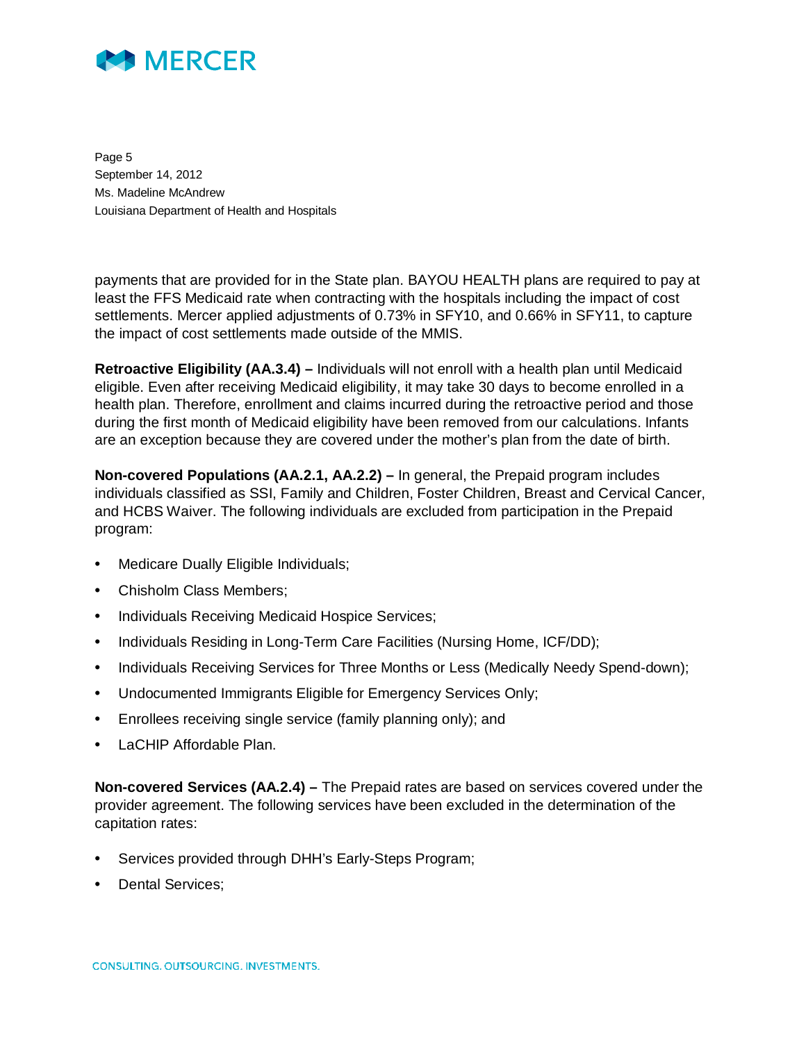

Page 5 September 14, 2012 Ms. Madeline McAndrew Louisiana Department of Health and Hospitals

payments that are provided for in the State plan. BAYOU HEALTH plans are required to pay at least the FFS Medicaid rate when contracting with the hospitals including the impact of cost settlements. Mercer applied adjustments of 0.73% in SFY10, and 0.66% in SFY11, to capture the impact of cost settlements made outside of the MMIS.

**Retroactive Eligibility (AA.3.4) –** Individuals will not enroll with a health plan until Medicaid eligible. Even after receiving Medicaid eligibility, it may take 30 days to become enrolled in a health plan. Therefore, enrollment and claims incurred during the retroactive period and those during the first month of Medicaid eligibility have been removed from our calculations. Infants are an exception because they are covered under the mother's plan from the date of birth.

**Non-covered Populations (AA.2.1, AA.2.2) –** In general, the Prepaid program includes individuals classified as SSI, Family and Children, Foster Children, Breast and Cervical Cancer, and HCBS Waiver. The following individuals are excluded from participation in the Prepaid program:

- Medicare Dually Eligible Individuals;
- Chisholm Class Members:
- Individuals Receiving Medicaid Hospice Services;
- Individuals Residing in Long-Term Care Facilities (Nursing Home, ICF/DD);
- Individuals Receiving Services for Three Months or Less (Medically Needy Spend-down);
- Undocumented Immigrants Eligible for Emergency Services Only;
- Enrollees receiving single service (family planning only); and
- LaCHIP Affordable Plan.

**Non-covered Services (AA.2.4) –** The Prepaid rates are based on services covered under the provider agreement. The following services have been excluded in the determination of the capitation rates:

- Services provided through DHH's Early-Steps Program;
- Dental Services;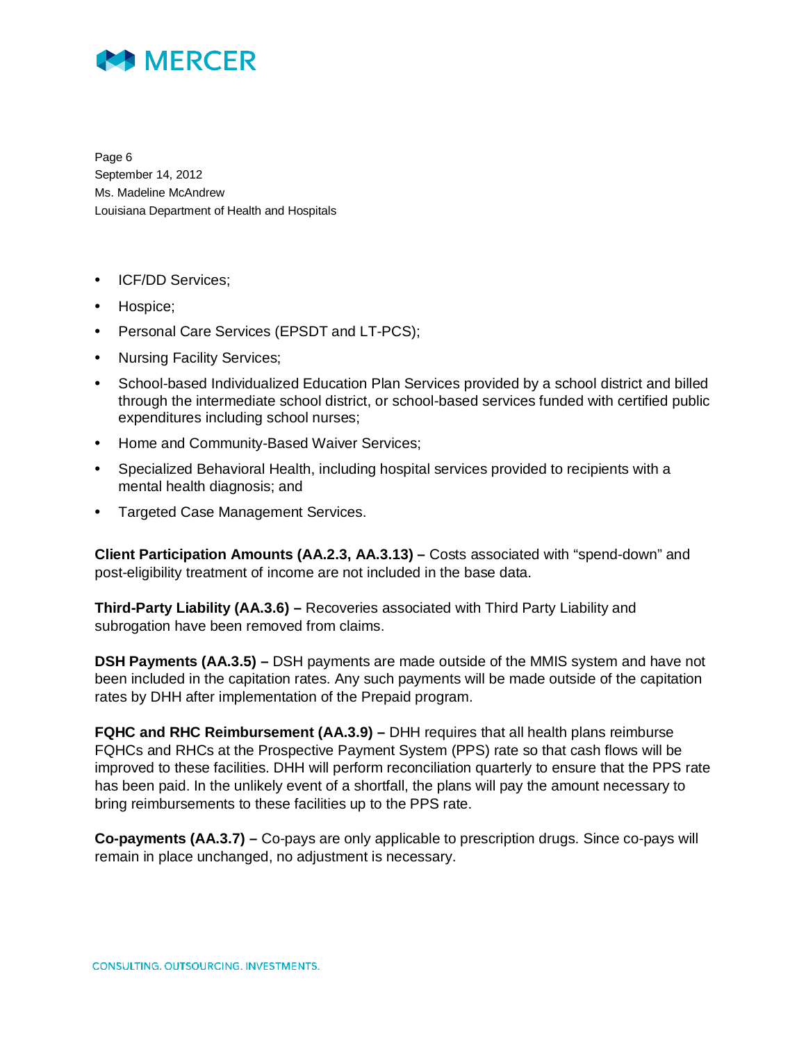

Page 6 September 14, 2012 Ms. Madeline McAndrew Louisiana Department of Health and Hospitals

- ICF/DD Services;
- Hospice;
- Personal Care Services (EPSDT and LT-PCS);
- Nursing Facility Services;
- School-based Individualized Education Plan Services provided by a school district and billed through the intermediate school district, or school-based services funded with certified public expenditures including school nurses;
- Home and Community-Based Waiver Services;
- Specialized Behavioral Health, including hospital services provided to recipients with a mental health diagnosis; and
- Targeted Case Management Services.

**Client Participation Amounts (AA.2.3, AA.3.13) –** Costs associated with "spend-down" and post-eligibility treatment of income are not included in the base data.

**Third-Party Liability (AA.3.6) –** Recoveries associated with Third Party Liability and subrogation have been removed from claims.

**DSH Payments (AA.3.5) –** DSH payments are made outside of the MMIS system and have not been included in the capitation rates. Any such payments will be made outside of the capitation rates by DHH after implementation of the Prepaid program.

**FQHC and RHC Reimbursement (AA.3.9) –** DHH requires that all health plans reimburse FQHCs and RHCs at the Prospective Payment System (PPS) rate so that cash flows will be improved to these facilities. DHH will perform reconciliation quarterly to ensure that the PPS rate has been paid. In the unlikely event of a shortfall, the plans will pay the amount necessary to bring reimbursements to these facilities up to the PPS rate.

**Co-payments (AA.3.7) –** Co-pays are only applicable to prescription drugs. Since co-pays will remain in place unchanged, no adjustment is necessary.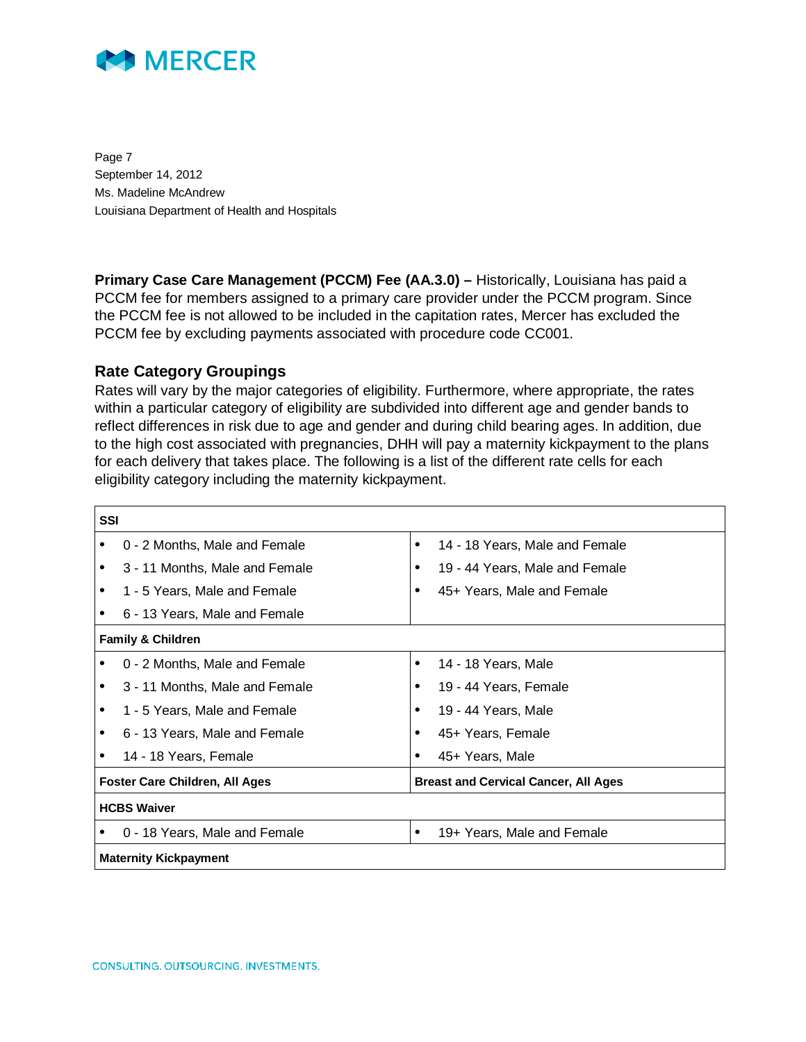

Page 7 September 14, 2012 Ms. Madeline McAndrew Louisiana Department of Health and Hospitals

**Primary Case Care Management (PCCM) Fee (AA.3.0) – Historically, Louisiana has paid a** PCCM fee for members assigned to a primary care provider under the PCCM program. Since the PCCM fee is not allowed to be included in the capitation rates, Mercer has excluded the PCCM fee by excluding payments associated with procedure code CC001.

#### **Rate Category Groupings**

Rates will vary by the major categories of eligibility. Furthermore, where appropriate, the rates within a particular category of eligibility are subdivided into different age and gender bands to reflect differences in risk due to age and gender and during child bearing ages. In addition, due to the high cost associated with pregnancies, DHH will pay a maternity kickpayment to the plans for each delivery that takes place. The following is a list of the different rate cells for each eligibility category including the maternity kickpayment.

| <b>SSI</b> |                                       |   |                                             |  |  |
|------------|---------------------------------------|---|---------------------------------------------|--|--|
|            | 0 - 2 Months, Male and Female         | ٠ | 14 - 18 Years, Male and Female              |  |  |
|            | 3 - 11 Months, Male and Female        |   | 19 - 44 Years, Male and Female              |  |  |
|            | 1 - 5 Years, Male and Female          |   | 45+ Years, Male and Female                  |  |  |
|            | 6 - 13 Years, Male and Female         |   |                                             |  |  |
|            | <b>Family &amp; Children</b>          |   |                                             |  |  |
|            | 0 - 2 Months, Male and Female         |   | 14 - 18 Years, Male                         |  |  |
|            | 3 - 11 Months, Male and Female        |   | 19 - 44 Years, Female                       |  |  |
|            | 1 - 5 Years, Male and Female          |   | 19 - 44 Years, Male                         |  |  |
|            | 6 - 13 Years, Male and Female         |   | 45+ Years, Female                           |  |  |
|            | 14 - 18 Years, Female                 |   | 45+ Years, Male                             |  |  |
|            | <b>Foster Care Children, All Ages</b> |   | <b>Breast and Cervical Cancer, All Ages</b> |  |  |
|            | <b>HCBS Waiver</b>                    |   |                                             |  |  |
|            | 0 - 18 Years, Male and Female         | ٠ | 19+ Years, Male and Female                  |  |  |
|            | <b>Maternity Kickpayment</b>          |   |                                             |  |  |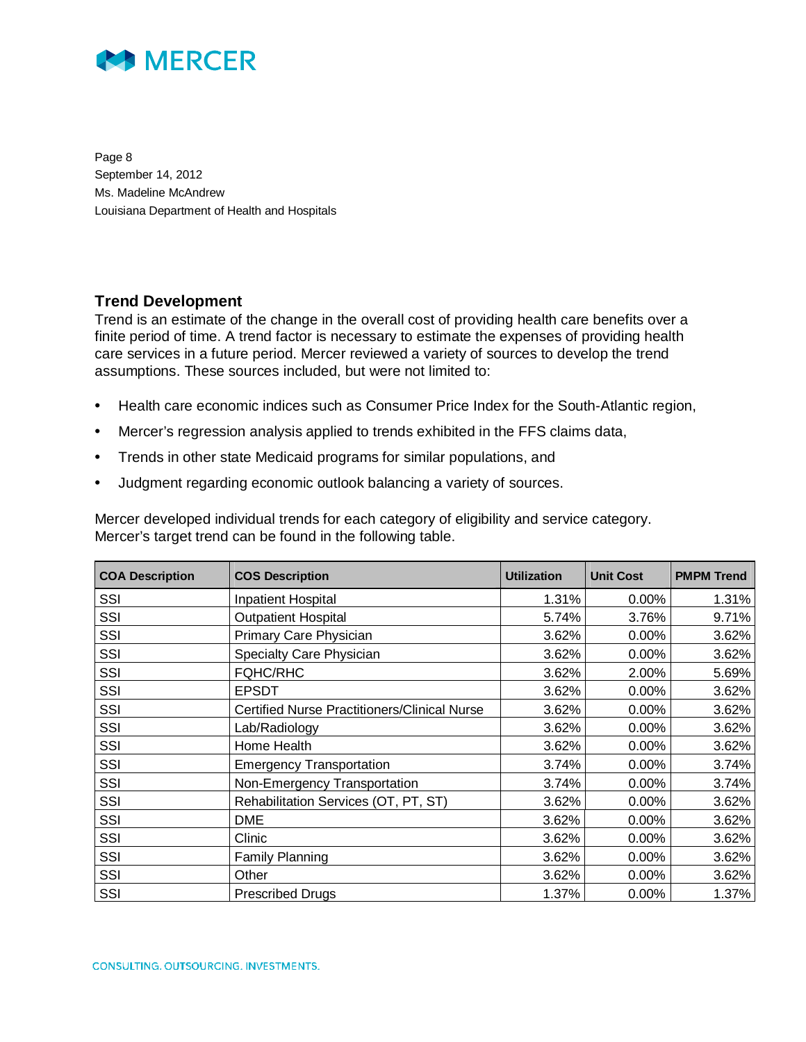

Page 8 September 14, 2012 Ms. Madeline McAndrew Louisiana Department of Health and Hospitals

### **Trend Development**

Trend is an estimate of the change in the overall cost of providing health care benefits over a finite period of time. A trend factor is necessary to estimate the expenses of providing health care services in a future period. Mercer reviewed a variety of sources to develop the trend assumptions. These sources included, but were not limited to:

- Health care economic indices such as Consumer Price Index for the South-Atlantic region,
- Mercer's regression analysis applied to trends exhibited in the FFS claims data,
- Trends in other state Medicaid programs for similar populations, and
- Judgment regarding economic outlook balancing a variety of sources.

Mercer developed individual trends for each category of eligibility and service category. Mercer's target trend can be found in the following table.

| <b>COA Description</b> | <b>COS Description</b>                              | <b>Utilization</b> | <b>Unit Cost</b> | <b>PMPM Trend</b> |
|------------------------|-----------------------------------------------------|--------------------|------------------|-------------------|
| SSI                    | <b>Inpatient Hospital</b>                           | 1.31%              | $0.00\%$         | 1.31%             |
| SSI                    | <b>Outpatient Hospital</b>                          | 5.74%              | 3.76%            | 9.71%             |
| SSI                    | Primary Care Physician                              | 3.62%              | 0.00%            | 3.62%             |
| SSI                    | Specialty Care Physician                            | 3.62%              | $0.00\%$         | 3.62%             |
| SSI                    | <b>FQHC/RHC</b>                                     | 3.62%              | 2.00%            | 5.69%             |
| SSI                    | <b>EPSDT</b>                                        | 3.62%              | $0.00\%$         | 3.62%             |
| SSI                    | <b>Certified Nurse Practitioners/Clinical Nurse</b> | 3.62%              | 0.00%            | 3.62%             |
| SSI                    | Lab/Radiology                                       | 3.62%              | 0.00%            | 3.62%             |
| SSI                    | Home Health                                         | 3.62%              | 0.00%            | 3.62%             |
| SSI                    | <b>Emergency Transportation</b>                     | 3.74%              | $0.00\%$         | 3.74%             |
| SSI                    | Non-Emergency Transportation                        | 3.74%              | $0.00\%$         | 3.74%             |
| SSI                    | Rehabilitation Services (OT, PT, ST)                | 3.62%              | $0.00\%$         | 3.62%             |
| SSI                    | DME                                                 | 3.62%              | $0.00\%$         | 3.62%             |
| SSI                    | Clinic                                              | 3.62%              | $0.00\%$         | 3.62%             |
| SSI                    | <b>Family Planning</b>                              | 3.62%              | $0.00\%$         | 3.62%             |
| SSI                    | Other                                               | 3.62%              | 0.00%            | 3.62%             |
| SSI                    | <b>Prescribed Drugs</b>                             | 1.37%              | 0.00%            | 1.37%             |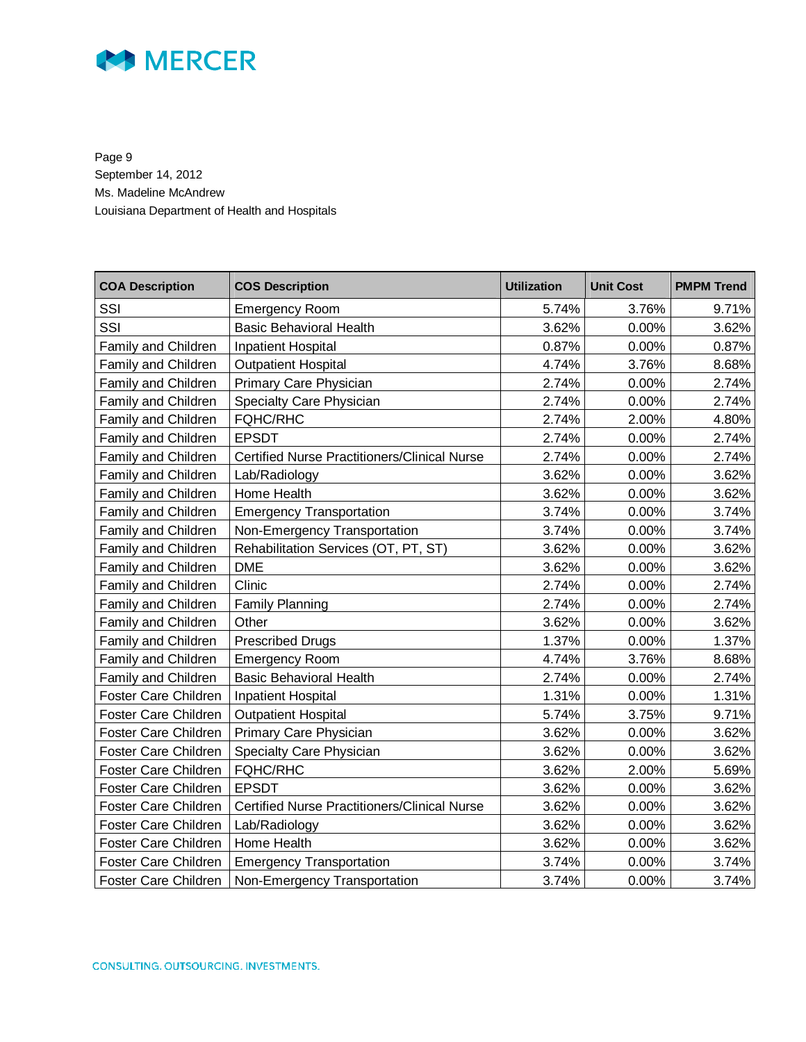

Page 9 September 14, 2012 Ms. Madeline McAndrew Louisiana Department of Health and Hospitals

| <b>COA Description</b>      | <b>COS Description</b>                              | <b>Utilization</b> | <b>Unit Cost</b> | <b>PMPM Trend</b> |
|-----------------------------|-----------------------------------------------------|--------------------|------------------|-------------------|
| SSI                         | <b>Emergency Room</b>                               | 5.74%              | 3.76%            | 9.71%             |
| SSI                         | <b>Basic Behavioral Health</b>                      | 3.62%              | 0.00%            | 3.62%             |
| <b>Family and Children</b>  | <b>Inpatient Hospital</b>                           | 0.87%              | 0.00%            | 0.87%             |
| Family and Children         | <b>Outpatient Hospital</b>                          | 4.74%              | 3.76%            | 8.68%             |
| Family and Children         | Primary Care Physician                              | 2.74%              | 0.00%            | 2.74%             |
| Family and Children         | Specialty Care Physician                            | 2.74%              | 0.00%            | 2.74%             |
| Family and Children         | <b>FQHC/RHC</b>                                     | 2.74%              | 2.00%            | 4.80%             |
| Family and Children         | <b>EPSDT</b>                                        | 2.74%              | 0.00%            | 2.74%             |
| Family and Children         | <b>Certified Nurse Practitioners/Clinical Nurse</b> | 2.74%              | 0.00%            | 2.74%             |
| Family and Children         | Lab/Radiology                                       | 3.62%              | 0.00%            | 3.62%             |
| Family and Children         | Home Health                                         | 3.62%              | 0.00%            | 3.62%             |
| Family and Children         | <b>Emergency Transportation</b>                     | 3.74%              | 0.00%            | 3.74%             |
| Family and Children         | Non-Emergency Transportation                        | 3.74%              | 0.00%            | 3.74%             |
| Family and Children         | Rehabilitation Services (OT, PT, ST)                | 3.62%              | 0.00%            | 3.62%             |
| Family and Children         | <b>DME</b>                                          | 3.62%              | 0.00%            | 3.62%             |
| Family and Children         | Clinic                                              | 2.74%              | 0.00%            | 2.74%             |
| Family and Children         | <b>Family Planning</b>                              | 2.74%              | 0.00%            | 2.74%             |
| Family and Children         | Other                                               | 3.62%              | 0.00%            | 3.62%             |
| Family and Children         | <b>Prescribed Drugs</b>                             | 1.37%              | 0.00%            | 1.37%             |
| Family and Children         | <b>Emergency Room</b>                               | 4.74%              | 3.76%            | 8.68%             |
| Family and Children         | <b>Basic Behavioral Health</b>                      | 2.74%              | 0.00%            | 2.74%             |
| Foster Care Children        | Inpatient Hospital                                  | 1.31%              | 0.00%            | 1.31%             |
| <b>Foster Care Children</b> | <b>Outpatient Hospital</b>                          | 5.74%              | 3.75%            | 9.71%             |
| Foster Care Children        | Primary Care Physician                              | 3.62%              | 0.00%            | 3.62%             |
| <b>Foster Care Children</b> | Specialty Care Physician                            | 3.62%              | 0.00%            | 3.62%             |
| Foster Care Children        | <b>FQHC/RHC</b>                                     | 3.62%              | 2.00%            | 5.69%             |
| <b>Foster Care Children</b> | <b>EPSDT</b>                                        | 3.62%              | 0.00%            | 3.62%             |
| Foster Care Children        | <b>Certified Nurse Practitioners/Clinical Nurse</b> | 3.62%              | 0.00%            | 3.62%             |
| Foster Care Children        | Lab/Radiology                                       | 3.62%              | 0.00%            | 3.62%             |
| Foster Care Children        | Home Health                                         | 3.62%              | 0.00%            | 3.62%             |
| Foster Care Children        | <b>Emergency Transportation</b>                     | 3.74%              | 0.00%            | 3.74%             |
| Foster Care Children        | Non-Emergency Transportation                        | 3.74%              | 0.00%            | 3.74%             |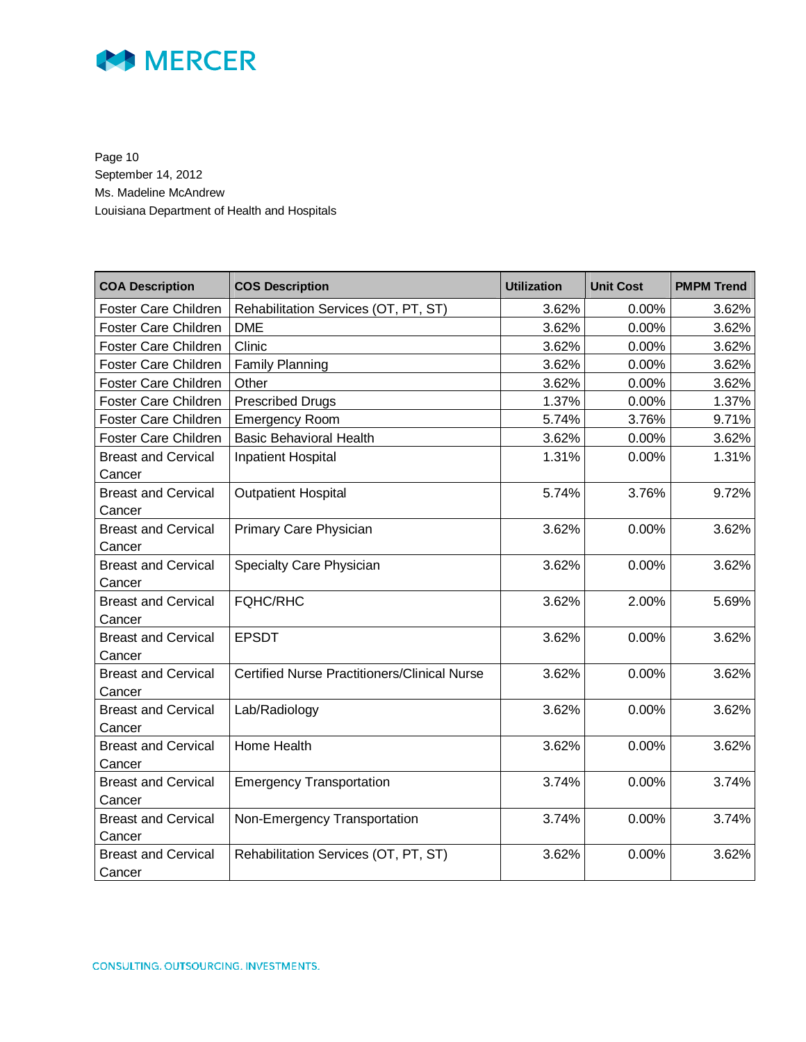

Page 10 September 14, 2012 Ms. Madeline McAndrew Louisiana Department of Health and Hospitals

| <b>COA Description</b>               | <b>COS Description</b>                              | <b>Utilization</b> | <b>Unit Cost</b> | <b>PMPM Trend</b> |
|--------------------------------------|-----------------------------------------------------|--------------------|------------------|-------------------|
| Foster Care Children                 | Rehabilitation Services (OT, PT, ST)                | 3.62%              | 0.00%            | 3.62%             |
| <b>Foster Care Children</b>          | <b>DME</b>                                          | 3.62%              | 0.00%            | 3.62%             |
| Foster Care Children                 | Clinic                                              | 3.62%              | 0.00%            | 3.62%             |
| Foster Care Children                 | <b>Family Planning</b>                              | 3.62%              | 0.00%            | 3.62%             |
| <b>Foster Care Children</b>          | Other                                               | 3.62%              | 0.00%            | 3.62%             |
| Foster Care Children                 | <b>Prescribed Drugs</b>                             | 1.37%              | 0.00%            | 1.37%             |
| Foster Care Children                 | <b>Emergency Room</b>                               | 5.74%              | 3.76%            | 9.71%             |
| <b>Foster Care Children</b>          | <b>Basic Behavioral Health</b>                      | 3.62%              | 0.00%            | 3.62%             |
| <b>Breast and Cervical</b><br>Cancer | <b>Inpatient Hospital</b>                           | 1.31%              | 0.00%            | 1.31%             |
| <b>Breast and Cervical</b><br>Cancer | <b>Outpatient Hospital</b>                          | 5.74%              | 3.76%            | 9.72%             |
| <b>Breast and Cervical</b><br>Cancer | Primary Care Physician                              | 3.62%              | 0.00%            | 3.62%             |
| <b>Breast and Cervical</b><br>Cancer | Specialty Care Physician                            | 3.62%              | 0.00%            | 3.62%             |
| <b>Breast and Cervical</b><br>Cancer | <b>FQHC/RHC</b>                                     | 3.62%              | 2.00%            | 5.69%             |
| <b>Breast and Cervical</b><br>Cancer | <b>EPSDT</b>                                        | 3.62%              | 0.00%            | 3.62%             |
| <b>Breast and Cervical</b><br>Cancer | <b>Certified Nurse Practitioners/Clinical Nurse</b> | 3.62%              | 0.00%            | 3.62%             |
| <b>Breast and Cervical</b><br>Cancer | Lab/Radiology                                       | 3.62%              | 0.00%            | 3.62%             |
| <b>Breast and Cervical</b><br>Cancer | Home Health                                         | 3.62%              | 0.00%            | 3.62%             |
| <b>Breast and Cervical</b><br>Cancer | <b>Emergency Transportation</b>                     | 3.74%              | 0.00%            | 3.74%             |
| <b>Breast and Cervical</b><br>Cancer | Non-Emergency Transportation                        | 3.74%              | 0.00%            | 3.74%             |
| <b>Breast and Cervical</b><br>Cancer | Rehabilitation Services (OT, PT, ST)                | 3.62%              | 0.00%            | 3.62%             |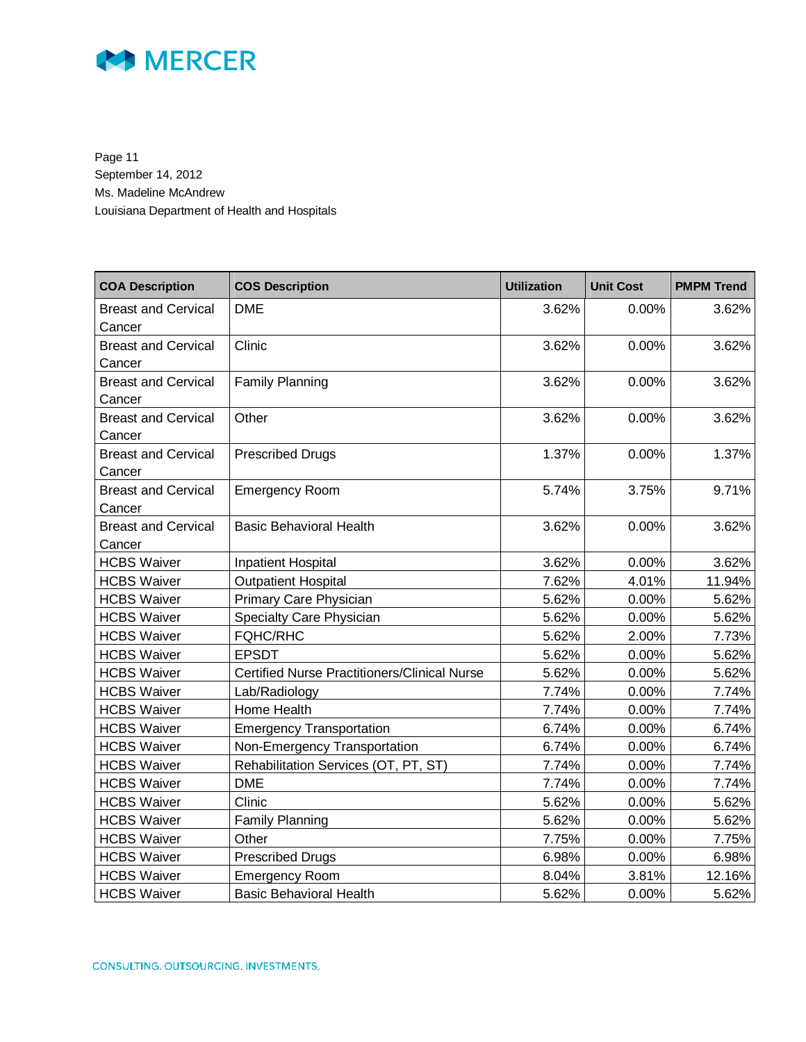

Page 11 September 14, 2012 Ms. Madeline McAndrew Louisiana Department of Health and Hospitals

| <b>COA Description</b>     | <b>COS Description</b>                              | <b>Utilization</b> | <b>Unit Cost</b> | <b>PMPM Trend</b> |
|----------------------------|-----------------------------------------------------|--------------------|------------------|-------------------|
| <b>Breast and Cervical</b> | <b>DME</b>                                          | 3.62%              | 0.00%            | 3.62%             |
| Cancer                     |                                                     |                    |                  |                   |
| <b>Breast and Cervical</b> | Clinic                                              | 3.62%              | 0.00%            | 3.62%             |
| Cancer                     |                                                     |                    |                  |                   |
| <b>Breast and Cervical</b> | <b>Family Planning</b>                              | 3.62%              | 0.00%            | 3.62%             |
| Cancer                     |                                                     |                    |                  |                   |
| <b>Breast and Cervical</b> | Other                                               | 3.62%              | 0.00%            | 3.62%             |
| Cancer                     |                                                     |                    |                  |                   |
| <b>Breast and Cervical</b> | <b>Prescribed Drugs</b>                             | 1.37%              | 0.00%            | 1.37%             |
| Cancer                     |                                                     |                    |                  |                   |
| <b>Breast and Cervical</b> | <b>Emergency Room</b>                               | 5.74%              | 3.75%            | 9.71%             |
| Cancer                     |                                                     |                    |                  |                   |
| <b>Breast and Cervical</b> | <b>Basic Behavioral Health</b>                      | 3.62%              | 0.00%            | 3.62%             |
| Cancer                     |                                                     |                    |                  |                   |
| <b>HCBS Waiver</b>         | <b>Inpatient Hospital</b>                           | 3.62%              | 0.00%            | 3.62%             |
| <b>HCBS Waiver</b>         | <b>Outpatient Hospital</b>                          | 7.62%              | 4.01%            | 11.94%            |
| <b>HCBS Waiver</b>         | Primary Care Physician                              | 5.62%              | 0.00%            | 5.62%             |
| <b>HCBS Waiver</b>         | Specialty Care Physician                            | 5.62%              | 0.00%            | 5.62%             |
| <b>HCBS Waiver</b>         | <b>FQHC/RHC</b>                                     | 5.62%              | 2.00%            | 7.73%             |
| <b>HCBS Waiver</b>         | <b>EPSDT</b>                                        | 5.62%              | 0.00%            | 5.62%             |
| <b>HCBS Waiver</b>         | <b>Certified Nurse Practitioners/Clinical Nurse</b> | 5.62%              | 0.00%            | 5.62%             |
| <b>HCBS Waiver</b>         | Lab/Radiology                                       | 7.74%              | 0.00%            | 7.74%             |
| <b>HCBS Waiver</b>         | Home Health                                         | 7.74%              | 0.00%            | 7.74%             |
| <b>HCBS Waiver</b>         | <b>Emergency Transportation</b>                     | 6.74%              | 0.00%            | 6.74%             |
| <b>HCBS Waiver</b>         | Non-Emergency Transportation                        | 6.74%              | 0.00%            | 6.74%             |
| <b>HCBS Waiver</b>         | Rehabilitation Services (OT, PT, ST)                | 7.74%              | 0.00%            | 7.74%             |
| <b>HCBS Waiver</b>         | <b>DME</b>                                          | 7.74%              | 0.00%            | 7.74%             |
| <b>HCBS Waiver</b>         | Clinic                                              | 5.62%              | 0.00%            | 5.62%             |
| <b>HCBS Waiver</b>         | Family Planning                                     | 5.62%              | 0.00%            | 5.62%             |
| <b>HCBS Waiver</b>         | Other                                               | 7.75%              | 0.00%            | 7.75%             |
| <b>HCBS Waiver</b>         | <b>Prescribed Drugs</b>                             | 6.98%              | 0.00%            | 6.98%             |
| <b>HCBS Waiver</b>         | <b>Emergency Room</b>                               | 8.04%              | 3.81%            | 12.16%            |
| <b>HCBS Waiver</b>         | <b>Basic Behavioral Health</b>                      | 5.62%              | 0.00%            | 5.62%             |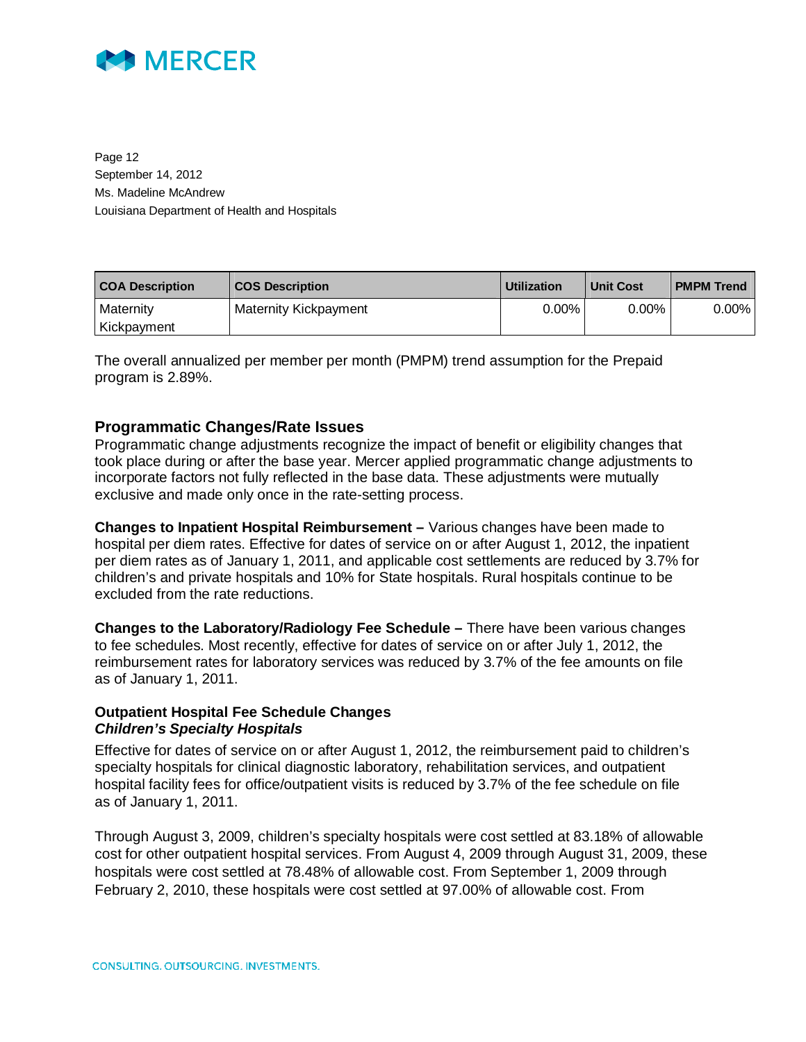

Page 12 September 14, 2012 Ms. Madeline McAndrew Louisiana Department of Health and Hospitals

| <b>COA Description</b> | <b>COS Description</b> | <b>Utilization</b> | <b>Unit Cost</b> | <b>PMPM Trend</b> |
|------------------------|------------------------|--------------------|------------------|-------------------|
| Maternity              | Maternity Kickpayment  | $0.00\%$           | $0.00\%$         | $0.00\%$          |
| Kickpayment            |                        |                    |                  |                   |

The overall annualized per member per month (PMPM) trend assumption for the Prepaid program is 2.89%.

### **Programmatic Changes/Rate Issues**

Programmatic change adjustments recognize the impact of benefit or eligibility changes that took place during or after the base year. Mercer applied programmatic change adjustments to incorporate factors not fully reflected in the base data. These adjustments were mutually exclusive and made only once in the rate-setting process.

**Changes to Inpatient Hospital Reimbursement –** Various changes have been made to hospital per diem rates. Effective for dates of service on or after August 1, 2012, the inpatient per diem rates as of January 1, 2011, and applicable cost settlements are reduced by 3.7% for children's and private hospitals and 10% for State hospitals. Rural hospitals continue to be excluded from the rate reductions.

**Changes to the Laboratory/Radiology Fee Schedule –** There have been various changes to fee schedules. Most recently, effective for dates of service on or after July 1, 2012, the reimbursement rates for laboratory services was reduced by 3.7% of the fee amounts on file as of January 1, 2011.

#### **Outpatient Hospital Fee Schedule Changes**  *Children's Specialty Hospitals*

Effective for dates of service on or after August 1, 2012, the reimbursement paid to children's specialty hospitals for clinical diagnostic laboratory, rehabilitation services, and outpatient hospital facility fees for office/outpatient visits is reduced by 3.7% of the fee schedule on file as of January 1, 2011.

Through August 3, 2009, children's specialty hospitals were cost settled at 83.18% of allowable cost for other outpatient hospital services. From August 4, 2009 through August 31, 2009, these hospitals were cost settled at 78.48% of allowable cost. From September 1, 2009 through February 2, 2010, these hospitals were cost settled at 97.00% of allowable cost. From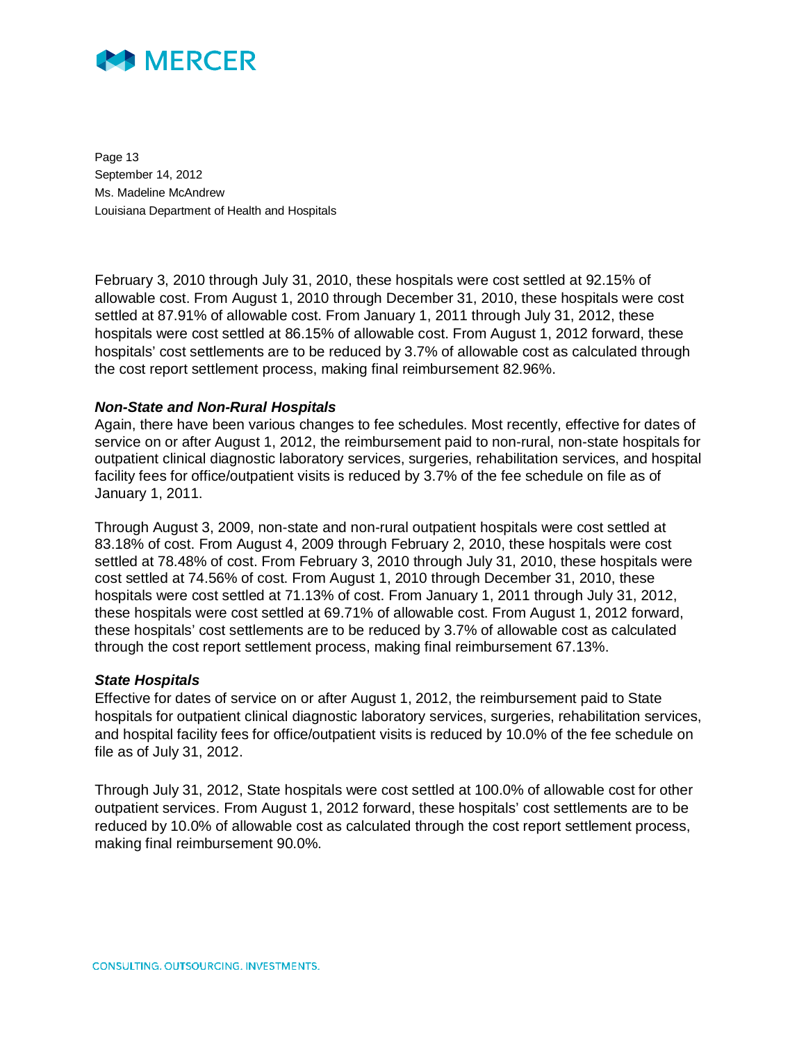

Page 13 September 14, 2012 Ms. Madeline McAndrew Louisiana Department of Health and Hospitals

February 3, 2010 through July 31, 2010, these hospitals were cost settled at 92.15% of allowable cost. From August 1, 2010 through December 31, 2010, these hospitals were cost settled at 87.91% of allowable cost. From January 1, 2011 through July 31, 2012, these hospitals were cost settled at 86.15% of allowable cost. From August 1, 2012 forward, these hospitals' cost settlements are to be reduced by 3.7% of allowable cost as calculated through the cost report settlement process, making final reimbursement 82.96%.

#### *Non-State and Non-Rural Hospitals*

Again, there have been various changes to fee schedules. Most recently, effective for dates of service on or after August 1, 2012, the reimbursement paid to non-rural, non-state hospitals for outpatient clinical diagnostic laboratory services, surgeries, rehabilitation services, and hospital facility fees for office/outpatient visits is reduced by 3.7% of the fee schedule on file as of January 1, 2011.

Through August 3, 2009, non-state and non-rural outpatient hospitals were cost settled at 83.18% of cost. From August 4, 2009 through February 2, 2010, these hospitals were cost settled at 78.48% of cost. From February 3, 2010 through July 31, 2010, these hospitals were cost settled at 74.56% of cost. From August 1, 2010 through December 31, 2010, these hospitals were cost settled at 71.13% of cost. From January 1, 2011 through July 31, 2012, these hospitals were cost settled at 69.71% of allowable cost. From August 1, 2012 forward, these hospitals' cost settlements are to be reduced by 3.7% of allowable cost as calculated through the cost report settlement process, making final reimbursement 67.13%.

#### *State Hospitals*

Effective for dates of service on or after August 1, 2012, the reimbursement paid to State hospitals for outpatient clinical diagnostic laboratory services, surgeries, rehabilitation services, and hospital facility fees for office/outpatient visits is reduced by 10.0% of the fee schedule on file as of July 31, 2012.

Through July 31, 2012, State hospitals were cost settled at 100.0% of allowable cost for other outpatient services. From August 1, 2012 forward, these hospitals' cost settlements are to be reduced by 10.0% of allowable cost as calculated through the cost report settlement process, making final reimbursement 90.0%.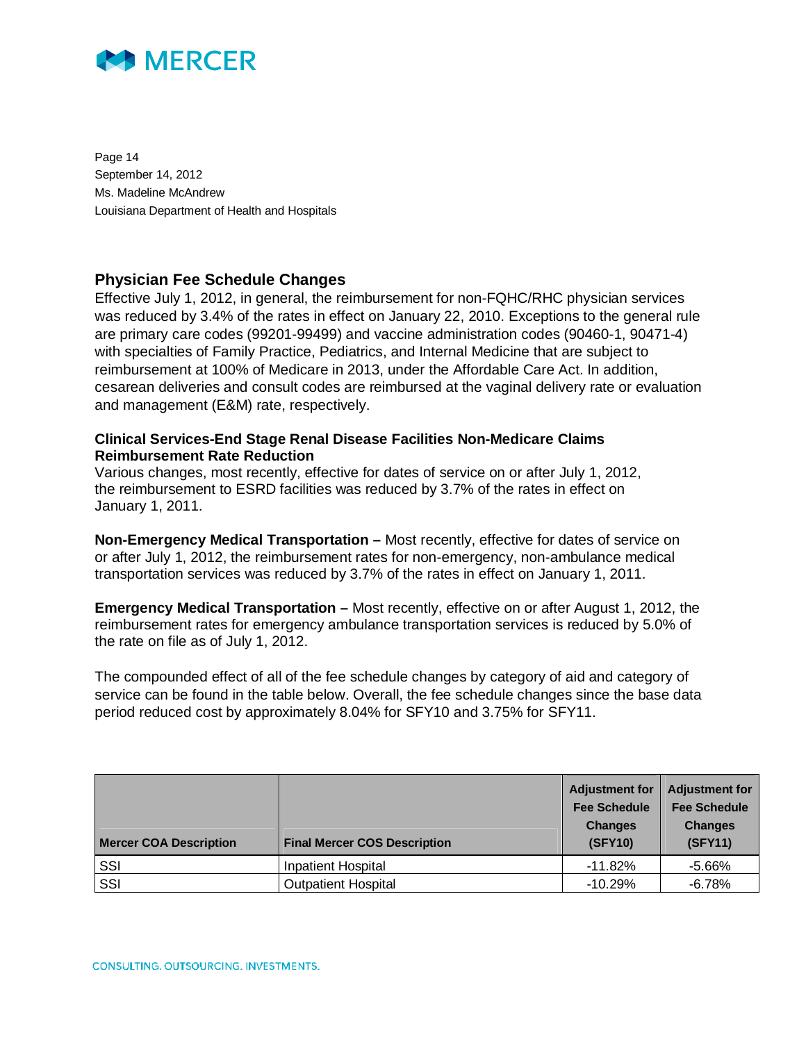

Page 14 September 14, 2012 Ms. Madeline McAndrew Louisiana Department of Health and Hospitals

### **Physician Fee Schedule Changes**

Effective July 1, 2012, in general, the reimbursement for non-FQHC/RHC physician services was reduced by 3.4% of the rates in effect on January 22, 2010. Exceptions to the general rule are primary care codes (99201-99499) and vaccine administration codes (90460-1, 90471-4) with specialties of Family Practice, Pediatrics, and Internal Medicine that are subject to reimbursement at 100% of Medicare in 2013, under the Affordable Care Act. In addition, cesarean deliveries and consult codes are reimbursed at the vaginal delivery rate or evaluation and management (E&M) rate, respectively.

#### **Clinical Services-End Stage Renal Disease Facilities Non-Medicare Claims Reimbursement Rate Reduction**

Various changes, most recently, effective for dates of service on or after July 1, 2012, the reimbursement to ESRD facilities was reduced by 3.7% of the rates in effect on January 1, 2011.

**Non-Emergency Medical Transportation –** Most recently, effective for dates of service on or after July 1, 2012, the reimbursement rates for non-emergency, non-ambulance medical transportation services was reduced by 3.7% of the rates in effect on January 1, 2011.

**Emergency Medical Transportation –** Most recently, effective on or after August 1, 2012, the reimbursement rates for emergency ambulance transportation services is reduced by 5.0% of the rate on file as of July 1, 2012.

The compounded effect of all of the fee schedule changes by category of aid and category of service can be found in the table below. Overall, the fee schedule changes since the base data period reduced cost by approximately 8.04% for SFY10 and 3.75% for SFY11.

| <b>Mercer COA Description</b> | <b>Final Mercer COS Description</b> | <b>Adjustment for</b><br><b>Fee Schedule</b><br><b>Changes</b><br><b>(SFY10)</b> | <b>Adjustment for</b><br><b>Fee Schedule</b><br><b>Changes</b><br>(SFY11) |
|-------------------------------|-------------------------------------|----------------------------------------------------------------------------------|---------------------------------------------------------------------------|
| SSI                           | <b>Inpatient Hospital</b>           | $-11.82%$                                                                        | $-5.66%$                                                                  |
| SSI                           | <b>Outpatient Hospital</b>          | $-10.29\%$                                                                       | -6.78%                                                                    |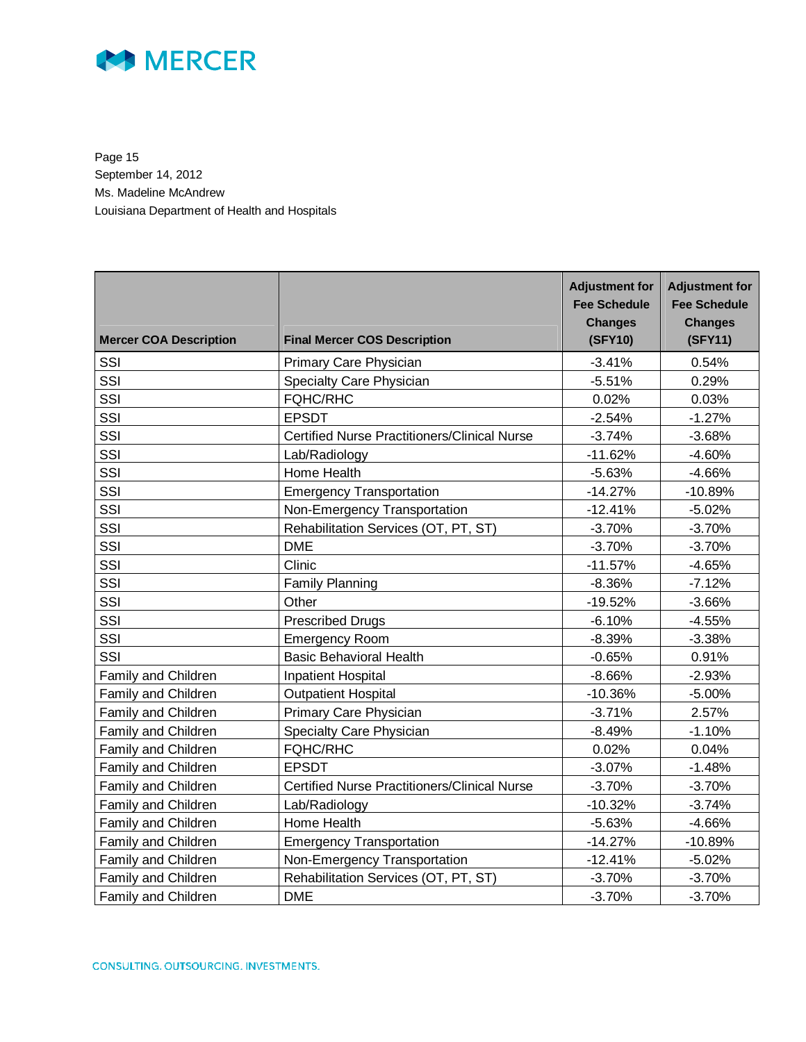

Page 15 September 14, 2012 Ms. Madeline McAndrew Louisiana Department of Health and Hospitals

| <b>Mercer COA Description</b> | <b>Final Mercer COS Description</b>                 | <b>Adjustment for</b><br><b>Fee Schedule</b><br><b>Changes</b><br>(SFY10) | <b>Adjustment for</b><br><b>Fee Schedule</b><br><b>Changes</b><br>(SFY11) |
|-------------------------------|-----------------------------------------------------|---------------------------------------------------------------------------|---------------------------------------------------------------------------|
| SSI                           | Primary Care Physician                              | $-3.41%$                                                                  | 0.54%                                                                     |
| SSI                           | Specialty Care Physician                            | $-5.51%$                                                                  | 0.29%                                                                     |
| SSI                           | FQHC/RHC                                            | 0.02%                                                                     | 0.03%                                                                     |
| SSI                           | <b>EPSDT</b>                                        | $-2.54%$                                                                  | $-1.27%$                                                                  |
| SSI                           | <b>Certified Nurse Practitioners/Clinical Nurse</b> | $-3.74%$                                                                  | $-3.68%$                                                                  |
| SSI                           | Lab/Radiology                                       | $-11.62%$                                                                 | $-4.60%$                                                                  |
| SSI                           | Home Health                                         | $-5.63%$                                                                  | $-4.66%$                                                                  |
| SSI                           | <b>Emergency Transportation</b>                     | $-14.27%$                                                                 | $-10.89%$                                                                 |
| SSI                           | Non-Emergency Transportation                        | $-12.41%$                                                                 | $-5.02%$                                                                  |
| SSI                           | Rehabilitation Services (OT, PT, ST)                | $-3.70%$                                                                  | $-3.70%$                                                                  |
| SSI                           | <b>DME</b>                                          | $-3.70%$                                                                  | $-3.70%$                                                                  |
| SSI                           | Clinic                                              | $-11.57%$                                                                 | $-4.65%$                                                                  |
| SSI                           | <b>Family Planning</b>                              | $-8.36%$                                                                  | $-7.12%$                                                                  |
| SSI                           | Other                                               | $-19.52%$                                                                 | $-3.66%$                                                                  |
| SSI                           | <b>Prescribed Drugs</b>                             | $-6.10%$                                                                  | $-4.55%$                                                                  |
| SSI                           | <b>Emergency Room</b>                               | $-8.39%$                                                                  | $-3.38%$                                                                  |
| SSI                           | <b>Basic Behavioral Health</b>                      | $-0.65%$                                                                  | 0.91%                                                                     |
| Family and Children           | Inpatient Hospital                                  | $-8.66%$                                                                  | $-2.93%$                                                                  |
| Family and Children           | <b>Outpatient Hospital</b>                          | $-10.36%$                                                                 | $-5.00%$                                                                  |
| <b>Family and Children</b>    | Primary Care Physician                              | $-3.71%$                                                                  | 2.57%                                                                     |
| Family and Children           | Specialty Care Physician                            | $-8.49%$                                                                  | $-1.10%$                                                                  |
| Family and Children           | <b>FQHC/RHC</b>                                     | 0.02%                                                                     | 0.04%                                                                     |
| Family and Children           | <b>EPSDT</b>                                        | $-3.07%$                                                                  | $-1.48%$                                                                  |
| Family and Children           | <b>Certified Nurse Practitioners/Clinical Nurse</b> | $-3.70%$                                                                  | $-3.70%$                                                                  |
| Family and Children           | Lab/Radiology                                       | $-10.32%$                                                                 | $-3.74%$                                                                  |
| Family and Children           | Home Health                                         | $-5.63%$                                                                  | $-4.66%$                                                                  |
| Family and Children           | <b>Emergency Transportation</b>                     | $-14.27%$                                                                 | $-10.89%$                                                                 |
| Family and Children           | Non-Emergency Transportation                        | $-12.41%$                                                                 | $-5.02%$                                                                  |
| Family and Children           | Rehabilitation Services (OT, PT, ST)                | $-3.70%$                                                                  | $-3.70%$                                                                  |
| Family and Children           | <b>DME</b>                                          | $-3.70%$                                                                  | $-3.70%$                                                                  |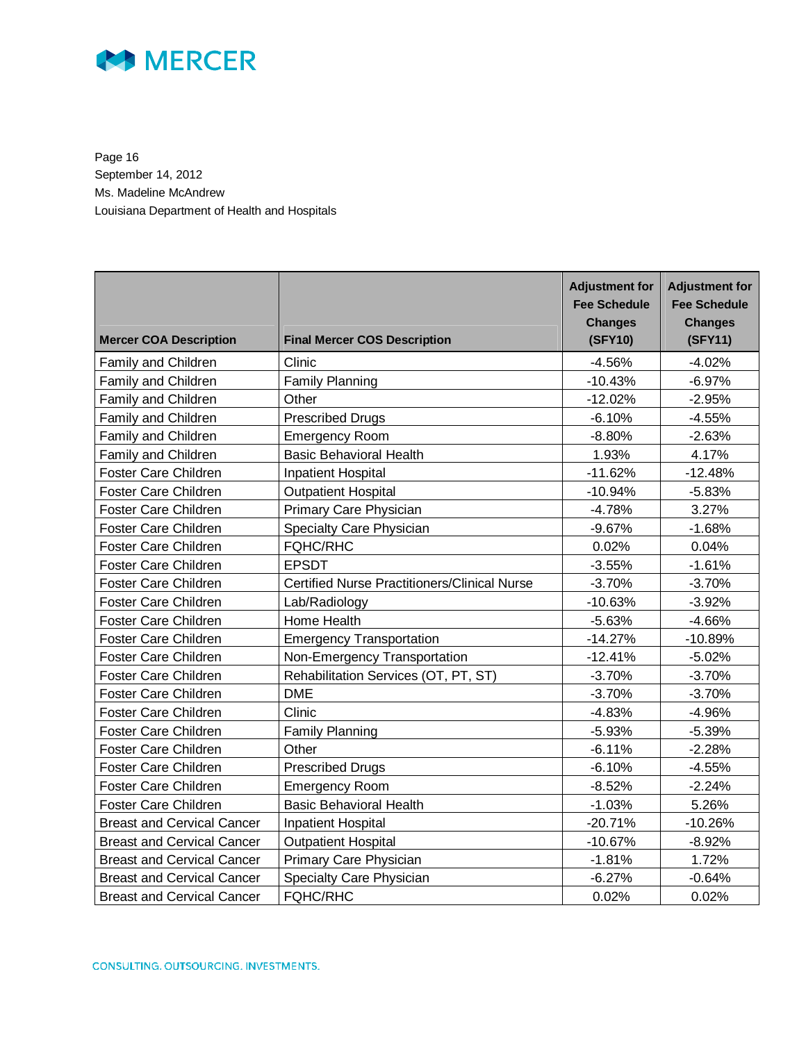

Page 16 September 14, 2012 Ms. Madeline McAndrew Louisiana Department of Health and Hospitals

| <b>Mercer COA Description</b>     | <b>Final Mercer COS Description</b>                 | <b>Adjustment for</b><br><b>Fee Schedule</b><br><b>Changes</b><br>(SFY10) | <b>Adjustment for</b><br><b>Fee Schedule</b><br><b>Changes</b><br>(SFY11) |
|-----------------------------------|-----------------------------------------------------|---------------------------------------------------------------------------|---------------------------------------------------------------------------|
| Family and Children               | Clinic                                              | $-4.56%$                                                                  | $-4.02%$                                                                  |
| Family and Children               | <b>Family Planning</b>                              | $-10.43%$                                                                 | $-6.97%$                                                                  |
| Family and Children               | Other                                               | $-12.02%$                                                                 | $-2.95%$                                                                  |
| Family and Children               | <b>Prescribed Drugs</b>                             | $-6.10%$                                                                  | $-4.55%$                                                                  |
| Family and Children               | <b>Emergency Room</b>                               | $-8.80%$                                                                  | $-2.63%$                                                                  |
| Family and Children               | <b>Basic Behavioral Health</b>                      | 1.93%                                                                     | 4.17%                                                                     |
| <b>Foster Care Children</b>       | <b>Inpatient Hospital</b>                           | $-11.62%$                                                                 | $-12.48%$                                                                 |
| Foster Care Children              | <b>Outpatient Hospital</b>                          | $-10.94%$                                                                 | $-5.83%$                                                                  |
| <b>Foster Care Children</b>       | Primary Care Physician                              | $-4.78%$                                                                  | 3.27%                                                                     |
| Foster Care Children              | Specialty Care Physician                            | $-9.67%$                                                                  | $-1.68%$                                                                  |
| Foster Care Children              | <b>FQHC/RHC</b>                                     | 0.02%                                                                     | 0.04%                                                                     |
| <b>Foster Care Children</b>       | <b>EPSDT</b>                                        | $-3.55%$                                                                  | $-1.61%$                                                                  |
| <b>Foster Care Children</b>       | <b>Certified Nurse Practitioners/Clinical Nurse</b> | $-3.70%$                                                                  | $-3.70%$                                                                  |
| <b>Foster Care Children</b>       | Lab/Radiology                                       | $-10.63%$                                                                 | $-3.92%$                                                                  |
| <b>Foster Care Children</b>       | Home Health                                         | $-5.63%$                                                                  | $-4.66%$                                                                  |
| Foster Care Children              | <b>Emergency Transportation</b>                     | $-14.27%$                                                                 | $-10.89%$                                                                 |
| Foster Care Children              | Non-Emergency Transportation                        | $-12.41%$                                                                 | $-5.02%$                                                                  |
| <b>Foster Care Children</b>       | Rehabilitation Services (OT, PT, ST)                | $-3.70%$                                                                  | $-3.70%$                                                                  |
| <b>Foster Care Children</b>       | <b>DME</b>                                          | $-3.70%$                                                                  | $-3.70%$                                                                  |
| <b>Foster Care Children</b>       | Clinic                                              | $-4.83%$                                                                  | $-4.96%$                                                                  |
| <b>Foster Care Children</b>       | Family Planning                                     | $-5.93%$                                                                  | $-5.39%$                                                                  |
| Foster Care Children              | Other                                               | $-6.11%$                                                                  | $-2.28%$                                                                  |
| <b>Foster Care Children</b>       | <b>Prescribed Drugs</b>                             | $-6.10%$                                                                  | $-4.55%$                                                                  |
| <b>Foster Care Children</b>       | <b>Emergency Room</b>                               | $-8.52%$                                                                  | $-2.24%$                                                                  |
| Foster Care Children              | <b>Basic Behavioral Health</b>                      | $-1.03%$                                                                  | 5.26%                                                                     |
| <b>Breast and Cervical Cancer</b> | Inpatient Hospital                                  | $-20.71%$                                                                 | $-10.26%$                                                                 |
| <b>Breast and Cervical Cancer</b> | <b>Outpatient Hospital</b>                          | $-10.67%$                                                                 | $-8.92%$                                                                  |
| <b>Breast and Cervical Cancer</b> | Primary Care Physician                              | $-1.81%$                                                                  | 1.72%                                                                     |
| <b>Breast and Cervical Cancer</b> | Specialty Care Physician                            | $-6.27%$                                                                  | $-0.64%$                                                                  |
| <b>Breast and Cervical Cancer</b> | <b>FQHC/RHC</b>                                     | 0.02%                                                                     | 0.02%                                                                     |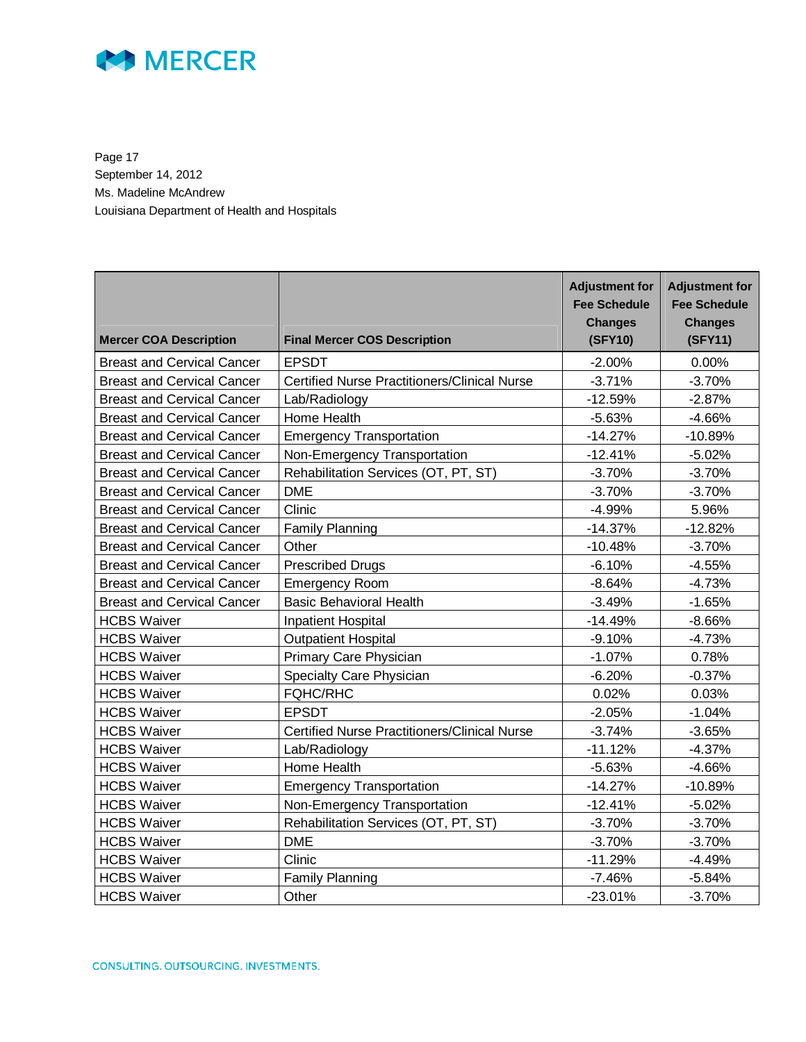

Page 17 September 14, 2012 Ms. Madeline McAndrew Louisiana Department of Health and Hospitals

| <b>Mercer COA Description</b>     | <b>Final Mercer COS Description</b>                 | <b>Adjustment for</b><br><b>Fee Schedule</b><br><b>Changes</b><br>(SFY10) | <b>Adjustment for</b><br><b>Fee Schedule</b><br><b>Changes</b><br>(SFY11) |
|-----------------------------------|-----------------------------------------------------|---------------------------------------------------------------------------|---------------------------------------------------------------------------|
| <b>Breast and Cervical Cancer</b> | <b>EPSDT</b>                                        | $-2.00%$                                                                  | 0.00%                                                                     |
| <b>Breast and Cervical Cancer</b> | <b>Certified Nurse Practitioners/Clinical Nurse</b> |                                                                           | $-3.70%$                                                                  |
| <b>Breast and Cervical Cancer</b> | Lab/Radiology                                       | $-12.59%$                                                                 | $-2.87%$                                                                  |
| <b>Breast and Cervical Cancer</b> | Home Health                                         |                                                                           | $-4.66%$                                                                  |
| <b>Breast and Cervical Cancer</b> | <b>Emergency Transportation</b>                     |                                                                           | $-10.89%$                                                                 |
| <b>Breast and Cervical Cancer</b> | Non-Emergency Transportation                        |                                                                           | $-5.02%$                                                                  |
| <b>Breast and Cervical Cancer</b> | Rehabilitation Services (OT, PT, ST)                | $-3.70%$                                                                  | $-3.70%$                                                                  |
| <b>Breast and Cervical Cancer</b> | <b>DME</b>                                          | $-3.70%$                                                                  | $-3.70%$                                                                  |
| <b>Breast and Cervical Cancer</b> | Clinic                                              | $-4.99%$                                                                  | 5.96%                                                                     |
| <b>Breast and Cervical Cancer</b> | <b>Family Planning</b>                              | $-14.37%$                                                                 | $-12.82%$                                                                 |
| <b>Breast and Cervical Cancer</b> | Other                                               | $-10.48%$                                                                 | $-3.70%$                                                                  |
| <b>Breast and Cervical Cancer</b> | <b>Prescribed Drugs</b>                             | $-6.10%$                                                                  | $-4.55%$                                                                  |
| <b>Breast and Cervical Cancer</b> | <b>Emergency Room</b>                               | $-8.64%$                                                                  | $-4.73%$                                                                  |
| <b>Breast and Cervical Cancer</b> | <b>Basic Behavioral Health</b>                      | $-3.49%$                                                                  | $-1.65%$                                                                  |
| <b>HCBS Waiver</b>                | <b>Inpatient Hospital</b>                           | $-14.49%$                                                                 | $-8.66%$                                                                  |
| <b>HCBS Waiver</b>                | <b>Outpatient Hospital</b>                          | $-9.10%$                                                                  | $-4.73%$                                                                  |
| <b>HCBS Waiver</b>                | Primary Care Physician                              | $-1.07%$                                                                  | 0.78%                                                                     |
| <b>HCBS Waiver</b>                | Specialty Care Physician                            | $-6.20%$                                                                  | $-0.37%$                                                                  |
| <b>HCBS Waiver</b>                | <b>FQHC/RHC</b>                                     | 0.02%                                                                     | 0.03%                                                                     |
| <b>HCBS Waiver</b>                | <b>EPSDT</b>                                        | $-2.05%$                                                                  | $-1.04%$                                                                  |
| <b>HCBS Waiver</b>                | <b>Certified Nurse Practitioners/Clinical Nurse</b> | $-3.74%$                                                                  | $-3.65%$                                                                  |
| <b>HCBS Waiver</b>                | Lab/Radiology                                       | $-11.12%$                                                                 | $-4.37%$                                                                  |
| <b>HCBS Waiver</b>                | Home Health                                         | $-5.63%$                                                                  | $-4.66%$                                                                  |
| <b>HCBS Waiver</b>                | <b>Emergency Transportation</b>                     | $-14.27%$                                                                 | $-10.89%$                                                                 |
| <b>HCBS Waiver</b>                | Non-Emergency Transportation                        | $-12.41%$                                                                 | $-5.02%$                                                                  |
| <b>HCBS Waiver</b>                | Rehabilitation Services (OT, PT, ST)                | $-3.70%$                                                                  | $-3.70%$                                                                  |
| <b>HCBS Waiver</b>                | <b>DME</b>                                          | $-3.70%$                                                                  | $-3.70%$                                                                  |
| <b>HCBS Waiver</b>                | Clinic                                              | $-11.29%$                                                                 | $-4.49%$                                                                  |
| <b>HCBS Waiver</b>                | <b>Family Planning</b>                              | $-7.46%$                                                                  | $-5.84%$                                                                  |
| <b>HCBS Waiver</b>                | Other                                               | $-23.01%$                                                                 | $-3.70%$                                                                  |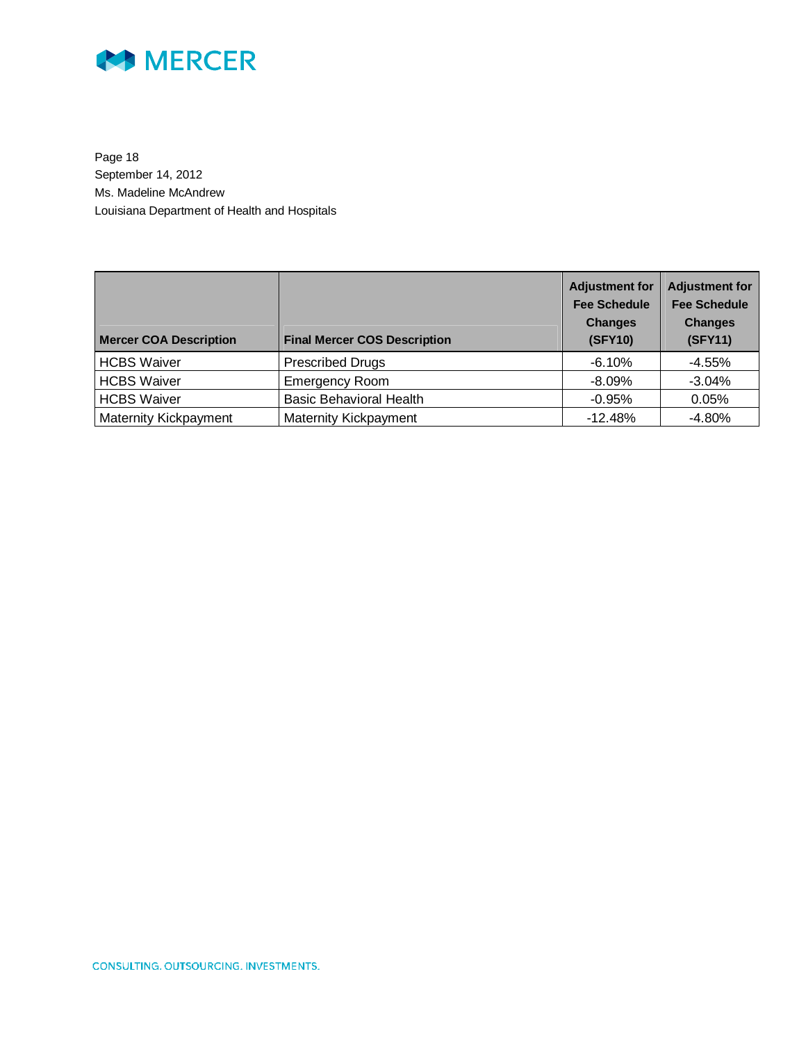

Page 18 September 14, 2012 Ms. Madeline McAndrew Louisiana Department of Health and Hospitals

| <b>Mercer COA Description</b> | <b>Final Mercer COS Description</b> | <b>Adjustment for</b><br><b>Fee Schedule</b><br><b>Changes</b><br><b>(SFY10)</b> | <b>Adjustment for</b><br><b>Fee Schedule</b><br><b>Changes</b><br>(SFY11) |
|-------------------------------|-------------------------------------|----------------------------------------------------------------------------------|---------------------------------------------------------------------------|
| <b>HCBS Waiver</b>            | <b>Prescribed Drugs</b>             | $-6.10%$                                                                         | $-4.55%$                                                                  |
| <b>HCBS Waiver</b>            | <b>Emergency Room</b>               | $-8.09\%$                                                                        | $-3.04%$                                                                  |
| <b>HCBS Waiver</b>            | <b>Basic Behavioral Health</b>      | $-0.95%$                                                                         | 0.05%                                                                     |
| <b>Maternity Kickpayment</b>  | <b>Maternity Kickpayment</b>        | $-12.48%$                                                                        | $-4.80%$                                                                  |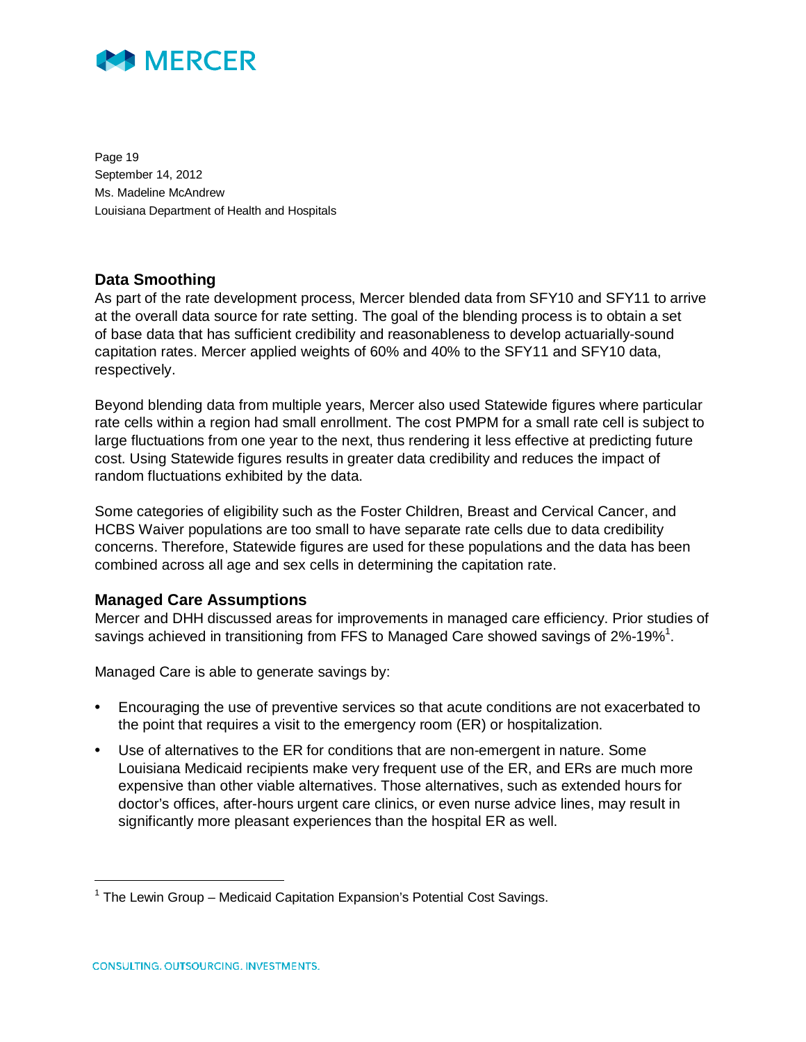

Page 19 September 14, 2012 Ms. Madeline McAndrew Louisiana Department of Health and Hospitals

### **Data Smoothing**

As part of the rate development process, Mercer blended data from SFY10 and SFY11 to arrive at the overall data source for rate setting. The goal of the blending process is to obtain a set of base data that has sufficient credibility and reasonableness to develop actuarially-sound capitation rates. Mercer applied weights of 60% and 40% to the SFY11 and SFY10 data, respectively.

Beyond blending data from multiple years, Mercer also used Statewide figures where particular rate cells within a region had small enrollment. The cost PMPM for a small rate cell is subject to large fluctuations from one year to the next, thus rendering it less effective at predicting future cost. Using Statewide figures results in greater data credibility and reduces the impact of random fluctuations exhibited by the data.

Some categories of eligibility such as the Foster Children, Breast and Cervical Cancer, and HCBS Waiver populations are too small to have separate rate cells due to data credibility concerns. Therefore, Statewide figures are used for these populations and the data has been combined across all age and sex cells in determining the capitation rate.

#### **Managed Care Assumptions**

Mercer and DHH discussed areas for improvements in managed care efficiency. Prior studies of savings achieved in transitioning from FFS to Managed Care showed savings of 2%-19%<sup>1</sup>.

Managed Care is able to generate savings by:

- Encouraging the use of preventive services so that acute conditions are not exacerbated to the point that requires a visit to the emergency room (ER) or hospitalization.
- Use of alternatives to the ER for conditions that are non-emergent in nature. Some Louisiana Medicaid recipients make very frequent use of the ER, and ERs are much more expensive than other viable alternatives. Those alternatives, such as extended hours for doctor's offices, after-hours urgent care clinics, or even nurse advice lines, may result in significantly more pleasant experiences than the hospital ER as well.

-

<sup>&</sup>lt;sup>1</sup> The Lewin Group – Medicaid Capitation Expansion's Potential Cost Savings.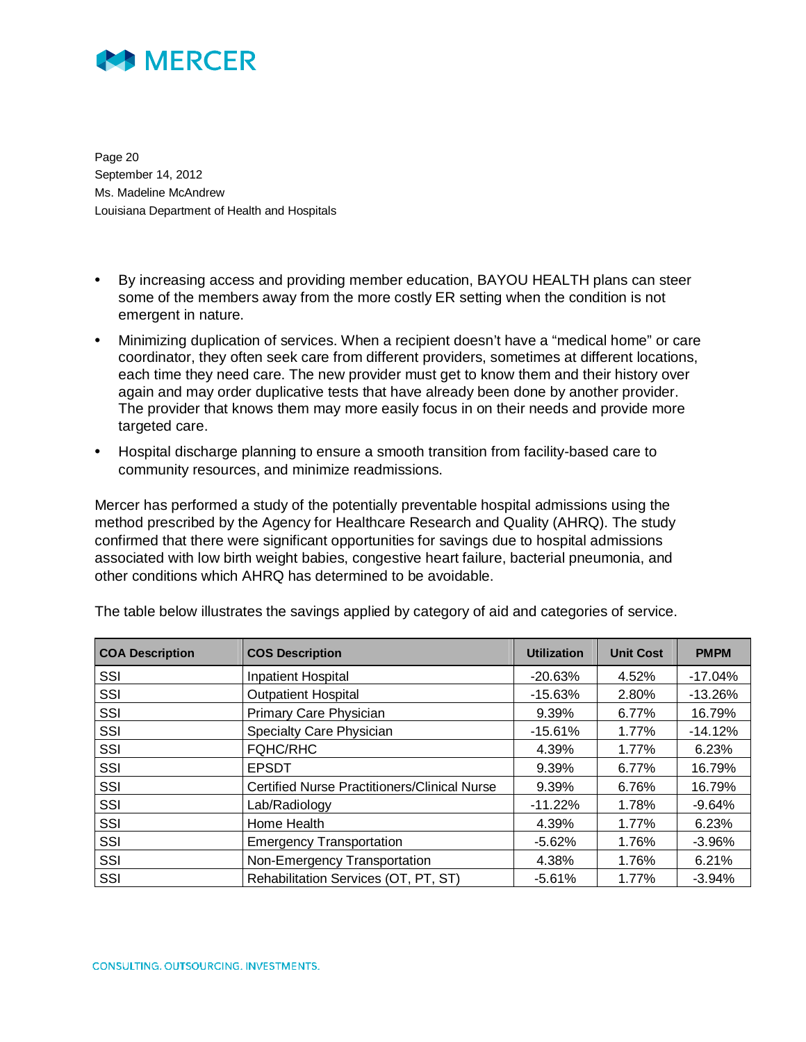

Page 20 September 14, 2012 Ms. Madeline McAndrew Louisiana Department of Health and Hospitals

- By increasing access and providing member education, BAYOU HEALTH plans can steer some of the members away from the more costly ER setting when the condition is not emergent in nature.
- Minimizing duplication of services. When a recipient doesn't have a "medical home" or care coordinator, they often seek care from different providers, sometimes at different locations, each time they need care. The new provider must get to know them and their history over again and may order duplicative tests that have already been done by another provider. The provider that knows them may more easily focus in on their needs and provide more targeted care.
- Hospital discharge planning to ensure a smooth transition from facility-based care to community resources, and minimize readmissions.

Mercer has performed a study of the potentially preventable hospital admissions using the method prescribed by the Agency for Healthcare Research and Quality (AHRQ). The study confirmed that there were significant opportunities for savings due to hospital admissions associated with low birth weight babies, congestive heart failure, bacterial pneumonia, and other conditions which AHRQ has determined to be avoidable.

| <b>COA Description</b> | <b>COS Description</b>                              | <b>Utilization</b> | <b>Unit Cost</b> | <b>PMPM</b> |
|------------------------|-----------------------------------------------------|--------------------|------------------|-------------|
| SSI                    | <b>Inpatient Hospital</b>                           | $-20.63%$          | 4.52%            | $-17.04%$   |
| SSI                    | <b>Outpatient Hospital</b>                          | $-15.63%$          | 2.80%            | $-13.26%$   |
| SSI                    | Primary Care Physician                              | 9.39%              | 6.77%            | 16.79%      |
| SSI                    | Specialty Care Physician                            | $-15.61%$          | 1.77%            | $-14.12%$   |
| SSI                    | <b>FQHC/RHC</b>                                     | 4.39%              | 1.77%            | 6.23%       |
| SSI                    | <b>EPSDT</b>                                        | 9.39%              | 6.77%            | 16.79%      |
| SSI                    | <b>Certified Nurse Practitioners/Clinical Nurse</b> | 9.39%              | 6.76%            | 16.79%      |
| SSI                    | Lab/Radiology                                       | $-11.22%$          | 1.78%            | $-9.64%$    |
| SSI                    | Home Health                                         | 4.39%              | 1.77%            | 6.23%       |
| SSI                    | <b>Emergency Transportation</b>                     | $-5.62%$           | 1.76%            | $-3.96%$    |
| SSI                    | Non-Emergency Transportation                        | 4.38%              | 1.76%            | 6.21%       |
| SSI                    | Rehabilitation Services (OT, PT, ST)                | $-5.61%$           | 1.77%            | $-3.94%$    |

The table below illustrates the savings applied by category of aid and categories of service.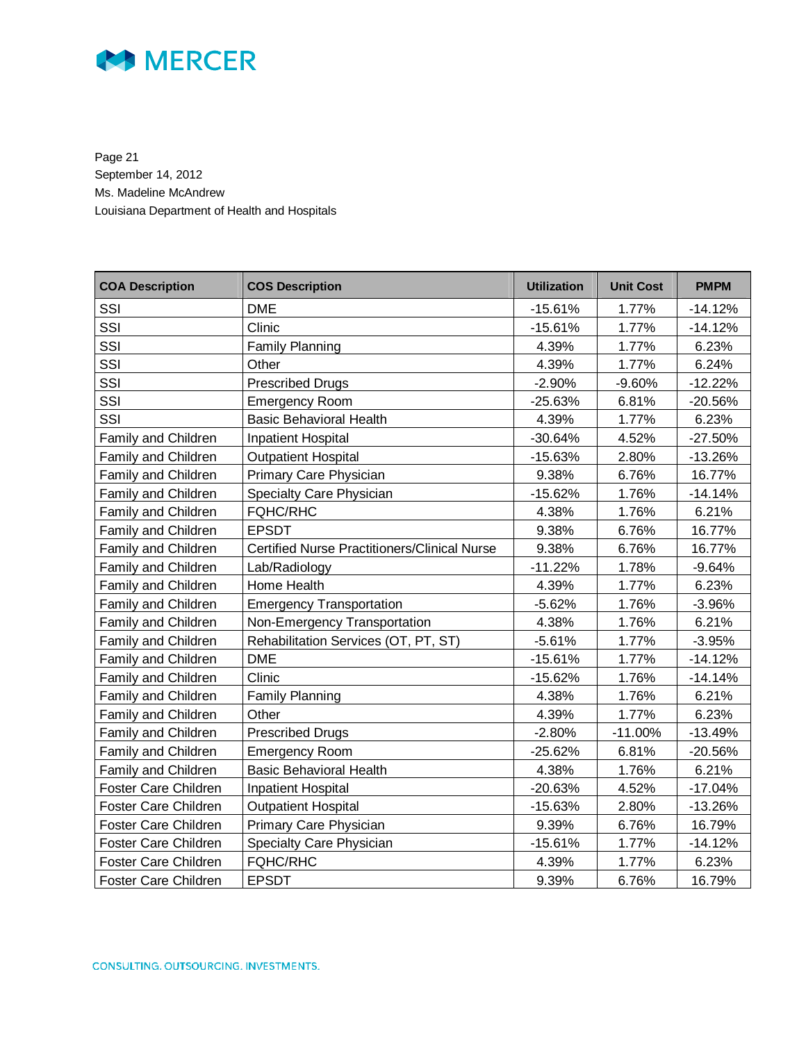

Page 21 September 14, 2012 Ms. Madeline McAndrew Louisiana Department of Health and Hospitals

| <b>COA Description</b>      | <b>COS Description</b>                              | <b>Utilization</b> | <b>Unit Cost</b> | <b>PMPM</b> |
|-----------------------------|-----------------------------------------------------|--------------------|------------------|-------------|
| SSI                         | <b>DME</b>                                          | $-15.61%$          | 1.77%            | $-14.12%$   |
| SSI                         | Clinic                                              | $-15.61%$          | 1.77%            | $-14.12%$   |
| SSI                         | <b>Family Planning</b>                              | 4.39%              | 1.77%            | 6.23%       |
| SSI                         | Other                                               | 4.39%              | 1.77%            | 6.24%       |
| SSI                         | <b>Prescribed Drugs</b>                             | $-2.90%$           | $-9.60%$         | $-12.22%$   |
| SSI                         | <b>Emergency Room</b>                               | $-25.63%$          | 6.81%            | $-20.56%$   |
| SSI                         | <b>Basic Behavioral Health</b>                      | 4.39%              | 1.77%            | 6.23%       |
| Family and Children         | <b>Inpatient Hospital</b>                           | $-30.64%$          | 4.52%            | $-27.50%$   |
| Family and Children         | <b>Outpatient Hospital</b>                          | $-15.63%$          | 2.80%            | $-13.26%$   |
| Family and Children         | Primary Care Physician                              | 9.38%              | 6.76%            | 16.77%      |
| Family and Children         | Specialty Care Physician                            | $-15.62%$          | 1.76%            | $-14.14%$   |
| Family and Children         | <b>FQHC/RHC</b>                                     | 4.38%              | 1.76%            | 6.21%       |
| Family and Children         | <b>EPSDT</b>                                        | 9.38%              | 6.76%            | 16.77%      |
| <b>Family and Children</b>  | <b>Certified Nurse Practitioners/Clinical Nurse</b> | 9.38%              | 6.76%            | 16.77%      |
| Family and Children         | Lab/Radiology                                       | $-11.22%$          | 1.78%            | $-9.64%$    |
| Family and Children         | Home Health                                         | 4.39%              | 1.77%            | 6.23%       |
| Family and Children         | <b>Emergency Transportation</b>                     | $-5.62%$           | 1.76%            | $-3.96%$    |
| <b>Family and Children</b>  | Non-Emergency Transportation                        | 4.38%              | 1.76%            | 6.21%       |
| Family and Children         | Rehabilitation Services (OT, PT, ST)                | $-5.61%$           | 1.77%            | $-3.95%$    |
| Family and Children         | <b>DME</b>                                          | $-15.61%$          | 1.77%            | $-14.12%$   |
| Family and Children         | Clinic                                              | $-15.62%$          | 1.76%            | $-14.14%$   |
| Family and Children         | <b>Family Planning</b>                              | 4.38%              | 1.76%            | 6.21%       |
| Family and Children         | Other                                               | 4.39%              | 1.77%            | 6.23%       |
| Family and Children         | <b>Prescribed Drugs</b>                             | $-2.80%$           | $-11.00%$        | $-13.49%$   |
| <b>Family and Children</b>  | <b>Emergency Room</b>                               | $-25.62%$          | 6.81%            | $-20.56%$   |
| Family and Children         | <b>Basic Behavioral Health</b>                      | 4.38%              | 1.76%            | 6.21%       |
| <b>Foster Care Children</b> | <b>Inpatient Hospital</b>                           | $-20.63%$          | 4.52%            | $-17.04%$   |
| Foster Care Children        | <b>Outpatient Hospital</b>                          | $-15.63%$          | 2.80%            | $-13.26%$   |
| Foster Care Children        | Primary Care Physician                              | 9.39%              | 6.76%            | 16.79%      |
| Foster Care Children        | Specialty Care Physician                            | $-15.61%$          | 1.77%            | $-14.12%$   |
| Foster Care Children        | <b>FQHC/RHC</b>                                     | 4.39%              | 1.77%            | 6.23%       |
| <b>Foster Care Children</b> | <b>EPSDT</b>                                        | 9.39%              | 6.76%            | 16.79%      |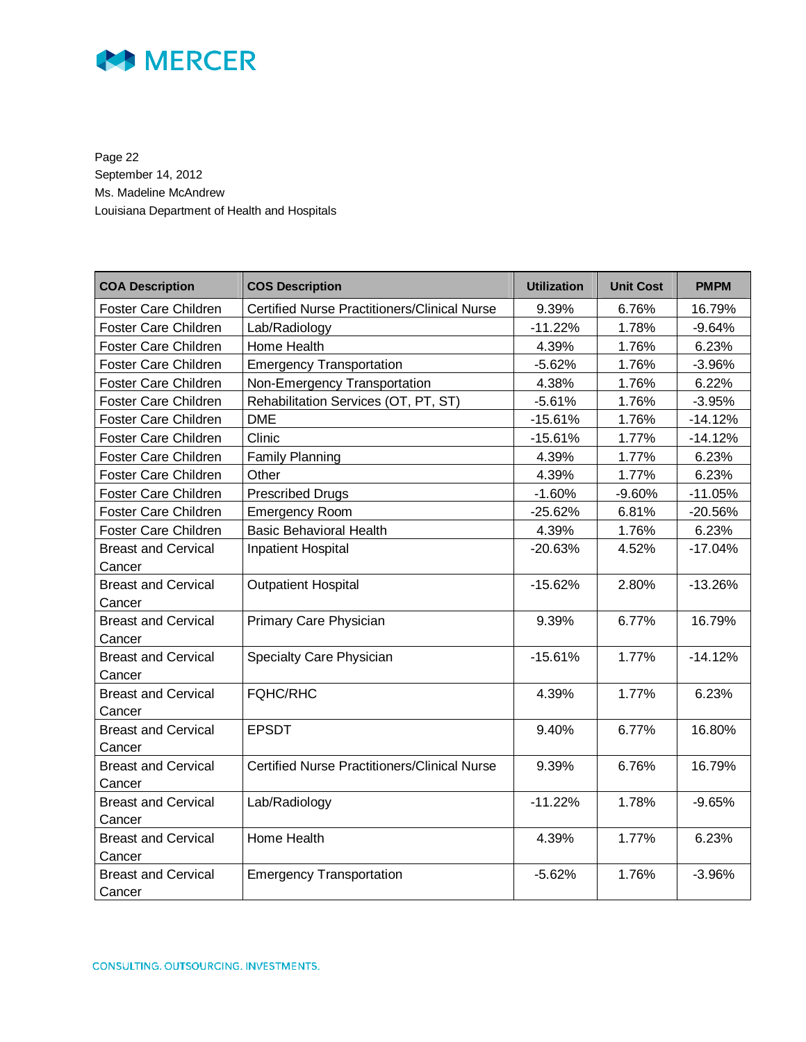

Page 22 September 14, 2012 Ms. Madeline McAndrew Louisiana Department of Health and Hospitals

| <b>COA Description</b>      | <b>COS Description</b>                              | <b>Utilization</b> | <b>Unit Cost</b> | <b>PMPM</b> |
|-----------------------------|-----------------------------------------------------|--------------------|------------------|-------------|
| Foster Care Children        | <b>Certified Nurse Practitioners/Clinical Nurse</b> | 9.39%              | 6.76%            | 16.79%      |
| <b>Foster Care Children</b> | Lab/Radiology                                       | $-11.22%$          | 1.78%            | $-9.64%$    |
| Foster Care Children        | Home Health                                         | 4.39%              | 1.76%            | 6.23%       |
| Foster Care Children        | <b>Emergency Transportation</b>                     | $-5.62%$           | 1.76%            | $-3.96%$    |
| Foster Care Children        | Non-Emergency Transportation                        | 4.38%              | 1.76%            | 6.22%       |
| Foster Care Children        | Rehabilitation Services (OT, PT, ST)                | $-5.61%$           | 1.76%            | $-3.95%$    |
| <b>Foster Care Children</b> | <b>DME</b>                                          | $-15.61%$          | 1.76%            | $-14.12%$   |
| <b>Foster Care Children</b> | Clinic                                              | $-15.61%$          | 1.77%            | $-14.12%$   |
| Foster Care Children        | <b>Family Planning</b>                              | 4.39%              | 1.77%            | 6.23%       |
| Foster Care Children        | Other                                               | 4.39%              | 1.77%            | 6.23%       |
| Foster Care Children        | <b>Prescribed Drugs</b>                             | $-1.60%$           | $-9.60%$         | $-11.05%$   |
| Foster Care Children        | <b>Emergency Room</b>                               | $-25.62%$          | 6.81%            | $-20.56%$   |
| Foster Care Children        | <b>Basic Behavioral Health</b>                      | 4.39%              | 1.76%            | 6.23%       |
| <b>Breast and Cervical</b>  | <b>Inpatient Hospital</b>                           | $-20.63%$          | 4.52%            | $-17.04%$   |
| Cancer                      |                                                     |                    |                  |             |
| <b>Breast and Cervical</b>  | <b>Outpatient Hospital</b>                          | $-15.62%$          | 2.80%            | $-13.26%$   |
| Cancer                      |                                                     |                    |                  |             |
| <b>Breast and Cervical</b>  | Primary Care Physician                              | 9.39%              | 6.77%            | 16.79%      |
| Cancer                      |                                                     |                    |                  |             |
| <b>Breast and Cervical</b>  | Specialty Care Physician                            | $-15.61%$          | 1.77%            | $-14.12%$   |
| Cancer                      |                                                     |                    |                  |             |
| <b>Breast and Cervical</b>  | <b>FQHC/RHC</b>                                     | 4.39%              | 1.77%            | 6.23%       |
| Cancer                      |                                                     |                    |                  |             |
| <b>Breast and Cervical</b>  | <b>EPSDT</b>                                        | 9.40%              | 6.77%            | 16.80%      |
| Cancer                      |                                                     |                    |                  |             |
| <b>Breast and Cervical</b>  | <b>Certified Nurse Practitioners/Clinical Nurse</b> | 9.39%              | 6.76%            | 16.79%      |
| Cancer                      |                                                     |                    |                  |             |
| <b>Breast and Cervical</b>  | Lab/Radiology                                       | $-11.22%$          | 1.78%            | $-9.65%$    |
| Cancer                      |                                                     |                    |                  |             |
| <b>Breast and Cervical</b>  | Home Health                                         | 4.39%              | 1.77%            | 6.23%       |
| Cancer                      |                                                     |                    |                  |             |
| <b>Breast and Cervical</b>  | <b>Emergency Transportation</b>                     | $-5.62%$           | 1.76%            | $-3.96%$    |
| Cancer                      |                                                     |                    |                  |             |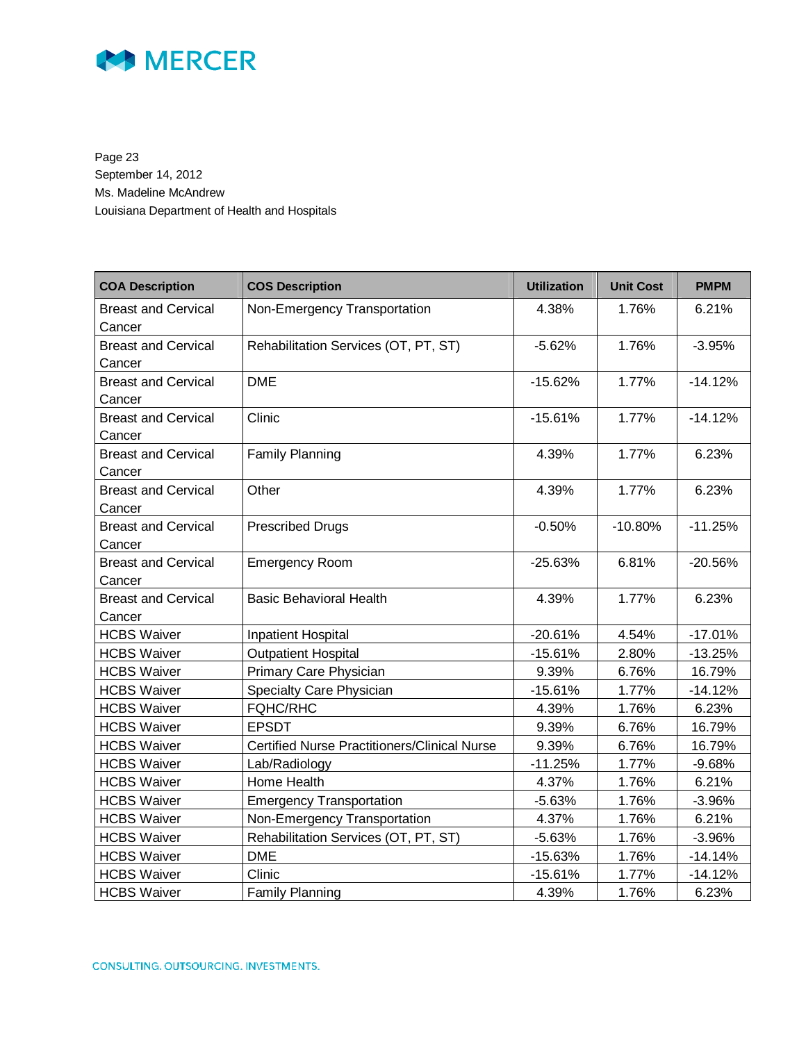

Page 23 September 14, 2012 Ms. Madeline McAndrew Louisiana Department of Health and Hospitals

| <b>COA Description</b>               | <b>COS Description</b>                              | <b>Utilization</b> | <b>Unit Cost</b> | <b>PMPM</b> |
|--------------------------------------|-----------------------------------------------------|--------------------|------------------|-------------|
| <b>Breast and Cervical</b><br>Cancer | Non-Emergency Transportation                        | 4.38%              | 1.76%            | 6.21%       |
| <b>Breast and Cervical</b><br>Cancer | Rehabilitation Services (OT, PT, ST)                | $-5.62%$           | 1.76%            | $-3.95%$    |
| <b>Breast and Cervical</b><br>Cancer | <b>DME</b>                                          | $-15.62%$          | 1.77%            | $-14.12%$   |
| <b>Breast and Cervical</b><br>Cancer | Clinic                                              | $-15.61%$          | 1.77%            | $-14.12%$   |
| <b>Breast and Cervical</b><br>Cancer | <b>Family Planning</b>                              | 4.39%              | 1.77%            | 6.23%       |
| <b>Breast and Cervical</b><br>Cancer | Other                                               | 4.39%              | 1.77%            | 6.23%       |
| <b>Breast and Cervical</b><br>Cancer | <b>Prescribed Drugs</b>                             | $-0.50%$           | $-10.80%$        | $-11.25%$   |
| <b>Breast and Cervical</b><br>Cancer | <b>Emergency Room</b>                               | $-25.63%$          | 6.81%            | $-20.56%$   |
| <b>Breast and Cervical</b><br>Cancer | <b>Basic Behavioral Health</b>                      | 4.39%              | 1.77%            | 6.23%       |
| <b>HCBS Waiver</b>                   | <b>Inpatient Hospital</b>                           | $-20.61%$          | 4.54%            | $-17.01%$   |
| <b>HCBS Waiver</b>                   | <b>Outpatient Hospital</b>                          | $-15.61%$          | 2.80%            | $-13.25%$   |
| <b>HCBS Waiver</b>                   | Primary Care Physician                              | 9.39%              | 6.76%            | 16.79%      |
| <b>HCBS Waiver</b>                   | Specialty Care Physician                            | $-15.61%$          | 1.77%            | $-14.12%$   |
| <b>HCBS Waiver</b>                   | <b>FQHC/RHC</b>                                     | 4.39%              | 1.76%            | 6.23%       |
| <b>HCBS Waiver</b>                   | <b>EPSDT</b>                                        | 9.39%              | 6.76%            | 16.79%      |
| <b>HCBS Waiver</b>                   | <b>Certified Nurse Practitioners/Clinical Nurse</b> | 9.39%              | 6.76%            | 16.79%      |
| <b>HCBS Waiver</b>                   | Lab/Radiology                                       | $-11.25%$          | 1.77%            | $-9.68%$    |
| <b>HCBS Waiver</b>                   | Home Health                                         | 4.37%              | 1.76%            | 6.21%       |
| <b>HCBS Waiver</b>                   | <b>Emergency Transportation</b>                     | $-5.63%$           | 1.76%            | $-3.96%$    |
| <b>HCBS Waiver</b>                   | Non-Emergency Transportation                        | 4.37%              | 1.76%            | 6.21%       |
| <b>HCBS Waiver</b>                   | Rehabilitation Services (OT, PT, ST)                | $-5.63%$           | 1.76%            | $-3.96%$    |
| <b>HCBS Waiver</b>                   | <b>DME</b>                                          | $-15.63%$          | 1.76%            | $-14.14%$   |
| <b>HCBS Waiver</b>                   | Clinic                                              | $-15.61%$          | 1.77%            | $-14.12%$   |
| <b>HCBS Waiver</b>                   | <b>Family Planning</b>                              | 4.39%              | 1.76%            | 6.23%       |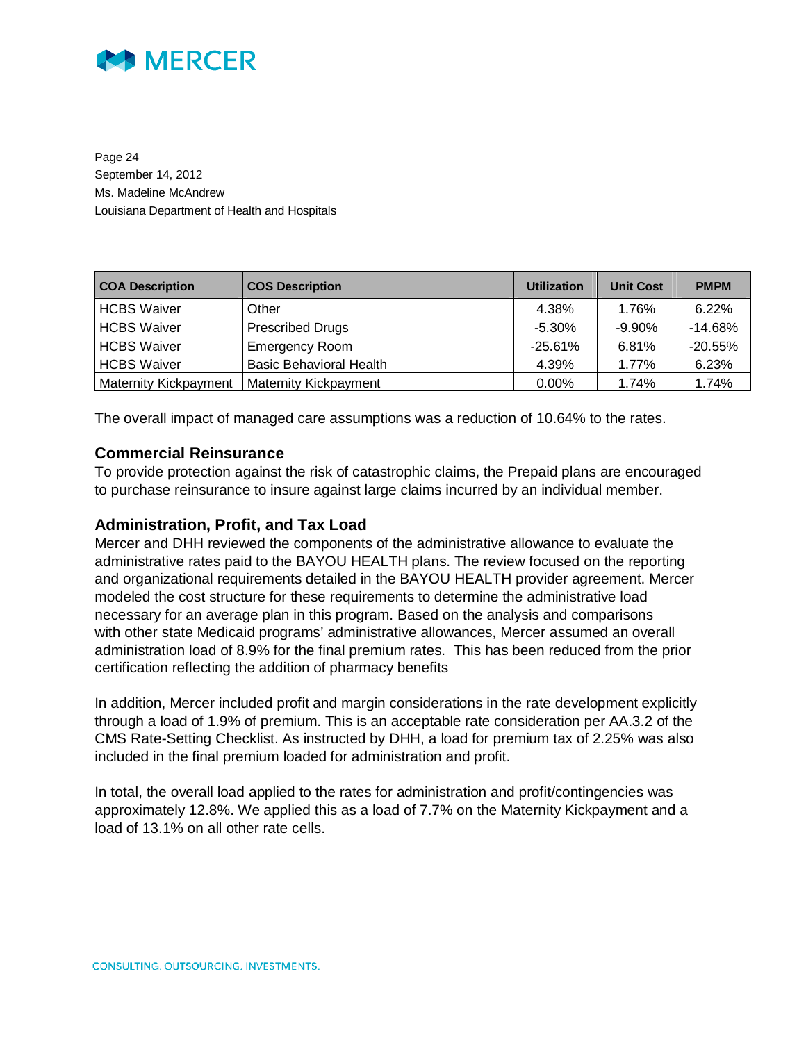

Page 24 September 14, 2012 Ms. Madeline McAndrew Louisiana Department of Health and Hospitals

| <b>COA Description</b>       | <b>COS Description</b>         | <b>Utilization</b> | <b>Unit Cost</b> | <b>PMPM</b> |
|------------------------------|--------------------------------|--------------------|------------------|-------------|
| <b>HCBS Waiver</b>           | Other                          | 4.38%              | 1.76%            | 6.22%       |
| <b>HCBS Waiver</b>           | <b>Prescribed Drugs</b>        | $-5.30%$           | $-9.90%$         | $-14.68%$   |
| <b>HCBS Waiver</b>           | <b>Emergency Room</b>          | $-25.61\%$         | 6.81%            | $-20.55%$   |
| <b>HCBS Waiver</b>           | <b>Basic Behavioral Health</b> | 4.39%              | 1.77%            | 6.23%       |
| <b>Maternity Kickpayment</b> | <b>Maternity Kickpayment</b>   | $0.00\%$           | 1.74%            | 1.74%       |

The overall impact of managed care assumptions was a reduction of 10.64% to the rates.

#### **Commercial Reinsurance**

To provide protection against the risk of catastrophic claims, the Prepaid plans are encouraged to purchase reinsurance to insure against large claims incurred by an individual member.

#### **Administration, Profit, and Tax Load**

Mercer and DHH reviewed the components of the administrative allowance to evaluate the administrative rates paid to the BAYOU HEALTH plans. The review focused on the reporting and organizational requirements detailed in the BAYOU HEALTH provider agreement. Mercer modeled the cost structure for these requirements to determine the administrative load necessary for an average plan in this program. Based on the analysis and comparisons with other state Medicaid programs' administrative allowances, Mercer assumed an overall administration load of 8.9% for the final premium rates. This has been reduced from the prior certification reflecting the addition of pharmacy benefits

In addition, Mercer included profit and margin considerations in the rate development explicitly through a load of 1.9% of premium. This is an acceptable rate consideration per AA.3.2 of the CMS Rate-Setting Checklist. As instructed by DHH, a load for premium tax of 2.25% was also included in the final premium loaded for administration and profit.

In total, the overall load applied to the rates for administration and profit/contingencies was approximately 12.8%. We applied this as a load of 7.7% on the Maternity Kickpayment and a load of 13.1% on all other rate cells.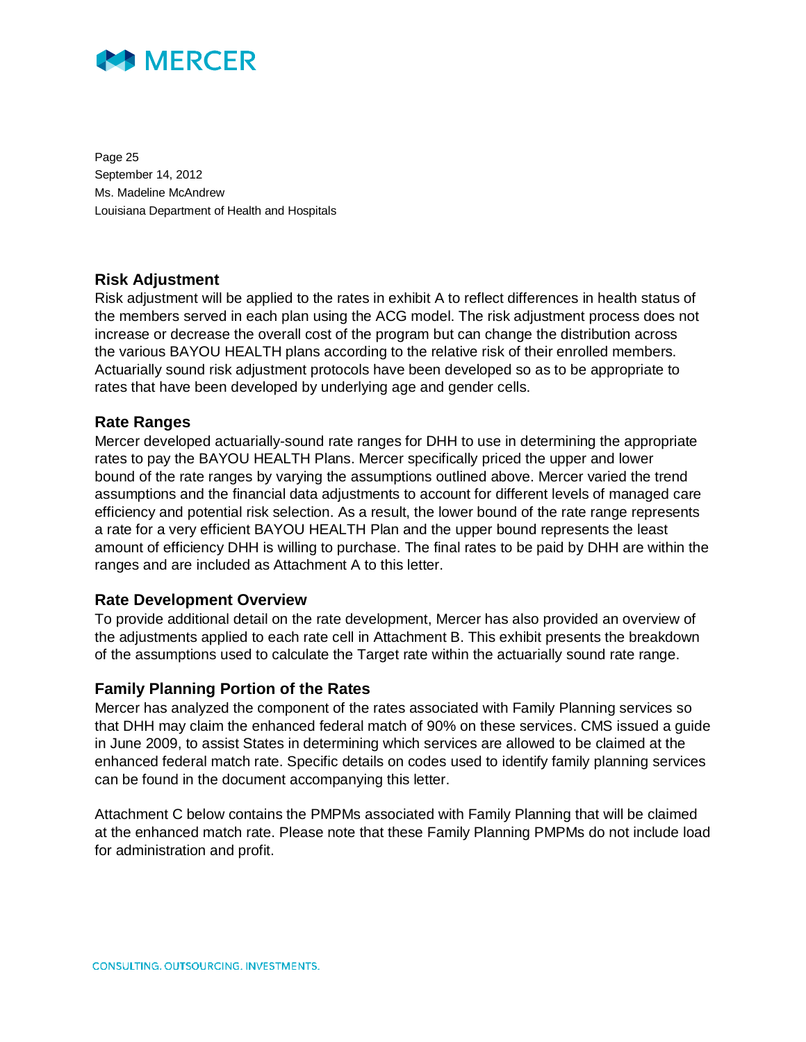

Page 25 September 14, 2012 Ms. Madeline McAndrew Louisiana Department of Health and Hospitals

#### **Risk Adjustment**

Risk adjustment will be applied to the rates in exhibit A to reflect differences in health status of the members served in each plan using the ACG model. The risk adjustment process does not increase or decrease the overall cost of the program but can change the distribution across the various BAYOU HEALTH plans according to the relative risk of their enrolled members. Actuarially sound risk adjustment protocols have been developed so as to be appropriate to rates that have been developed by underlying age and gender cells.

### **Rate Ranges**

Mercer developed actuarially-sound rate ranges for DHH to use in determining the appropriate rates to pay the BAYOU HEALTH Plans. Mercer specifically priced the upper and lower bound of the rate ranges by varying the assumptions outlined above. Mercer varied the trend assumptions and the financial data adjustments to account for different levels of managed care efficiency and potential risk selection. As a result, the lower bound of the rate range represents a rate for a very efficient BAYOU HEALTH Plan and the upper bound represents the least amount of efficiency DHH is willing to purchase. The final rates to be paid by DHH are within the ranges and are included as Attachment A to this letter.

#### **Rate Development Overview**

To provide additional detail on the rate development, Mercer has also provided an overview of the adjustments applied to each rate cell in Attachment B. This exhibit presents the breakdown of the assumptions used to calculate the Target rate within the actuarially sound rate range.

#### **Family Planning Portion of the Rates**

Mercer has analyzed the component of the rates associated with Family Planning services so that DHH may claim the enhanced federal match of 90% on these services. CMS issued a guide in June 2009, to assist States in determining which services are allowed to be claimed at the enhanced federal match rate. Specific details on codes used to identify family planning services can be found in the document accompanying this letter.

Attachment C below contains the PMPMs associated with Family Planning that will be claimed at the enhanced match rate. Please note that these Family Planning PMPMs do not include load for administration and profit.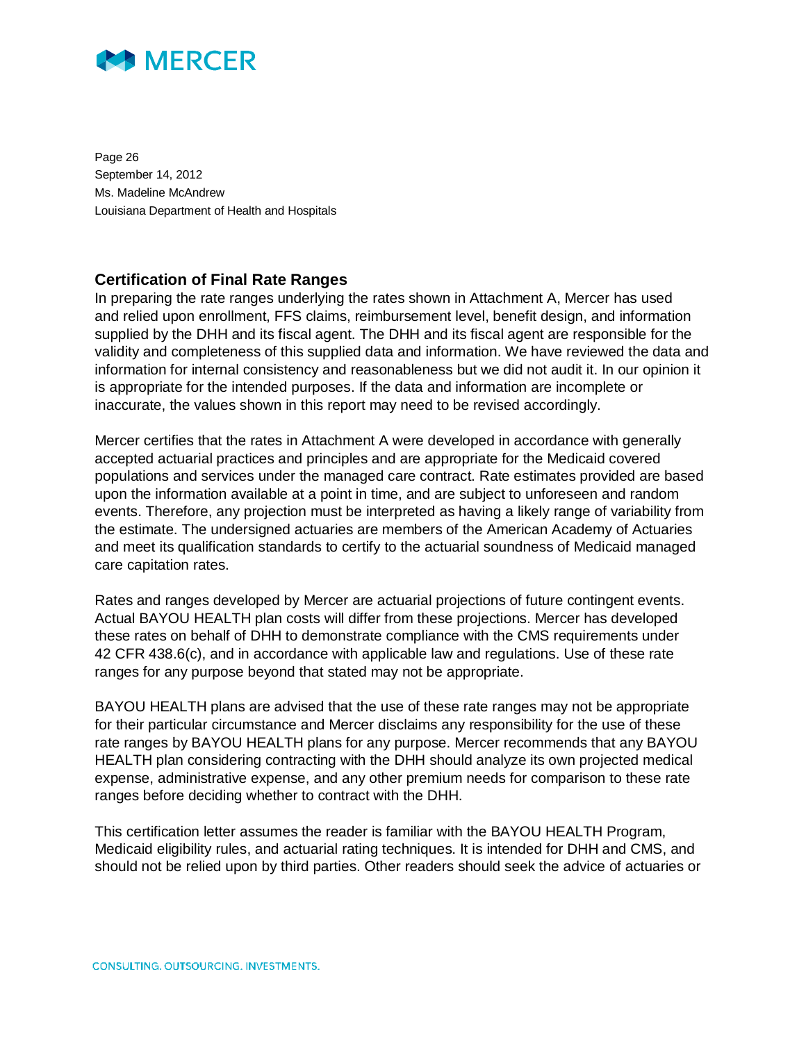

Page 26 September 14, 2012 Ms. Madeline McAndrew Louisiana Department of Health and Hospitals

### **Certification of Final Rate Ranges**

In preparing the rate ranges underlying the rates shown in Attachment A, Mercer has used and relied upon enrollment, FFS claims, reimbursement level, benefit design, and information supplied by the DHH and its fiscal agent. The DHH and its fiscal agent are responsible for the validity and completeness of this supplied data and information. We have reviewed the data and information for internal consistency and reasonableness but we did not audit it. In our opinion it is appropriate for the intended purposes. If the data and information are incomplete or inaccurate, the values shown in this report may need to be revised accordingly.

Mercer certifies that the rates in Attachment A were developed in accordance with generally accepted actuarial practices and principles and are appropriate for the Medicaid covered populations and services under the managed care contract. Rate estimates provided are based upon the information available at a point in time, and are subject to unforeseen and random events. Therefore, any projection must be interpreted as having a likely range of variability from the estimate. The undersigned actuaries are members of the American Academy of Actuaries and meet its qualification standards to certify to the actuarial soundness of Medicaid managed care capitation rates.

Rates and ranges developed by Mercer are actuarial projections of future contingent events. Actual BAYOU HEALTH plan costs will differ from these projections. Mercer has developed these rates on behalf of DHH to demonstrate compliance with the CMS requirements under 42 CFR 438.6(c), and in accordance with applicable law and regulations. Use of these rate ranges for any purpose beyond that stated may not be appropriate.

BAYOU HEALTH plans are advised that the use of these rate ranges may not be appropriate for their particular circumstance and Mercer disclaims any responsibility for the use of these rate ranges by BAYOU HEALTH plans for any purpose. Mercer recommends that any BAYOU HEALTH plan considering contracting with the DHH should analyze its own projected medical expense, administrative expense, and any other premium needs for comparison to these rate ranges before deciding whether to contract with the DHH.

This certification letter assumes the reader is familiar with the BAYOU HEALTH Program, Medicaid eligibility rules, and actuarial rating techniques. It is intended for DHH and CMS, and should not be relied upon by third parties. Other readers should seek the advice of actuaries or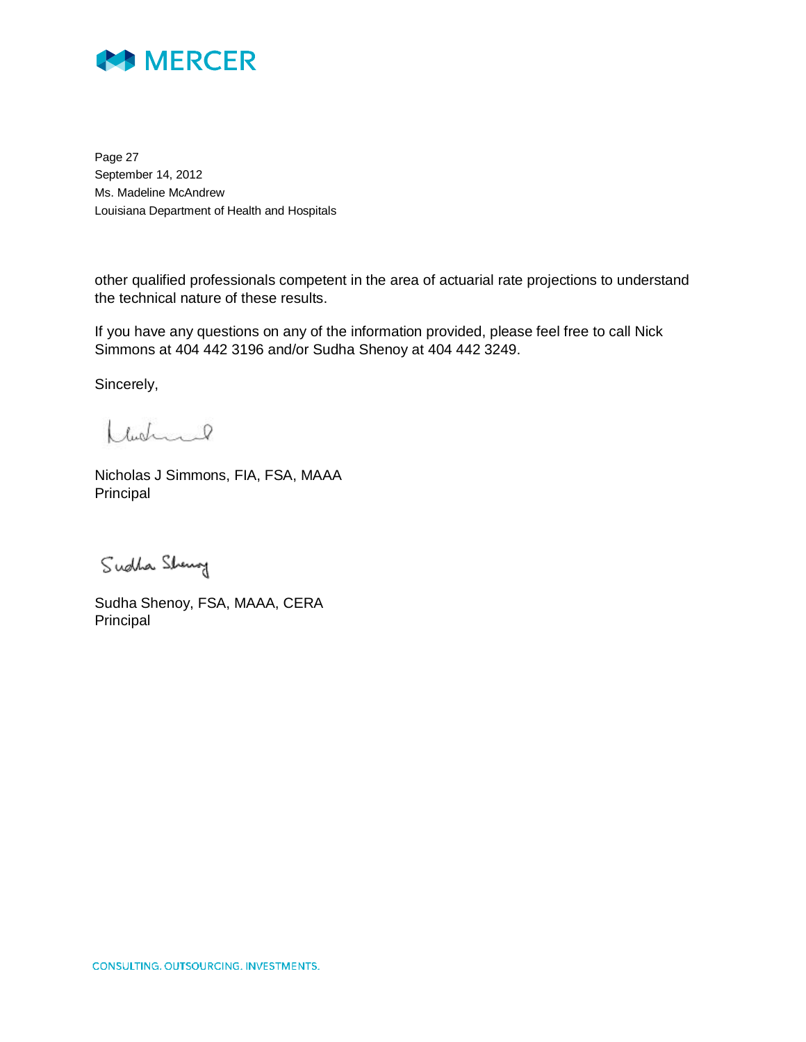

Page 27 September 14, 2012 Ms. Madeline McAndrew Louisiana Department of Health and Hospitals

other qualified professionals competent in the area of actuarial rate projections to understand the technical nature of these results.

If you have any questions on any of the information provided, please feel free to call Nick Simmons at 404 442 3196 and/or Sudha Shenoy at 404 442 3249.

Sincerely,

Ladinal

Nicholas J Simmons, FIA, FSA, MAAA Principal

Sudha Sheng

Sudha Shenoy, FSA, MAAA, CERA Principal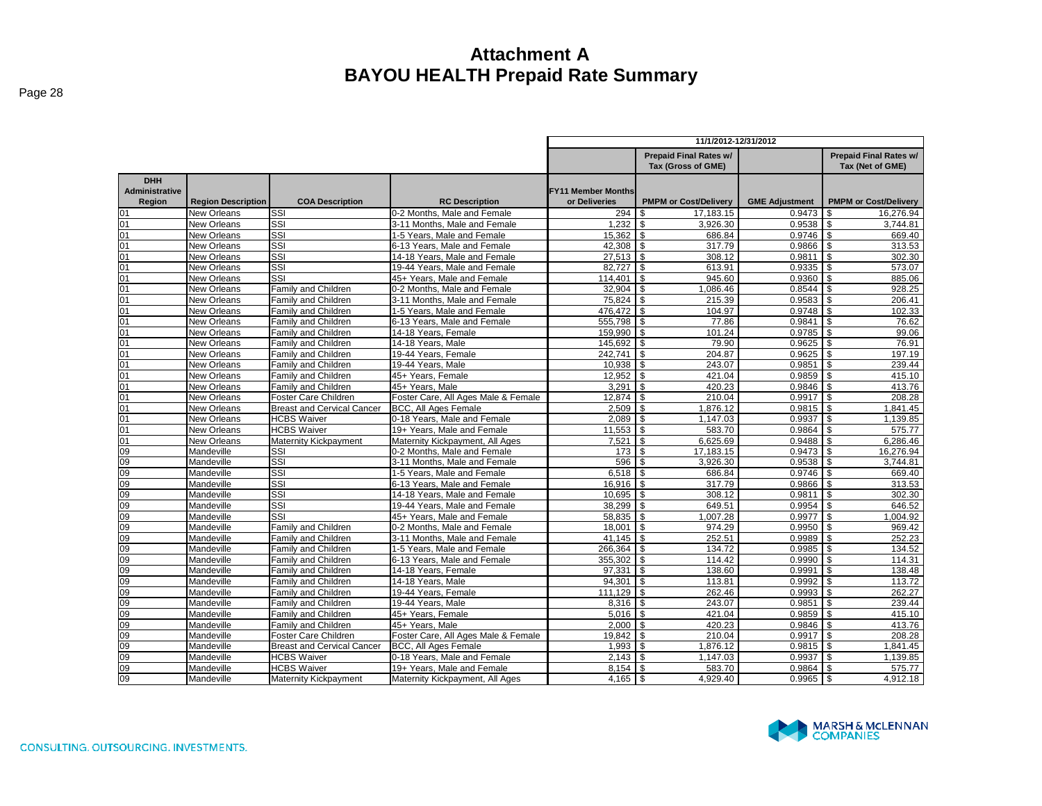|                                        |                           |                                   |                                     | 11/1/2012-12/31/2012                       |                                                     |                       |                                            |  |  |  |
|----------------------------------------|---------------------------|-----------------------------------|-------------------------------------|--------------------------------------------|-----------------------------------------------------|-----------------------|--------------------------------------------|--|--|--|
|                                        |                           |                                   |                                     |                                            | <b>Prepaid Final Rates w/</b><br>Tax (Gross of GME) |                       | Prepaid Final Rates w/<br>Tax (Net of GME) |  |  |  |
| <b>DHH</b><br>Administrative<br>Region | <b>Region Description</b> | <b>COA Description</b>            | <b>RC Description</b>               | <b>FY11 Member Months</b><br>or Deliveries | <b>PMPM or Cost/Delivery</b>                        | <b>GME Adjustment</b> | <b>PMPM or Cost/Delivery</b>               |  |  |  |
| 01                                     | New Orleans               | SSI                               | 0-2 Months. Male and Female         | 294                                        | 17.183.15<br>\$.                                    | 0.9473                | 16.276.94                                  |  |  |  |
| 01                                     | New Orleans               | $\overline{\text{SSI}}$           | 3-11 Months. Male and Female        | 1,232                                      | \$<br>3,926.30                                      | 0.9538                | \$<br>3,744.81                             |  |  |  |
| 01                                     | <b>New Orleans</b>        | $\overline{\text{SSI}}$           | 1-5 Years, Male and Female          | 15,362                                     | \$<br>686.84                                        | 0.9746                | $\mathfrak{s}$<br>669.40                   |  |  |  |
| 01                                     | New Orleans               | SSI                               | 6-13 Years. Male and Female         | $42,308$ \$                                | 317.79                                              | 0.9866                | \$<br>313.53                               |  |  |  |
| 01                                     | New Orleans               | SSI                               | 14-18 Years, Male and Female        | $27,513$ \$                                | 308.12                                              | 0.9811                | $\mathfrak{s}$<br>302.30                   |  |  |  |
| 01                                     | New Orleans               | SSI                               | 19-44 Years, Male and Female        | 82,727                                     | l s<br>613.91                                       | 0.9335                | $\mathbf{s}$<br>573.07                     |  |  |  |
| 01                                     | New Orleans               | SSI                               | 45+ Years, Male and Female          | 114,401                                    | <b>S</b><br>945.60                                  | 0.9360                | \$<br>885.06                               |  |  |  |
| 01                                     | New Orleans               | Family and Children               | 0-2 Months. Male and Female         | 32.904                                     | 1.086.46<br>l \$                                    | 0.8544                | 928.25                                     |  |  |  |
| 01                                     | New Orleans               | Family and Children               | 3-11 Months, Male and Female        | 75,824                                     | \$<br>215.39                                        | 0.9583                | \$<br>206.41                               |  |  |  |
| 01                                     | New Orleans               | Family and Children               | 1-5 Years, Male and Female          | 476,472 \$                                 | 104.97                                              | 0.9748                | 102.33<br>\$                               |  |  |  |
| 01                                     | New Orleans               | Family and Children               | 6-13 Years. Male and Female         | 555.798 \$                                 | 77.86                                               | 0.9841                | 76.62                                      |  |  |  |
| 01                                     | <b>New Orleans</b>        | Family and Children               | 14-18 Years, Female                 | 159,990 \$                                 | 101.24                                              | 0.9785                | \$<br>99.06                                |  |  |  |
| $\overline{01}$                        | New Orleans               | Family and Children               | 14-18 Years, Male                   | 145,692 \$                                 | 79.90                                               | 0.9625                | $\mathbf{s}$<br>76.91                      |  |  |  |
| 01                                     | New Orleans               | Family and Children               | 19-44 Years, Female                 | 242,741                                    | l \$<br>204.87                                      | 0.9625                | \$<br>197.19                               |  |  |  |
| 01                                     | <b>New Orleans</b>        | Family and Children               | 19-44 Years, Male                   | 10,938                                     | l s<br>243.07                                       | 0.9851                | $\mathfrak{s}$<br>239.44                   |  |  |  |
| 01                                     | <b>New Orleans</b>        | Family and Children               | 45+ Years, Female                   | 12.952                                     | $\mathbf{s}$<br>421.04                              | 0.9859                | \$<br>415.10                               |  |  |  |
| $\overline{01}$                        | <b>New Orleans</b>        | Family and Children               | 45+ Years, Male                     | 3,291                                      | $\mathbf{s}$<br>420.23                              | 0.9846                | 413.76<br>\$                               |  |  |  |
| 01                                     | New Orleans               | Foster Care Children              | Foster Care, All Ages Male & Female | 12.874                                     | $\mathfrak{S}$<br>210.04                            | 0.9917                | $\mathfrak{s}$<br>208.28                   |  |  |  |
| 01                                     | New Orleans               | <b>Breast and Cervical Cancer</b> | <b>BCC, All Ages Female</b>         | 2,509                                      | $\overline{\phantom{a}}$<br>1,876.12                | 0.9815                | \$<br>1,841.45                             |  |  |  |
| 01                                     | <b>New Orleans</b>        | <b>HCBS Waiver</b>                | 0-18 Years, Male and Female         | 2.089                                      | $\mathbf{s}$<br>1.147.03                            | 0.9937                | \$<br>1.139.85                             |  |  |  |
| 01                                     | New Orleans               | <b>HCBS Waiver</b>                | 19+ Years. Male and Female          | $11,553$ \$                                | 583.70                                              | 0.9864                | 575.77<br>-S                               |  |  |  |
| 01                                     | <b>New Orleans</b>        | Maternity Kickpayment             | Maternity Kickpayment, All Ages     | 7.521                                      | <b>S</b><br>6,625.69                                | 0.9488                | $\mathfrak{s}$<br>6,286.46                 |  |  |  |
| 09                                     | Mandeville                | SSI                               | 0-2 Months. Male and Female         | 173                                        | $\overline{1s}$<br>17,183.15                        | 0.9473                | 16.276.94<br>$\mathbf{s}$                  |  |  |  |
| 09                                     | Mandeville                | SSI                               | 3-11 Months, Male and Female        | 596 \$                                     | 3,926.30                                            | 0.9538                | 3,744.81<br>-S                             |  |  |  |
| 09                                     | Mandeville                | SSI                               | 1-5 Years, Male and Female          |                                            | 686.84                                              | 0.9746                | \$<br>669.40                               |  |  |  |
| 09                                     | Mandeville                | $\overline{\text{SSI}}$           | 6-13 Years, Male and Female         | $16,916$ \$                                | 317.79                                              | 0.9866                | 313.53<br>\$                               |  |  |  |
| 09                                     | Mandeville                | $\overline{\text{SSI}}$           | 14-18 Years, Male and Female        | $10,695$ \$                                | 308.12                                              | 0.9811                | 302.30<br>\$                               |  |  |  |
| 09                                     | Mandeville                | SSI                               | 19-44 Years, Male and Female        | 38.299                                     | $\overline{\mathsf{I}}$<br>649.51                   | 0.9954                | $\mathfrak{s}$<br>646.52                   |  |  |  |
| 09                                     | Mandeville                | SSI                               | 45+ Years, Male and Female          | 58,835 \$                                  | 1,007.28                                            | 0.9977                | 1,004.92<br>\$                             |  |  |  |
| 09                                     | Mandeville                | Family and Children               | 0-2 Months. Male and Female         | 18,001                                     | $\overline{1}$<br>974.29                            | 0.9950                | $\mathbf{s}$<br>969.42                     |  |  |  |
| 09                                     | Mandeville                | Family and Children               | 3-11 Months, Male and Female        | $41,145$ \ \$                              | 252.51                                              | 0.9989                | 252.23<br>\$                               |  |  |  |
| 09                                     | Mandeville                | Family and Children               | 1-5 Years, Male and Female          | 266,364                                    | l \$<br>134.72                                      | 0.9985                | $\mathfrak{s}$<br>134.52                   |  |  |  |
| 09                                     | Mandeville                | Family and Children               | 6-13 Years. Male and Female         | 355.302                                    | l \$<br>114.42                                      | 0.9990                | 114.31<br>\$                               |  |  |  |
| 09                                     | Mandeville                | Family and Children               | 14-18 Years, Female                 | 97,331                                     | $\mathbf{s}$<br>138.60                              | 0.9991                | \$<br>138.48                               |  |  |  |
| 09                                     | Mandeville                | Family and Children               | 14-18 Years, Male                   | 94.301                                     | $\overline{\$}$<br>113.81                           | 0.9992                | \$<br>113.72                               |  |  |  |
| 09                                     | Mandeville                | Family and Children               | 19-44 Years, Female                 | 111,129                                    | l s<br>262.46                                       | 0.9993                | \$.<br>262.27                              |  |  |  |
| 09                                     | Mandeville                | Family and Children               | 19-44 Years, Male                   | $8.316$ $\sqrt{5}$                         | 243.07                                              | 0.9851                | \$<br>239.44                               |  |  |  |
| 09                                     | Mandeville                | <b>Family and Children</b>        | 45+ Years. Female                   | $5,016$ \$                                 | 421.04                                              | 0.9859                | \$<br>415.10                               |  |  |  |
| 09                                     | Mandeville                | Family and Children               | 45+ Years, Male                     | 2.000                                      | 420.23<br>l \$                                      | 0.9846                | $\mathfrak{s}$<br>413.76                   |  |  |  |
| 09                                     | Mandeville                | Foster Care Children              | Foster Care, All Ages Male & Female | $19,842$ \$                                | 210.04                                              | 0.9917                | 208.28<br>$\mathbf{s}$                     |  |  |  |
| 09                                     | Mandeville                | <b>Breast and Cervical Cancer</b> | BCC, All Ages Female                | 1,993                                      | 1,876.12<br>$\sqrt{3}$                              | 0.9815<br>0.9937      | 1,841.45<br>\$<br>1,139.85                 |  |  |  |
| 09                                     | Mandeville                | <b>HCBS Waiver</b>                | 0-18 Years, Male and Female         | $2,143$ \$                                 | 1,147.03                                            |                       | \$                                         |  |  |  |
| 09                                     | Mandeville                | <b>HCBS Waiver</b>                | 19+ Years, Male and Female          | 8.154                                      | 583.70<br>\$                                        | 0.9864                | 575.77                                     |  |  |  |
| 09                                     | Mandeville                | <b>Maternity Kickpayment</b>      | Maternity Kickpayment, All Ages     | 4,165                                      | \$<br>4,929.40                                      | 0.9965                | 4,912.18<br>\$                             |  |  |  |

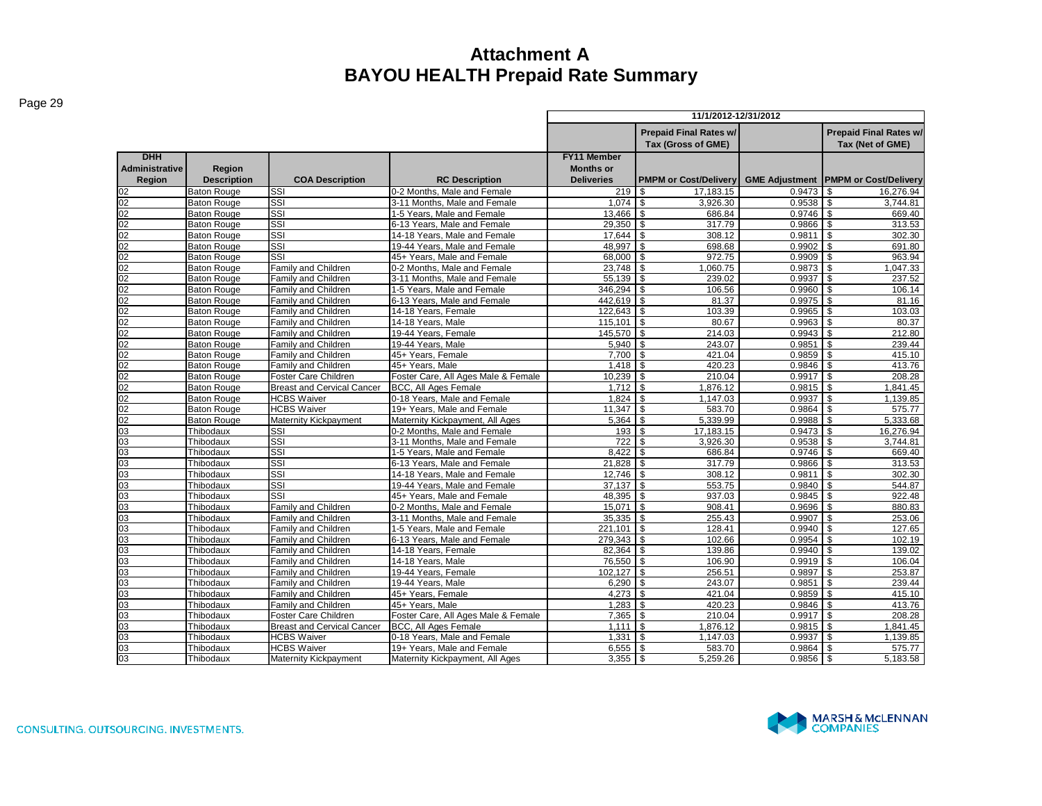|--|--|

|                                                      |                              |                                   |                                                             |                                                             | 11/1/2012-12/31/2012                              |                       |                              |
|------------------------------------------------------|------------------------------|-----------------------------------|-------------------------------------------------------------|-------------------------------------------------------------|---------------------------------------------------|-----------------------|------------------------------|
|                                                      |                              |                                   |                                                             |                                                             | <b>Prepaid Final Rates w/</b><br>Tax (Net of GME) |                       |                              |
| <b>DHH</b><br><b>Administrative</b><br><b>Region</b> | Region<br><b>Description</b> | <b>COA Description</b>            | <b>RC Description</b>                                       | <b>FY11 Member</b><br><b>Months or</b><br><b>Deliveries</b> | <b>PMPM or Cost/Delivery</b>                      | <b>GME Adjustment</b> | <b>PMPM or Cost/Delivery</b> |
| 02                                                   | <b>Baton Rouge</b>           | SSI                               | 0-2 Months, Male and Female                                 | 219                                                         | 17.183.15<br>-S                                   | 0.9473                | 16.276.94<br>\$.             |
| 02                                                   | <b>Baton Rouge</b>           | SSI                               | 3-11 Months, Male and Female                                | 1.074                                                       | l \$<br>3,926.30                                  | 0.9538                | \$.<br>3,744.81              |
| 02                                                   | <b>Baton Rouge</b>           | SSI                               | 1-5 Years, Male and Female                                  | 13,466                                                      | - \$<br>686.84                                    | 0.9746                | \$<br>669.40                 |
| 02                                                   | <b>Baton Rouge</b>           | SSI                               | 6-13 Years, Male and Female                                 | 29,350                                                      | l \$<br>317.79                                    | 0.9866                | \$<br>313.53                 |
| 02                                                   | <b>Baton Rouge</b>           | SSI                               | 14-18 Years, Male and Female                                |                                                             | 308.12                                            | 0.9811                | 302.30<br>\$                 |
| 02                                                   | <b>Baton Rouge</b>           | SSI                               | 19-44 Years, Male and Female                                | 48.997 \$                                                   | 698.68                                            | 0.9902                | \$<br>691.80                 |
| $\overline{02}$                                      | <b>Baton Rouge</b>           | SSI                               | 45+ Years, Male and Female                                  | 68,000                                                      | <b>\$</b><br>972.75                               | 0.9909                | 963.94<br>\$                 |
| $\overline{02}$                                      | <b>Baton Rouge</b>           | <b>Family and Children</b>        | 0-2 Months, Male and Female                                 | 23.748 \$                                                   | 1.060.75                                          | 0.9873                | \$<br>1,047.33               |
| 02                                                   | <b>Baton Rouge</b>           | Family and Children               | 3-11 Months, Male and Female                                | 55,139                                                      | l \$<br>239.02                                    | 0.9937                | \$<br>237.52                 |
| 02                                                   | <b>Baton Rouge</b>           | Family and Children               | 1-5 Years, Male and Female                                  | 346,294                                                     | <b>S</b><br>106.56                                | 0.9960                | \$<br>106.14                 |
| $\overline{02}$                                      | <b>Baton Rouge</b>           | Family and Children               | 6-13 Years, Male and Female                                 | 442.619 \$                                                  | 81.37                                             | 0.9975                | \$.<br>81.16                 |
| 02                                                   | <b>Baton Rouge</b>           | Family and Children               | 14-18 Years, Female                                         | $122,643$ \$                                                | 103.39                                            | 0.9965                | 103.03<br>\$                 |
| $\overline{02}$                                      | <b>Baton Rouge</b>           | Family and Children               | 14-18 Years, Male                                           | 115,101                                                     | <b>S</b><br>80.67                                 | 0.9963                | \$<br>80.37                  |
| 02                                                   | <b>Baton Rouge</b>           | <b>Family and Children</b>        | 19-44 Years, Female                                         | 145.570                                                     | l \$<br>214.03                                    | 0.9943                | \$<br>212.80                 |
| 02                                                   | <b>Baton Rouge</b>           | Family and Children               | 19-44 Years, Male                                           | 5,940                                                       | l \$<br>243.07                                    | 0.9851                | \$<br>239.44                 |
| 02                                                   | <b>Baton Rouge</b>           | Family and Children               | 45+ Years, Female                                           | 7.700                                                       | \$<br>421.04                                      | 0.9859                | \$<br>415.10                 |
| 02                                                   | <b>Baton Rouge</b>           | Family and Children               | 45+ Years, Male                                             |                                                             | 420.23                                            | 0.9846                | \$<br>413.76                 |
| 02                                                   | <b>Baton Rouge</b>           | Foster Care Children              | Foster Care, All Ages Male & Female                         | 10.239                                                      | \$<br>210.04                                      | 0.9917                | \$<br>208.28                 |
| 02                                                   | <b>Baton Rouge</b>           | <b>Breast and Cervical Cancer</b> | <b>BCC, All Ages Female</b>                                 | $1,712$ \$                                                  | 1,876.12                                          | 0.9815                | \$<br>1,841.45               |
| 02                                                   | <b>Baton Rouge</b>           | <b>HCBS Waiver</b>                | 0-18 Years, Male and Female                                 | 1,824                                                       | \$<br>1,147.03                                    | 0.9937                | \$<br>1,139.85               |
| 02                                                   | Baton Rouge                  | <b>HCBS Waiver</b>                | 19+ Years, Male and Female                                  | 11,347                                                      | <b>S</b><br>583.70                                | 0.9864                | 575.77<br>\$                 |
| 02                                                   | <b>Baton Rouge</b>           | <b>Maternity Kickpayment</b>      | Maternity Kickpayment, All Ages                             | 5,364                                                       | l \$<br>5,339.99                                  | 0.9988                | 5,333.68                     |
| 03<br>03                                             | Thibodaux                    | SSI<br>SSI                        | 0-2 Months, Male and Female                                 | 193                                                         | 17,183.15<br>l \$                                 | 0.9473                | 16,276.94<br>\$              |
|                                                      | Thibodaux                    | SSI                               | 3-11 Months, Male and Female                                | 722                                                         | \$<br>3.926.30                                    | 0.9538                | 3.744.81<br>\$.<br>\$        |
| 03                                                   | Thibodaux                    | SSI                               | 1-5 Years, Male and Female                                  | 8.422                                                       | 686.84<br>\$<br>\$                                | 0.9746                | 669.40                       |
| 03<br>03                                             | Thibodaux<br>Thibodaux       | SSI                               | 6-13 Years, Male and Female<br>14-18 Years, Male and Female | 21,828<br>12,746                                            | 317.79<br>308.12<br>l \$                          | 0.9866<br>0.9811      | \$<br>313.53<br>302.30<br>\$ |
| 03                                                   |                              | SSI                               | 19-44 Years, Male and Female                                | $37,137$ \$                                                 | 553.75                                            | 0.9840                | \$<br>544.87                 |
| 03                                                   | Thibodaux<br>Thibodaux       | SSI                               | 45+ Years, Male and Female                                  | 48.395                                                      | l \$<br>937.03                                    | 0.9845                | 922.48<br>\$                 |
| 03                                                   | Thibodaux                    | Family and Children               | 0-2 Months, Male and Female                                 | 15,071                                                      | <b>S</b><br>908.41                                | 0.9696                | \$<br>880.83                 |
| 03                                                   | Thibodaux                    | Family and Children               | 3-11 Months, Male and Female                                | 35.335                                                      | l \$<br>255.43                                    | 0.9907                | 253.06<br>\$.                |
| 03                                                   | Thibodaux                    | Family and Children               | 1-5 Years, Male and Female                                  | 221,101                                                     | \$<br>128.41                                      | 0.9940                | \$<br>127.65                 |
| 03                                                   | Thibodaux                    | Family and Children               | 6-13 Years, Male and Female                                 | 279,343 \$                                                  | 102.66                                            | 0.9954                | \$<br>102.19                 |
| 03                                                   | Thibodaux                    | <b>Family and Children</b>        | 14-18 Years, Female                                         | 82,364                                                      | 139.86<br>l \$                                    | 0.9940                | 139.02<br>\$                 |
| 03                                                   | Thibodaux                    | Family and Children               | 14-18 Years, Male                                           | 76,550                                                      | l \$<br>106.90                                    | 0.9919                | \$<br>106.04                 |
| 03                                                   | Thibodaux                    | Family and Children               | 19-44 Years, Female                                         | 102,127                                                     | <b>S</b><br>256.51                                | 0.9897                | \$<br>253.87                 |
| 03                                                   | Thibodaux                    | Family and Children               | 19-44 Years, Male                                           | 6.290                                                       | l \$<br>243.07                                    | 0.9851                | \$<br>239.44                 |
| 03                                                   | Thibodaux                    | Family and Children               | 45+ Years, Female                                           | 4.273                                                       | <b>S</b><br>421.04                                | 0.9859                | \$<br>415.10                 |
| 03                                                   | Thibodaux                    | Family and Children               | 45+ Years, Male                                             | 1,283                                                       | l \$<br>420.23                                    | 0.9846                | 413.76<br>\$                 |
| 03                                                   | Thibodaux                    | Foster Care Children              | Foster Care, All Ages Male & Female                         | 7,365                                                       | <b>S</b><br>210.04                                | 0.9917                | \$<br>208.28                 |
| 03                                                   | Thibodaux                    | <b>Breast and Cervical Cancer</b> | <b>BCC. All Ages Female</b>                                 | 1.111                                                       | $\overline{1}$<br>1,876.12                        | 0.9815                | l \$<br>1,841.45             |
| 03                                                   | Thibodaux                    | <b>HCBS Waiver</b>                | 0-18 Years, Male and Female                                 | 1.331                                                       | 1,147.03<br>l \$                                  | 0.9937                | \$<br>1,139.85               |
| 03                                                   | Thibodaux                    | <b>HCBS Waiver</b>                | 19+ Years, Male and Female                                  | 6,555                                                       | 583.70<br>l \$                                    | 0.9864                | \$<br>575.77                 |
| $\overline{03}$                                      | Thibodaux                    | Maternity Kickpayment             | Maternity Kickpayment, All Ages                             |                                                             | 5,259.26                                          | 0.9856                | \$<br>5.183.58               |
|                                                      |                              |                                   |                                                             |                                                             |                                                   |                       |                              |

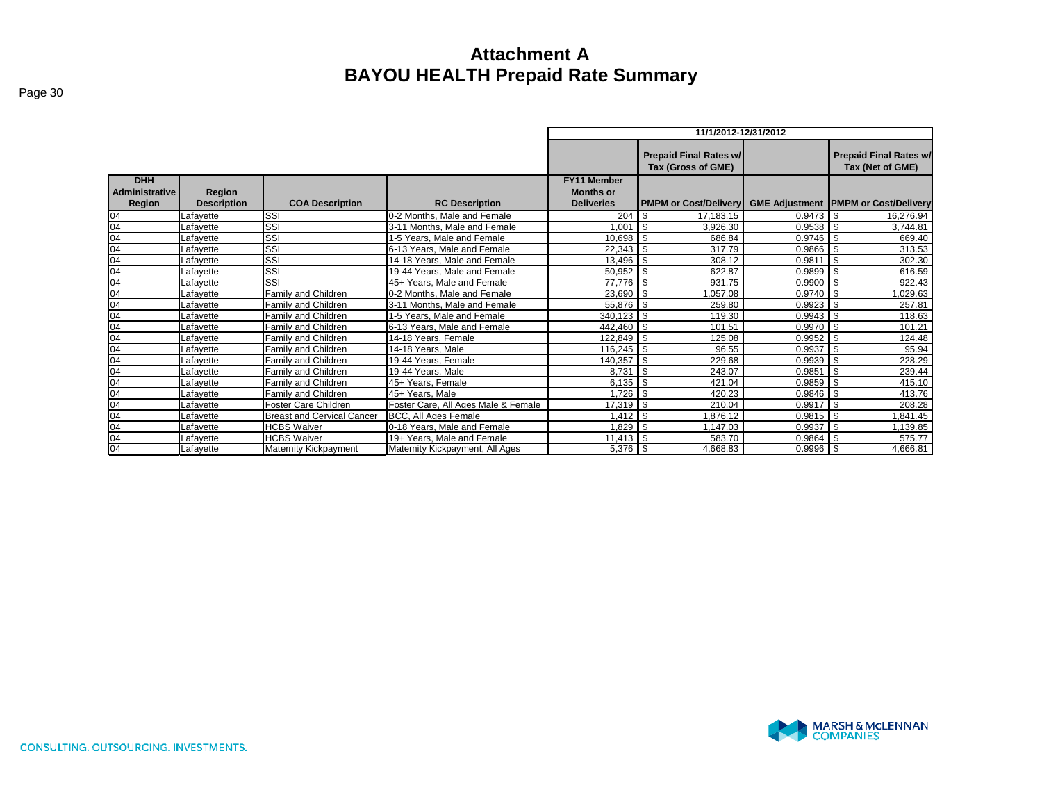|                                               |                              |                                   |                                     |                                                             | 11/1/2012-12/31/2012                                              |                                                   |                    |  |
|-----------------------------------------------|------------------------------|-----------------------------------|-------------------------------------|-------------------------------------------------------------|-------------------------------------------------------------------|---------------------------------------------------|--------------------|--|
|                                               |                              |                                   |                                     |                                                             | <b>Prepaid Final Rates w/</b>                                     | <b>Prepaid Final Rates w/</b><br>Tax (Net of GME) |                    |  |
| <b>DHH</b><br><b>Administrative</b><br>Region | Region<br><b>Description</b> | <b>COA Description</b>            | <b>RC Description</b>               | <b>FY11 Member</b><br><b>Months or</b><br><b>Deliveries</b> | <b>PMPM or Cost/Delivery GME Adjustment PMPM or Cost/Delivery</b> |                                                   |                    |  |
| 04                                            | _afavette                    | SSI                               | 0-2 Months. Male and Female         | 204                                                         | 17,183.15<br>-\$                                                  | 0.9473                                            | \$<br>16,276.94    |  |
| 04                                            | Lafayette                    | SSI                               | 3-11 Months. Male and Female        | 1.001                                                       | $\blacksquare$<br>3.926.30                                        | 0.9538                                            | . ጽ<br>3.744.81    |  |
| 04                                            | _afavette                    | SSI                               | 1-5 Years, Male and Female          | $10,698$ \$                                                 | 686.84                                                            | $0.9746$ \$                                       | 669.40             |  |
| 04                                            | _afavette                    | SSI                               | 6-13 Years. Male and Female         | $22,343$ \$                                                 | 317.79                                                            | 0.9866                                            | 313.53             |  |
| 04                                            | _afayette                    | SSI                               | 14-18 Years, Male and Female        | 13,496 \$                                                   | 308.12                                                            | 0.9811                                            | <b>S</b><br>302.30 |  |
| 04                                            | Lafayette                    | SSI                               | 19-44 Years, Male and Female        | $50,952$ \$                                                 | 622.87                                                            | 0.9899                                            | \$<br>616.59       |  |
| 04                                            | _afayette                    | SSI                               | 45+ Years, Male and Female          | 77,776 \$                                                   | 931.75                                                            | 0.9900                                            | \$.<br>922.43      |  |
| 04                                            | _afayette                    | Family and Children               | 0-2 Months, Male and Female         | $23,690$ \$                                                 | 1.057.08                                                          | 0.9740                                            | \$<br>1,029.63     |  |
| 04                                            | Lafayette                    | Family and Children               | 3-11 Months. Male and Female        | 55,876 \$                                                   | 259.80                                                            | 0.9923                                            | \$<br>257.81       |  |
| 04                                            | Lafayette                    | Family and Children               | 1-5 Years. Male and Female          | $340,123$ \$                                                | 119.30                                                            | 0.9943                                            | \$<br>118.63       |  |
| 04                                            | Lafavette                    | Family and Children               | 6-13 Years, Male and Female         | 442,460 \$                                                  | 101.51                                                            | 0.9970                                            | \$<br>101.21       |  |
| 04                                            | Lafayette                    | Family and Children               | 14-18 Years, Female                 | 122,849 \$                                                  | 125.08                                                            | 0.9952                                            | 124.48             |  |
| 04                                            | Lafavette                    | Family and Children               | 14-18 Years, Male                   | 116,245 \$                                                  | 96.55                                                             | 0.9937                                            | \$<br>95.94        |  |
| 04                                            | ∟afayette                    | Family and Children               | 19-44 Years, Female                 | 140,357 \$                                                  | 229.68                                                            | 0.9939                                            | \$<br>228.29       |  |
| 04                                            | _afavette                    | Family and Children               | 19-44 Years, Male                   | 8.731                                                       | $\blacksquare$<br>243.07                                          | 0.9851                                            | \$.<br>239.44      |  |
| 04                                            | _afavette                    | Family and Children               | 45+ Years, Female                   | $6,135$ \$                                                  | 421.04                                                            | 0.9859                                            | 415.10             |  |
| 04                                            | _afayette                    | Family and Children               | 45+ Years, Male                     | $1,726$ \$                                                  | 420.23                                                            | 0.9846                                            | -\$<br>413.76      |  |
| 04                                            | _afavette                    | Foster Care Children              | Foster Care, All Ages Male & Female | $17,319$ \$                                                 | 210.04                                                            | 0.9917                                            | \$.<br>208.28      |  |
| 04                                            | _afayette                    | <b>Breast and Cervical Cancer</b> | BCC, All Ages Female                |                                                             | 1.876.12                                                          | 0.9815                                            | \$<br>.841.45      |  |
| 04                                            | _afavette                    | <b>HCBS Waiver</b>                | 0-18 Years, Male and Female         | 1.829                                                       | ∣ \$<br>1.147.03                                                  | 0.9937                                            | \$<br>1,139.85     |  |
| 04                                            | _afayette                    | <b>HCBS Waiver</b>                | 19+ Years, Male and Female          |                                                             | 583.70                                                            | 0.9864                                            | \$<br>575.77       |  |
| 04                                            | Lafayette                    | Maternity Kickpayment             | Maternity Kickpayment, All Ages     | $5,376$ \$                                                  | 4,668.83                                                          | 0.9996                                            | \$<br>4,666.81     |  |

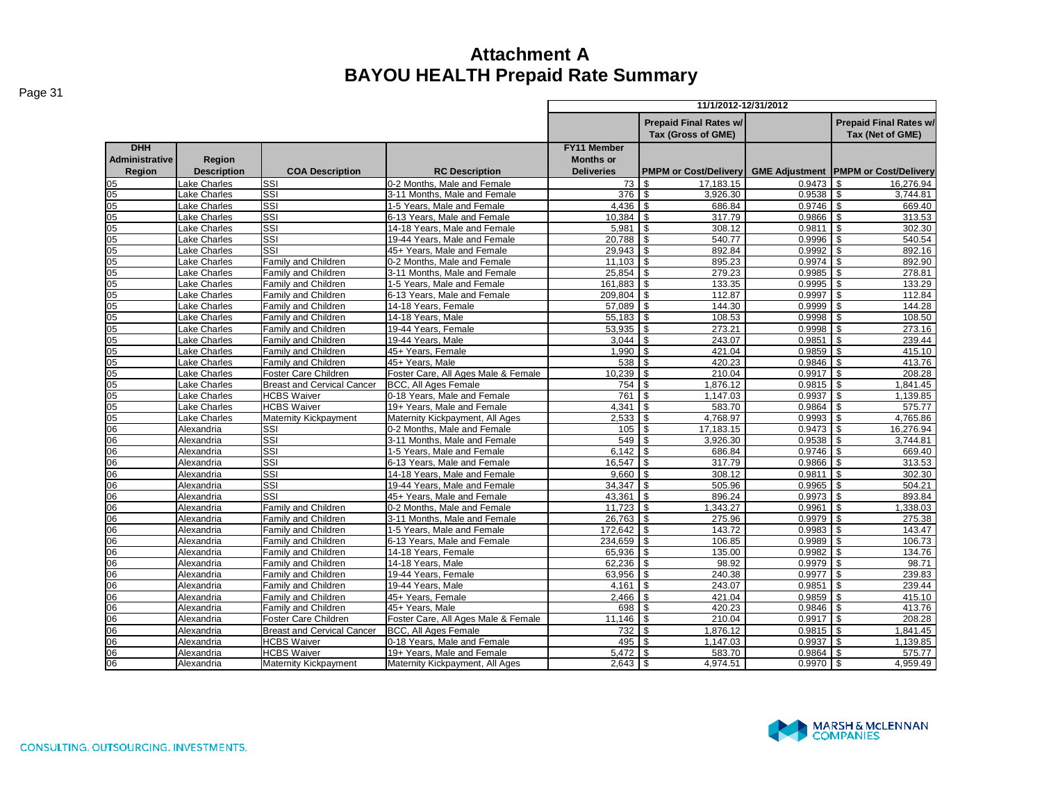|                                               |                                     |                                   |                                     | 11/1/2012-12/31/2012                                        |                                                     |                       |                                                   |  |  |  |
|-----------------------------------------------|-------------------------------------|-----------------------------------|-------------------------------------|-------------------------------------------------------------|-----------------------------------------------------|-----------------------|---------------------------------------------------|--|--|--|
|                                               |                                     |                                   |                                     |                                                             | <b>Prepaid Final Rates w/</b><br>Tax (Gross of GME) |                       | <b>Prepaid Final Rates w/</b><br>Tax (Net of GME) |  |  |  |
| <b>DHH</b><br><b>Administrative</b><br>Region | <b>Region</b><br><b>Description</b> | <b>COA Description</b>            | <b>RC Description</b>               | <b>FY11 Member</b><br><b>Months or</b><br><b>Deliveries</b> | <b>PMPM or Cost/Delivery</b>                        | <b>GME Adjustment</b> | <b>PMPM or Cost/Delivery</b>                      |  |  |  |
| 05                                            | ake Charles                         | <b>SSI</b>                        | 0-2 Months, Male and Female         | 73                                                          | 17,183.15<br>\$                                     | 0.9473                | 16,276.94                                         |  |  |  |
| $\overline{05}$                               | Lake Charles                        | SSI                               | 3-11 Months. Male and Female        | 376 \$                                                      | 3,926.30                                            | 0.9538                | \$<br>3.744.81                                    |  |  |  |
| $\overline{05}$                               | Lake Charles                        | <b>SSI</b>                        | 1-5 Years, Male and Female          |                                                             | 686.84                                              | 0.9746                | \$<br>669.40                                      |  |  |  |
| 05                                            | Lake Charles                        | <b>I</b> ssi                      | 6-13 Years. Male and Female         |                                                             | 317.79                                              | 0.9866                | \$<br>313.53                                      |  |  |  |
| 05                                            | Lake Charles                        | <b>SSI</b>                        | 14-18 Years, Male and Female        | $5,981$ \$                                                  | 308.12                                              | 0.9811                | \$<br>302.30                                      |  |  |  |
| $\overline{05}$                               | Lake Charles                        | <b>SSI</b>                        | 19-44 Years, Male and Female        | 20,788 \$                                                   | 540.77                                              | 0.9996                | 540.54                                            |  |  |  |
| 05                                            | ake Charles                         | SSI                               | 45+ Years, Male and Female          | $29,943$ \$                                                 | 892.84                                              | 0.9992                | 892.16                                            |  |  |  |
| 05                                            | Lake Charles                        | Family and Children               | 0-2 Months. Male and Female         |                                                             | 895.23                                              | 0.9974                | 892.90                                            |  |  |  |
| 05                                            | ake Charles                         | Family and Children               | 3-11 Months, Male and Female        | $25,854$ \$                                                 | 279.23                                              | 0.9985                | 278.81                                            |  |  |  |
| 05                                            | Lake Charles                        | Family and Children               | 1-5 Years, Male and Female          | 161,883 \$                                                  | 133.35                                              | 0.9995                | 133.29<br>\$.                                     |  |  |  |
| $\overline{05}$                               | Lake Charles                        | Family and Children               | 6-13 Years. Male and Female         | 209,804 \$                                                  | 112.87                                              | 0.9997                | \$<br>112.84                                      |  |  |  |
| 05                                            | ake Charles                         | Family and Children               | 14-18 Years, Female                 | 57,089 \$                                                   | 144.30                                              | 0.9999                | $\mathfrak{L}$<br>144.28                          |  |  |  |
| 05                                            | ake Charles                         | Family and Children               | 14-18 Years, Male                   | $55,183$ \$                                                 | 108.53                                              | 0.9998                | \$<br>108.50                                      |  |  |  |
| $\overline{05}$                               | ake Charles                         | Family and Children               | 19-44 Years, Female                 | $53,935$ \$                                                 | 273.21                                              | 0.9998                | \$<br>273.16                                      |  |  |  |
| 05                                            | ake Charles                         | Family and Children               | 19-44 Years, Male                   | $3.044$ $\sqrt{3}$                                          | 243.07                                              | 0.9851                | 239.44<br>\$.                                     |  |  |  |
| 05                                            | ake Charles                         | Family and Children               | 45+ Years, Female                   | $1,990$ \$                                                  | 421.04                                              | 0.9859                | \$<br>415.10                                      |  |  |  |
| $\overline{05}$                               | ake Charles                         | Family and Children               | 45+ Years, Male                     | 538 \$                                                      | 420.23                                              | 0.9846                | 413.76<br>\$                                      |  |  |  |
| 05                                            | ake Charles                         | Foster Care Children              | Foster Care, All Ages Male & Female | $10,239$ \$                                                 | 210.04                                              | 0.9917                | \$<br>208.28                                      |  |  |  |
| 05                                            | Lake Charles                        | <b>Breast and Cervical Cancer</b> | <b>BCC. All Ages Female</b>         | 754                                                         | 1.876.12<br>\$                                      | 0.9815                | 1.841.45                                          |  |  |  |
| 05                                            | ake Charles                         | <b>HCBS Waiver</b>                | 0-18 Years, Male and Female         | 761                                                         | \$<br>1,147.03                                      | 0.9937                | 1,139.85                                          |  |  |  |
| $\overline{05}$                               | Lake Charles                        | <b>HCBS Waiver</b>                | 19+ Years, Male and Female          | 4,341                                                       | $\sqrt{3}$<br>583.70                                | 0.9864                | 575.77                                            |  |  |  |
| $\overline{05}$                               | Lake Charles                        | <b>Maternity Kickpayment</b>      | Maternity Kickpayment, All Ages     | $2,533$ \$                                                  | 4,768.97                                            | 0.9993                | 4,765.86                                          |  |  |  |
| 06                                            | Alexandria                          | SSI                               | 0-2 Months. Male and Female         | 105S                                                        | 17,183.15                                           | 0.9473                | £.<br>16,276.94                                   |  |  |  |
| 06                                            | Alexandria                          | <b>SSI</b>                        | 3-11 Months, Male and Female        | 549 \$                                                      | 3,926.30                                            | 0.9538                | 3,744.81                                          |  |  |  |
| 06                                            | Alexandria                          | <b>SSI</b>                        | 1-5 Years, Male and Female          | 6,142                                                       | $\overline{1}$<br>686.84                            | 0.9746                | 669.40<br>\$                                      |  |  |  |
| 06                                            | Alexandria                          | SSI                               | 6-13 Years, Male and Female         | 16,547                                                      | l s<br>317.79                                       | 0.9866                | \$.<br>313.53                                     |  |  |  |
| 06                                            | Alexandria                          | <b>S</b> SI                       | 14-18 Years, Male and Female        | 9,660                                                       | $\overline{\phantom{a}}$<br>308.12                  | 0.9811                | \$<br>302.30                                      |  |  |  |
| 06                                            | Alexandria                          | SSI                               | 19-44 Years, Male and Female        | $34,347$ \$                                                 | 505.96                                              | 0.9965                | \$<br>504.21                                      |  |  |  |
| 06                                            | Alexandria                          | SSI                               | 45+ Years, Male and Female          | $43,361$ \\$                                                | 896.24                                              | 0.9973                | 893.84<br>\$                                      |  |  |  |
| 06                                            | Alexandria                          | Family and Children               | 0-2 Months. Male and Female         | $11.723$ \$                                                 | 1.343.27                                            | 0.9961                | 1.338.03<br>\$                                    |  |  |  |
| 06                                            | Alexandria                          | Family and Children               | 3-11 Months, Male and Female        | $26,763$ \$                                                 | 275.96                                              | 0.9979                | \$<br>275.38                                      |  |  |  |
| 06                                            | Alexandria                          | Family and Children               | 1-5 Years, Male and Female          | 172,642 \$                                                  | 143.72                                              | 0.9983                | 143.47                                            |  |  |  |
| 06                                            | Alexandria                          | Family and Children               | 6-13 Years, Male and Female         | 234,659 \$                                                  | 106.85                                              | 0.9989                | \$<br>106.73                                      |  |  |  |
| 06                                            | Alexandria                          | Family and Children               | 14-18 Years, Female                 | 65,936 \$                                                   | 135.00                                              | 0.9982                | 134.76                                            |  |  |  |
| 06                                            | Alexandria                          | Family and Children               | 14-18 Years, Male                   | $62,236$ \$                                                 | 98.92                                               | 0.9979                | 98.71                                             |  |  |  |
| 06                                            | Alexandria                          | Family and Children               | 19-44 Years, Female                 | $63,956$ \$                                                 | 240.38                                              | 0.9977                | 239.83<br>\$.                                     |  |  |  |
| 06                                            | Alexandria                          | Family and Children               | 19-44 Years, Male                   | 4,161                                                       | $\overline{1s}$<br>243.07                           | 0.9851                | \$<br>239.44                                      |  |  |  |
| 06                                            | Alexandria                          | Family and Children               | 45+ Years, Female                   | $2,466$ \$                                                  | 421.04                                              | 0.9859                | \$<br>415.10                                      |  |  |  |
| 06                                            | Alexandria                          | Family and Children               | 45+ Years, Male                     | 698 \$                                                      | 420.23                                              | 0.9846                | 413.76<br>\$.                                     |  |  |  |
| 06                                            | Alexandria                          | Foster Care Children              | Foster Care, All Ages Male & Female |                                                             | 210.04                                              | 0.9917                | \$<br>208.28                                      |  |  |  |
| 06                                            | Alexandria                          | <b>Breast and Cervical Cancer</b> | <b>BCC, All Ages Female</b>         | 732                                                         | $\overline{1}$<br>1,876.12                          | 0.9815                | \$<br>1,841.45                                    |  |  |  |
| 06                                            | Alexandria                          | <b>HCBS Waiver</b>                | 0-18 Years, Male and Female         | 495 \$                                                      | 1,147.03                                            | 0.9937                | \$<br>1,139.85                                    |  |  |  |
| 06                                            | Alexandria                          | <b>HCBS Waiver</b>                | 19+ Years. Male and Female          | $5.472$ S                                                   | 583.70                                              | 0.9864                | 575.77                                            |  |  |  |
| 06                                            | Alexandria                          | Maternity Kickpayment             | Maternity Kickpayment, All Ages     | $2,643$ \$                                                  | 4,974.51                                            | 0.9970                | 4,959.49<br>\$                                    |  |  |  |



CONSULTING. OUTSOURCING. INVESTMENTS.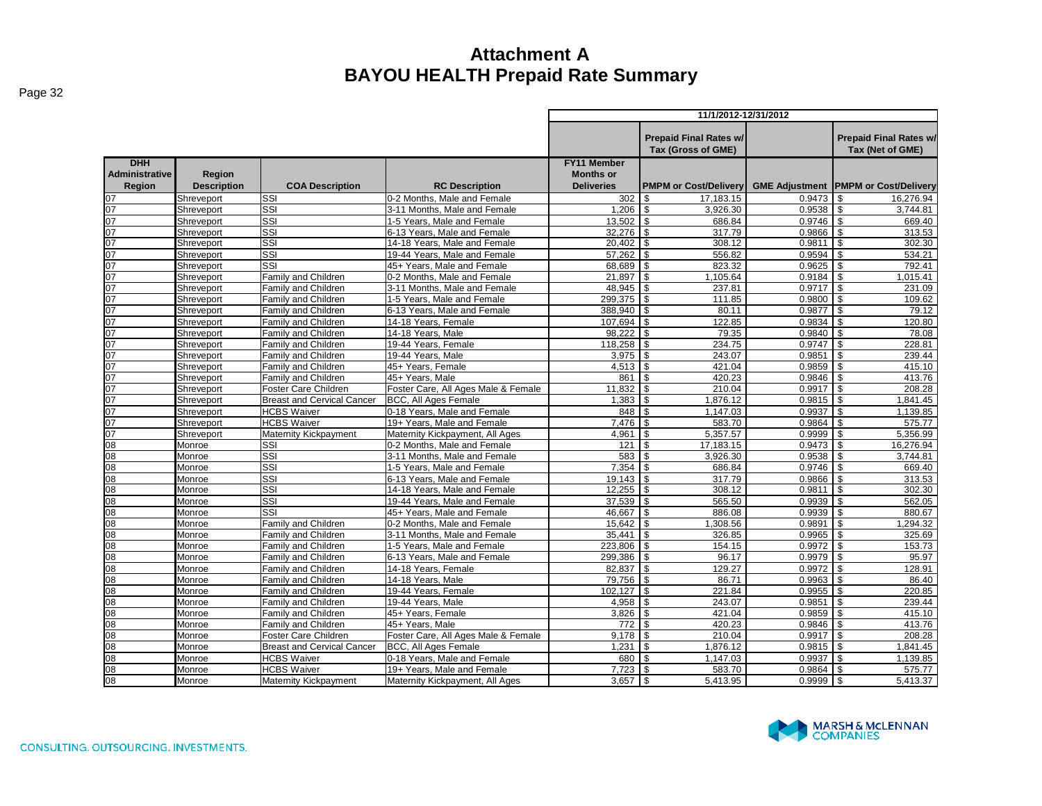|                       |                    |                                          |                                     | 11/1/2012-12/31/2012 |                               |                       |                               |  |  |
|-----------------------|--------------------|------------------------------------------|-------------------------------------|----------------------|-------------------------------|-----------------------|-------------------------------|--|--|
|                       |                    |                                          |                                     |                      |                               |                       |                               |  |  |
|                       |                    |                                          |                                     |                      | <b>Prepaid Final Rates w/</b> |                       | <b>Prepaid Final Rates w/</b> |  |  |
|                       |                    |                                          |                                     |                      | Tax (Gross of GME)            |                       | Tax (Net of GME)              |  |  |
| <b>DHH</b>            |                    |                                          |                                     | <b>FY11 Member</b>   |                               |                       |                               |  |  |
| <b>Administrative</b> | Region             |                                          |                                     | <b>Months or</b>     |                               |                       |                               |  |  |
| Region                | <b>Description</b> | <b>COA Description</b>                   | <b>RC Description</b>               | <b>Deliveries</b>    | <b>PMPM or Cost/Delivery</b>  | <b>GME Adjustment</b> | <b>PMPM or Cost/Delivery</b>  |  |  |
| 07                    | Shreveport         | SSI                                      | 0-2 Months, Male and Female         | 302                  | 17.183.15<br>\$.              | 0.9473                | 16.276.94                     |  |  |
| 07                    | Shreveport         | SSI                                      | 3-11 Months, Male and Female        | $1,206$ \$           | 3,926.30                      | 0.9538                | 3.744.81<br>\$                |  |  |
| 07                    | Shreveport         | SSI                                      | 1-5 Years, Male and Female          |                      | 686.84                        | 0.9746                | \$<br>669.40                  |  |  |
| 07                    | Shreveport         | SSI                                      | 6-13 Years, Male and Female         | $32,276$ \$          | 317.79                        | 0.9866                | 313.53<br>\$                  |  |  |
| 07                    | Shreveport         | SSI                                      | 14-18 Years. Male and Female        | 20.402               | \$<br>308.12                  | 0.9811                | 302.30                        |  |  |
| $\overline{2}$        | Shreveport         | $\overline{\text{SSI}}$                  | 19-44 Years, Male and Female        | 57,262               | \$<br>556.82                  | 0.9594                | 534.21                        |  |  |
| 07                    | Shreveport         | SSI                                      | 45+ Years. Male and Female          | 68,689 \$            | 823.32                        | 0.9625                | \$<br>792.41                  |  |  |
| 07                    | Shreveport         | Family and Children                      | 0-2 Months. Male and Female         | 21,897               | $\sqrt{3}$<br>1,105.64        | 0.9184                | 1.015.41<br>\$                |  |  |
| 07                    | Shreveport         | Family and Children                      | 3-11 Months, Male and Female        | 48.945               | \$<br>237.81                  | 0.9717                | \$<br>231.09                  |  |  |
| 07                    | Shreveport         | Family and Children                      | 1-5 Years, Male and Female          | 299.375              | $\mathfrak{s}$<br>111.85      | 0.9800                | \$<br>109.62                  |  |  |
| 07                    | Shreveport         | Family and Children                      | 6-13 Years, Male and Female         | 388,940 \$           | 80.11                         | 0.9877                | \$<br>79.12                   |  |  |
| ງ7                    | Shreveport         | Family and Children                      | 14-18 Years, Female                 | 107,694 \$           | 122.85                        | 0.9834                | \$<br>120.80                  |  |  |
| 07                    | Shreveport         | <b>Family and Children</b>               | 14-18 Years, Male                   | 98,222 \$            | 79.35                         | 0.9840                | \$<br>78.08                   |  |  |
| 07                    | Shreveport         | <b>Family and Children</b>               | 19-44 Years, Female                 | 118.258              | \$<br>234.75                  | 0.9747                | 228.81                        |  |  |
| $\overline{17}$       | Shreveport         | Family and Children                      | 19-44 Years, Male                   | 3,975                | \$<br>243.07                  | 0.9851                | 239.44                        |  |  |
| 07                    | Shreveport         | Family and Children                      | 45+ Years, Female                   | 4,513                | \$<br>421.04                  | 0.9859                | 415.10                        |  |  |
| 07                    | Shreveport         | Family and Children                      | 45+ Years, Male                     | 861                  | 420.23<br>\$                  | 0.9846                | 413.76                        |  |  |
| 07                    | Shreveport         | Foster Care Children                     | Foster Care, All Ages Male & Female | 11.832               | 210.04<br>\$                  | 0.9917                | 208.28                        |  |  |
| )7                    | Shreveport         | <b>Breast and Cervical Cancer</b>        | <b>BCC, All Ages Female</b>         | 1.383                | \$.<br>1.876.12               | 0.9815                | ደ<br>1.841.45                 |  |  |
| 07                    | Shreveport         | <b>HCBS Waiver</b>                       | 0-18 Years, Male and Female         | 848                  | \$<br>1,147.03                | 0.9937                | \$<br>1,139.85                |  |  |
| 07                    | Shreveport         | <b>HCBS Waiver</b>                       | 19+ Years. Male and Female          | 7.476                | 583.70<br><b>S</b>            | 0.9864                | 575.77                        |  |  |
| 07                    | Shreveport         | <b>Maternity Kickpayment</b>             | Maternity Kickpayment, All Ages     | 4,961                | $\overline{1}$ s<br>5,357.57  | 0.9999                | 5,356.99<br>\$                |  |  |
| 08                    | Monroe             | SSI                                      | 0-2 Months, Male and Female         | 121                  | 17,183.15<br>\$               | 0.9473                | 16,276.94                     |  |  |
| 38                    | Monroe             | SSI                                      | 3-11 Months, Male and Female        | 583                  | 3,926.30<br>\$                | 0.9538                | 3.744.81                      |  |  |
| 08                    | Monroe             | SSI                                      | 1-5 Years, Male and Female          | 7,354                | \$<br>686.84                  | 0.9746                | 669.40                        |  |  |
| 08                    | Monroe             | $\overline{\text{SSI}}$                  | 6-13 Years, Male and Female         | 19,143               | 317.79<br>\$                  | 0.9866                | 313.53                        |  |  |
| 08                    | Monroe             | SSI                                      | 14-18 Years. Male and Female        | 12,255               | \$<br>308.12                  | 0.9811                | 302.30<br>\$                  |  |  |
| 08                    | Monroe             | SSI                                      | 19-44 Years. Male and Female        | 37.539               | 565.50<br>\$.                 | 0.9939                | \$<br>562.05                  |  |  |
| $\overline{08}$       | Monroe             | SSI                                      | 45+ Years, Male and Female          | 46,667               | $\mathsf{s}$<br>886.08        | 0.9939                | \$<br>880.67                  |  |  |
| 38                    | Monroe             | <b>Family and Children</b>               | 0-2 Months, Male and Female         | 15,642               | \$<br>1,308.56                | 0.9891                | 1,294.32                      |  |  |
| 08                    | Monroe             | Family and Children                      | 3-11 Months, Male and Female        | 35,441               | $\sqrt{3}$<br>326.85          | 0.9965                | \$<br>325.69                  |  |  |
| 36                    | Monroe             | Family and Children                      | 1-5 Years. Male and Female          | 223.806              | \$<br>154.15                  | 0.9972                | 153.73                        |  |  |
| 36                    | Monroe             | Family and Children                      | 6-13 Years, Male and Female         | 299,386              | \$<br>96.17                   | 0.9979                | 95.97<br>\$                   |  |  |
| 08                    | Monroe             | Family and Children                      | 14-18 Years, Female                 | 82,837               | $\mathfrak{S}$<br>129.27      | 0.9972                | 128.91                        |  |  |
| 08                    | Monroe             | Family and Children                      | 14-18 Years, Male                   | 79,756               | <b>\$</b><br>86.71            | 0.9963                | 86.40                         |  |  |
| $\overline{08}$       | Monroe             | Family and Children                      | 19-44 Years, Female                 | 102.127              | \$<br>221.84                  | 0.9955                | 220.85                        |  |  |
| 08                    | Monroe             | Family and Children                      | 19-44 Years, Male                   | 4,958                | \$<br>243.07                  | 0.9851                | \$<br>239.44                  |  |  |
| 08                    | Monroe             | Family and Children                      | 45+ Years, Female                   | 3,826                | \$<br>421.04                  | 0.9859                | \$<br>415.10                  |  |  |
| 38                    | Monroe             | Family and Children                      | 45+ Years, Male                     | 772                  | $\mathfrak{s}$<br>420.23      | 0.9846                | 413.76                        |  |  |
| 08                    | Monroe             | Foster Care Children                     | Foster Care, All Ages Male & Female | $9,178$ \$           | 210.04                        | 0.9917                | \$.<br>208.28                 |  |  |
| 08                    | Monroe             | <b>Breast and Cervical Cancer</b>        | <b>BCC, All Ages Female</b>         | 1.231                | \$<br>1,876.12                | 0.9815                | \$<br>1.841.45                |  |  |
| 08<br>$\overline{08}$ | Monroe             | <b>HCBS Waiver</b><br><b>HCBS Waiver</b> | 0-18 Years, Male and Female         | 680<br>7,723         | 1.147.03<br>\$<br>\$          | 0.9937                | 1.139.85                      |  |  |
|                       | Monroe             |                                          | 19+ Years, Male and Female          |                      | 583.70                        | 0.9864                | 575.77                        |  |  |
| 08                    | Monroe             | Maternity Kickpayment                    | Maternity Kickpayment, All Ages     | 3,657                | \$<br>5,413.95                | 0.9999                | 5,413.37                      |  |  |

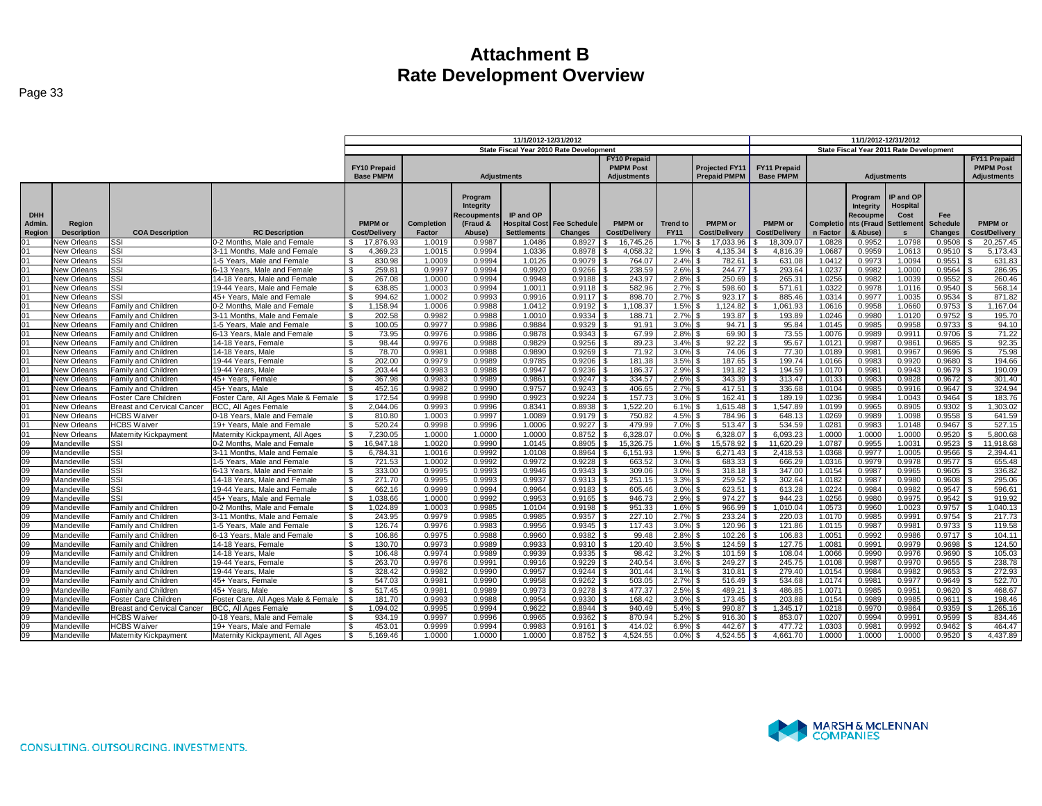|                 |                              |                                                         |                                                            |                                        | 11/1/2012-12/31/2012 |                    | 11/1/2012-12/31/2012                       |                                         |                      |                                |                        |                                         |                       |                        |                    |                       |                    |
|-----------------|------------------------------|---------------------------------------------------------|------------------------------------------------------------|----------------------------------------|----------------------|--------------------|--------------------------------------------|-----------------------------------------|----------------------|--------------------------------|------------------------|-----------------------------------------|-----------------------|------------------------|--------------------|-----------------------|--------------------|
|                 |                              |                                                         |                                                            |                                        |                      |                    |                                            | State Fiscal Year 2010 Rate Development |                      |                                |                        | State Fiscal Year 2011 Rate Development |                       |                        |                    |                       |                    |
|                 |                              |                                                         |                                                            |                                        |                      |                    |                                            |                                         | <b>FY10 Prepaid</b>  |                                |                        | <b>FY11 Prepaid</b>                     |                       |                        |                    |                       |                    |
|                 |                              |                                                         |                                                            | <b>FY10 Prepaid</b>                    |                      |                    |                                            |                                         | <b>PMPM Post</b>     |                                | <b>Projected FY11</b>  | FY11 Prepaid                            |                       |                        |                    |                       | <b>PMPM Post</b>   |
|                 |                              |                                                         |                                                            | <b>Base PMPM</b>                       |                      | <b>Adjustments</b> |                                            |                                         | Adjustments          |                                | <b>Prepaid PMPM</b>    | <b>Base PMPM</b>                        |                       | <b>Adjustments</b>     | <b>Adjustments</b> |                       |                    |
|                 |                              |                                                         |                                                            |                                        |                      |                    |                                            |                                         |                      |                                |                        |                                         |                       |                        |                    |                       |                    |
|                 |                              |                                                         |                                                            |                                        |                      | Program            |                                            |                                         |                      |                                |                        |                                         |                       | Program                | IP and OP          |                       |                    |
|                 |                              |                                                         |                                                            |                                        |                      |                    |                                            |                                         |                      |                                |                        |                                         |                       |                        | Hospital           |                       |                    |
| <b>DHH</b>      |                              |                                                         |                                                            |                                        |                      | Integrity          | IP and OP                                  |                                         |                      |                                |                        |                                         |                       | Integrity              |                    |                       |                    |
|                 |                              |                                                         |                                                            |                                        |                      | ecoupments         |                                            |                                         | <b>PMPM</b> or       |                                | PMPM or                | <b>PMPM</b> or                          |                       | Recoupme               | Cost               | Fee                   | <b>PMPM</b> or     |
| Admin.          | Region<br><b>Description</b> | <b>COA Description</b>                                  | <b>RC Description</b>                                      | <b>PMPM</b> or<br><b>Cost/Delivery</b> | Completion<br>Factor | (Fraud &<br>Abuse) | <b>Hospital Cost</b><br><b>Settlements</b> | <b>Fee Schedule</b><br><b>Changes</b>   | <b>Cost/Delivery</b> | <b>Trend to</b><br><b>FY11</b> | <b>Cost/Delivery</b>   | <b>Cost/Delivery</b>                    | Completio<br>n Factor | nts (Fraud<br>& Abuse) | <b>Settlement</b>  | <b>Schedule</b>       | Cost/Delivery      |
| Region          |                              | <b>SSI</b>                                              | 0-2 Months, Male and Female                                | 17,876.93                              | 1.0019               |                    | 1.0486                                     | 0.8927                                  | 16.745.26            | 1.7%                           | 17,033.96              | 18,309.07                               |                       | 0.9952                 | 1.0798             | Changes<br>0.9508     | 20,257.45          |
| 01              | New Orleans<br>New Orleans   | <b>SSI</b>                                              | 3-11 Months, Male and Female                               | 4,369.23<br>- \$                       | 1.0015               | 0.9987<br>0.9994   | 1.0336                                     | 0.8978                                  | 4,058.32             | 1.9%                           | 4,135.34               | 4,816.39                                | 1.0828<br>1.0687      | 0.9959                 | 1.0613             | 0.9510                | 5,173.43           |
| 01              | New Orleans                  | Issi                                                    | 1-5 Years. Male and Female                                 | 830.98<br><b>S</b>                     | 1.0009               | 0.9994             | 1.0126                                     | 0.9079                                  | 764.07               | 2.4%                           | 782.61                 | 631.08                                  | 1.0412                | 0.9973                 | 1.0094             | 0.9551                | 631.83             |
| 01              | New Orleans                  | <b>SSI</b>                                              | 6-13 Years. Male and Female                                | 259.81<br><b>\$</b>                    | 0.9997               | 0.9994             | 0.9920                                     | 0.9266                                  | 238.59               | 2.6%                           | 244.77                 | 293.64                                  | 1.0237                | 0.9982                 | 1.0000             | 0.9564                | 286.95             |
| 01              | New Orleans                  | Issi                                                    | 14-18 Years, Male and Female                               | 267.08<br>l \$                         | 1.0000               | 0.9994             | 0.9948                                     | 0.9188                                  | 243.97               | 2.8%                           | 250.69                 | 265.31                                  | 1.0256                | 0.9982                 | 1.0039             | 0.9552                | 260.46             |
| 01              | New Orleans                  | SSI                                                     | 19-44 Years, Male and Female                               | 638.85<br><b>S</b>                     | 1.0003               | 0.9994             | 1.0011                                     | 0.9118                                  | 582.96               | 2.7%                           | 598.60                 | 571.61                                  | 1.0322                | 0.9978                 | 1.0116             | 0.9540                | 568.14             |
| 01              | New Orleans                  | SSI                                                     | 45+ Years. Male and Female                                 | S.<br>994.62                           | 1.0002               | 0.9993             | 0.9916                                     | 0.9117                                  | 898.70               | 2.7%                           | 923.17                 | 885.46                                  | 1.0314                | 0.9977                 | 1.0035             | 0.9534                | 871.82             |
| 01              | New Orleans                  | Family and Children                                     | 0-2 Months. Male and Female                                | <b>S</b><br>1.158.94                   | 1.0006               | 0.9988             | 1.0412                                     | 0.9192                                  | 1.108.37             | 1.5%                           | 1.124.82               | 1.061.93                                | 1.0616                | 0.9958                 | 1.0660             | 0.9753                | 1.167.04           |
| 01              | New Orleans                  | <b>Family and Children</b>                              | 3-11 Months, Male and Female                               | 202.58<br>l \$                         | 0.9982               | 0.9988             | 1.0010                                     | 0.9334                                  | 188.71               | 2.7%                           | 193.87                 | 193.89                                  | 1.0246                | 0.9980                 | 1.0120             | 0.9752                | 195.70             |
| 01              | New Orleans                  | Family and Children                                     | 1-5 Years, Male and Female                                 | <b>S</b><br>100.05                     | 0.9977               | 0.9986             | 0.9884                                     | 0.9329                                  | 91.91                | 3.0%                           | $94.71$ $\frac{1}{3}$  | 95.84                                   | 1.0145                | 0.9985                 | 0.9958             | $0.9733$ \$           | 94.10              |
| 01              | New Orleans                  | <b>Family and Children</b>                              | 6-13 Years, Male and Female                                | l \$<br>73.95                          | 0.9976               | 0.9986             | 0.9878                                     | 0.9343                                  | 67.99                | 2.8%                           | $69.90$ $\frac{8}{3}$  | 73.55                                   | 1.0076                | 0.9989                 | 0.991              | $0.9706$ \ \$         | 71.22              |
| 01              | New Orleans                  | Family and Children                                     | 14-18 Years, Female                                        | 98.44<br><b>S</b>                      | 0.9976               | 0.9988             | 0.9829                                     | 0.9256                                  | 89.23                | 3.4%                           | 92.22                  | 95.67                                   | 1.0121                | 0.9987                 | 0.986              | 0.9685                | 92.35              |
| 01              | New Orleans                  | <b>Family and Children</b>                              | 14-18 Years, Male                                          | l S<br>78.70                           | 0.9981               | 0.9988             | 0.9890                                     | 0.9269                                  | 71.92                | 3.0%                           | 74.06                  | 77.30                                   | 1.0189                | 0.9981                 | 0.9967             | $0.9696$ \$           | 75.98              |
| 01              | New Orleans                  | Family and Children                                     | 19-44 Years, Female                                        | l S<br>202.00                          | 0.9979               | 0.9989             | 0.9785                                     | 0.9206                                  | 181.38               | 3.5%                           | 187.65                 | 199.74                                  | 1.0166                | 0.9983                 | 0.9920             | 0.9680                | 194.66             |
| 01              | New Orleans                  | Family and Children                                     | 19-44 Years, Male                                          | 203.44<br><b>S</b>                     | 0.9983               | 0.9988             | 0.9947                                     | 0.9236                                  | 186.37               | 2.9%                           | 191.82                 | 194.59                                  | 1.0170                | 0.998'                 | 0.9943             | 0.9679                | 190.09             |
| 01              | New Orleans                  | Family and Children                                     | 45+ Years, Female                                          | 367.98<br><b>S</b>                     | 0.9983               | 0.9989             | 0.9861                                     | 0.9247                                  | 334.57               | 2.6%                           | 343.39<br>-96          | 313.47                                  | 1.0133                | 0.9983                 | 0.9828             | 0.9672                | 301.40             |
| 01              | <b>New Orleans</b>           | Family and Children                                     | 45+ Years, Male                                            | 452.16                                 | 0.9982               | 0.9990             | 0.9757                                     | 0.9243                                  | 406.65               | 2.7%                           | 417.51                 | 336.68                                  | 1.0104                | 0.9985                 | 0.9916             | 0.9647                | 324.94             |
| 01              | New Orleans                  | Foster Care Children                                    | Foster Care, All Ages Male & Female                        | 172.54                                 | 0.9998               | 0.9990             | 0.9923                                     | 0.9224                                  | 157.73               | 3.0%                           | 162.41                 | 189.19                                  | 1.0236                | 0.9984                 | 1.0043             | 0.9464                | 183.76             |
| 01              | New Orleans                  | <b>Breast and Cervical Cancer</b>                       | BCC, All Ages Female                                       | 2,044.06                               | 0.9993               | 0.9996             | 0.8341                                     | 0.8938                                  | 1,522.20             | 6.1%                           | 1,615.48               | 1,547.89                                | 1.0199                | 0.9965                 | 0.8905             | 0.9302                | 1,303.02           |
| 01              | New Orleans                  | <b>HCBS Waiver</b>                                      | 0-18 Years, Male and Female                                | 810.80                                 | 1.0003               | 0.9997             | 1.0089                                     | 0.9179                                  | 750.82               | 4.5%                           | 784.96                 | 648.13                                  | 1.0269                | 0.9989                 | 1.0098             | 0.9558                | 641.59             |
| 01              | New Orleans                  | <b>HCBS Waiver</b>                                      | 19+ Years. Male and Female                                 | 520.24<br>S.                           | 0.9998               | 0.9996             | 1.0006                                     | 0.9227                                  | 479.99               | 7.0%                           | 513.47                 | 534.59                                  | 1.0281                | 0.9983                 | 1.0148             | 0.9467                | 527.15             |
| 01              | <b>New Orleans</b>           | Maternity Kickpayment                                   | Maternity Kickpayment, All Ages                            | I \$<br>7.230.05                       | 1.0000               | 1.0000             | 1.0000                                     | 0.8752                                  | 6.328.07             | 0.0%                           | 6.328.07               | 6.093.23                                | 1.0000                | 1.0000                 | 1.0000             | 0.9520                | 5,800.68           |
| 09              | Mandeville                   | Issi                                                    | -2 Months, Male and Female                                 | l \$<br>16.947.18                      | 1.0020               | 0.9990             | 1.0145                                     | 0.8905                                  | 15.326.75            | 1.6%                           | 15.578.92 \$           | 11.620.29                               | 1.0787                | 0.9955                 | 1.003              | 0.9523                | 11.918.68          |
| 09              | Mandeville                   | <b>SSI</b>                                              | 3-11 Months, Male and Female                               | l \$<br>6.784.31                       | 1.0016               | 0.9992             | 1.0108                                     | 0.8964                                  | 6,151.93             | 1.9%                           | 6.271.43               | 2.418.53                                | 1.0368                | 0.9977                 | 1.0005             | 0.9566                | 2,394.41           |
| 09              | Mandeville                   | <b>ISSI</b>                                             | 1-5 Years, Male and Female                                 | 721.53<br>S.                           | 1.0002               | 0.9992             | 0.9972                                     | 0.9228                                  | 663.52               | 3.0%                           | 683.33                 | 666.29                                  | 1.0316                | 0.9979                 | 0.9978             | 0.9577                | 655.48             |
| 09              | Mandeville                   | <b>SSI</b>                                              | 6-13 Years. Male and Female                                | 333.00<br>l \$                         | 0.9995               | 0.9993             | 0.9946                                     | 0.9343                                  | 309.06               | 3.0%                           | 318.18                 | 347.00                                  | 1.0154                | 0.9987                 | 0.9965             | 0.9605                | 336.82             |
| 09              | Mandeville                   | Issi                                                    | 14-18 Years, Male and Female                               | 271.70<br><b>S</b>                     | 0.9995               | 0.9993             | 0.9937                                     | 0.9313                                  | 251.15               | 3.3%                           | 259.52                 | 302.64                                  | 1.0182                | 0.9987                 | 0.998              | 0.9608                | 295.06             |
| 09              | Mandeville                   | Issi                                                    | 19-44 Years, Male and Female                               | <b>S</b><br>662.16                     | 0.9999               | 0.9994             | 0.9964                                     | 0.9183                                  | 605.46               | 3.0%                           |                        | 613.28                                  | 1.0224                | 0.9984                 | 0.9982             | 0.9547                | 596.61             |
| 09              | Mandeville                   | Issi                                                    | 45+ Years, Male and Female                                 | l \$<br>1,038.66                       | 1.0000               | 0.9992             | 0.9953                                     | 0.9165                                  | 946.73               | 2.9%                           | 974.27                 | 944.23                                  | 1.0256                | 0.9980                 | 0.9975             | 0.9542                | 919.92             |
| 09              | Mandeville                   | <b>Family and Children</b>                              | -2 Months, Male and Female                                 | <b>S</b><br>1.024.89                   | 1.000                | 0.9985             | 1.0104                                     | 0.9198                                  | 951.33               | 1.6%                           | 966.99                 | 1,010.04                                | 1.0573                | 0.9960                 | 1.0023             | $0.9757$ \$           | 1,040.13           |
| 09              | Mandeville                   | Family and Children                                     | 3-11 Months, Male and Female                               | <b>S</b><br>243.95                     | 0.9979               | 0.9985             | 0.9985                                     | 0.9357                                  | 227.10               | 2.7%                           |                        | 220.03                                  | 1.0170                | 0.9985                 | 0.999 <sup>o</sup> | $0.9754$ \$           | 217.73             |
| 09              | Mandeville                   | <b>Family and Children</b>                              | 1-5 Years, Male and Female                                 | 126.74<br>l S                          | 0.9976               | 0.9983             | 0.9956                                     | 0.9345                                  | 117.43               | 3.0%                           | 120.96                 | 121.86                                  | 1.0115                | 0.9987                 | 0.998 <sup>4</sup> | 0.9733                | 119.58             |
| 09              | Mandeville                   | Family and Children                                     | 3-13 Years. Male and Female                                | 106.86<br>l S                          | 0.9975               | 0.9988             | 0.9960                                     | 0.9382                                  | 99.48                | 2.8%                           | 102.26                 | 106.83                                  | 1.005 <sup>′</sup>    | 0.9992                 | 0.9986             | $0.9717$ \$           | 104.11             |
| $\overline{09}$ | Mandeville                   | Family and Children                                     | 14-18 Years, Female                                        | l \$<br>130.70                         | 0.9973               | 0.9989             | 0.9933                                     | 0.9310                                  | 120.40               | 3.5%                           | 124.59                 | 127.75                                  | 1.0081                | 0.9991                 | 0.9979             | 0.9698                | 124.50             |
| 09              | Mandeville                   | Family and Children                                     | 14-18 Years, Male                                          | l \$<br>106.48                         | 0.9974               | 0.9989             | 0.9939                                     | 0.9335                                  | 98.42                | 3.2%                           | $101.59$ $\frac{1}{3}$ | 108.04                                  | 1.0066                | 0.9990                 | 0.9976             | 0.9690                | 105.03             |
| 09              | Mandeville                   | Family and Children                                     | 19-44 Years, Female                                        | 263.70<br>l s                          | 0.9976               | 0.9991             | 0.9916                                     | 0.9229                                  | 240.54               | 3.6%                           | 249.27                 | 245.75                                  | 1.0108                | 0.9987                 | 0.9970             | $0.9655$ \$           | 238.78             |
| 09              | Mandeville                   | Family and Children                                     | 19-44 Years, Male                                          | 328.42<br>- \$                         | 0.9982               | 0.9990             | 0.9957                                     | 0.9244                                  | 301.44               | 3.1%                           | 310.81                 | 279.40                                  | 1.0154                | 0.9984                 | 0.9982             | 0.9653                | 272.93             |
| 09              | Mandeville                   | Family and Children                                     | 45+ Years, Female                                          | 547.03<br>l s                          | 0.9981               | 0.9990             | 0.9958                                     | 0.9262                                  | 503.05               | 2.7%                           | 516.49                 | 534.68                                  | 1.0174                | 0.9981                 | 0.9977             | $0.9649$ \$           | 522.70             |
| 09              | Mandeville                   | <b>Family and Children</b>                              | 45+ Years, Male                                            | 517.45                                 | 0.9981               | 0.9989             | 0.9973                                     | 0.9278                                  | 477.37               | 2.5%                           | 489.21                 | 486.85                                  | 1.0071                | 0.9985                 | 0.995'             | 0.9620                | 468.67             |
| 09<br>09        | Mandeville                   | Foster Care Children                                    | Foster Care, All Ages Male & Female                        | 181.70                                 | 0.9993               | 0.9988             | 0.9954                                     | 0.9330<br>0.8944                        | 168.42<br>940.49     | 3.0%                           | 173.45                 | 203.88                                  | 1.0154                | 0.9989                 | 0.9985             |                       | 198.46             |
| 09              | Mandeville<br>Mandeville     | <b>Breast and Cervical Cancer</b><br><b>HCBS Waiver</b> | <b>BCC, All Ages Female</b><br>0-18 Years, Male and Female | 1,094.02<br>-S<br>934.19               | 0.9995<br>0.9997     | 0.9994<br>0.9996   | 0.9622<br>0.9965                           | 0.9362                                  | 870.94               | 5.4%<br>5.2%                   | 990.87<br>916.30       | 1,345.17<br>853.07                      | 1.0218<br>1.0207      | 0.9970<br>0.9994       | 0.9864<br>0.999'   | $0.9359$ \$<br>0.9599 | 1,265.16<br>834.46 |
| 09              | Mandeville                   | <b>HCBS</b> Waiver                                      | 19+ Years, Male and Female                                 | 453.01<br>l \$                         | 0.9999               | 0.9994             | 0.9983                                     | 0.9161                                  | 414.02               | 6.9%                           | 442.67                 | 477.72                                  | 1.0303                | 0.9981                 | 0.9992             | 0.9462                | 464.47             |
| 09              | Mandeville                   | Maternity Kickpayment                                   | Maternity Kickpayment, All Ages                            | 5,169.46<br><b>S</b>                   | 1.0000               | 1.0000             | 1.0000                                     | 0.8752                                  | 4,524.55             | 0.0%                           | $4,524.55$ \$          | 4,661.70                                | 1.0000                | 1.0000                 | 1.0000             | $0.9520$ \$           | 4,437.89           |
|                 |                              |                                                         |                                                            |                                        |                      |                    |                                            |                                         |                      |                                |                        |                                         |                       |                        |                    |                       |                    |

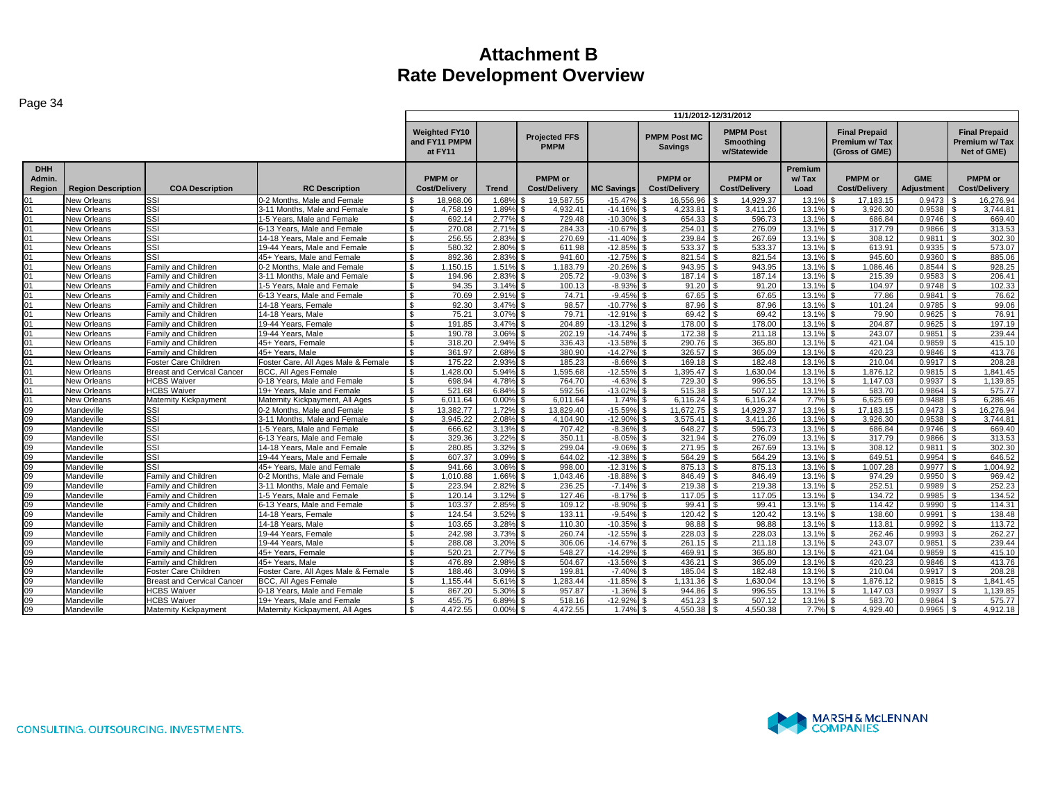| <b>PMPM Post</b><br><b>Weighted FY10</b><br><b>Final Prepaid</b><br><b>Final Prepaid</b><br><b>Projected FFS</b><br><b>PMPM Post MC</b><br>and FY11 PMPM<br>Smoothing<br>Premium w/Tax<br>Premium w/Tax<br><b>PMPM</b><br><b>Savings</b><br>Net of GME)<br>at FY11<br>w/Statewide<br>(Gross of GME)<br><b>DHH</b><br>Premium<br>PMPM or<br>Admin.<br><b>PMPM</b> or<br><b>PMPM</b> or<br><b>PMPM</b> or<br><b>PMPM</b> or<br>w/Tax<br><b>PMPM</b> or<br><b>GME</b><br>Region<br><b>COA Description</b><br><b>Cost/Delivery</b><br><b>MC Savings</b><br><b>Cost/Delivery</b><br><b>Cost/Delivery</b><br>Load<br><b>Cost/Delivery</b><br><b>Adjustment</b><br><b>Cost/Delivery</b><br><b>Region Description</b><br><b>RC Description</b><br><b>Cost/Delivery</b><br><b>Trend</b><br>SSI<br>18.968.06<br>1.68%<br>19.587.55<br>16,556.96<br>14.929.37<br>0.9473<br>New Orleans<br>0-2 Months. Male and Female<br>$-15.47%$<br>13.19<br>17,183.15<br>16,276.94<br>SSI<br>4,932.41<br>13.19<br>0.9538<br>3.744.81<br>New Orleans<br>3-11 Months, Male and Female<br>4,758.19<br>1.89%<br>$-14.169$<br>4.233.81<br>3,411.26<br>3,926.30<br><b>SSI</b><br>692.14<br>2.77%<br>729.48<br>$-10.30%$<br>654.33<br>596.73<br>13.1%<br>686.84<br>0.9746<br>669.40<br>$^{\circ}$<br>New Orleans<br>1-5 Years, Male and Female<br>-\$<br>l \$<br>SSI<br>254.01<br>13.1%<br>317.79<br>313.53<br>$^{\circ}$<br>New Orleans<br>6-13 Years. Male and Female<br>\$<br>270.08<br>2.71%<br>284.33<br>$-10.67%$<br>276.09<br>0.9866<br>l s<br>SSI<br>256.55<br>2.83%<br>270.69<br>$-11.409$<br>239.84<br>267.69<br>13.19<br>308.12<br>0.9811<br>302.30<br>01<br>New Orleans<br>14-18 Years, Male and Female<br>$\hat{\mathcal{L}}$<br>SSI<br>2.80%<br>611.98<br>$-12.85%$<br>533.37<br>533.37<br>13.19<br>0.9335<br>573.07<br>New Orleans<br>19-44 Years, Male and Female<br>580.32<br>613.91<br>01<br>-S<br>SSI<br>13.1%<br>885.06<br>New Orleans<br>45+ Years. Male and Female<br>892.36<br>2.83%<br>941.60<br>$-12.75%$<br>821.54<br>821.54<br>945.60<br>0.9360<br>$^{\circ}$<br>-\$<br>Family and Children<br>1.51%<br>1.183.79<br>$-20.26%$<br>943.95<br>943.95<br>13.1%<br>1.086.46<br>0.8544<br>928.25<br>New Orleans<br>0-2 Months. Male and Female<br>1.150.15<br>New Orleans<br>Family and Children<br>3-11 Months, Male and Female<br>194.96<br>2.83%<br>205.72<br>$-9.03%$<br>187.14<br>187.14<br>13.1%<br>215.39<br>0.9583<br>206.41<br>$\Omega$ 1<br>94.35<br>3.14%<br>$-8.93%$<br>91.20<br>13.1%<br>102.33<br>$^{\circ}$<br>New Orleans<br>Family and Children<br>1-5 Years. Male and Female<br>100.13<br>91.20<br>104.97<br>0.9748<br>. ድ<br>2.91%<br>67.65<br>13.1%<br><b>New Orleans</b><br>Family and Children<br>6-13 Years. Male and Female<br>70.69<br>74.71<br>$-9.45%$<br>67.65<br>77.86<br>0.9841<br>76.62<br>01<br>-S<br>98.57<br>14-18 Years, Female<br>92.30<br>3.47%<br>$-10.77%$<br>87.96<br>87.96<br>13.19<br>101.24<br>0.9785<br>99.06<br>$^{\circ}$<br>New Orleans<br>Family and Children<br>£.<br>69.42<br>Family and Children<br>14-18 Years, Male<br>75.21<br>3.07%<br>79.71<br>$-12.91%$<br>69.42<br>13.1%<br>79.90<br>0.9625<br>76.91<br>New Orleans<br>3.47%<br>204.89<br>$-13.12%$<br>178.00<br>178.00<br>13.1%<br>204.87<br>0.9625<br>197.19<br>$^{\circ}$<br>New Orleans<br>Family and Children<br>19-44 Years, Female<br>191.85<br>190.78<br>3.06%<br>202.19<br>$-14.74%$<br>172.38<br>211.18<br>13.19<br>243.07<br>0.9851<br>239.44<br>0 <sub>1</sub><br>New Orleans<br>Family and Children<br>19-44 Years, Male<br>2.94%<br>$-13.58%$<br>290.76<br>365.80<br>13.1%<br>0.9859<br>415.10<br>New Orleans<br>45+ Years. Female<br>318.20<br>336.43<br>421.04<br>01<br>Family and Children<br>$\mathbf{\$}$<br>361.97<br>2.68%<br>380.90<br>$-14.27%$<br>326.57<br>365.09<br>13.19<br>420.23<br>0.9846<br>413.76<br>New Orleans<br>Family and Children<br>45+ Years, Male<br>01<br>. ድ<br>Foster Care, All Ages Male & Female<br>2.93%<br>185.23<br>$-8.66%$<br>182.48<br>13.19<br>$0.9917$ \$<br>208.28<br>New Orleans<br>Foster Care Children<br>175.22<br>169.18<br>210.04<br>01<br>\$<br>5.94%<br>.595.68<br>$-12.55%$<br>1.395.47<br>13.1%<br>1.841.45<br>New Orleans<br><b>Breast and Cervical Cancer</b><br><b>BCC. All Ages Female</b><br>.428.00<br>.630.04<br>1.876.12<br>0.9815<br>$^{\circ}$<br>1.139.85<br>0 <sub>1</sub><br><b>HCBS Waiver</b><br>0-18 Years. Male and Female<br>698.94<br>4.78%<br>764.70<br>$-4.63%$<br>729.30<br>996.55<br>13.19<br>1.147.03<br>0.9937<br>New Orleans<br>\$.<br>592.56<br>13.1%<br>6.84%<br>$-13.02%$<br>515.38<br>507.12<br>583.70<br>0.9864<br>575.77<br>01<br>New Orleans<br><b>HCBS Waiver</b><br>19+ Years. Male and Female<br>521.68<br>\$<br>01<br>6.011.64<br>0.00%<br>6.011.64<br>6.116.24<br>6.116.24<br>7.7%<br>6.625.69<br>0.9488<br>6.286.46<br>New Orleans<br>Maternity Kickpayment<br>Maternity Kickpayment, All Ages<br>$\mathbf{R}$<br>1.74%<br>16,276.94<br>09<br><b>SSI</b><br>0-2 Months. Male and Female<br>\$<br>13.382.77<br>1.72%<br>13.829.40<br>$-15.59%$<br>11.672.75<br>14.929.37<br>13.19<br>17.183.15<br>0.9473<br>Mandeville<br>SSI<br>13.19<br>3.744.81<br>09<br>3-11 Months. Male and Female<br>3.945.22<br>2.08%<br>4.104.90<br>$-12.90%$<br>3.575.41<br>3.411.26<br>3.926.30<br>0.9538<br>Mandeville<br>$\mathfrak{L}$<br>SSI<br>09<br>1-5 Years, Male and Female<br>666.62<br>3.13%<br>707.42<br>$-8.36%$<br>648.27<br>596.73<br>13.1%<br>686.84<br>0.9746<br>669.40<br>Mandeville<br>. ድ<br>09<br>SSI<br>3.22%<br>350.11<br>321.94<br>276.09<br>13.1%<br>0.9866<br>313.53<br>Mandeville<br>6-13 Years, Male and Female<br>\$<br>329.36<br>$-8.05\%$ \$<br>317.79<br>SSI<br>09<br>299.04<br>$-9.06%$<br>271.95<br>267.69<br>$13.1^{\circ}$<br>308.12<br>0.9811<br>302.30<br>Mandeville<br>14-18 Years, Male and Female<br>-S<br>280.85<br>3.32%<br>09<br>SSI<br>644.02<br>$-12.389$<br>564.29<br>564.29<br>13.19<br>649.51<br>0.9954<br>646.52<br>19-44 Years, Male and Female<br>607.37<br>3.09%<br>Mandeville<br>-S<br>SSI<br>998.00<br>13.19<br>941.66<br>3.06%<br>$-12.31%$<br>875.13<br>875.13<br>1.007.28<br>0.9977<br>1.004.92<br>09<br>Mandeville<br>45+ Years. Male and Female<br>$\mathfrak{L}$<br>Family and Children<br>969.42<br>0-2 Months, Male and Female<br>1.010.88<br>1.66%<br>1.043.46<br>$-18.88%$<br>846.49<br>846.49<br>13.1%<br>974.29<br>0.9950<br>09<br>Mandeville<br>2.82%<br>236.25<br>219.38<br>219.38<br>13.1%<br>252.51<br>0.9989<br>252.23<br>09<br>Mandeville<br>3-11 Months, Male and Female<br>223.94<br>$-7.14%$<br>Family and Children<br>09<br>120.14<br>3.12%<br>127.46<br>$-8.17%$<br>117.05<br>117.05<br>13.19<br>134.72<br>0.9985<br>134.52<br>Mandeville<br>Family and Children<br>1-5 Years. Male and Female<br>$\mathbf{\$}$<br>99.41<br>09<br>2.85%<br>109.12<br>$-8.90%$<br>99.41<br>13.19<br>114.42<br>0.9990<br>114.31<br>Mandeville<br>Family and Children<br>6-13 Years, Male and Female<br>\$<br>103.37<br>120.42<br>138.60<br>138.48<br>09<br>Family and Children<br>14-18 Years, Female<br>\$<br>124.54<br>3.52%<br>133.11<br>$-9.54%$<br>120.42<br>$13.1^{\circ}$<br>0.9991<br>Mandeville<br>98.88<br>98.88<br>113.72<br>Family and Children<br>14-18 Years, Male<br>103.65<br>3.28%<br>110.30<br>$-10.35%$<br>13.19<br>113.81<br>0.9992<br>09<br>Mandeville<br>$-12.55%$<br>228.03<br>13.1%<br>262.27<br>09<br>242.98<br>3.73%<br>260.74<br>228.03<br>262.46<br>0.9993<br>Mandeville<br>Family and Children<br>19-44 Years, Female<br>09<br>Family and Children<br>19-44 Years, Male<br>288.08<br>3.20%<br>306.06<br>$-14.67%$<br>261.15<br>211.18<br>13.1%<br>243.07<br>0.9851<br>239.44<br>Mandeville<br>09<br>548.27<br>469.91<br>365.80<br>13.1%<br>415.10<br>Mandeville<br>Family and Children<br>45+ Years, Female<br>520.21<br>2.77%<br>$-14.29%$<br>421.04<br>0.9859<br>413.76<br>09<br>45+ Years, Male<br>476.89<br>2.98%<br>504.67<br>$-13.569$<br>436.21<br>365.09<br>13.19<br>420.23<br>0.9846<br>Mandeville<br>Family and Children<br>-S<br>l \$<br>09<br>Foster Care, All Ages Male & Female<br>3.09%<br>199.81<br>185.04<br>182.48<br>13.19<br>210.04<br>208.28<br>Mandeville<br>Foster Care Children<br>\$<br>188.46<br>$-7.40\%$ \$<br>\$.<br>$0.9917$ \$<br>1.155.44<br>1,283.44<br>$-11.85%$<br>1.131.36<br>13.1%<br>1.876.12<br>0.9815<br>1.841.45<br>09<br>Mandeville<br><b>Breast and Cervical Cancer</b><br><b>BCC. All Ages Female</b><br>5.61%<br>1.630.04<br><b>HCBS Waiver</b><br>867.20<br>5.30%<br>957.87<br>$-1.369$<br>944.86<br>996.55<br>13.19<br>1.147.03<br>0.9937<br>1,139.85<br>09<br>0-18 Years, Male and Female<br>Mandeville<br>$-12.92%$<br>451.23<br>13.1%<br>583.70<br>09<br>Mandeville<br><b>HCBS Waiver</b><br>19+ Years. Male and Female<br>455.75<br>6.89%<br>518.16<br>507.12<br>0.9864<br>575.77<br>\$<br>09<br>0.00%<br>4.550.38<br>4.550.38<br>4.929.40<br>4,912.18<br>Maternity Kickpayment, All Ages<br>$\mathfrak{s}$<br>4.472.55<br>4.472.55<br>1.74%<br>7.7%<br>0.9965<br>Mandeville<br>Maternity Kickpayment |  |  | 11/1/2012-12/31/2012 |  |  |  |  |  |  |  |  |  |
|-------------------------------------------------------------------------------------------------------------------------------------------------------------------------------------------------------------------------------------------------------------------------------------------------------------------------------------------------------------------------------------------------------------------------------------------------------------------------------------------------------------------------------------------------------------------------------------------------------------------------------------------------------------------------------------------------------------------------------------------------------------------------------------------------------------------------------------------------------------------------------------------------------------------------------------------------------------------------------------------------------------------------------------------------------------------------------------------------------------------------------------------------------------------------------------------------------------------------------------------------------------------------------------------------------------------------------------------------------------------------------------------------------------------------------------------------------------------------------------------------------------------------------------------------------------------------------------------------------------------------------------------------------------------------------------------------------------------------------------------------------------------------------------------------------------------------------------------------------------------------------------------------------------------------------------------------------------------------------------------------------------------------------------------------------------------------------------------------------------------------------------------------------------------------------------------------------------------------------------------------------------------------------------------------------------------------------------------------------------------------------------------------------------------------------------------------------------------------------------------------------------------------------------------------------------------------------------------------------------------------------------------------------------------------------------------------------------------------------------------------------------------------------------------------------------------------------------------------------------------------------------------------------------------------------------------------------------------------------------------------------------------------------------------------------------------------------------------------------------------------------------------------------------------------------------------------------------------------------------------------------------------------------------------------------------------------------------------------------------------------------------------------------------------------------------------------------------------------------------------------------------------------------------------------------------------------------------------------------------------------------------------------------------------------------------------------------------------------------------------------------------------------------------------------------------------------------------------------------------------------------------------------------------------------------------------------------------------------------------------------------------------------------------------------------------------------------------------------------------------------------------------------------------------------------------------------------------------------------------------------------------------------------------------------------------------------------------------------------------------------------------------------------------------------------------------------------------------------------------------------------------------------------------------------------------------------------------------------------------------------------------------------------------------------------------------------------------------------------------------------------------------------------------------------------------------------------------------------------------------------------------------------------------------------------------------------------------------------------------------------------------------------------------------------------------------------------------------------------------------------------------------------------------------------------------------------------------------------------------------------------------------------------------------------------------------------------------------------------------------------------------------------------------------------------------------------------------------------------------------------------------------------------------------------------------------------------------------------------------------------------------------------------------------------------------------------------------------------------------------------------------------------------------------------------------------------------------------------------------------------------------------------------------------------------------------------------------------------------------------------------------------------------------------------------------------------------------------------------------------------------------------------------------------------------------------------------------------------------------------------------------------------------------------------------------------------------------------------------------------------------------------------------------------------------------------------------------------------------------------------------------------------------------------------------------------------------------------------------------------------------------------------------------------------------------------------------------------------------------------------------------------------------------------------------------------------------------------------------------------------------------------------------------------------------------------------------------------------------------------------------------------------------------------------------------------------------------------------------------------------------------------------------------------------------------------------------------------------------------------------------------------------------------------------------------------------------------------------------------------------------------------------------------------------------------------------------------------------------------------------------------------------------------------------------------------------------------------------------------------------------------------------------------------------------------------------------------------------------------------------------------------------------------------------------------------------------------------------------------------------------------------------------------------------------------------------------------------------------------------------------------------------------------------------------------------------------------------------------------------------------------------------------------------------------------------------------------------------------------------------------------------------------------------------------------------------------------------------------------------------------------------------------------------------------------------------------------------------------------------------------------------------------------------------------------------------------------------------------------------------------------------------------------------------------------------------------------------------------------------------------------------------------------------------------------------------------------------------------------------------------------------------------------------------------------------------------------------------------------------------------------------------------------|--|--|----------------------|--|--|--|--|--|--|--|--|--|
|                                                                                                                                                                                                                                                                                                                                                                                                                                                                                                                                                                                                                                                                                                                                                                                                                                                                                                                                                                                                                                                                                                                                                                                                                                                                                                                                                                                                                                                                                                                                                                                                                                                                                                                                                                                                                                                                                                                                                                                                                                                                                                                                                                                                                                                                                                                                                                                                                                                                                                                                                                                                                                                                                                                                                                                                                                                                                                                                                                                                                                                                                                                                                                                                                                                                                                                                                                                                                                                                                                                                                                                                                                                                                                                                                                                                                                                                                                                                                                                                                                                                                                                                                                                                                                                                                                                                                                                                                                                                                                                                                                                                                                                                                                                                                                                                                                                                                                                                                                                                                                                                                                                                                                                                                                                                                                                                                                                                                                                                                                                                                                                                                                                                                                                                                                                                                                                                                                                                                                                                                                                                                                                                                                                                                                                                                                                                                                                                                                                                                                                                                                                                                                                                                                                                                                                                                                                                                                                                                                                                                                                                                                                                                                                                                                                                                                                                                                                                                                                                                                                                                                                                                                                                                                                                                                                                                                                                                                                                                                                                                                                                                                                                                                                                                                                                                                                                                                                                                                                                                                                                                                                                                                                                                                                                                                                                                                                                                                                                                                                                                                     |  |  |                      |  |  |  |  |  |  |  |  |  |
|                                                                                                                                                                                                                                                                                                                                                                                                                                                                                                                                                                                                                                                                                                                                                                                                                                                                                                                                                                                                                                                                                                                                                                                                                                                                                                                                                                                                                                                                                                                                                                                                                                                                                                                                                                                                                                                                                                                                                                                                                                                                                                                                                                                                                                                                                                                                                                                                                                                                                                                                                                                                                                                                                                                                                                                                                                                                                                                                                                                                                                                                                                                                                                                                                                                                                                                                                                                                                                                                                                                                                                                                                                                                                                                                                                                                                                                                                                                                                                                                                                                                                                                                                                                                                                                                                                                                                                                                                                                                                                                                                                                                                                                                                                                                                                                                                                                                                                                                                                                                                                                                                                                                                                                                                                                                                                                                                                                                                                                                                                                                                                                                                                                                                                                                                                                                                                                                                                                                                                                                                                                                                                                                                                                                                                                                                                                                                                                                                                                                                                                                                                                                                                                                                                                                                                                                                                                                                                                                                                                                                                                                                                                                                                                                                                                                                                                                                                                                                                                                                                                                                                                                                                                                                                                                                                                                                                                                                                                                                                                                                                                                                                                                                                                                                                                                                                                                                                                                                                                                                                                                                                                                                                                                                                                                                                                                                                                                                                                                                                                                                                     |  |  |                      |  |  |  |  |  |  |  |  |  |
|                                                                                                                                                                                                                                                                                                                                                                                                                                                                                                                                                                                                                                                                                                                                                                                                                                                                                                                                                                                                                                                                                                                                                                                                                                                                                                                                                                                                                                                                                                                                                                                                                                                                                                                                                                                                                                                                                                                                                                                                                                                                                                                                                                                                                                                                                                                                                                                                                                                                                                                                                                                                                                                                                                                                                                                                                                                                                                                                                                                                                                                                                                                                                                                                                                                                                                                                                                                                                                                                                                                                                                                                                                                                                                                                                                                                                                                                                                                                                                                                                                                                                                                                                                                                                                                                                                                                                                                                                                                                                                                                                                                                                                                                                                                                                                                                                                                                                                                                                                                                                                                                                                                                                                                                                                                                                                                                                                                                                                                                                                                                                                                                                                                                                                                                                                                                                                                                                                                                                                                                                                                                                                                                                                                                                                                                                                                                                                                                                                                                                                                                                                                                                                                                                                                                                                                                                                                                                                                                                                                                                                                                                                                                                                                                                                                                                                                                                                                                                                                                                                                                                                                                                                                                                                                                                                                                                                                                                                                                                                                                                                                                                                                                                                                                                                                                                                                                                                                                                                                                                                                                                                                                                                                                                                                                                                                                                                                                                                                                                                                                                                     |  |  |                      |  |  |  |  |  |  |  |  |  |
|                                                                                                                                                                                                                                                                                                                                                                                                                                                                                                                                                                                                                                                                                                                                                                                                                                                                                                                                                                                                                                                                                                                                                                                                                                                                                                                                                                                                                                                                                                                                                                                                                                                                                                                                                                                                                                                                                                                                                                                                                                                                                                                                                                                                                                                                                                                                                                                                                                                                                                                                                                                                                                                                                                                                                                                                                                                                                                                                                                                                                                                                                                                                                                                                                                                                                                                                                                                                                                                                                                                                                                                                                                                                                                                                                                                                                                                                                                                                                                                                                                                                                                                                                                                                                                                                                                                                                                                                                                                                                                                                                                                                                                                                                                                                                                                                                                                                                                                                                                                                                                                                                                                                                                                                                                                                                                                                                                                                                                                                                                                                                                                                                                                                                                                                                                                                                                                                                                                                                                                                                                                                                                                                                                                                                                                                                                                                                                                                                                                                                                                                                                                                                                                                                                                                                                                                                                                                                                                                                                                                                                                                                                                                                                                                                                                                                                                                                                                                                                                                                                                                                                                                                                                                                                                                                                                                                                                                                                                                                                                                                                                                                                                                                                                                                                                                                                                                                                                                                                                                                                                                                                                                                                                                                                                                                                                                                                                                                                                                                                                                                                     |  |  |                      |  |  |  |  |  |  |  |  |  |
|                                                                                                                                                                                                                                                                                                                                                                                                                                                                                                                                                                                                                                                                                                                                                                                                                                                                                                                                                                                                                                                                                                                                                                                                                                                                                                                                                                                                                                                                                                                                                                                                                                                                                                                                                                                                                                                                                                                                                                                                                                                                                                                                                                                                                                                                                                                                                                                                                                                                                                                                                                                                                                                                                                                                                                                                                                                                                                                                                                                                                                                                                                                                                                                                                                                                                                                                                                                                                                                                                                                                                                                                                                                                                                                                                                                                                                                                                                                                                                                                                                                                                                                                                                                                                                                                                                                                                                                                                                                                                                                                                                                                                                                                                                                                                                                                                                                                                                                                                                                                                                                                                                                                                                                                                                                                                                                                                                                                                                                                                                                                                                                                                                                                                                                                                                                                                                                                                                                                                                                                                                                                                                                                                                                                                                                                                                                                                                                                                                                                                                                                                                                                                                                                                                                                                                                                                                                                                                                                                                                                                                                                                                                                                                                                                                                                                                                                                                                                                                                                                                                                                                                                                                                                                                                                                                                                                                                                                                                                                                                                                                                                                                                                                                                                                                                                                                                                                                                                                                                                                                                                                                                                                                                                                                                                                                                                                                                                                                                                                                                                                                     |  |  |                      |  |  |  |  |  |  |  |  |  |
|                                                                                                                                                                                                                                                                                                                                                                                                                                                                                                                                                                                                                                                                                                                                                                                                                                                                                                                                                                                                                                                                                                                                                                                                                                                                                                                                                                                                                                                                                                                                                                                                                                                                                                                                                                                                                                                                                                                                                                                                                                                                                                                                                                                                                                                                                                                                                                                                                                                                                                                                                                                                                                                                                                                                                                                                                                                                                                                                                                                                                                                                                                                                                                                                                                                                                                                                                                                                                                                                                                                                                                                                                                                                                                                                                                                                                                                                                                                                                                                                                                                                                                                                                                                                                                                                                                                                                                                                                                                                                                                                                                                                                                                                                                                                                                                                                                                                                                                                                                                                                                                                                                                                                                                                                                                                                                                                                                                                                                                                                                                                                                                                                                                                                                                                                                                                                                                                                                                                                                                                                                                                                                                                                                                                                                                                                                                                                                                                                                                                                                                                                                                                                                                                                                                                                                                                                                                                                                                                                                                                                                                                                                                                                                                                                                                                                                                                                                                                                                                                                                                                                                                                                                                                                                                                                                                                                                                                                                                                                                                                                                                                                                                                                                                                                                                                                                                                                                                                                                                                                                                                                                                                                                                                                                                                                                                                                                                                                                                                                                                                                                     |  |  |                      |  |  |  |  |  |  |  |  |  |
|                                                                                                                                                                                                                                                                                                                                                                                                                                                                                                                                                                                                                                                                                                                                                                                                                                                                                                                                                                                                                                                                                                                                                                                                                                                                                                                                                                                                                                                                                                                                                                                                                                                                                                                                                                                                                                                                                                                                                                                                                                                                                                                                                                                                                                                                                                                                                                                                                                                                                                                                                                                                                                                                                                                                                                                                                                                                                                                                                                                                                                                                                                                                                                                                                                                                                                                                                                                                                                                                                                                                                                                                                                                                                                                                                                                                                                                                                                                                                                                                                                                                                                                                                                                                                                                                                                                                                                                                                                                                                                                                                                                                                                                                                                                                                                                                                                                                                                                                                                                                                                                                                                                                                                                                                                                                                                                                                                                                                                                                                                                                                                                                                                                                                                                                                                                                                                                                                                                                                                                                                                                                                                                                                                                                                                                                                                                                                                                                                                                                                                                                                                                                                                                                                                                                                                                                                                                                                                                                                                                                                                                                                                                                                                                                                                                                                                                                                                                                                                                                                                                                                                                                                                                                                                                                                                                                                                                                                                                                                                                                                                                                                                                                                                                                                                                                                                                                                                                                                                                                                                                                                                                                                                                                                                                                                                                                                                                                                                                                                                                                                                     |  |  |                      |  |  |  |  |  |  |  |  |  |
|                                                                                                                                                                                                                                                                                                                                                                                                                                                                                                                                                                                                                                                                                                                                                                                                                                                                                                                                                                                                                                                                                                                                                                                                                                                                                                                                                                                                                                                                                                                                                                                                                                                                                                                                                                                                                                                                                                                                                                                                                                                                                                                                                                                                                                                                                                                                                                                                                                                                                                                                                                                                                                                                                                                                                                                                                                                                                                                                                                                                                                                                                                                                                                                                                                                                                                                                                                                                                                                                                                                                                                                                                                                                                                                                                                                                                                                                                                                                                                                                                                                                                                                                                                                                                                                                                                                                                                                                                                                                                                                                                                                                                                                                                                                                                                                                                                                                                                                                                                                                                                                                                                                                                                                                                                                                                                                                                                                                                                                                                                                                                                                                                                                                                                                                                                                                                                                                                                                                                                                                                                                                                                                                                                                                                                                                                                                                                                                                                                                                                                                                                                                                                                                                                                                                                                                                                                                                                                                                                                                                                                                                                                                                                                                                                                                                                                                                                                                                                                                                                                                                                                                                                                                                                                                                                                                                                                                                                                                                                                                                                                                                                                                                                                                                                                                                                                                                                                                                                                                                                                                                                                                                                                                                                                                                                                                                                                                                                                                                                                                                                                     |  |  |                      |  |  |  |  |  |  |  |  |  |
|                                                                                                                                                                                                                                                                                                                                                                                                                                                                                                                                                                                                                                                                                                                                                                                                                                                                                                                                                                                                                                                                                                                                                                                                                                                                                                                                                                                                                                                                                                                                                                                                                                                                                                                                                                                                                                                                                                                                                                                                                                                                                                                                                                                                                                                                                                                                                                                                                                                                                                                                                                                                                                                                                                                                                                                                                                                                                                                                                                                                                                                                                                                                                                                                                                                                                                                                                                                                                                                                                                                                                                                                                                                                                                                                                                                                                                                                                                                                                                                                                                                                                                                                                                                                                                                                                                                                                                                                                                                                                                                                                                                                                                                                                                                                                                                                                                                                                                                                                                                                                                                                                                                                                                                                                                                                                                                                                                                                                                                                                                                                                                                                                                                                                                                                                                                                                                                                                                                                                                                                                                                                                                                                                                                                                                                                                                                                                                                                                                                                                                                                                                                                                                                                                                                                                                                                                                                                                                                                                                                                                                                                                                                                                                                                                                                                                                                                                                                                                                                                                                                                                                                                                                                                                                                                                                                                                                                                                                                                                                                                                                                                                                                                                                                                                                                                                                                                                                                                                                                                                                                                                                                                                                                                                                                                                                                                                                                                                                                                                                                                                                     |  |  |                      |  |  |  |  |  |  |  |  |  |
|                                                                                                                                                                                                                                                                                                                                                                                                                                                                                                                                                                                                                                                                                                                                                                                                                                                                                                                                                                                                                                                                                                                                                                                                                                                                                                                                                                                                                                                                                                                                                                                                                                                                                                                                                                                                                                                                                                                                                                                                                                                                                                                                                                                                                                                                                                                                                                                                                                                                                                                                                                                                                                                                                                                                                                                                                                                                                                                                                                                                                                                                                                                                                                                                                                                                                                                                                                                                                                                                                                                                                                                                                                                                                                                                                                                                                                                                                                                                                                                                                                                                                                                                                                                                                                                                                                                                                                                                                                                                                                                                                                                                                                                                                                                                                                                                                                                                                                                                                                                                                                                                                                                                                                                                                                                                                                                                                                                                                                                                                                                                                                                                                                                                                                                                                                                                                                                                                                                                                                                                                                                                                                                                                                                                                                                                                                                                                                                                                                                                                                                                                                                                                                                                                                                                                                                                                                                                                                                                                                                                                                                                                                                                                                                                                                                                                                                                                                                                                                                                                                                                                                                                                                                                                                                                                                                                                                                                                                                                                                                                                                                                                                                                                                                                                                                                                                                                                                                                                                                                                                                                                                                                                                                                                                                                                                                                                                                                                                                                                                                                                                     |  |  |                      |  |  |  |  |  |  |  |  |  |
|                                                                                                                                                                                                                                                                                                                                                                                                                                                                                                                                                                                                                                                                                                                                                                                                                                                                                                                                                                                                                                                                                                                                                                                                                                                                                                                                                                                                                                                                                                                                                                                                                                                                                                                                                                                                                                                                                                                                                                                                                                                                                                                                                                                                                                                                                                                                                                                                                                                                                                                                                                                                                                                                                                                                                                                                                                                                                                                                                                                                                                                                                                                                                                                                                                                                                                                                                                                                                                                                                                                                                                                                                                                                                                                                                                                                                                                                                                                                                                                                                                                                                                                                                                                                                                                                                                                                                                                                                                                                                                                                                                                                                                                                                                                                                                                                                                                                                                                                                                                                                                                                                                                                                                                                                                                                                                                                                                                                                                                                                                                                                                                                                                                                                                                                                                                                                                                                                                                                                                                                                                                                                                                                                                                                                                                                                                                                                                                                                                                                                                                                                                                                                                                                                                                                                                                                                                                                                                                                                                                                                                                                                                                                                                                                                                                                                                                                                                                                                                                                                                                                                                                                                                                                                                                                                                                                                                                                                                                                                                                                                                                                                                                                                                                                                                                                                                                                                                                                                                                                                                                                                                                                                                                                                                                                                                                                                                                                                                                                                                                                                                     |  |  |                      |  |  |  |  |  |  |  |  |  |
|                                                                                                                                                                                                                                                                                                                                                                                                                                                                                                                                                                                                                                                                                                                                                                                                                                                                                                                                                                                                                                                                                                                                                                                                                                                                                                                                                                                                                                                                                                                                                                                                                                                                                                                                                                                                                                                                                                                                                                                                                                                                                                                                                                                                                                                                                                                                                                                                                                                                                                                                                                                                                                                                                                                                                                                                                                                                                                                                                                                                                                                                                                                                                                                                                                                                                                                                                                                                                                                                                                                                                                                                                                                                                                                                                                                                                                                                                                                                                                                                                                                                                                                                                                                                                                                                                                                                                                                                                                                                                                                                                                                                                                                                                                                                                                                                                                                                                                                                                                                                                                                                                                                                                                                                                                                                                                                                                                                                                                                                                                                                                                                                                                                                                                                                                                                                                                                                                                                                                                                                                                                                                                                                                                                                                                                                                                                                                                                                                                                                                                                                                                                                                                                                                                                                                                                                                                                                                                                                                                                                                                                                                                                                                                                                                                                                                                                                                                                                                                                                                                                                                                                                                                                                                                                                                                                                                                                                                                                                                                                                                                                                                                                                                                                                                                                                                                                                                                                                                                                                                                                                                                                                                                                                                                                                                                                                                                                                                                                                                                                                                                     |  |  |                      |  |  |  |  |  |  |  |  |  |
|                                                                                                                                                                                                                                                                                                                                                                                                                                                                                                                                                                                                                                                                                                                                                                                                                                                                                                                                                                                                                                                                                                                                                                                                                                                                                                                                                                                                                                                                                                                                                                                                                                                                                                                                                                                                                                                                                                                                                                                                                                                                                                                                                                                                                                                                                                                                                                                                                                                                                                                                                                                                                                                                                                                                                                                                                                                                                                                                                                                                                                                                                                                                                                                                                                                                                                                                                                                                                                                                                                                                                                                                                                                                                                                                                                                                                                                                                                                                                                                                                                                                                                                                                                                                                                                                                                                                                                                                                                                                                                                                                                                                                                                                                                                                                                                                                                                                                                                                                                                                                                                                                                                                                                                                                                                                                                                                                                                                                                                                                                                                                                                                                                                                                                                                                                                                                                                                                                                                                                                                                                                                                                                                                                                                                                                                                                                                                                                                                                                                                                                                                                                                                                                                                                                                                                                                                                                                                                                                                                                                                                                                                                                                                                                                                                                                                                                                                                                                                                                                                                                                                                                                                                                                                                                                                                                                                                                                                                                                                                                                                                                                                                                                                                                                                                                                                                                                                                                                                                                                                                                                                                                                                                                                                                                                                                                                                                                                                                                                                                                                                                     |  |  |                      |  |  |  |  |  |  |  |  |  |
|                                                                                                                                                                                                                                                                                                                                                                                                                                                                                                                                                                                                                                                                                                                                                                                                                                                                                                                                                                                                                                                                                                                                                                                                                                                                                                                                                                                                                                                                                                                                                                                                                                                                                                                                                                                                                                                                                                                                                                                                                                                                                                                                                                                                                                                                                                                                                                                                                                                                                                                                                                                                                                                                                                                                                                                                                                                                                                                                                                                                                                                                                                                                                                                                                                                                                                                                                                                                                                                                                                                                                                                                                                                                                                                                                                                                                                                                                                                                                                                                                                                                                                                                                                                                                                                                                                                                                                                                                                                                                                                                                                                                                                                                                                                                                                                                                                                                                                                                                                                                                                                                                                                                                                                                                                                                                                                                                                                                                                                                                                                                                                                                                                                                                                                                                                                                                                                                                                                                                                                                                                                                                                                                                                                                                                                                                                                                                                                                                                                                                                                                                                                                                                                                                                                                                                                                                                                                                                                                                                                                                                                                                                                                                                                                                                                                                                                                                                                                                                                                                                                                                                                                                                                                                                                                                                                                                                                                                                                                                                                                                                                                                                                                                                                                                                                                                                                                                                                                                                                                                                                                                                                                                                                                                                                                                                                                                                                                                                                                                                                                                                     |  |  |                      |  |  |  |  |  |  |  |  |  |
|                                                                                                                                                                                                                                                                                                                                                                                                                                                                                                                                                                                                                                                                                                                                                                                                                                                                                                                                                                                                                                                                                                                                                                                                                                                                                                                                                                                                                                                                                                                                                                                                                                                                                                                                                                                                                                                                                                                                                                                                                                                                                                                                                                                                                                                                                                                                                                                                                                                                                                                                                                                                                                                                                                                                                                                                                                                                                                                                                                                                                                                                                                                                                                                                                                                                                                                                                                                                                                                                                                                                                                                                                                                                                                                                                                                                                                                                                                                                                                                                                                                                                                                                                                                                                                                                                                                                                                                                                                                                                                                                                                                                                                                                                                                                                                                                                                                                                                                                                                                                                                                                                                                                                                                                                                                                                                                                                                                                                                                                                                                                                                                                                                                                                                                                                                                                                                                                                                                                                                                                                                                                                                                                                                                                                                                                                                                                                                                                                                                                                                                                                                                                                                                                                                                                                                                                                                                                                                                                                                                                                                                                                                                                                                                                                                                                                                                                                                                                                                                                                                                                                                                                                                                                                                                                                                                                                                                                                                                                                                                                                                                                                                                                                                                                                                                                                                                                                                                                                                                                                                                                                                                                                                                                                                                                                                                                                                                                                                                                                                                                                                     |  |  |                      |  |  |  |  |  |  |  |  |  |
|                                                                                                                                                                                                                                                                                                                                                                                                                                                                                                                                                                                                                                                                                                                                                                                                                                                                                                                                                                                                                                                                                                                                                                                                                                                                                                                                                                                                                                                                                                                                                                                                                                                                                                                                                                                                                                                                                                                                                                                                                                                                                                                                                                                                                                                                                                                                                                                                                                                                                                                                                                                                                                                                                                                                                                                                                                                                                                                                                                                                                                                                                                                                                                                                                                                                                                                                                                                                                                                                                                                                                                                                                                                                                                                                                                                                                                                                                                                                                                                                                                                                                                                                                                                                                                                                                                                                                                                                                                                                                                                                                                                                                                                                                                                                                                                                                                                                                                                                                                                                                                                                                                                                                                                                                                                                                                                                                                                                                                                                                                                                                                                                                                                                                                                                                                                                                                                                                                                                                                                                                                                                                                                                                                                                                                                                                                                                                                                                                                                                                                                                                                                                                                                                                                                                                                                                                                                                                                                                                                                                                                                                                                                                                                                                                                                                                                                                                                                                                                                                                                                                                                                                                                                                                                                                                                                                                                                                                                                                                                                                                                                                                                                                                                                                                                                                                                                                                                                                                                                                                                                                                                                                                                                                                                                                                                                                                                                                                                                                                                                                                                     |  |  |                      |  |  |  |  |  |  |  |  |  |
|                                                                                                                                                                                                                                                                                                                                                                                                                                                                                                                                                                                                                                                                                                                                                                                                                                                                                                                                                                                                                                                                                                                                                                                                                                                                                                                                                                                                                                                                                                                                                                                                                                                                                                                                                                                                                                                                                                                                                                                                                                                                                                                                                                                                                                                                                                                                                                                                                                                                                                                                                                                                                                                                                                                                                                                                                                                                                                                                                                                                                                                                                                                                                                                                                                                                                                                                                                                                                                                                                                                                                                                                                                                                                                                                                                                                                                                                                                                                                                                                                                                                                                                                                                                                                                                                                                                                                                                                                                                                                                                                                                                                                                                                                                                                                                                                                                                                                                                                                                                                                                                                                                                                                                                                                                                                                                                                                                                                                                                                                                                                                                                                                                                                                                                                                                                                                                                                                                                                                                                                                                                                                                                                                                                                                                                                                                                                                                                                                                                                                                                                                                                                                                                                                                                                                                                                                                                                                                                                                                                                                                                                                                                                                                                                                                                                                                                                                                                                                                                                                                                                                                                                                                                                                                                                                                                                                                                                                                                                                                                                                                                                                                                                                                                                                                                                                                                                                                                                                                                                                                                                                                                                                                                                                                                                                                                                                                                                                                                                                                                                                                     |  |  |                      |  |  |  |  |  |  |  |  |  |
|                                                                                                                                                                                                                                                                                                                                                                                                                                                                                                                                                                                                                                                                                                                                                                                                                                                                                                                                                                                                                                                                                                                                                                                                                                                                                                                                                                                                                                                                                                                                                                                                                                                                                                                                                                                                                                                                                                                                                                                                                                                                                                                                                                                                                                                                                                                                                                                                                                                                                                                                                                                                                                                                                                                                                                                                                                                                                                                                                                                                                                                                                                                                                                                                                                                                                                                                                                                                                                                                                                                                                                                                                                                                                                                                                                                                                                                                                                                                                                                                                                                                                                                                                                                                                                                                                                                                                                                                                                                                                                                                                                                                                                                                                                                                                                                                                                                                                                                                                                                                                                                                                                                                                                                                                                                                                                                                                                                                                                                                                                                                                                                                                                                                                                                                                                                                                                                                                                                                                                                                                                                                                                                                                                                                                                                                                                                                                                                                                                                                                                                                                                                                                                                                                                                                                                                                                                                                                                                                                                                                                                                                                                                                                                                                                                                                                                                                                                                                                                                                                                                                                                                                                                                                                                                                                                                                                                                                                                                                                                                                                                                                                                                                                                                                                                                                                                                                                                                                                                                                                                                                                                                                                                                                                                                                                                                                                                                                                                                                                                                                                                     |  |  |                      |  |  |  |  |  |  |  |  |  |
|                                                                                                                                                                                                                                                                                                                                                                                                                                                                                                                                                                                                                                                                                                                                                                                                                                                                                                                                                                                                                                                                                                                                                                                                                                                                                                                                                                                                                                                                                                                                                                                                                                                                                                                                                                                                                                                                                                                                                                                                                                                                                                                                                                                                                                                                                                                                                                                                                                                                                                                                                                                                                                                                                                                                                                                                                                                                                                                                                                                                                                                                                                                                                                                                                                                                                                                                                                                                                                                                                                                                                                                                                                                                                                                                                                                                                                                                                                                                                                                                                                                                                                                                                                                                                                                                                                                                                                                                                                                                                                                                                                                                                                                                                                                                                                                                                                                                                                                                                                                                                                                                                                                                                                                                                                                                                                                                                                                                                                                                                                                                                                                                                                                                                                                                                                                                                                                                                                                                                                                                                                                                                                                                                                                                                                                                                                                                                                                                                                                                                                                                                                                                                                                                                                                                                                                                                                                                                                                                                                                                                                                                                                                                                                                                                                                                                                                                                                                                                                                                                                                                                                                                                                                                                                                                                                                                                                                                                                                                                                                                                                                                                                                                                                                                                                                                                                                                                                                                                                                                                                                                                                                                                                                                                                                                                                                                                                                                                                                                                                                                                                     |  |  |                      |  |  |  |  |  |  |  |  |  |
|                                                                                                                                                                                                                                                                                                                                                                                                                                                                                                                                                                                                                                                                                                                                                                                                                                                                                                                                                                                                                                                                                                                                                                                                                                                                                                                                                                                                                                                                                                                                                                                                                                                                                                                                                                                                                                                                                                                                                                                                                                                                                                                                                                                                                                                                                                                                                                                                                                                                                                                                                                                                                                                                                                                                                                                                                                                                                                                                                                                                                                                                                                                                                                                                                                                                                                                                                                                                                                                                                                                                                                                                                                                                                                                                                                                                                                                                                                                                                                                                                                                                                                                                                                                                                                                                                                                                                                                                                                                                                                                                                                                                                                                                                                                                                                                                                                                                                                                                                                                                                                                                                                                                                                                                                                                                                                                                                                                                                                                                                                                                                                                                                                                                                                                                                                                                                                                                                                                                                                                                                                                                                                                                                                                                                                                                                                                                                                                                                                                                                                                                                                                                                                                                                                                                                                                                                                                                                                                                                                                                                                                                                                                                                                                                                                                                                                                                                                                                                                                                                                                                                                                                                                                                                                                                                                                                                                                                                                                                                                                                                                                                                                                                                                                                                                                                                                                                                                                                                                                                                                                                                                                                                                                                                                                                                                                                                                                                                                                                                                                                                                     |  |  |                      |  |  |  |  |  |  |  |  |  |
|                                                                                                                                                                                                                                                                                                                                                                                                                                                                                                                                                                                                                                                                                                                                                                                                                                                                                                                                                                                                                                                                                                                                                                                                                                                                                                                                                                                                                                                                                                                                                                                                                                                                                                                                                                                                                                                                                                                                                                                                                                                                                                                                                                                                                                                                                                                                                                                                                                                                                                                                                                                                                                                                                                                                                                                                                                                                                                                                                                                                                                                                                                                                                                                                                                                                                                                                                                                                                                                                                                                                                                                                                                                                                                                                                                                                                                                                                                                                                                                                                                                                                                                                                                                                                                                                                                                                                                                                                                                                                                                                                                                                                                                                                                                                                                                                                                                                                                                                                                                                                                                                                                                                                                                                                                                                                                                                                                                                                                                                                                                                                                                                                                                                                                                                                                                                                                                                                                                                                                                                                                                                                                                                                                                                                                                                                                                                                                                                                                                                                                                                                                                                                                                                                                                                                                                                                                                                                                                                                                                                                                                                                                                                                                                                                                                                                                                                                                                                                                                                                                                                                                                                                                                                                                                                                                                                                                                                                                                                                                                                                                                                                                                                                                                                                                                                                                                                                                                                                                                                                                                                                                                                                                                                                                                                                                                                                                                                                                                                                                                                                                     |  |  |                      |  |  |  |  |  |  |  |  |  |
|                                                                                                                                                                                                                                                                                                                                                                                                                                                                                                                                                                                                                                                                                                                                                                                                                                                                                                                                                                                                                                                                                                                                                                                                                                                                                                                                                                                                                                                                                                                                                                                                                                                                                                                                                                                                                                                                                                                                                                                                                                                                                                                                                                                                                                                                                                                                                                                                                                                                                                                                                                                                                                                                                                                                                                                                                                                                                                                                                                                                                                                                                                                                                                                                                                                                                                                                                                                                                                                                                                                                                                                                                                                                                                                                                                                                                                                                                                                                                                                                                                                                                                                                                                                                                                                                                                                                                                                                                                                                                                                                                                                                                                                                                                                                                                                                                                                                                                                                                                                                                                                                                                                                                                                                                                                                                                                                                                                                                                                                                                                                                                                                                                                                                                                                                                                                                                                                                                                                                                                                                                                                                                                                                                                                                                                                                                                                                                                                                                                                                                                                                                                                                                                                                                                                                                                                                                                                                                                                                                                                                                                                                                                                                                                                                                                                                                                                                                                                                                                                                                                                                                                                                                                                                                                                                                                                                                                                                                                                                                                                                                                                                                                                                                                                                                                                                                                                                                                                                                                                                                                                                                                                                                                                                                                                                                                                                                                                                                                                                                                                                                     |  |  |                      |  |  |  |  |  |  |  |  |  |
|                                                                                                                                                                                                                                                                                                                                                                                                                                                                                                                                                                                                                                                                                                                                                                                                                                                                                                                                                                                                                                                                                                                                                                                                                                                                                                                                                                                                                                                                                                                                                                                                                                                                                                                                                                                                                                                                                                                                                                                                                                                                                                                                                                                                                                                                                                                                                                                                                                                                                                                                                                                                                                                                                                                                                                                                                                                                                                                                                                                                                                                                                                                                                                                                                                                                                                                                                                                                                                                                                                                                                                                                                                                                                                                                                                                                                                                                                                                                                                                                                                                                                                                                                                                                                                                                                                                                                                                                                                                                                                                                                                                                                                                                                                                                                                                                                                                                                                                                                                                                                                                                                                                                                                                                                                                                                                                                                                                                                                                                                                                                                                                                                                                                                                                                                                                                                                                                                                                                                                                                                                                                                                                                                                                                                                                                                                                                                                                                                                                                                                                                                                                                                                                                                                                                                                                                                                                                                                                                                                                                                                                                                                                                                                                                                                                                                                                                                                                                                                                                                                                                                                                                                                                                                                                                                                                                                                                                                                                                                                                                                                                                                                                                                                                                                                                                                                                                                                                                                                                                                                                                                                                                                                                                                                                                                                                                                                                                                                                                                                                                                                     |  |  |                      |  |  |  |  |  |  |  |  |  |
|                                                                                                                                                                                                                                                                                                                                                                                                                                                                                                                                                                                                                                                                                                                                                                                                                                                                                                                                                                                                                                                                                                                                                                                                                                                                                                                                                                                                                                                                                                                                                                                                                                                                                                                                                                                                                                                                                                                                                                                                                                                                                                                                                                                                                                                                                                                                                                                                                                                                                                                                                                                                                                                                                                                                                                                                                                                                                                                                                                                                                                                                                                                                                                                                                                                                                                                                                                                                                                                                                                                                                                                                                                                                                                                                                                                                                                                                                                                                                                                                                                                                                                                                                                                                                                                                                                                                                                                                                                                                                                                                                                                                                                                                                                                                                                                                                                                                                                                                                                                                                                                                                                                                                                                                                                                                                                                                                                                                                                                                                                                                                                                                                                                                                                                                                                                                                                                                                                                                                                                                                                                                                                                                                                                                                                                                                                                                                                                                                                                                                                                                                                                                                                                                                                                                                                                                                                                                                                                                                                                                                                                                                                                                                                                                                                                                                                                                                                                                                                                                                                                                                                                                                                                                                                                                                                                                                                                                                                                                                                                                                                                                                                                                                                                                                                                                                                                                                                                                                                                                                                                                                                                                                                                                                                                                                                                                                                                                                                                                                                                                                                     |  |  |                      |  |  |  |  |  |  |  |  |  |
|                                                                                                                                                                                                                                                                                                                                                                                                                                                                                                                                                                                                                                                                                                                                                                                                                                                                                                                                                                                                                                                                                                                                                                                                                                                                                                                                                                                                                                                                                                                                                                                                                                                                                                                                                                                                                                                                                                                                                                                                                                                                                                                                                                                                                                                                                                                                                                                                                                                                                                                                                                                                                                                                                                                                                                                                                                                                                                                                                                                                                                                                                                                                                                                                                                                                                                                                                                                                                                                                                                                                                                                                                                                                                                                                                                                                                                                                                                                                                                                                                                                                                                                                                                                                                                                                                                                                                                                                                                                                                                                                                                                                                                                                                                                                                                                                                                                                                                                                                                                                                                                                                                                                                                                                                                                                                                                                                                                                                                                                                                                                                                                                                                                                                                                                                                                                                                                                                                                                                                                                                                                                                                                                                                                                                                                                                                                                                                                                                                                                                                                                                                                                                                                                                                                                                                                                                                                                                                                                                                                                                                                                                                                                                                                                                                                                                                                                                                                                                                                                                                                                                                                                                                                                                                                                                                                                                                                                                                                                                                                                                                                                                                                                                                                                                                                                                                                                                                                                                                                                                                                                                                                                                                                                                                                                                                                                                                                                                                                                                                                                                                     |  |  |                      |  |  |  |  |  |  |  |  |  |
|                                                                                                                                                                                                                                                                                                                                                                                                                                                                                                                                                                                                                                                                                                                                                                                                                                                                                                                                                                                                                                                                                                                                                                                                                                                                                                                                                                                                                                                                                                                                                                                                                                                                                                                                                                                                                                                                                                                                                                                                                                                                                                                                                                                                                                                                                                                                                                                                                                                                                                                                                                                                                                                                                                                                                                                                                                                                                                                                                                                                                                                                                                                                                                                                                                                                                                                                                                                                                                                                                                                                                                                                                                                                                                                                                                                                                                                                                                                                                                                                                                                                                                                                                                                                                                                                                                                                                                                                                                                                                                                                                                                                                                                                                                                                                                                                                                                                                                                                                                                                                                                                                                                                                                                                                                                                                                                                                                                                                                                                                                                                                                                                                                                                                                                                                                                                                                                                                                                                                                                                                                                                                                                                                                                                                                                                                                                                                                                                                                                                                                                                                                                                                                                                                                                                                                                                                                                                                                                                                                                                                                                                                                                                                                                                                                                                                                                                                                                                                                                                                                                                                                                                                                                                                                                                                                                                                                                                                                                                                                                                                                                                                                                                                                                                                                                                                                                                                                                                                                                                                                                                                                                                                                                                                                                                                                                                                                                                                                                                                                                                                                     |  |  |                      |  |  |  |  |  |  |  |  |  |
|                                                                                                                                                                                                                                                                                                                                                                                                                                                                                                                                                                                                                                                                                                                                                                                                                                                                                                                                                                                                                                                                                                                                                                                                                                                                                                                                                                                                                                                                                                                                                                                                                                                                                                                                                                                                                                                                                                                                                                                                                                                                                                                                                                                                                                                                                                                                                                                                                                                                                                                                                                                                                                                                                                                                                                                                                                                                                                                                                                                                                                                                                                                                                                                                                                                                                                                                                                                                                                                                                                                                                                                                                                                                                                                                                                                                                                                                                                                                                                                                                                                                                                                                                                                                                                                                                                                                                                                                                                                                                                                                                                                                                                                                                                                                                                                                                                                                                                                                                                                                                                                                                                                                                                                                                                                                                                                                                                                                                                                                                                                                                                                                                                                                                                                                                                                                                                                                                                                                                                                                                                                                                                                                                                                                                                                                                                                                                                                                                                                                                                                                                                                                                                                                                                                                                                                                                                                                                                                                                                                                                                                                                                                                                                                                                                                                                                                                                                                                                                                                                                                                                                                                                                                                                                                                                                                                                                                                                                                                                                                                                                                                                                                                                                                                                                                                                                                                                                                                                                                                                                                                                                                                                                                                                                                                                                                                                                                                                                                                                                                                                                     |  |  |                      |  |  |  |  |  |  |  |  |  |
|                                                                                                                                                                                                                                                                                                                                                                                                                                                                                                                                                                                                                                                                                                                                                                                                                                                                                                                                                                                                                                                                                                                                                                                                                                                                                                                                                                                                                                                                                                                                                                                                                                                                                                                                                                                                                                                                                                                                                                                                                                                                                                                                                                                                                                                                                                                                                                                                                                                                                                                                                                                                                                                                                                                                                                                                                                                                                                                                                                                                                                                                                                                                                                                                                                                                                                                                                                                                                                                                                                                                                                                                                                                                                                                                                                                                                                                                                                                                                                                                                                                                                                                                                                                                                                                                                                                                                                                                                                                                                                                                                                                                                                                                                                                                                                                                                                                                                                                                                                                                                                                                                                                                                                                                                                                                                                                                                                                                                                                                                                                                                                                                                                                                                                                                                                                                                                                                                                                                                                                                                                                                                                                                                                                                                                                                                                                                                                                                                                                                                                                                                                                                                                                                                                                                                                                                                                                                                                                                                                                                                                                                                                                                                                                                                                                                                                                                                                                                                                                                                                                                                                                                                                                                                                                                                                                                                                                                                                                                                                                                                                                                                                                                                                                                                                                                                                                                                                                                                                                                                                                                                                                                                                                                                                                                                                                                                                                                                                                                                                                                                                     |  |  |                      |  |  |  |  |  |  |  |  |  |
|                                                                                                                                                                                                                                                                                                                                                                                                                                                                                                                                                                                                                                                                                                                                                                                                                                                                                                                                                                                                                                                                                                                                                                                                                                                                                                                                                                                                                                                                                                                                                                                                                                                                                                                                                                                                                                                                                                                                                                                                                                                                                                                                                                                                                                                                                                                                                                                                                                                                                                                                                                                                                                                                                                                                                                                                                                                                                                                                                                                                                                                                                                                                                                                                                                                                                                                                                                                                                                                                                                                                                                                                                                                                                                                                                                                                                                                                                                                                                                                                                                                                                                                                                                                                                                                                                                                                                                                                                                                                                                                                                                                                                                                                                                                                                                                                                                                                                                                                                                                                                                                                                                                                                                                                                                                                                                                                                                                                                                                                                                                                                                                                                                                                                                                                                                                                                                                                                                                                                                                                                                                                                                                                                                                                                                                                                                                                                                                                                                                                                                                                                                                                                                                                                                                                                                                                                                                                                                                                                                                                                                                                                                                                                                                                                                                                                                                                                                                                                                                                                                                                                                                                                                                                                                                                                                                                                                                                                                                                                                                                                                                                                                                                                                                                                                                                                                                                                                                                                                                                                                                                                                                                                                                                                                                                                                                                                                                                                                                                                                                                                                     |  |  |                      |  |  |  |  |  |  |  |  |  |
|                                                                                                                                                                                                                                                                                                                                                                                                                                                                                                                                                                                                                                                                                                                                                                                                                                                                                                                                                                                                                                                                                                                                                                                                                                                                                                                                                                                                                                                                                                                                                                                                                                                                                                                                                                                                                                                                                                                                                                                                                                                                                                                                                                                                                                                                                                                                                                                                                                                                                                                                                                                                                                                                                                                                                                                                                                                                                                                                                                                                                                                                                                                                                                                                                                                                                                                                                                                                                                                                                                                                                                                                                                                                                                                                                                                                                                                                                                                                                                                                                                                                                                                                                                                                                                                                                                                                                                                                                                                                                                                                                                                                                                                                                                                                                                                                                                                                                                                                                                                                                                                                                                                                                                                                                                                                                                                                                                                                                                                                                                                                                                                                                                                                                                                                                                                                                                                                                                                                                                                                                                                                                                                                                                                                                                                                                                                                                                                                                                                                                                                                                                                                                                                                                                                                                                                                                                                                                                                                                                                                                                                                                                                                                                                                                                                                                                                                                                                                                                                                                                                                                                                                                                                                                                                                                                                                                                                                                                                                                                                                                                                                                                                                                                                                                                                                                                                                                                                                                                                                                                                                                                                                                                                                                                                                                                                                                                                                                                                                                                                                                                     |  |  |                      |  |  |  |  |  |  |  |  |  |
|                                                                                                                                                                                                                                                                                                                                                                                                                                                                                                                                                                                                                                                                                                                                                                                                                                                                                                                                                                                                                                                                                                                                                                                                                                                                                                                                                                                                                                                                                                                                                                                                                                                                                                                                                                                                                                                                                                                                                                                                                                                                                                                                                                                                                                                                                                                                                                                                                                                                                                                                                                                                                                                                                                                                                                                                                                                                                                                                                                                                                                                                                                                                                                                                                                                                                                                                                                                                                                                                                                                                                                                                                                                                                                                                                                                                                                                                                                                                                                                                                                                                                                                                                                                                                                                                                                                                                                                                                                                                                                                                                                                                                                                                                                                                                                                                                                                                                                                                                                                                                                                                                                                                                                                                                                                                                                                                                                                                                                                                                                                                                                                                                                                                                                                                                                                                                                                                                                                                                                                                                                                                                                                                                                                                                                                                                                                                                                                                                                                                                                                                                                                                                                                                                                                                                                                                                                                                                                                                                                                                                                                                                                                                                                                                                                                                                                                                                                                                                                                                                                                                                                                                                                                                                                                                                                                                                                                                                                                                                                                                                                                                                                                                                                                                                                                                                                                                                                                                                                                                                                                                                                                                                                                                                                                                                                                                                                                                                                                                                                                                                                     |  |  |                      |  |  |  |  |  |  |  |  |  |
|                                                                                                                                                                                                                                                                                                                                                                                                                                                                                                                                                                                                                                                                                                                                                                                                                                                                                                                                                                                                                                                                                                                                                                                                                                                                                                                                                                                                                                                                                                                                                                                                                                                                                                                                                                                                                                                                                                                                                                                                                                                                                                                                                                                                                                                                                                                                                                                                                                                                                                                                                                                                                                                                                                                                                                                                                                                                                                                                                                                                                                                                                                                                                                                                                                                                                                                                                                                                                                                                                                                                                                                                                                                                                                                                                                                                                                                                                                                                                                                                                                                                                                                                                                                                                                                                                                                                                                                                                                                                                                                                                                                                                                                                                                                                                                                                                                                                                                                                                                                                                                                                                                                                                                                                                                                                                                                                                                                                                                                                                                                                                                                                                                                                                                                                                                                                                                                                                                                                                                                                                                                                                                                                                                                                                                                                                                                                                                                                                                                                                                                                                                                                                                                                                                                                                                                                                                                                                                                                                                                                                                                                                                                                                                                                                                                                                                                                                                                                                                                                                                                                                                                                                                                                                                                                                                                                                                                                                                                                                                                                                                                                                                                                                                                                                                                                                                                                                                                                                                                                                                                                                                                                                                                                                                                                                                                                                                                                                                                                                                                                                                     |  |  |                      |  |  |  |  |  |  |  |  |  |
|                                                                                                                                                                                                                                                                                                                                                                                                                                                                                                                                                                                                                                                                                                                                                                                                                                                                                                                                                                                                                                                                                                                                                                                                                                                                                                                                                                                                                                                                                                                                                                                                                                                                                                                                                                                                                                                                                                                                                                                                                                                                                                                                                                                                                                                                                                                                                                                                                                                                                                                                                                                                                                                                                                                                                                                                                                                                                                                                                                                                                                                                                                                                                                                                                                                                                                                                                                                                                                                                                                                                                                                                                                                                                                                                                                                                                                                                                                                                                                                                                                                                                                                                                                                                                                                                                                                                                                                                                                                                                                                                                                                                                                                                                                                                                                                                                                                                                                                                                                                                                                                                                                                                                                                                                                                                                                                                                                                                                                                                                                                                                                                                                                                                                                                                                                                                                                                                                                                                                                                                                                                                                                                                                                                                                                                                                                                                                                                                                                                                                                                                                                                                                                                                                                                                                                                                                                                                                                                                                                                                                                                                                                                                                                                                                                                                                                                                                                                                                                                                                                                                                                                                                                                                                                                                                                                                                                                                                                                                                                                                                                                                                                                                                                                                                                                                                                                                                                                                                                                                                                                                                                                                                                                                                                                                                                                                                                                                                                                                                                                                                                     |  |  |                      |  |  |  |  |  |  |  |  |  |
|                                                                                                                                                                                                                                                                                                                                                                                                                                                                                                                                                                                                                                                                                                                                                                                                                                                                                                                                                                                                                                                                                                                                                                                                                                                                                                                                                                                                                                                                                                                                                                                                                                                                                                                                                                                                                                                                                                                                                                                                                                                                                                                                                                                                                                                                                                                                                                                                                                                                                                                                                                                                                                                                                                                                                                                                                                                                                                                                                                                                                                                                                                                                                                                                                                                                                                                                                                                                                                                                                                                                                                                                                                                                                                                                                                                                                                                                                                                                                                                                                                                                                                                                                                                                                                                                                                                                                                                                                                                                                                                                                                                                                                                                                                                                                                                                                                                                                                                                                                                                                                                                                                                                                                                                                                                                                                                                                                                                                                                                                                                                                                                                                                                                                                                                                                                                                                                                                                                                                                                                                                                                                                                                                                                                                                                                                                                                                                                                                                                                                                                                                                                                                                                                                                                                                                                                                                                                                                                                                                                                                                                                                                                                                                                                                                                                                                                                                                                                                                                                                                                                                                                                                                                                                                                                                                                                                                                                                                                                                                                                                                                                                                                                                                                                                                                                                                                                                                                                                                                                                                                                                                                                                                                                                                                                                                                                                                                                                                                                                                                                                                     |  |  |                      |  |  |  |  |  |  |  |  |  |
|                                                                                                                                                                                                                                                                                                                                                                                                                                                                                                                                                                                                                                                                                                                                                                                                                                                                                                                                                                                                                                                                                                                                                                                                                                                                                                                                                                                                                                                                                                                                                                                                                                                                                                                                                                                                                                                                                                                                                                                                                                                                                                                                                                                                                                                                                                                                                                                                                                                                                                                                                                                                                                                                                                                                                                                                                                                                                                                                                                                                                                                                                                                                                                                                                                                                                                                                                                                                                                                                                                                                                                                                                                                                                                                                                                                                                                                                                                                                                                                                                                                                                                                                                                                                                                                                                                                                                                                                                                                                                                                                                                                                                                                                                                                                                                                                                                                                                                                                                                                                                                                                                                                                                                                                                                                                                                                                                                                                                                                                                                                                                                                                                                                                                                                                                                                                                                                                                                                                                                                                                                                                                                                                                                                                                                                                                                                                                                                                                                                                                                                                                                                                                                                                                                                                                                                                                                                                                                                                                                                                                                                                                                                                                                                                                                                                                                                                                                                                                                                                                                                                                                                                                                                                                                                                                                                                                                                                                                                                                                                                                                                                                                                                                                                                                                                                                                                                                                                                                                                                                                                                                                                                                                                                                                                                                                                                                                                                                                                                                                                                                                     |  |  |                      |  |  |  |  |  |  |  |  |  |
|                                                                                                                                                                                                                                                                                                                                                                                                                                                                                                                                                                                                                                                                                                                                                                                                                                                                                                                                                                                                                                                                                                                                                                                                                                                                                                                                                                                                                                                                                                                                                                                                                                                                                                                                                                                                                                                                                                                                                                                                                                                                                                                                                                                                                                                                                                                                                                                                                                                                                                                                                                                                                                                                                                                                                                                                                                                                                                                                                                                                                                                                                                                                                                                                                                                                                                                                                                                                                                                                                                                                                                                                                                                                                                                                                                                                                                                                                                                                                                                                                                                                                                                                                                                                                                                                                                                                                                                                                                                                                                                                                                                                                                                                                                                                                                                                                                                                                                                                                                                                                                                                                                                                                                                                                                                                                                                                                                                                                                                                                                                                                                                                                                                                                                                                                                                                                                                                                                                                                                                                                                                                                                                                                                                                                                                                                                                                                                                                                                                                                                                                                                                                                                                                                                                                                                                                                                                                                                                                                                                                                                                                                                                                                                                                                                                                                                                                                                                                                                                                                                                                                                                                                                                                                                                                                                                                                                                                                                                                                                                                                                                                                                                                                                                                                                                                                                                                                                                                                                                                                                                                                                                                                                                                                                                                                                                                                                                                                                                                                                                                                                     |  |  |                      |  |  |  |  |  |  |  |  |  |
|                                                                                                                                                                                                                                                                                                                                                                                                                                                                                                                                                                                                                                                                                                                                                                                                                                                                                                                                                                                                                                                                                                                                                                                                                                                                                                                                                                                                                                                                                                                                                                                                                                                                                                                                                                                                                                                                                                                                                                                                                                                                                                                                                                                                                                                                                                                                                                                                                                                                                                                                                                                                                                                                                                                                                                                                                                                                                                                                                                                                                                                                                                                                                                                                                                                                                                                                                                                                                                                                                                                                                                                                                                                                                                                                                                                                                                                                                                                                                                                                                                                                                                                                                                                                                                                                                                                                                                                                                                                                                                                                                                                                                                                                                                                                                                                                                                                                                                                                                                                                                                                                                                                                                                                                                                                                                                                                                                                                                                                                                                                                                                                                                                                                                                                                                                                                                                                                                                                                                                                                                                                                                                                                                                                                                                                                                                                                                                                                                                                                                                                                                                                                                                                                                                                                                                                                                                                                                                                                                                                                                                                                                                                                                                                                                                                                                                                                                                                                                                                                                                                                                                                                                                                                                                                                                                                                                                                                                                                                                                                                                                                                                                                                                                                                                                                                                                                                                                                                                                                                                                                                                                                                                                                                                                                                                                                                                                                                                                                                                                                                                                     |  |  |                      |  |  |  |  |  |  |  |  |  |
|                                                                                                                                                                                                                                                                                                                                                                                                                                                                                                                                                                                                                                                                                                                                                                                                                                                                                                                                                                                                                                                                                                                                                                                                                                                                                                                                                                                                                                                                                                                                                                                                                                                                                                                                                                                                                                                                                                                                                                                                                                                                                                                                                                                                                                                                                                                                                                                                                                                                                                                                                                                                                                                                                                                                                                                                                                                                                                                                                                                                                                                                                                                                                                                                                                                                                                                                                                                                                                                                                                                                                                                                                                                                                                                                                                                                                                                                                                                                                                                                                                                                                                                                                                                                                                                                                                                                                                                                                                                                                                                                                                                                                                                                                                                                                                                                                                                                                                                                                                                                                                                                                                                                                                                                                                                                                                                                                                                                                                                                                                                                                                                                                                                                                                                                                                                                                                                                                                                                                                                                                                                                                                                                                                                                                                                                                                                                                                                                                                                                                                                                                                                                                                                                                                                                                                                                                                                                                                                                                                                                                                                                                                                                                                                                                                                                                                                                                                                                                                                                                                                                                                                                                                                                                                                                                                                                                                                                                                                                                                                                                                                                                                                                                                                                                                                                                                                                                                                                                                                                                                                                                                                                                                                                                                                                                                                                                                                                                                                                                                                                                                     |  |  |                      |  |  |  |  |  |  |  |  |  |
|                                                                                                                                                                                                                                                                                                                                                                                                                                                                                                                                                                                                                                                                                                                                                                                                                                                                                                                                                                                                                                                                                                                                                                                                                                                                                                                                                                                                                                                                                                                                                                                                                                                                                                                                                                                                                                                                                                                                                                                                                                                                                                                                                                                                                                                                                                                                                                                                                                                                                                                                                                                                                                                                                                                                                                                                                                                                                                                                                                                                                                                                                                                                                                                                                                                                                                                                                                                                                                                                                                                                                                                                                                                                                                                                                                                                                                                                                                                                                                                                                                                                                                                                                                                                                                                                                                                                                                                                                                                                                                                                                                                                                                                                                                                                                                                                                                                                                                                                                                                                                                                                                                                                                                                                                                                                                                                                                                                                                                                                                                                                                                                                                                                                                                                                                                                                                                                                                                                                                                                                                                                                                                                                                                                                                                                                                                                                                                                                                                                                                                                                                                                                                                                                                                                                                                                                                                                                                                                                                                                                                                                                                                                                                                                                                                                                                                                                                                                                                                                                                                                                                                                                                                                                                                                                                                                                                                                                                                                                                                                                                                                                                                                                                                                                                                                                                                                                                                                                                                                                                                                                                                                                                                                                                                                                                                                                                                                                                                                                                                                                                                     |  |  |                      |  |  |  |  |  |  |  |  |  |
|                                                                                                                                                                                                                                                                                                                                                                                                                                                                                                                                                                                                                                                                                                                                                                                                                                                                                                                                                                                                                                                                                                                                                                                                                                                                                                                                                                                                                                                                                                                                                                                                                                                                                                                                                                                                                                                                                                                                                                                                                                                                                                                                                                                                                                                                                                                                                                                                                                                                                                                                                                                                                                                                                                                                                                                                                                                                                                                                                                                                                                                                                                                                                                                                                                                                                                                                                                                                                                                                                                                                                                                                                                                                                                                                                                                                                                                                                                                                                                                                                                                                                                                                                                                                                                                                                                                                                                                                                                                                                                                                                                                                                                                                                                                                                                                                                                                                                                                                                                                                                                                                                                                                                                                                                                                                                                                                                                                                                                                                                                                                                                                                                                                                                                                                                                                                                                                                                                                                                                                                                                                                                                                                                                                                                                                                                                                                                                                                                                                                                                                                                                                                                                                                                                                                                                                                                                                                                                                                                                                                                                                                                                                                                                                                                                                                                                                                                                                                                                                                                                                                                                                                                                                                                                                                                                                                                                                                                                                                                                                                                                                                                                                                                                                                                                                                                                                                                                                                                                                                                                                                                                                                                                                                                                                                                                                                                                                                                                                                                                                                                                     |  |  |                      |  |  |  |  |  |  |  |  |  |
|                                                                                                                                                                                                                                                                                                                                                                                                                                                                                                                                                                                                                                                                                                                                                                                                                                                                                                                                                                                                                                                                                                                                                                                                                                                                                                                                                                                                                                                                                                                                                                                                                                                                                                                                                                                                                                                                                                                                                                                                                                                                                                                                                                                                                                                                                                                                                                                                                                                                                                                                                                                                                                                                                                                                                                                                                                                                                                                                                                                                                                                                                                                                                                                                                                                                                                                                                                                                                                                                                                                                                                                                                                                                                                                                                                                                                                                                                                                                                                                                                                                                                                                                                                                                                                                                                                                                                                                                                                                                                                                                                                                                                                                                                                                                                                                                                                                                                                                                                                                                                                                                                                                                                                                                                                                                                                                                                                                                                                                                                                                                                                                                                                                                                                                                                                                                                                                                                                                                                                                                                                                                                                                                                                                                                                                                                                                                                                                                                                                                                                                                                                                                                                                                                                                                                                                                                                                                                                                                                                                                                                                                                                                                                                                                                                                                                                                                                                                                                                                                                                                                                                                                                                                                                                                                                                                                                                                                                                                                                                                                                                                                                                                                                                                                                                                                                                                                                                                                                                                                                                                                                                                                                                                                                                                                                                                                                                                                                                                                                                                                                                     |  |  |                      |  |  |  |  |  |  |  |  |  |
|                                                                                                                                                                                                                                                                                                                                                                                                                                                                                                                                                                                                                                                                                                                                                                                                                                                                                                                                                                                                                                                                                                                                                                                                                                                                                                                                                                                                                                                                                                                                                                                                                                                                                                                                                                                                                                                                                                                                                                                                                                                                                                                                                                                                                                                                                                                                                                                                                                                                                                                                                                                                                                                                                                                                                                                                                                                                                                                                                                                                                                                                                                                                                                                                                                                                                                                                                                                                                                                                                                                                                                                                                                                                                                                                                                                                                                                                                                                                                                                                                                                                                                                                                                                                                                                                                                                                                                                                                                                                                                                                                                                                                                                                                                                                                                                                                                                                                                                                                                                                                                                                                                                                                                                                                                                                                                                                                                                                                                                                                                                                                                                                                                                                                                                                                                                                                                                                                                                                                                                                                                                                                                                                                                                                                                                                                                                                                                                                                                                                                                                                                                                                                                                                                                                                                                                                                                                                                                                                                                                                                                                                                                                                                                                                                                                                                                                                                                                                                                                                                                                                                                                                                                                                                                                                                                                                                                                                                                                                                                                                                                                                                                                                                                                                                                                                                                                                                                                                                                                                                                                                                                                                                                                                                                                                                                                                                                                                                                                                                                                                                                     |  |  |                      |  |  |  |  |  |  |  |  |  |
|                                                                                                                                                                                                                                                                                                                                                                                                                                                                                                                                                                                                                                                                                                                                                                                                                                                                                                                                                                                                                                                                                                                                                                                                                                                                                                                                                                                                                                                                                                                                                                                                                                                                                                                                                                                                                                                                                                                                                                                                                                                                                                                                                                                                                                                                                                                                                                                                                                                                                                                                                                                                                                                                                                                                                                                                                                                                                                                                                                                                                                                                                                                                                                                                                                                                                                                                                                                                                                                                                                                                                                                                                                                                                                                                                                                                                                                                                                                                                                                                                                                                                                                                                                                                                                                                                                                                                                                                                                                                                                                                                                                                                                                                                                                                                                                                                                                                                                                                                                                                                                                                                                                                                                                                                                                                                                                                                                                                                                                                                                                                                                                                                                                                                                                                                                                                                                                                                                                                                                                                                                                                                                                                                                                                                                                                                                                                                                                                                                                                                                                                                                                                                                                                                                                                                                                                                                                                                                                                                                                                                                                                                                                                                                                                                                                                                                                                                                                                                                                                                                                                                                                                                                                                                                                                                                                                                                                                                                                                                                                                                                                                                                                                                                                                                                                                                                                                                                                                                                                                                                                                                                                                                                                                                                                                                                                                                                                                                                                                                                                                                                     |  |  |                      |  |  |  |  |  |  |  |  |  |
|                                                                                                                                                                                                                                                                                                                                                                                                                                                                                                                                                                                                                                                                                                                                                                                                                                                                                                                                                                                                                                                                                                                                                                                                                                                                                                                                                                                                                                                                                                                                                                                                                                                                                                                                                                                                                                                                                                                                                                                                                                                                                                                                                                                                                                                                                                                                                                                                                                                                                                                                                                                                                                                                                                                                                                                                                                                                                                                                                                                                                                                                                                                                                                                                                                                                                                                                                                                                                                                                                                                                                                                                                                                                                                                                                                                                                                                                                                                                                                                                                                                                                                                                                                                                                                                                                                                                                                                                                                                                                                                                                                                                                                                                                                                                                                                                                                                                                                                                                                                                                                                                                                                                                                                                                                                                                                                                                                                                                                                                                                                                                                                                                                                                                                                                                                                                                                                                                                                                                                                                                                                                                                                                                                                                                                                                                                                                                                                                                                                                                                                                                                                                                                                                                                                                                                                                                                                                                                                                                                                                                                                                                                                                                                                                                                                                                                                                                                                                                                                                                                                                                                                                                                                                                                                                                                                                                                                                                                                                                                                                                                                                                                                                                                                                                                                                                                                                                                                                                                                                                                                                                                                                                                                                                                                                                                                                                                                                                                                                                                                                                                     |  |  |                      |  |  |  |  |  |  |  |  |  |
|                                                                                                                                                                                                                                                                                                                                                                                                                                                                                                                                                                                                                                                                                                                                                                                                                                                                                                                                                                                                                                                                                                                                                                                                                                                                                                                                                                                                                                                                                                                                                                                                                                                                                                                                                                                                                                                                                                                                                                                                                                                                                                                                                                                                                                                                                                                                                                                                                                                                                                                                                                                                                                                                                                                                                                                                                                                                                                                                                                                                                                                                                                                                                                                                                                                                                                                                                                                                                                                                                                                                                                                                                                                                                                                                                                                                                                                                                                                                                                                                                                                                                                                                                                                                                                                                                                                                                                                                                                                                                                                                                                                                                                                                                                                                                                                                                                                                                                                                                                                                                                                                                                                                                                                                                                                                                                                                                                                                                                                                                                                                                                                                                                                                                                                                                                                                                                                                                                                                                                                                                                                                                                                                                                                                                                                                                                                                                                                                                                                                                                                                                                                                                                                                                                                                                                                                                                                                                                                                                                                                                                                                                                                                                                                                                                                                                                                                                                                                                                                                                                                                                                                                                                                                                                                                                                                                                                                                                                                                                                                                                                                                                                                                                                                                                                                                                                                                                                                                                                                                                                                                                                                                                                                                                                                                                                                                                                                                                                                                                                                                                                     |  |  |                      |  |  |  |  |  |  |  |  |  |
|                                                                                                                                                                                                                                                                                                                                                                                                                                                                                                                                                                                                                                                                                                                                                                                                                                                                                                                                                                                                                                                                                                                                                                                                                                                                                                                                                                                                                                                                                                                                                                                                                                                                                                                                                                                                                                                                                                                                                                                                                                                                                                                                                                                                                                                                                                                                                                                                                                                                                                                                                                                                                                                                                                                                                                                                                                                                                                                                                                                                                                                                                                                                                                                                                                                                                                                                                                                                                                                                                                                                                                                                                                                                                                                                                                                                                                                                                                                                                                                                                                                                                                                                                                                                                                                                                                                                                                                                                                                                                                                                                                                                                                                                                                                                                                                                                                                                                                                                                                                                                                                                                                                                                                                                                                                                                                                                                                                                                                                                                                                                                                                                                                                                                                                                                                                                                                                                                                                                                                                                                                                                                                                                                                                                                                                                                                                                                                                                                                                                                                                                                                                                                                                                                                                                                                                                                                                                                                                                                                                                                                                                                                                                                                                                                                                                                                                                                                                                                                                                                                                                                                                                                                                                                                                                                                                                                                                                                                                                                                                                                                                                                                                                                                                                                                                                                                                                                                                                                                                                                                                                                                                                                                                                                                                                                                                                                                                                                                                                                                                                                                     |  |  |                      |  |  |  |  |  |  |  |  |  |

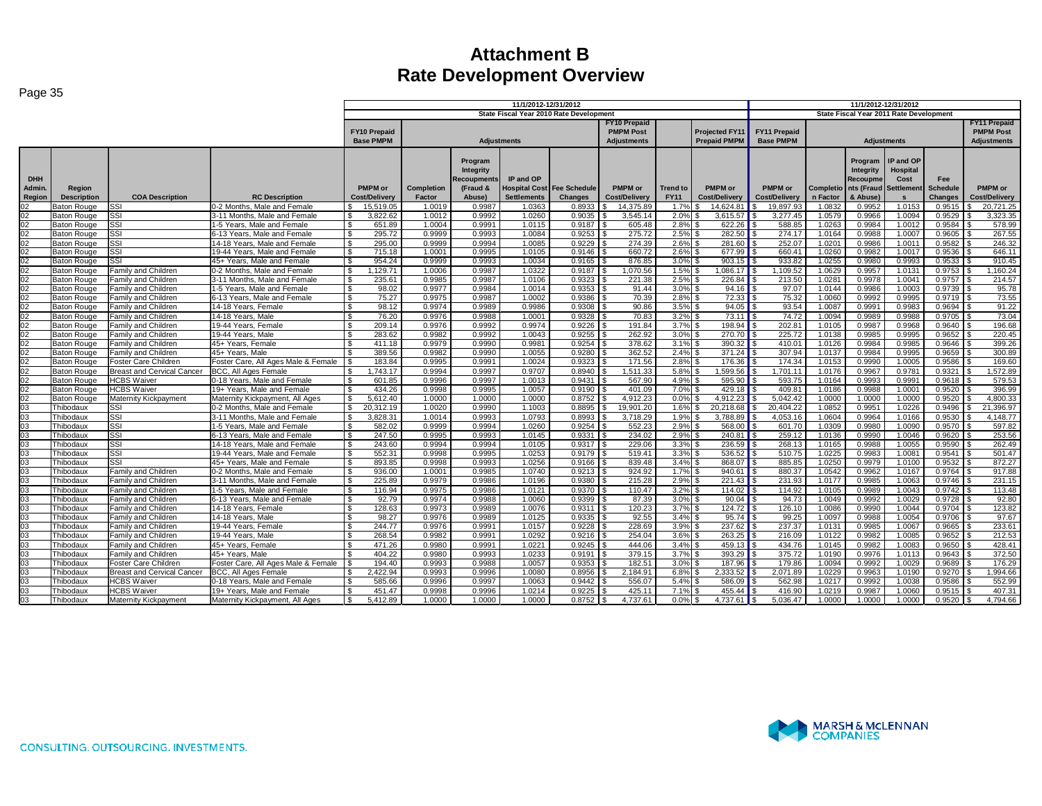| raye oo                        |                                          |                                          |                                                               |                                  |                      |                                                           |                                         |                                              |                                                               |                                |                                              |                                         |                  |                                                                                 |                                               |                                          |                                                               |
|--------------------------------|------------------------------------------|------------------------------------------|---------------------------------------------------------------|----------------------------------|----------------------|-----------------------------------------------------------|-----------------------------------------|----------------------------------------------|---------------------------------------------------------------|--------------------------------|----------------------------------------------|-----------------------------------------|------------------|---------------------------------------------------------------------------------|-----------------------------------------------|------------------------------------------|---------------------------------------------------------------|
|                                |                                          |                                          |                                                               |                                  |                      |                                                           | 11/1/2012-12/31/2012                    |                                              |                                                               |                                |                                              |                                         |                  |                                                                                 | 11/1/2012-12/31/2012                          |                                          |                                                               |
|                                |                                          |                                          |                                                               |                                  |                      |                                                           | State Fiscal Year 2010 Rate Development |                                              |                                                               |                                |                                              |                                         |                  | State Fiscal Year 2011 Rate Development                                         |                                               |                                          |                                                               |
|                                |                                          |                                          |                                                               | FY10 Prepaid<br><b>Base PMPM</b> |                      |                                                           | <b>Adjustments</b>                      |                                              | <b>FY10 Prepaid</b><br><b>PMPM Post</b><br><b>Adjustments</b> |                                | <b>Projected FY11</b><br><b>Prepaid PMPM</b> | <b>FY11 Prepaid</b><br><b>Base PMPM</b> |                  |                                                                                 | <b>Adiustments</b>                            |                                          | <b>FY11 Prepaid</b><br><b>PMPM Post</b><br><b>Adjustments</b> |
|                                |                                          |                                          |                                                               |                                  |                      |                                                           |                                         |                                              |                                                               |                                |                                              |                                         |                  |                                                                                 |                                               |                                          |                                                               |
| <b>DHH</b><br>Admin.<br>Region | Region<br><b>Description</b>             | <b>COA Description</b>                   | <b>RC Description</b>                                         | PMPM or<br><b>Cost/Delivery</b>  | Completion<br>Factor | Program<br>Integrity<br>Recoupments<br>(Fraud &<br>Abuse) | IP and OP<br><b>Settlements</b>         | <b>Hospital Cost Fee Schedule</b><br>Changes | PMPM or<br>Cost/Delivery                                      | <b>Trend to</b><br><b>FY11</b> | <b>PMPM</b> or<br><b>Cost/Delivery</b>       | <b>PMPM</b> or<br>Cost/Delivery         | n Factor         | Program<br>Integrity<br>Recoupme<br>Completio nts (Fraud Settlement<br>& Abuse) | IP and OP<br>Hospital<br>Cost<br>$\mathbf{s}$ | Fee<br><b>Schedule</b><br><b>Changes</b> | <b>PMPM</b> or<br><b>Cost/Delivery</b>                        |
| 02                             | <b>Baton Rouge</b>                       | <b>SSI</b>                               | 0-2 Months. Male and Female                                   | 15,519.05<br>S.                  | 1.0019               | 0.9987                                                    | 1.0363                                  | 0.8933                                       | 14,375.89                                                     | 1.7%                           | 14,624.81                                    | 19,897.93                               | 1.0832           | 0.9952                                                                          | 1.0153                                        | 0.9515                                   | 20,721.25                                                     |
| 02                             | <b>Baton Rouge</b>                       | <b>SSI</b>                               | 3-11 Months. Male and Female                                  | 3,822.62<br>I S                  | 1.0012               | 0.9992                                                    | 1.0260                                  | 0.9035                                       | 3.545.14                                                      | 2.0%                           | 3,615.57                                     | 3.277.45                                | 1.0579           | 0.9966                                                                          | 1.0094                                        | 0.9529                                   | 3,323.35                                                      |
| 02                             | <b>Baton Rouge</b>                       | Issi                                     | 1-5 Years. Male and Female                                    | 651.89<br>- \$                   | 1.0004               | 0.9991                                                    | 1.0115                                  | 0.9187                                       | 605.48                                                        | 2.8%                           | 622.26                                       | 588.85                                  | 1.0263           | 0.9984                                                                          | 1.001                                         | 0.9584                                   | 578.99                                                        |
| 02                             | <b>Baton Rouge</b>                       | <b>SSI</b>                               | 6-13 Years. Male and Female                                   | 295.72<br>l \$                   | 0.9999               | 0.9993                                                    | 1.0084                                  | 0.9253                                       | 275.72                                                        | 2.5%                           | 282.50                                       | 274.17                                  | 1.0164           | 0.9988                                                                          | 1.0007                                        | 0.9605                                   | 267.55                                                        |
| 02                             | <b>Baton Rouge</b>                       | <b>SSI</b>                               | 14-18 Years. Male and Female                                  | 295.00<br>$\mathcal{S}$          | 0.9999               | 0.9994                                                    | 1.0085                                  | 0.9229                                       | 274.39                                                        | 2.6%                           | 281.60                                       | 252.07                                  | 1.0201           | 0.9986                                                                          | 1.001                                         | 0.9582                                   | 246.32                                                        |
| 02                             | <b>Baton Rouge</b>                       | SSI                                      | 19-44 Years. Male and Female                                  | 715.18<br>\$                     | 1.0001               | 0.9995                                                    | 1.0105                                  | 0.9146                                       | 660.72                                                        | $2.6\%$ \$                     | 677.99                                       | 660.41                                  | 1.0260           | 0.9982                                                                          | 1.001                                         | 0.9536                                   | 646.11                                                        |
| 02                             | <b>Baton Rouge</b>                       | SSI                                      | 45+ Years. Male and Female                                    | 954.24<br>- \$                   | 0.9999               | 0.9993                                                    | 1.0034                                  | 0.9165                                       | 876.85                                                        | $3.0\%$ \$                     | 903.15                                       | 933.82                                  | 1.0255           | 0.9980                                                                          | 0.9993                                        | 0.9533                                   | 910.45                                                        |
| 02                             | <b>Baton Rouge</b>                       | Family and Children                      | 0-2 Months, Male and Female                                   | 1,129.71<br>l \$                 | 1.0006               | 0.9987                                                    | 1.0322                                  | 0.9187                                       | 1,070.56                                                      | 1.5%                           | 1,086.17                                     | 1,109.52                                | 1.0629           | 0.9957                                                                          | 1.013                                         | 0.9753                                   | 1,160.24                                                      |
| 02                             | <b>Baton Rouge</b>                       | <b>Family and Children</b>               | 3-11 Months, Male and Female                                  | 235.61<br>\$                     | 0.9985               | 0.9987                                                    | 1.0106                                  | 0.9323                                       | 221.38                                                        | 2.5%                           | 226.84                                       | 213.50                                  | 1.0281           | 0.9978                                                                          | 1.004 <sup>2</sup>                            | $0.9757$ \$                              | 214.57                                                        |
| 02                             | <b>Baton Rouge</b>                       | <b>Family and Children</b>               | 1-5 Years. Male and Female                                    | 98.02<br>S.                      | 0.9977               | 0.9984                                                    | 1.0014                                  | 0.9353                                       | 91.44                                                         | 3.0%                           | 94.16                                        | 97.07                                   | 1.0144           | 0.9986                                                                          | 1.0003                                        | 0.9739                                   | 95.78                                                         |
| 02                             | <b>Baton Rouge</b>                       | <b>Family and Children</b>               | 6-13 Years, Male and Female                                   | 75.27<br>\$                      | 0.9975               | 0.9987                                                    | 1.0002                                  | 0.9386                                       | 70.39                                                         | 2.8%                           | 72.33                                        | 75.32                                   | 1.0060           | 0.9992                                                                          | 0.9995                                        | 0.9719                                   | 73.55                                                         |
| 02                             | <b>Baton Rouge</b>                       | <b>Family and Children</b>               | 14-18 Years, Female                                           | \$<br>98.12                      | 0.9974               | 0.9989                                                    | 0.9986                                  | 0.9308                                       | 90.86                                                         | 3.5%                           | 94.05                                        | 93.54                                   | 1.0087           | 0.9991                                                                          | 0.9983                                        | 0.9694                                   | 91.22                                                         |
| 02                             | <b>Baton Rouge</b>                       | Family and Children                      | 14-18 Years, Male                                             | l \$<br>76.20                    | 0.9976               | 0.9988                                                    | 1.0001                                  | 0.9328                                       | 70.83                                                         | 3.2%                           | 73.11                                        | 74.72                                   | 1.0094           | 0.9989                                                                          | 0.9988                                        | 0.9705                                   | 73.04                                                         |
| 02                             | <b>Baton Rouge</b>                       | <b>Family and Children</b>               | 19-44 Years. Female                                           | 209.14                           | 0.9976               | 0.9992                                                    | 0.9974                                  | 0.9226                                       | 191.84                                                        | 3.7%                           | 198.94                                       | 202.81                                  | 1.0105           | 0.9987                                                                          | 0.9968                                        | 0.9640                                   | 196.68                                                        |
| 02                             | <b>Baton Rouge</b>                       | <b>Family and Children</b>               | 19-44 Years, Male                                             | 283.62                           | 0.9982               | 0.9992                                                    | 1.0043                                  | 0.9255                                       | 262.92                                                        | 3.0%                           | 270.70                                       | 225.72                                  | 1.0138           | 0.9985                                                                          | 0.9995                                        | 0.9652                                   | 220.45                                                        |
| 02                             | <b>Baton Rouge</b>                       | <b>Family and Children</b>               | 45+ Years, Female                                             | 411.18<br>- \$                   | 0.9979               | 0.9990                                                    | 0.9981                                  | 0.9254                                       | 378.62                                                        | 3.1%                           | 390.32                                       | 410.01                                  | 1.0126           | 0.9984                                                                          | 0.9985                                        | 0.9646                                   | 399.26                                                        |
| 02                             | <b>Baton Rouge</b>                       | Family and Children                      | 45+ Years, Male                                               | 389.56                           | 0.9982               | 0.9990                                                    | 1.0055                                  | 0.9280                                       | 362.52                                                        | 2.4%                           | 371.24                                       | 307.94                                  | 1.0137           | 0.9984                                                                          | 0.9995                                        | 0.9659                                   | 300.89                                                        |
| 02                             | <b>Baton Rouge</b>                       | Foster Care Children                     | Foster Care, All Ages Male & Female                           | 183.84<br>- \$                   | 0.9995               | 0.9991                                                    | 1.0024                                  | 0.9323                                       | 171.56                                                        | 2.8%                           | 176.36                                       | 174.34                                  | 1.0153           | 0.9990                                                                          | 1.0005                                        | 0.9586                                   | 169.60                                                        |
| 02                             | <b>Baton Rouge</b>                       | <b>Breast and Cervical Cancer</b>        | <b>BCC. All Ages Female</b>                                   | 1.743.17<br>-S                   | 0.9994               | 0.9997                                                    | 0.9707                                  | 0.8940                                       | .511.33                                                       | 5.8% \$                        | 1.599.56                                     | 1.701.1                                 | 1.0176           | 0.9967                                                                          | 0.978                                         | 0.9321                                   | 1.572.89                                                      |
| 02<br>02                       | <b>Baton Rouge</b>                       | <b>HCBS Waiver</b><br><b>HCBS</b> Waiver | 0-18 Years, Male and Female                                   | 601.85<br>\$<br>434.26<br>- \$   | 0.9996<br>0.9998     | 0.9997<br>0.9995                                          | 1.0013<br>1.0057                        | 0.9431<br>0.9190                             | 567.90<br>401.09                                              | 4.9%<br>7.0%                   | 595.90<br>429.18                             | 593.75<br>409.81                        | 1.0164<br>1.0186 | 0.9993<br>0.9988                                                                | 0.9991<br>1.000 <sup>1</sup>                  | 0.9618<br>0.9520                         | 579.53<br>396.99                                              |
| 02                             | <b>Baton Rouge</b><br><b>Baton Rouge</b> | Maternity Kickpayment                    | 19+ Years. Male and Female<br>Maternity Kickpayment, All Ages | 5,612.40<br>- \$                 | 1.0000               | 1.0000                                                    | 1.0000                                  | 0.8752                                       | 4,912.23                                                      | 0.0%                           | 4,912.23                                     | 5,042.42                                | 1.0000           | 1.0000                                                                          | 1.0000                                        | 0.9520                                   | 4,800.33                                                      |
| 03                             | Thibodaux                                | SSI                                      | 0-2 Months. Male and Female                                   | \$<br>20,312.19                  | 1.0020               | 0.9990                                                    | 1.1003                                  | 0.8895                                       | 19,901.20                                                     | 1.6%                           | 20.218.68                                    | 20.404.22                               | 1.0852           | 0.9951                                                                          | 1.0226                                        | 0.9496                                   | 21,396.97                                                     |
| 03                             | Thibodaux                                | <b>SSI</b>                               | 3-11 Months, Male and Female                                  | 3.828.31<br>l \$                 | 1.0014               | 0.9993                                                    | 1.0793                                  | 0.8993                                       | 3.718.29                                                      | 1.9%                           | 3.788.89                                     | 4.053.16                                | 1.0604           | 0.9964                                                                          | 1.0166                                        | 0.9530                                   | 4.148.77                                                      |
| 03                             | Thibodaux                                | SSI                                      | 1-5 Years, Male and Female                                    | \$<br>582.02                     | 0.9999               | 0.9994                                                    | 1.0260                                  | 0.9254                                       | 552.23                                                        | 2.9%                           | 568.00                                       | 601.70                                  | 1.0309           | 0.9980                                                                          | 1.0090                                        | 0.9570                                   | 597.82                                                        |
| 0 <sub>3</sub>                 | Thibodaux                                | SSI                                      | 6-13 Years. Male and Female                                   | 247.50<br>$\mathbf{s}$           | 0.9995               | 0.9993                                                    | 1.0145                                  | 0.9331                                       | 234.02                                                        | 2.9%                           | 240.81                                       | 259.12                                  | 1.0136           | 0.9990                                                                          | 1.0046                                        | 0.9620                                   | 253.56                                                        |
| 03                             | Thibodaux                                | <b>SSI</b>                               | 14-18 Years, Male and Female                                  | 243.60<br><b>S</b>               | 0.9994               | 0.9994                                                    | 1.0105                                  | 0.9317                                       | 229.06                                                        | 3.3%                           | 236.59                                       | 268.13                                  | 1.0165           | 0.9988                                                                          | 1.0055                                        | 0.9590                                   | 262.49                                                        |
| 03                             | Thibodaux                                | SSI                                      | 19-44 Years, Male and Female                                  | 552.31<br>- \$                   | 0.9998               | 0.9995                                                    | 1.0253                                  | 0.9179                                       | 519.41                                                        | 3.3%                           | 536.52                                       | 510.75                                  | 1.0225           | 0.9983                                                                          | 1.008 <sup>4</sup>                            | 0.9541                                   | 501.47                                                        |
| 03                             | Thibodaux                                | SSI                                      | 45+ Years, Male and Female                                    | $\mathbf{s}$<br>893.85           | 0.9998               | 0.9993                                                    | 1.0256                                  | 0.9166                                       | 839.48                                                        | 3.4%                           | 868.07                                       | 885.85                                  | 1.0250           | 0.9979                                                                          | 1.0100                                        | 0.9532                                   | 872.27                                                        |
| 03                             | Thibodaux                                | Family and Children                      | 0-2 Months. Male and Female                                   | 936.00<br>∣\$                    | 1.0001               | 0.9985                                                    | 1.0740                                  | 0.9213                                       | 924.92                                                        | 1.7%                           | 940.61                                       | 880.37                                  | 1.0542           | 0.9962                                                                          | 1.0167                                        | 0.9764                                   | 917.88                                                        |
| 03                             | Thibodaux                                | Family and Children                      | 3-11 Months. Male and Female                                  | 225.89<br>\$                     | 0.9979               | 0.9986                                                    | 1.0196                                  | 0.9380                                       | 215.28                                                        | $2.9\%$ \$                     | 221.43                                       | 231.93<br>l S                           | 1.0177           | 0.9985                                                                          | 1.0063                                        | 0.9746                                   | 231.15<br>l \$                                                |
| 03                             | Thibodaux                                | <b>Family and Children</b>               | 1-5 Years, Male and Female                                    | 116.94<br>- \$                   | 0.9975               | 0.9986                                                    | 1.0121                                  | 0.9370                                       | 110.47                                                        | 3.2%                           | 114.02                                       | 114.92                                  | 1.0105           | 0.9989                                                                          | 1.0043                                        | 0.9742                                   | 113.48                                                        |
| 03                             | Thibodaux                                | <b>Family and Children</b>               | 6-13 Years, Male and Female                                   | 92.79<br>- \$                    | 0.9974               | 0.9988                                                    | 1.0060                                  | 0.9399                                       | 87.39                                                         | 3.0%                           | 90.04                                        | 94.73                                   | 1.0049           | 0.9992                                                                          | 1.0029                                        | 0.9728                                   | 92.80                                                         |
| 03                             | Thibodaux                                | <b>Family and Children</b>               | 14-18 Years. Female                                           | 128.63<br>S.                     | 0.9973               | 0.9989                                                    | 1.0076                                  | 0.9311                                       | 120.23                                                        | 3.7%                           | 124.72                                       | 126.10<br>-S                            | 1.0086           | 0.9990                                                                          | 1.0044                                        | 0.9704                                   | 123.82                                                        |
| 03                             | Thibodaux                                | Family and Children                      | 14-18 Years, Male                                             | 98.27<br>- \$                    | 0.9976               | 0.9989                                                    | 1.0125                                  | 0.9335                                       | 92.55                                                         | 3.4%                           | 95.74                                        | 99.25                                   | 1.0097           | 0.9988                                                                          | 1.0054                                        | 0.9706                                   | 97.67                                                         |
| 03                             | Thibodaux                                | Family and Children                      | 19-44 Years, Female                                           | 244.77                           | 0.9976               | 0.9991                                                    | 1.0157                                  | 0.9228                                       | 228.69                                                        | 3.9%                           | 237.62                                       | 237.37                                  | 1.013'           | 0.9985                                                                          | 1.0067                                        | 0.9665                                   | 233.61                                                        |
| 03                             | Thibodaux                                | Family and Children                      | 19-44 Years, Male                                             | 268.54<br>£.                     | 0.9982               | 0.999 <sup>o</sup>                                        | 1.0292                                  | 0.9216                                       | 254.04                                                        | 3.6%                           | 263.25                                       | 216.09                                  | 1.0122           | 0.9982                                                                          | 1.0085                                        | 0.9652                                   | 212.53                                                        |
| 03                             | Thibodaux                                | Family and Children                      | 45+ Years, Female                                             | 471.26<br>- \$                   | 0.9980               | 0.9991                                                    | 1.0221                                  | 0.9245                                       | 444.06                                                        | 3.4%                           | 459.13                                       | 434.76                                  | 1.0145           | 0.9982                                                                          | 1.0083                                        | 0.9650                                   | 428.41                                                        |
| 03                             | Thibodaux                                | Family and Children                      | 45+ Years, Male                                               | 404.22                           | 0.9980               | 0.9993                                                    | 1.0233                                  | 0.9191                                       | 379.15                                                        | 3.7%                           | 393.29                                       | 375.72                                  | 1.0190           | 0.9976                                                                          | 1.0113                                        | 0.9643                                   | 372.50                                                        |
| 03                             | Thibodaux                                | Foster Care Children                     | Foster Care, All Ages Male & Female                           | 194.40<br>. ፍ                    | 0.9993               | 0.9988                                                    | 1.0057                                  | 0.9353                                       | 182.51                                                        | 3.0%                           | 187.96                                       | 179.86                                  | 1.0094           | 0.9992                                                                          | 1.0029                                        | 0.9689                                   | 176.29                                                        |
| 03                             | Thibodaux                                | <b>Breast and Cervical Cancer</b>        | <b>BCC. All Ages Female</b>                                   | 2.422.94<br>-S                   | 0.9993               | 0.9996                                                    | 1.0080                                  | 0.8956                                       | 2,184.91                                                      | 6.8%                           | 2.333.52                                     | 2.071.89                                | 1.0229           | 0.9963                                                                          | 1.0190                                        | 0.9270                                   | 1.994.66                                                      |
| 03                             | hibodaux                                 | <b>HCBS Waiver</b>                       | 0-18 Years. Male and Female                                   | 585.66<br>-S                     | 0.9996               | 0.9997                                                    | 1.0063                                  | 0.9442                                       | 556.07                                                        | 5.4%                           | 586.09                                       | 562.98                                  | 1.0217           | 0.9992                                                                          | 1.0038                                        | 0.9586                                   | 552.99                                                        |
| 03                             | Thibodaux                                | <b>HCBS Waiver</b>                       | 19+ Years, Male and Female                                    | $\hat{\mathcal{L}}$<br>451.47    | 0.9998               | 0.9996                                                    | 1.0214                                  | 0.9225                                       | 425.1                                                         | 7.1%                           | 455.44                                       | 416.90                                  | 1.0219           | 0.9987                                                                          | 1.0060                                        | 0.9515                                   | 407.31                                                        |
| 03                             | Thibodaux                                | Maternity Kickpayment                    | Maternity Kickpayment, All Ages                               | 5.412.89                         | 1.0000               | 1.0000                                                    | 1.0000                                  | 0.8752                                       | 4.737.61                                                      | 0.0%                           | 4.737.61                                     | 5.036.47                                | 1.0000           | 1.0000                                                                          | 1.0000                                        | 0.9520                                   | 4.794.66                                                      |

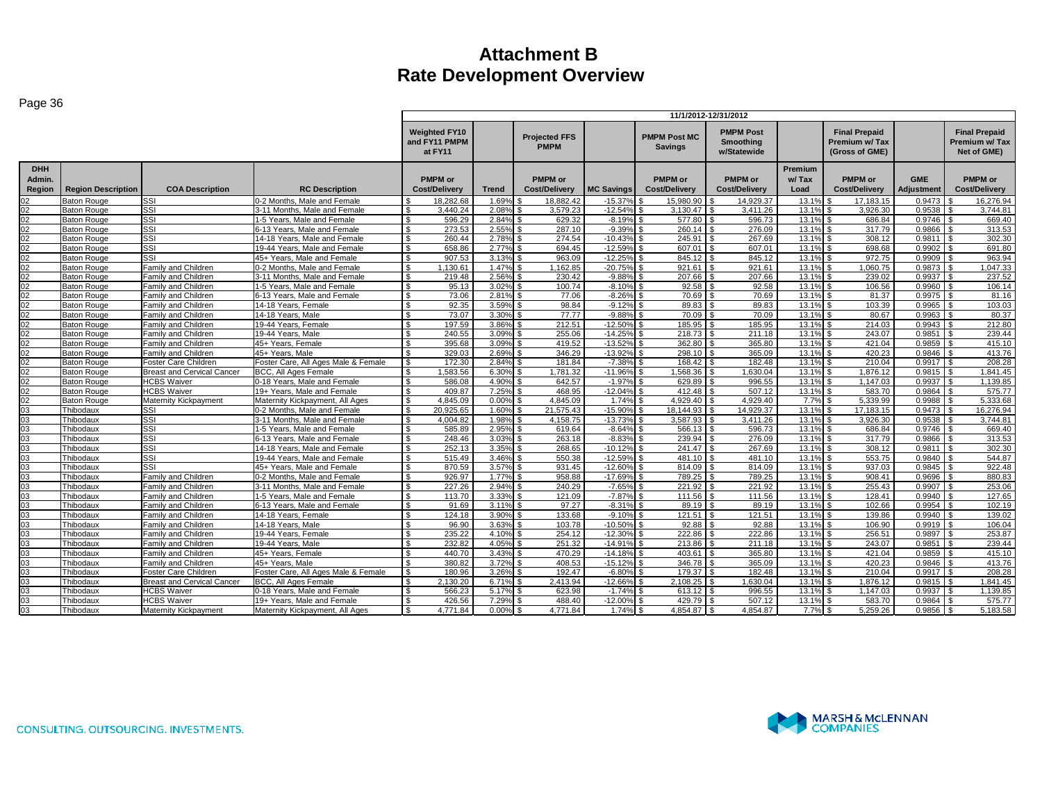|                                |                           |                                   |                                     | 11/1/2012-12/31/2012                             |              |                                        |                   |                                        |                                              |                          |                                                                |                          |                                                      |
|--------------------------------|---------------------------|-----------------------------------|-------------------------------------|--------------------------------------------------|--------------|----------------------------------------|-------------------|----------------------------------------|----------------------------------------------|--------------------------|----------------------------------------------------------------|--------------------------|------------------------------------------------------|
|                                |                           |                                   |                                     | <b>Weighted FY10</b><br>and FY11 PMPM<br>at FY11 |              | <b>Projected FFS</b><br><b>PMPM</b>    |                   | <b>PMPM Post MC</b><br><b>Savings</b>  | <b>PMPM Post</b><br>Smoothing<br>w/Statewide |                          | <b>Final Prepaid</b><br><b>Premium w/Tax</b><br>(Gross of GME) |                          | <b>Final Prepaid</b><br>Premium w/Tax<br>Net of GME) |
| <b>DHH</b><br>Admin.<br>Region | <b>Region Description</b> | <b>COA Description</b>            | <b>RC Description</b>               | <b>PMPM</b> or<br>Cost/Delivery                  | <b>Trend</b> | <b>PMPM</b> or<br><b>Cost/Delivery</b> | <b>MC Savings</b> | <b>PMPM</b> or<br><b>Cost/Delivery</b> | <b>PMPM</b> or<br>Cost/Delivery              | Premium<br>w/Tax<br>Load | <b>PMPM</b> or<br><b>Cost/Delivery</b>                         | <b>GME</b><br>Adjustment | <b>PMPM</b> or<br><b>Cost/Delivery</b>               |
| 02                             | <b>Baton Rouge</b>        | SSI                               | 0-2 Months, Male and Female         | 18.282.68                                        | 1.69%        | 18.882.42                              | $-15.37%$         | 15.980.90                              | 14.929.37                                    | 13.1%                    | 17.183.15                                                      | 0.9473                   | 16,276.94                                            |
| 02                             | <b>Baton Rouge</b>        | SSI                               | 3-11 Months, Male and Female        | 3.440.24                                         | 2.08%        | 3.579.23                               | $-12.549$         | 3.130.47                               | 3.411.26                                     | 13.1%                    | 3.926.30                                                       | 0.9538                   | 3.744.81                                             |
| 02                             | <b>Baton Rouge</b>        | <b>SSI</b>                        | 1-5 Years. Male and Female          | 596.29                                           | 2.84%        | 629.32                                 | $-8.19%$          | 577.80                                 | 596.73                                       | 13.1%                    | 686.84                                                         | 0.9746                   | 669.40                                               |
| 02                             | <b>Baton Rouge</b>        | SSI                               | 6-13 Years. Male and Female         | 273.53<br>$\mathbf{\$}$                          | 2.55%        | 287.10                                 | $-9.39%$          | 260.14                                 | 276.09                                       | 13.1%                    | 317.79<br>$\mathfrak{L}$                                       | 0.9866                   | 313.53                                               |
| 02                             | <b>Baton Rouge</b>        | SSI                               | 14-18 Years, Male and Female        | 260.44<br>ፍ                                      | 2.78%        | 274.54                                 | $-10.439$         | 245.91                                 | 267.69                                       | 13.1%                    | 308.12                                                         | 0.9811                   | 302.30                                               |
| 02                             | <b>Baton Rouge</b>        | SSI                               | 19-44 Years, Male and Female        | 658.86<br><b>.ε</b>                              | 2.77%        | 694.45                                 | $-12.599$         | 607.01                                 | 607.01                                       | 13.1%                    | 698.68                                                         | 0.9902                   | 691.80                                               |
| 02                             | Baton Rouge               | SSI                               | 45+ Years. Male and Female          | 907.53<br>$\mathfrak{L}$                         | 3.13%        | 963.09                                 | $-12.25%$         | 845.12                                 | 845.12                                       | 13.1%                    | 972.75                                                         | 0.9909                   | 963.94                                               |
| 02                             | <b>Baton Rouge</b>        | Family and Children               | 0-2 Months. Male and Female         | 1.130.61                                         | 1.47%        | .162.85                                | $-20.75%$         | 921.61                                 | 921.61                                       | 13.1%                    | 060.75                                                         | 0.9873                   | 1.047.33                                             |
| 02                             | <b>Baton Rouge</b>        | Family and Children               | 3-11 Months, Male and Female        | 219.48                                           | 2.56%        | 230.42                                 | $-9.88%$          | 207.66                                 | 207.66                                       | 13.1%                    | 239.02                                                         | 0.9937                   | 237.52                                               |
| 02                             | <b>Baton Rouge</b>        | Family and Children               | 1-5 Years, Male and Female          | 95.13                                            | 3.02%        | 100.74                                 | $-8.10%$          | 92.58                                  | 92.58                                        | 13.1%                    | 106.56                                                         | 0.9960                   | 106.14                                               |
| 02                             | <b>Baton Rouge</b>        | Family and Children               | 6-13 Years. Male and Female         | 73.06<br>Я.                                      | 2.81%        | 77.06                                  | $-8.26%$          | 70.69                                  | 70.69                                        | 13.1%                    | 81.37<br>£.                                                    | 0.9975                   | 81.16                                                |
| 02                             | <b>Baton Rouge</b>        | Family and Children               | 14-18 Years, Female                 | 92.35<br>$\mathfrak{L}$                          | 3.59%        | 98.84                                  | $-9.129$          | 89.83                                  | 89.83                                        | 13.1%                    | 103.39<br>$\mathcal{F}$                                        | 0.9965                   | 103.03                                               |
| 02                             | <b>Baton Rouge</b>        | Family and Children               | 14-18 Years, Male                   | 73.07                                            | 3.30%        | 77.77                                  | $-9.88%$          | 70.09                                  | 70.09                                        | 13.1%                    | 80.67                                                          | 0.9963                   | 80.37                                                |
| 02                             | <b>Baton Rouge</b>        | Family and Children               | 19-44 Years, Female                 | 197.59                                           | 3.86%        | 212.51                                 | $-12.50%$         | 185.95                                 | 185.95                                       | 13.1%                    | 214.03                                                         | 0.9943                   | 212.80                                               |
| 02                             | <b>Baton Rouge</b>        | Family and Children               | 19-44 Years, Male                   | 240.55                                           | 3.09%        | 255.06                                 | $-14.25%$         | 218.73                                 | 211.18                                       | 13.1%                    | 243.07                                                         | 0.9851                   | 239.44                                               |
| 02                             | <b>Baton Rouge</b>        | Family and Children               | 45+ Years. Female                   | 395.68<br>\$                                     | 3.09%        | 419.52                                 | $-13.529$         | 362.80                                 | 365.80                                       | 13.1%                    | 421.04                                                         | 0.9859                   | 415.10                                               |
| 02                             | <b>Baton Rouge</b>        | Family and Children               | 45+ Years, Male                     | 329.03                                           | 2.69%        | 346.29                                 | $-13.929$         | 298.10                                 | 365.09                                       | 13.1%                    | 420.23<br>$\mathfrak{L}$                                       | 0.9846                   | 413.76                                               |
| 02                             | <b>Baton Rouge</b>        | Foster Care Children              | Foster Care, All Ages Male & Female | 172.30<br>S.                                     | 2.84%        | 181.84<br>£.                           | $-7.38%$          | 168.42                                 | 182.48                                       | 13.1%                    | S.<br>210.04                                                   | 0.9917                   | 208.28<br>\$.                                        |
| 02                             | <b>Baton Rouge</b>        | <b>Breast and Cervical Cancer</b> | <b>BCC. All Ages Female</b>         | .583.56                                          | 6.30%        | .781.32                                | $-11.96%$         | .568.36                                | 1.630.04                                     | 13.1%                    | 1.876.12                                                       | 0.9815                   | 1.841.45                                             |
| 02                             | <b>Baton Rouge</b>        | <b>HCBS Waiver</b>                | 0-18 Years, Male and Female         | 586.08                                           | 4.90%        | 642.57                                 | $-1.97%$          | 629.89                                 | 996.55                                       | 13.1%                    | 1.147.03                                                       | 0.9937                   | 1,139.85                                             |
| 02                             | <b>Baton Rouge</b>        | <b>HCBS Waiver</b>                | 19+ Years. Male and Female          | 409.87                                           | 7.25%        | 468.95                                 | $-12.04%$         | 412.48                                 | 507.12                                       | 13.1%                    | 583.70                                                         | 0.9864                   | 575.77                                               |
| 02                             | <b>Baton Rouge</b>        | Maternity Kickpayment             | Maternity Kickpayment, All Ages     | 4.845.09<br>. ድ                                  | 0.00%        | 4.845.09                               | 1.74%             | 4.929.40                               | 4.929.40                                     | 7.7%                     | 5.339.99                                                       | 0.9988                   | 5.333.68                                             |
| 03                             | Thibodaux                 | SSI                               | 0-2 Months. Male and Female         | 20.925.65<br>-S                                  | 1.60%        | 21.575.43                              | $-15.90%$         | 18.144.93                              | 14.929.37<br>l \$                            | 13.1%                    | $\mathbf{s}$<br>17.183.15                                      | 0.9473                   | 16,276.94<br>\$                                      |
| 03                             | Thibodaux                 | SSI                               | 3-11 Months, Male and Female        | $\mathfrak{L}$<br>4.004.82                       | 1.98%        | 4.158.75                               | $-13.73%$         | 3.587.93                               | 3.411.26                                     | 13.1%                    | 3.926.30                                                       | 0.9538                   | 3.744.81                                             |
| 03                             | Thibodaux                 | <b>SSI</b>                        | 1-5 Years, Male and Female          | 585.89                                           | 2.95%        | 619.64                                 | $-8.64%$          | 566.13                                 | 596.73                                       | 13.1%                    | 686.84<br>ፍ                                                    | 0.9746                   | 669.40                                               |
| 03                             | Thibodaux                 | SSI                               | 6-13 Years. Male and Female         | \$<br>248.46                                     | 3.03%        | 263.18                                 | $-8.83%$          | 239.94                                 | 276.09                                       | 13.1%                    | 317.79<br>£.                                                   | 0.9866                   | 313.53                                               |
| 03                             | Thibodaux                 | SSI                               | 14-18 Years, Male and Female        | 252.13<br>$\mathbf{R}$                           | 3.35%        | 268.65                                 | $-10.129$         | 241.47                                 | 267.69                                       | 13.1%                    | 308.12                                                         | 0.9811                   | 302.30                                               |
| 03                             | Thibodaux                 | SSI                               | 19-44 Years, Male and Female        | 515.49<br>\$                                     | 3.46%        | 550.38                                 | $-12.59%$         | 481.10                                 | 481.10                                       | 13.1%                    | 553.75                                                         | 0.9840                   | 544.87                                               |
| 03                             | Thibodaux                 | SSI                               | 45+ Years. Male and Female          | 870.59<br>$\mathbf{\$}$                          | 3.57%        | 931.45                                 | $-12.60%$         | 814.09                                 | 814.09                                       | 13.1%                    | 937.03<br>l \$                                                 | 0.9845                   | 922.48                                               |
| 03                             | Thibodaux                 | Family and Children               | 0-2 Months, Male and Female         | 926.97                                           | 1.77%        | 958.88                                 | $-17.69%$         | 789.25                                 | 789.25                                       | 13.1%                    | 908.41<br>S                                                    | 0.9696                   | 880.83                                               |
| 03                             | Thibodaux                 | Family and Children               | 3-11 Months, Male and Female        | 227.26                                           | 2.94%        | 240.29                                 | $-7.65%$          | 221.92                                 | 221.92                                       | 13.1%                    | \$<br>255.43                                                   | 0.9907                   | 253.06                                               |
| 03                             | Thibodaux                 | Family and Children               | 1-5 Years. Male and Female          | 113.70                                           | 3.33%        | 121.09                                 | $-7.87%$          | 111.56                                 | 111.56                                       | 13.1%                    | 128.41<br>ፍ                                                    | 0.9940                   | 127.65                                               |
| 03                             | Thibodaux                 | Family and Children               | 6-13 Years, Male and Female         | 91.69<br>-S                                      | 3.11%        | 97.27                                  | $-8.31%$          | 89.19                                  | 89.19                                        | 13.1%                    | 102.66<br>\$                                                   | 0.9954                   | 102.19                                               |
| 03                             | Thibodaux                 | Family and Children               | 14-18 Years, Female                 | 124.18                                           | 3.90%        | 133.68                                 | $-9.10%$          | 121.51                                 | 121.51                                       | 13.1%                    | 139.86<br>£.                                                   | 0.9940                   | 139.02                                               |
| 03                             | Thibodaux                 | Family and Children               | 14-18 Years, Male                   | 96.90                                            | 3.63%        | 103.78                                 | $-10.509$         | 92.88                                  | 92.88                                        | 13.1%                    | 106.90                                                         | 0.9919                   | 106.04                                               |
| 03                             | Thibodaux                 | Family and Children               | 19-44 Years, Female                 | 235.22                                           | 4.10%        | 254.12                                 | $-12.30%$         | 222.86                                 | 222.86                                       | 13.1%                    | 256.51                                                         | 0.9897                   | 253.87                                               |
| 03                             | Thibodaux                 | Family and Children               | 19-44 Years, Male                   | 232.82                                           | 4.05%        | 251.32                                 | $-14.919$         | 213.86                                 | 211.18                                       | 13.1%                    | \$<br>243.07                                                   | 0.9851                   | 239.44                                               |
| 03                             | Thibodaux                 | Family and Children               | 45+ Years, Female                   | 440.70                                           | 3.43%        | 470.29                                 | $-14.189$         | 403.61                                 | 365.80                                       | 13.1%                    | 421.04                                                         | 0.9859                   | 415.10                                               |
| 03                             | Thibodaux                 | Family and Children               | 45+ Years, Male                     | 380.82                                           | 3.72%        | 408.53                                 | $-15.129$         | 346.78                                 | 365.09                                       | 13.1%                    | 420.23<br>ፍ                                                    | 0.9846                   | 413.76                                               |
| 03                             | Thibodaux                 | Foster Care Children              | Foster Care, All Ages Male & Female | 180.96<br>l \$                                   | 3.26%        | 192.47                                 | $-6.80%$          | 179.37                                 | 182.48                                       | 13.1%                    | 210.04<br>$\mathbf{s}$                                         | 0.9917                   | 208.28<br>\$                                         |
| 03                             | Thibodaux                 | <b>Breast and Cervical Cancer</b> | BCC. All Ages Female                | 2.130.20                                         | 6.71%        | 2,413.94                               | $-12.669$         | 2,108.25                               | 1,630.04                                     | 13.1%                    | 1.876.12                                                       | 0.9815                   | 1,841.45                                             |
| 03                             | Thibodaux                 | <b>HCBS Waiver</b>                | 0-18 Years, Male and Female         | 566.23                                           | 5.17%        | 623.98                                 | $-1.749$          | 613.12                                 | 996.55                                       | 13.1%                    | 1,147.03                                                       | 0.9937                   | 1,139.85                                             |
| 03                             | Thibodaux                 | <b>HCBS Waiver</b>                | 19+ Years. Male and Female          | 426.56                                           | 7.29%        | 488.40                                 | $-12.00%$         | 429.79                                 | 507.12                                       | 13.1%                    | 583.70<br>\$.                                                  | 0.9864                   | 575.77                                               |
| 03                             | Thibodaux                 | Maternity Kickpayment             | Maternity Kickpayment, All Ages     | 4.771.84<br>$\mathbf{R}$                         | 0.00%        | 4.771.84                               | 1.74%             | 4.854.87                               | 4.854.87                                     | 7.7%                     | 5.259.26                                                       | 0.9856                   | 5,183.58                                             |
|                                |                           |                                   |                                     |                                                  |              |                                        |                   |                                        |                                              |                          |                                                                |                          |                                                      |

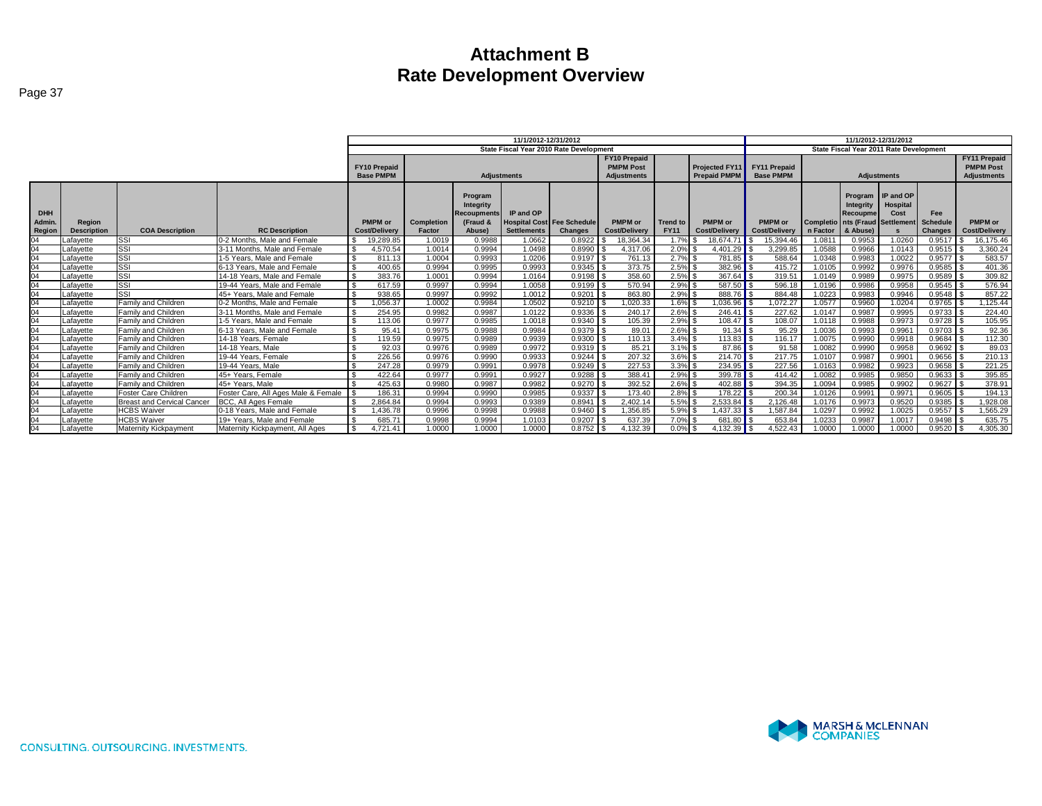|                                |                              |                                   |                                     |                                         |                             |                                                                         | 11/1/2012-12/31/2012            |                                                     |                                                               |                                |                                              | 11/1/2012-12/31/2012<br>State Fiscal Year 2011 Rate Development |          |                                                     |                                                                  |                                                 |                                                               |
|--------------------------------|------------------------------|-----------------------------------|-------------------------------------|-----------------------------------------|-----------------------------|-------------------------------------------------------------------------|---------------------------------|-----------------------------------------------------|---------------------------------------------------------------|--------------------------------|----------------------------------------------|-----------------------------------------------------------------|----------|-----------------------------------------------------|------------------------------------------------------------------|-------------------------------------------------|---------------------------------------------------------------|
|                                |                              |                                   |                                     |                                         |                             |                                                                         |                                 | State Fiscal Year 2010 Rate Development             |                                                               |                                |                                              |                                                                 |          |                                                     |                                                                  |                                                 |                                                               |
|                                |                              |                                   |                                     | <b>FY10 Prepaid</b><br><b>Base PMPM</b> |                             | Adjustments                                                             |                                 |                                                     | <b>FY10 Prepaid</b><br><b>PMPM Post</b><br><b>Adjustments</b> |                                | <b>Projected FY11</b><br><b>Prepaid PMPM</b> | <b>FY11 Prepaid</b><br><b>Base PMPM</b>                         |          |                                                     | <b>Adjustments</b>                                               |                                                 | <b>FY11 Prepaid</b><br><b>PMPM Post</b><br><b>Adjustments</b> |
| <b>DHH</b><br>Admin.<br>Region | Region<br><b>Description</b> | <b>COA Description</b>            | <b>RC Description</b>               | PMPM or<br><b>Cost/Delivery</b>         | <b>Completion</b><br>Factor | Program<br><b>Integrity</b><br><b>Recoupments</b><br>(Fraud &<br>Abuse) | IP and OP<br><b>Settlements</b> | <b>Hospital Cost Fee Schedule</b><br><b>Changes</b> | PMPM or<br><b>Cost/Delivery</b>                               | <b>Trend to</b><br><b>FY11</b> | PMPM or<br><b>Cost/Delivery</b>              | <b>PMPM</b> or<br><b>Cost/Delivery</b>                          | n Factor | Program<br><b>Integrity</b><br>Recoupme<br>& Abusel | IP and OP<br>Hospital<br>Cost<br>Completio nts (Fraud Settlement | <b>Fee</b><br><b>Schedule</b><br><b>Changes</b> | <b>PMPM</b> or<br><b>Cost/Delivery</b>                        |
| 04                             | _afavette                    | SSI                               | 0-2 Months, Male and Female         | 19.289.85                               | .0019                       | 0.9988                                                                  | 1.0662                          | 0.8922                                              | 18.364.34                                                     | 1.7%                           | 18.674.71                                    | 15.394.46                                                       | 1.081    | 0.9953                                              | 1.0260                                                           | 0.9517                                          | 16,175.46                                                     |
| 04                             | _afavette                    | <b>SSI</b>                        | 3-11 Months, Male and Female        | 4.570.54                                | 1.0014                      | 0.9994                                                                  | 1.0498                          | 0.8990                                              | 4.317.06                                                      | 2.0%                           | 4.401.29                                     | 3.299.85                                                        | 1.0588   | 0.9966                                              | 1.0143                                                           | 0.9515                                          | 3.360.24                                                      |
| 04                             | _afavette                    | <b>SSI</b>                        | 1-5 Years. Male and Female          | 811.13                                  | 1.0004                      | 0.9993                                                                  | 1.0206                          | 0.9197                                              | 761.13                                                        | $2.7\%$ \$                     | 781.85                                       | 588.64                                                          | 1.0348   | 0.9983                                              | 1.0022                                                           | 0.9577                                          | 583.57                                                        |
|                                | _afavette                    | SSI                               | 6-13 Years, Male and Female         | 400.65                                  | 0.9994                      | 0.9995                                                                  | 0.9993                          | 0.9345                                              | 373.75                                                        | $2.5\%$ \$                     | 382.96                                       | 415.72                                                          | 1.0105   | 0.9992                                              | 0.9976                                                           | 0.9585                                          | 401.36                                                        |
|                                | Lafavette                    | SSI                               | 14-18 Years. Male and Female        | 383.76                                  | 1.0001                      | 0.9994                                                                  | 1.0164                          | $0.9198$ \ \$                                       | 358.60                                                        | $2.5\%$ \$                     | $367.64$ S                                   | 319.51                                                          | 1.0149   | 0.9989                                              | 0.9975                                                           | 0.9589                                          | 309.82                                                        |
|                                | _afavette                    | SSI                               | 19-44 Years. Male and Female        | 617.59                                  | 0.9997                      | 0.9994                                                                  | 1.0058                          | 0.9199                                              | 570.94                                                        | $2.9\%$ \$                     | 587.50                                       | 596.18                                                          | 1.0196   | 0.9986                                              | 0.9958                                                           | 0.9545                                          | 576.94                                                        |
|                                | _afavette                    | SSI                               | 45+ Years. Male and Female          | 938.65                                  | 0.9997                      | 0.9992                                                                  | 1.0012                          | 0.9201                                              | 863.80                                                        | 2.9%                           | 888.76                                       | 884.48                                                          | 1.0223   | 0.9983                                              | 0.9946                                                           | 0.9548                                          | 857.22                                                        |
|                                | _afavette                    | Family and Children               | 0-2 Months, Male and Female         | .056.37                                 | .0002                       | 0.9984                                                                  | 1.0502                          | 0.9210                                              | .020.33                                                       | 1.6%                           | .036.96                                      | 072.27                                                          | 1.0577   | 0.9960                                              | 1.0204                                                           | 0.9765                                          | ,125.44                                                       |
| 04                             | _afavette                    | Family and Children               | 3-11 Months, Male and Female        | 254.95                                  | 0.9982                      | 0.9987                                                                  | 1.0122                          | 0.9336                                              | 240.17                                                        | 2.6%                           | $246.41$ \$                                  | 227.62                                                          | 1.0147   | 0.9987                                              | 0.9995                                                           | 0.9733                                          | 224.40                                                        |
| 04                             | _afavette                    | Family and Children               | 1-5 Years. Male and Female          | 113.06                                  | 0.9977                      | 0.9985                                                                  | 1.0018                          | 0.9340                                              | 105.39                                                        | $2.9\%$ \$                     | $108.47$ \$                                  | 108.07                                                          | 1.0118   | 0.9988                                              | 0.9973                                                           | 0.9728                                          | 105.95                                                        |
| 04                             | _afavette                    | Family and Children               | 6-13 Years. Male and Female         | 95.41                                   | 0.9975                      | 0.9988                                                                  | 0.9984                          | 0.9379                                              | 89.01                                                         | 2.6%                           | $91.34$ S                                    | 95.29                                                           | 1.0036   | 0.9993                                              | 0.9961                                                           | 0.9703                                          | 92.36                                                         |
| 04                             | _afavette                    | Family and Children               | 14-18 Years, Female                 | 119.59                                  | 0.9975                      | 0.9989                                                                  | 0.9939                          | 0.9300                                              | 110.13                                                        | $3.4\%$ \$                     | 113.83 S                                     | 116.1                                                           | 1.0075   | 0.9990                                              | 0.9918                                                           | 0.9684                                          | 112.30                                                        |
| 04                             | _afavette                    | Family and Children               | 14-18 Years, Male                   | 92.03                                   | 0.9976                      | 0.9989                                                                  | 0.9972                          | 0.9319                                              | 85.21                                                         | $3.1\%$ \$                     | $87.86$ $\overline{\phantom{1}5}$            | 91.58                                                           | 1.0082   | 0.9990                                              | 0.9958                                                           | $0.9692$ \$                                     | 89.03                                                         |
| 04                             | Lafayette                    | Family and Children               | 19-44 Years, Female                 | 226.56                                  | 0.9976                      | 0.9990                                                                  | 0.9933                          | 0.9244                                              | 207.32                                                        | $3.6\%$ \$                     | 214.70                                       | 217.75                                                          | 1.0107   | 0.9987                                              | 0.9901                                                           | 0.9656                                          | 210.13                                                        |
|                                | .afavette                    | Family and Children               | 19-44 Years, Male                   | 247.28                                  | 0.9979                      | 0.9991                                                                  | 0.9978                          | 0.9249                                              | 227.53                                                        | $3.3\%$ \$                     | $234.95$ \$                                  | 227.56                                                          | 1.0163   | 0.9982                                              | 0.9923                                                           | 0.9658                                          | 221.25                                                        |
|                                | _afavette                    | Family and Children               | 45+ Years, Female                   | 422.64                                  | 0.9977                      | 0.9991                                                                  | 0.9927                          | 0.9288                                              | 388.41                                                        | $2.9\%$ \$                     |                                              | 414.42                                                          | 1.0082   | 0.9985                                              | 0.9850                                                           | 0.9633                                          | 395.85                                                        |
|                                | _afavette                    | Family and Children               | 45+ Years, Male                     | 425.63                                  | 0.9980                      | 0.9987                                                                  | 0.9982                          | 0.9270                                              | 392.52                                                        | $2.6\%$ \$                     | 402.88                                       | 394.35                                                          | 1.0094   | 0.9985                                              | 0.9902                                                           | $0.9627$ :                                      | 378.91                                                        |
| 04                             | _afavette                    | Foster Care Children              | Foster Care, All Ages Male & Female | 186.31                                  | 0.9994                      | 0.9990                                                                  | 0.9985                          | 0.9337                                              | 173.40                                                        | $2.8\%$ \$                     | 178.22 $\textsf{S}$                          | 200.34                                                          | 1.0126   | 0.9991                                              | 0.9971                                                           | 0.9605                                          | 194.13                                                        |
|                                | _afayette                    | <b>Breast and Cervical Cancer</b> | BCC, All Ages Female                | 2,864.84                                | 0.9994                      | 0.9993                                                                  | 0.9389                          | 0.8941                                              | 2,402.14                                                      | 5.5%                           | 2,533.84                                     | 2,126.48                                                        | 1.0176   | 0.9973                                              | 0.9520                                                           | 0.9385                                          | 1,928.08                                                      |
| 04                             | _afavette                    | <b>HCBS Waiver</b>                | 0-18 Years. Male and Female         | .436.78                                 | 0.9996                      | 0.9998                                                                  | 0.9988                          | 0.9460                                              | 1.356.85                                                      | 5.9%                           | $.437.33$                                    | .587.84                                                         | 1.0297   | 0.9992                                              | 1.0025                                                           | 0.9557                                          | .565.29                                                       |
|                                | _afavette                    | <b>HCBS Waiver</b>                | 19+ Years. Male and Female          | 685.71                                  | 0.9998                      | 0.9994                                                                  | 1.0103                          | 0.9207                                              | 637.39                                                        | 7.0%                           | 681.80                                       | 653.84                                                          | 1.0233   | 0.9987                                              | 1.0017                                                           | 0.9498                                          | 635.75                                                        |
| 04                             | Lafavette                    | Maternity Kickpayment             | Maternity Kickpayment, All Ages     | 4.721.41                                | 1.0000                      | 1.0000                                                                  | 1.0000                          | 0.8752                                              | 4.132.39                                                      | $0.0\%$ \$                     | 4.132.39 $\textsf{S}$                        | 4.522.43                                                        | 1.0000   | 1.0000                                              | 1.0000                                                           | 0.9520                                          | 4.305.30                                                      |

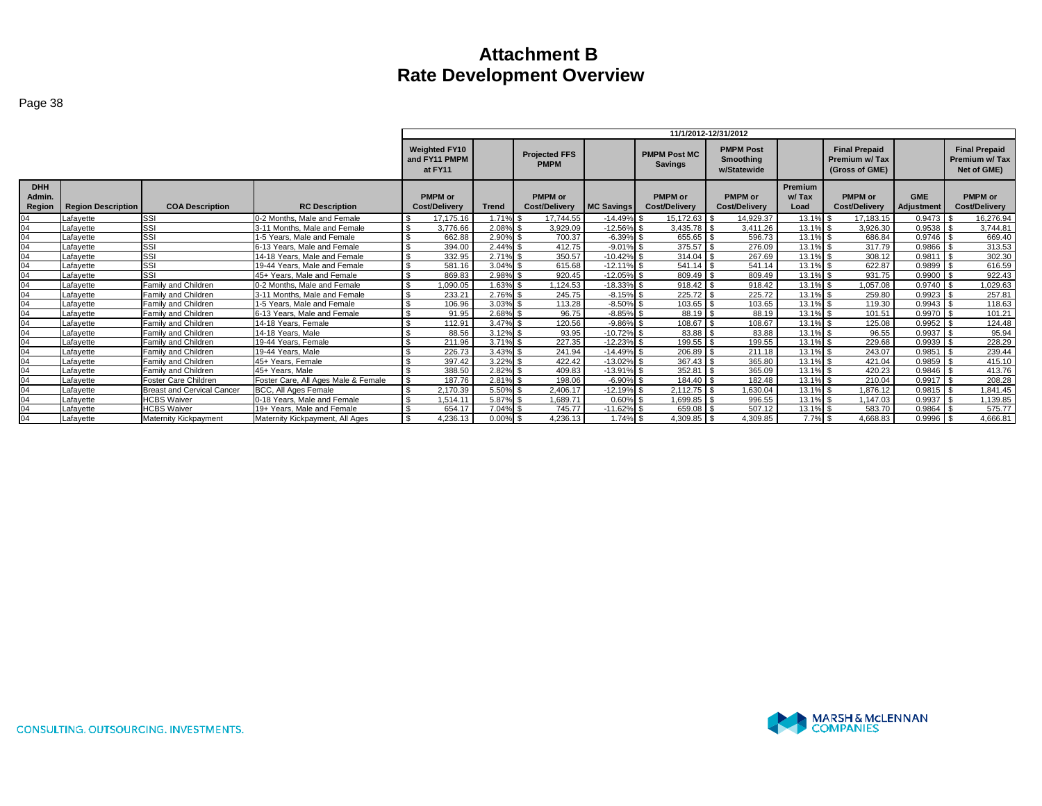|                               |                           |                                   |                                     |                |                                                  |              |                                     |                   |                                        | 11/1/2012-12/31/2012                         |                          |                                                         |                          |                                                       |
|-------------------------------|---------------------------|-----------------------------------|-------------------------------------|----------------|--------------------------------------------------|--------------|-------------------------------------|-------------------|----------------------------------------|----------------------------------------------|--------------------------|---------------------------------------------------------|--------------------------|-------------------------------------------------------|
|                               |                           |                                   |                                     |                | <b>Weighted FY10</b><br>and FY11 PMPM<br>at FY11 |              | <b>Projected FFS</b><br><b>PMPM</b> |                   | <b>PMPM Post MC</b><br><b>Savings</b>  | <b>PMPM Post</b><br>Smoothing<br>w/Statewide |                          | <b>Final Prepaid</b><br>Premium w/Tax<br>(Gross of GME) |                          | <b>Final Prepaid</b><br>Premium w/ Tax<br>Net of GME) |
| <b>DHH</b><br>Admin<br>Region | <b>Region Description</b> | <b>COA Description</b>            | <b>RC Description</b>               |                | <b>PMPM</b> or<br><b>Cost/Deliverv</b>           | <b>Trend</b> | PMPM or<br><b>Cost/Delivery</b>     | <b>MC Savings</b> | <b>PMPM</b> or<br><b>Cost/Delivery</b> | <b>PMPM</b> or<br><b>Cost/Delivery</b>       | Premium<br>w/Tax<br>Load | <b>PMPM</b> or<br>Cost/Delivery                         | <b>GME</b><br>Adjustment | <b>PMPM</b> or<br>Cost/Delivery                       |
| 04                            | Lafavette                 | SSI                               | 0-2 Months. Male and Female         | $\mathfrak{L}$ | 17.175.16                                        | 1.71%        | 17.744.55                           | $-14.49%$         | 15.172.63 \$                           | 14.929.37                                    | 13.1%                    | 17.183.15                                               | 0.9473                   | 16.276.94                                             |
|                               | Lafavette                 | <b>SSI</b>                        | 3-11 Months, Male and Female        | -\$            | 3.776.66                                         | 2.08%        | 3.929.09                            | $-12.56\%$ \$     | $3.435.78$ \$                          | 3.411.26                                     | 13.1% \$                 | 3.926.30                                                | 0.9538                   | 3.744.81                                              |
|                               | Lafavette                 | SSI                               | 1-5 Years. Male and Female          |                | 662.88                                           | 2.90%        | 700.37                              | $-6.39%$          | 655.65 \$                              | 596.73                                       | 13.1% \$                 | 686.84                                                  | 0.9746                   | 669.40                                                |
|                               | Lafavette                 | SSI                               | 6-13 Years. Male and Female         | $\mathfrak{L}$ | 394.00                                           | 2.44%        | 412.75                              | $-9.01%$          |                                        | 276.09                                       | $13.1\%$ \$              | 317.79                                                  | 0.9866                   | 313.53                                                |
| 04                            | Lafavette                 | SSI                               | 14-18 Years. Male and Female        | \$             | 332.95                                           | 2.71% \$     | 350.57                              | $-10.42\%$ \$     | $314.04$ \$                            | 267.69                                       | 13.1% \$                 | 308.12                                                  | $0.9811$ \$              | 302.30                                                |
| 04                            | Lafavette                 | SSI                               | 19-44 Years. Male and Female        | $\mathfrak{L}$ | 581.16                                           | $3.04\%$ \$  | 615.68                              | $-12.11\%$ \$     | $541.14$ \\$                           | 541.14                                       | $13.1\%$ \$              | 622.87                                                  | $0.9899$ \$              | 616.59                                                |
|                               | Lafavette                 | SSI                               | 45+ Years. Male and Female          | \$             | 869.83                                           | 2.98% \$     | 920.45                              | $-12.05\%$ \$     | 809.49 \$                              | 809.49                                       | 13.1% \$                 | 931.75                                                  | $0.9900$ \$              | 922.43                                                |
|                               | Lafavette                 | Family and Children               | 0-2 Months. Male and Female         | \$             | 1,090.05                                         | 1.63% \$     | 1,124.53                            | $-18.33\%$ \$     | $918.42$ \$                            | 918.42                                       | 13.1% \$                 | 1,057.08                                                | $0.9740$ \$              | 1,029.63                                              |
|                               | Lafayette                 | Family and Children               | 3-11 Months, Male and Female        |                | 233.21                                           | 2.76%        | 245.75                              | $-8.15%$          | 225.72                                 | 225.72                                       | 13.1% \$                 | 259.80                                                  | 0.9923                   | 257.81                                                |
| 04                            | Lafavette                 | Family and Children               | 1-5 Years. Male and Female          | $\mathfrak{L}$ | 106.96                                           | 3.03%        | 113.28                              | $-8.50%$          | $103.65$ \$                            | 103.65                                       | $13.1\%$ \$              | 119.30                                                  | 0.9943                   | 118.63                                                |
|                               | Lafavette                 | Family and Children               | 6-13 Years. Male and Female         | $\mathfrak{L}$ | 91.95                                            | 2.68% \$     | 96.75                               | $-8.85\%$ \$      | 88.19 \$                               | 88.19                                        | 13.1% \$                 | 101.51                                                  | $0.9970$ \$              | 101.21                                                |
| $\Omega$                      | Lafavette                 | Family and Children               | 14-18 Years, Female                 | \$             | 112.91                                           | $3.47\%$ \$  | 120.56                              | $-9.86\%$ \$      | $108.67$ \$                            | 108.67                                       | 13.1% \$                 | 125.08                                                  | $0.9952$ \$              | 124.48                                                |
|                               | Lafavette                 | Family and Children               | 14-18 Years, Male                   |                | 88.56                                            | $3.12\%$ \$  | 93.95                               | $-10.72\%$ \$     | 83.88 \$                               | 83.88                                        | 13.1% \$                 | 96.55                                                   | $0.9937$ \$              | 95.94                                                 |
|                               | Lafavette                 | Family and Children               | 19-44 Years, Female                 |                | 211.96                                           | 3.71%        | 227.35                              | $-12.23%$         | 199.55                                 | 199.55                                       | 13.1% \$                 | 229.68                                                  | 0.9939                   | 228.29                                                |
| 04                            | Lafavette                 | Family and Children               | 19-44 Years, Male                   | $\mathfrak{L}$ | 226.73                                           | $3.43\%$ \$  | 241.94                              | $-14.49%$         | 206.89                                 | 211.18                                       | $13.1\%$ \$              | 243.07                                                  | $0.9851$ \$              | 239.44                                                |
|                               | Lafavette                 | Family and Children               | 45+ Years, Female                   |                | 397.42                                           | 3.22%        | 422.42                              | $-13.02%$         | $367.43$ \$                            | 365.80                                       | 13.1% \$                 | 421.04                                                  | 0.9859                   | 415.10                                                |
|                               | Lafavette                 | Family and Children               | 45+ Years, Male                     |                | 388.50                                           | 2.82% \$     | 409.83                              | $-13.91\%$ \$     |                                        | 365.09                                       | 13.1% \$                 | 420.23                                                  | 0.9846                   | 413.76                                                |
| 04                            | Lafavette                 | Foster Care Children              | Foster Care, All Ages Male & Female | -\$            | 187.76                                           | $2.81\%$ \$  | 198.06                              | $-6.90\%$ \$      | 184.40 \$                              | 182.48                                       | $13.1\%$ \$              | 210.04                                                  | 0.9917                   | 208.28                                                |
|                               | Lafavette                 | <b>Breast and Cervical Cancer</b> | BCC. All Ages Female                |                | 2.170.39                                         | 5.50%        | 2.406.17                            | $-12.19%$         | 2.112.75                               | .630.04                                      | 13.1% \$                 | 1.876.12                                                | 0.9815                   | .841.45                                               |
| 04                            | Lafavette                 | <b>HCBS Waiver</b>                | 0-18 Years. Male and Female         | $\mathfrak{L}$ | 1.514.11                                         | 5.87%        | 1.689.71                            | 0.60%             | 1,699.85 \$                            | 996.55                                       | $13.1\%$ \$              | 1.147.03                                                | $0.9937$ \$              | 1,139.85                                              |
|                               | Lafavette                 | <b>HCBS Waiver</b>                | 19+ Years. Male and Female          | $\mathfrak{L}$ | 654.17                                           | 7.04%        | 745.77                              | $-11.62\%$ \$     | 659.08 \$                              | 507.12                                       | 13.1% \$                 | 583.70                                                  | 0.9864                   | 575.77                                                |
| 04                            | Lafavette                 | Maternity Kickpayment             | Maternity Kickpayment, All Ages     | \$             | 4,236.13                                         | $0.00\%$ \$  | 4,236.13                            | $1.74\%$ \$       | 4,309.85 \$                            | 4,309.85                                     | $7.7\%$ \$               | 4.668.83                                                | $0.9996$ \$              | 4,666.81                                              |

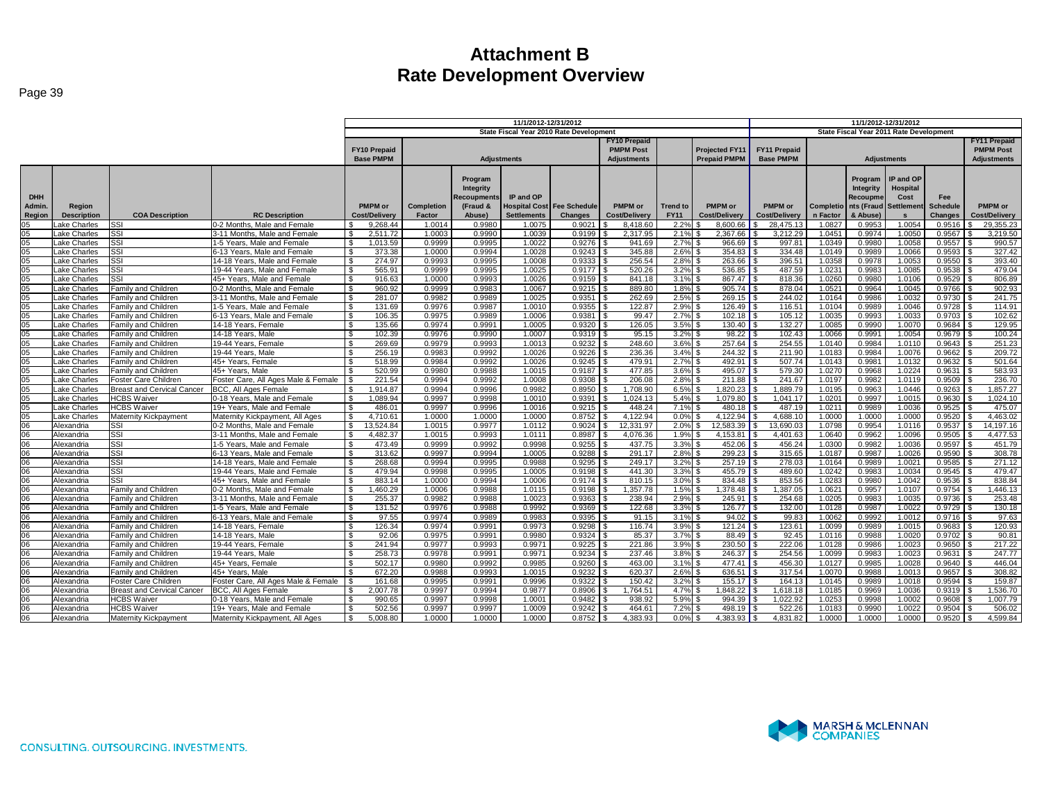| ٧ |  |
|---|--|
|   |  |

|                 |                             |                                                   |                                                     | 11/1/2012-12/31/2012             |                  |                  |                    |                                         |                     |                 |                       |                     | 11/1/2012-12/31/2012 |                                         |                    |                  |                      |
|-----------------|-----------------------------|---------------------------------------------------|-----------------------------------------------------|----------------------------------|------------------|------------------|--------------------|-----------------------------------------|---------------------|-----------------|-----------------------|---------------------|----------------------|-----------------------------------------|--------------------|------------------|----------------------|
|                 |                             |                                                   |                                                     |                                  |                  |                  |                    | State Fiscal Year 2010 Rate Development |                     |                 |                       |                     |                      | State Fiscal Year 2011 Rate Development |                    |                  |                      |
|                 |                             |                                                   |                                                     |                                  |                  |                  |                    |                                         | <b>FY10 Prepaid</b> |                 |                       |                     |                      |                                         |                    |                  | <b>FY11 Prepaid</b>  |
|                 |                             |                                                   |                                                     | <b>FY10 Prepaid</b>              |                  |                  |                    |                                         | <b>PMPM Post</b>    |                 | <b>Projected FY11</b> | <b>FY11 Prepaid</b> |                      |                                         |                    |                  | <b>PMPM Post</b>     |
|                 |                             |                                                   |                                                     | <b>Base PMPM</b>                 |                  |                  | <b>Adjustments</b> |                                         | <b>Adjustments</b>  |                 | <b>Prepaid PMPM</b>   | <b>Base PMPM</b>    |                      |                                         | <b>Adjustments</b> |                  | <b>Adjustments</b>   |
|                 |                             |                                                   |                                                     |                                  |                  |                  |                    |                                         |                     |                 |                       |                     |                      |                                         |                    |                  |                      |
|                 |                             |                                                   |                                                     |                                  |                  | Program          |                    |                                         |                     |                 |                       |                     |                      | Program                                 | IP and OP          |                  |                      |
|                 |                             |                                                   |                                                     |                                  |                  | Integrity        |                    |                                         |                     |                 |                       |                     |                      | Integrity                               | Hospital           |                  |                      |
| <b>DHH</b>      |                             |                                                   |                                                     |                                  |                  | Recoupment       | IP and OP          |                                         |                     |                 |                       |                     |                      | Recoupme                                | Cost               | Fee              |                      |
| Admin.          | Region                      |                                                   |                                                     | <b>PMPM or</b>                   | Completion       | (Fraud &         |                    | <b>Hospital Cost Fee Schedule</b>       | <b>PMPM</b> or      | <b>Trend to</b> | PMPM or               | PMPM or             |                      | Completio nts (Fraud                    | Settlement         | <b>Schedule</b>  | <b>PMPM</b> or       |
| Region          | <b>Description</b>          | <b>COA Description</b>                            | <b>RC Description</b>                               | <b>Cost/Delivery</b>             | Factor           | Abuse)           | <b>Settlements</b> | <b>Changes</b>                          | Cost/Delivery       | <b>FY11</b>     | <b>Cost/Deliverv</b>  | Cost/Delivery       | n Factor             | & Abuse)                                | $\mathbf{s}$       | <b>Changes</b>   | <b>Cost/Delivery</b> |
| 05              | ake Charles                 | lssi                                              | 0-2 Months, Male and Female                         | 9.268.44                         | 1.0014           | 0.9980           | 1.0075             | 0.9021                                  | 8.418.60            | 2.2%            | 8.600.66              | 28.475.1            | 1.0827               | 0.9953                                  | 1.0054             | 0.9516           | 29,355.23            |
| 05              | ake Charles                 | <b>ISSI</b>                                       | 3-11 Months, Male and Female                        | 2.511.72<br>IS.                  | 1.0003           | 0.9990           | 1.0039             | 0.9199                                  | 2.317.95            | 2.1%            | 2.367.66              | 3.212.29            | 1.0451               | 0.9974                                  | 1.0050             | 0.9567           | 3.219.50             |
| 05              | ake Charles                 | SSI                                               | 1-5 Years, Male and Female                          | 1.013.59<br>S.                   | 0.9999           | 0.9995           | 1.0022             | 0.9276                                  | 941.69              | 2.7%            | 966.69                | 997.81              | 1.0349               | 0.9980                                  | 1.0058             | 0.9557           | 990.57               |
| 05              | _ake Charles                | SSI                                               | 6-13 Years, Male and Female                         | 373.38<br><b>S</b>               | 1.0000           | 0.9994           | 1.0028             | 0.9243                                  | 345.88              | 2.6%            | 354.83                | 334.48              | 1.0149               | 0.9989                                  | 1.0066             | 0.9593           | 327.42               |
| 05              | ake Charles                 | lssi                                              | 14-18 Years, Male and Female                        | 274.97<br><b>S</b>               | 0.9993           | 0.9995           | 1.0008             | 0.9333                                  | 256.54              | 2.8%            | 263.66                | 396.51              | 1.0358               | 0.9978                                  | 1.0053             | 0.9550           | 393.40               |
| 05              | Lake Charles                | SSI                                               | 19-44 Years, Male and Female                        | 565.91<br>\$                     | 0.9999           | 0.9995           | 1.0025             | 0.9177                                  | 520.26              | 3.2%            | 536.85                | 487.59              | 1.0231               | 0.9983                                  | 1.0085             | 0.9538           | 479.04               |
| 05              | ake Charles                 | SSI                                               | 45+ Years, Male and Female                          | 916.63<br>-\$                    | 1.0000           | 0.9993           | 1.0026             | 0.9159                                  | 841.18              | 3.1%            | 867.47                | 818.36              | 1.0260               | 0.9980                                  | 1.0106             | 0.9529           | 806.89               |
| 05              | Lake Charles                | Family and Children                               | 0-2 Months, Male and Female                         | 960.92<br><b>S</b>               | 0.9999           | 0.9983           | 1.0067             | 0.9215                                  | 889.80              | 1.8%            | 905.74                | 878.04              | 1.0521               | 0.9964                                  | 1.0045             | 0.9766           | 902.93               |
| 05              | ake Charles                 | Family and Children                               | 3-11 Months, Male and Female                        | 281.07<br>\$.                    | 0.9982           | 0.9989           | 1.0025             | 0.9351                                  | 262.69              | 2.5%            | 269.15                | 244.02              | 1.0164               | 0.9986                                  | 1.0032             | 0.9730           | 241.75               |
| 05<br>05        | ake Charles                 | Family and Children                               | 1-5 Years. Male and Female                          | 131.69<br>-\$                    | 0.9976<br>0.9975 | 0.9987<br>0.9989 | 1.0010<br>1.0006   | 0.9355<br>0.9381                        | 122.8<br>99.47      | 2.9%            | 126.49<br>102.18      | 116.5'<br>105.12    | 1.0104               | 0.9989<br>0.9993                        | 1.0046<br>1.0033   | 0.9728<br>0.9703 | 114.91<br>102.62     |
| 05              | Lake Charles<br>ake Charles | Family and Children<br><b>Family and Children</b> | 6-13 Years, Male and Female<br>14-18 Years, Female  | 106.35<br>-S<br>\$<br>135.66     | 0.9974           | 0.9991           | 1.0005             | 0.9320                                  | 126.05              | 2.7%<br>3.5%    | 130.40<br>-96         | 132.27              | 1.0035<br>1.0085     | 0.9990                                  | 1.0070             | 0.9684           | 129.95               |
| 05              | ake Charles                 | Family and Children                               | 14-18 Years, Male                                   | 102.39<br>-\$                    | 0.9976           | 0.9990           | 1.0007             | 0.9319                                  | 95.15               | 3.2%            | 98.22                 | 102.43              | 1.0066               | 0.9991                                  | 1.0054             | 0.9679           | 100.24               |
| 05              | Lake Charles                | Family and Children                               | 19-44 Years, Female                                 | 269.69<br>IS.                    | 0.9979           | 0.9993           | 1.0013             | 0.9232                                  | 248.60              | 3.6%            | 257.64                | 254.55              | 1.0140               | 0.9984                                  | 1.0110             | 0.9643           | 251.23               |
| 05              | ake Charles                 | Family and Children                               | 19-44 Years, Male                                   | 256.19                           | 0.9983           | 0.9992           | 1.0026             | 0.9226                                  | 236.36              | 3.4%            | 244.32                | 211.90              | 1.0183               | 0.9984                                  | 1.0076             | 0.9662           | 209.72               |
| 05              | ake Charles                 | Family and Children                               | 45+ Years. Female                                   | 518.99                           | 0.9984           | 0.9992           | 1.0026             | 0.9245                                  | 479.91              | 2.7%            | 492.91                | 507.74              | 1.0143               | 0.9981                                  | 1.0132             | 0.9632           | 501.64               |
| 05              | ake Charles                 | Family and Children                               | 45+ Years, Male                                     | 520.99<br>. ድ                    | 0.9980           | 0.9988           | 1.0015             | 0.9187                                  | 477.85              | 3.6%            | 495.07                | 579.30              | 1.0270               | 0.9968                                  | 1.0224             | 0.9631           | 583.93               |
| 05              | ake Charles                 | Foster Care Children                              | Foster Care, All Ages Male & Female                 | 221.54                           | 0.9994           | 0.9992           | 1.0008             | 0.9308                                  | 206.08              | 2.8%            | 211.88                | 241.67              | 1.0197               | 0.9982                                  | 1.0119             | 0.9509           | 236.70               |
| 05              | ake Charles                 | <b>Breast and Cervical Cancer</b>                 | <b>BCC, All Ages Female</b>                         | 1.914.87                         | 0.9994           | 0.9996           | 0.9982             | 0.8950                                  | 1.708.90            | 6.5%            | 1.820.23              | 1.889.79            | 1.0195               | 0.9963                                  | 1.0446             | 0.9263           | 1.857.27             |
| 05              | Lake Charles                | <b>HCBS Waiver</b>                                | 0-18 Years, Male and Female                         | 1.089.94<br>-\$                  | 0.9997           | 0.9998           | 1.0010             | 0.9391                                  | 1.024.13            | 5.4%            | 1.079.80              | 1.041.17            | 1.0201               | 0.9997                                  | 1.0015             | 0.9630           | 1.024.10             |
| 05              | ake Charles                 | <b>HCBS Waiver</b>                                | 19+ Years, Male and Female                          | 486.01                           | 0.9997           | 0.9996           | 1.0016             | 0.9215                                  | 448.24              | 7.1%            | 480.18                | 487.19              | 1.021                | 0.9989                                  | 1.0036             | 0.9525           | 475.07               |
| 05              | ake Charles                 | Maternity Kickpayment                             | Maternity Kickpayment, All Ages                     | 4.710.61<br>\$                   | 1.0000           | 1.0000           | 1.0000             | 0.8752                                  | 4.122.94            | 0.0%            | 4.122.94              | 4.688.10            | 1.0000               | 1.0000                                  | 1.0000             | 0.9520           | 4.463.02             |
| 06              | Alexandria                  | <b>SSI</b>                                        | 0-2 Months, Male and Female                         | 13,524.84<br>l \$                | 1.0015           | 0.9977           | 1.0112             | 0.9024                                  | 12,331.97           | 2.0%            | 12,583.39             | 13,690.03           | 1.0798               | 0.9954                                  | 1.0116             | 0.9537           | 14,197.16            |
| 06              | Alexandria                  | SSI                                               | 3-11 Months, Male and Female                        | -\$<br>4,482.37                  | 1.0015           | 0.9993           | 1.0111             | 0.8987                                  | 4,076.36            | 1.9%            | 4,153.81              | 4,401.63            | 1.0640               | 0.9962                                  | 1.0096             | 0.9505           | 4,477.53             |
| 06              | Alexandria                  | SSI                                               | 1-5 Years, Male and Female                          | 473.49<br>S.                     | 0.9999           | 0.9992           | 0.9998             | 0.9255                                  | 437.75              | 3.3%            | 452.06                | 456.24              | 1.0300               | 0.9982                                  | 1.0036             | 0.9597           | 451.79               |
| 06              | Alexandria                  | <b>SSI</b>                                        | 6-13 Years, Male and Female                         | 313.62<br><b>S</b>               | 0.9997           | 0.9994           | 1.0005             | 0.9288                                  | 291.1               | 2.8%            | 299.23                | 315.65              | 1.0187               | 0.9987                                  | 1.0026             | 0.9590           | 308.78               |
| 06              | Alexandria                  | lssi                                              | 14-18 Years. Male and Female                        | 268.68<br><b>S</b>               | 0.9994           | 0.9995           | 0.9988             | 0.9295                                  | 249.17              | 3.2%            | 257.19                | 278.03              | 1.0164               | 0.9989                                  | 1.0021             | 0.9585           | 271.12               |
| 06              | Alexandria                  | SSI                                               | 19-44 Years, Male and Female                        | 479.94<br>\$                     | 0.9998           | 0.9995           | 1.0005             | 0.9198                                  | 441.30              | 3.3%            | 455.79                | 489.60              | 1.0242               | 0.9983                                  | 1.0034             | 0.9545           | 479.47               |
| 06              | Alexandria                  | SSI                                               | 45+ Years, Male and Female                          | 883.14<br><b>S</b>               | 1.0000           | 0.9994           | 1.0006             | 0.9174                                  | 810.15              | 3.0%            | 834.48                | 853.56              | 1.0283               | 0.9980                                  | 1.0042             | 0.9536           | 838.84               |
| 06              | Alexandria                  | Family and Children                               | 0-2 Months, Male and Female                         | 1.460.29<br><b>S</b>             | 1.0006           | 0.9988           | 1.0115             | 0.9198                                  | 1.357.78            | $1.5\%$ \$      | 1.378.48              | 1.387.05            | 1.0621               | 0.9957                                  | 1.0107             | 0.9754           | 1.446.13             |
| 06              | Alexandria                  | Family and Children                               | 3-11 Months, Male and Female                        | 255.37<br>-S                     | 0.9982           | 0.9988           | 1.0023             | 0.9363                                  | 238.94              | 2.9%            | 245.91                | 254.68              | 1.0205               | 0.9983                                  | 1.0035             | 0.9736           | 253.48               |
| 06              | Alexandria                  | Family and Children                               | 1-5 Years, Male and Female                          | 131.52<br>l S                    | 0.9976           | 0.9988           | 0.9992             | 0.9369                                  | 122.68              | 3.3%            | 126.77                | 132.00              | 1.0128               | 0.9987                                  | 1.0022             | 0.9729           | 130.18               |
| 06              | Alexandria                  | Family and Children                               | 6-13 Years, Male and Female                         | 97.55<br>-S                      | 0.9974           | 0.9989           | 0.9983             | 0.9395                                  | 91.15               | 3.1%            | 94.02                 | 99.83               | 1.0062               | 0.9992                                  | 1.0012             | 0.9716           | 97.63                |
| $\overline{06}$ | Alexandria                  | Family and Children                               | 14-18 Years, Female                                 | <b>S</b><br>126.34               | 0.9974           | 0.9991           | 0.9973             | 0.9298                                  | 116.74              | 3.9%            | 121.24                | 123.61              | 1.0099               | 0.9989                                  | 1.0015             | 0.9683           | 120.93               |
| 06              | Alexandria                  | Family and Children                               | 14-18 Years, Male                                   | 92.06<br>-96                     | 0.9975           | 0.9991           | 0.9980             | 0.9324                                  | 85.37               | 3.7%            | 88.49                 | 92.45               | 1.0116               | 0.9988                                  | 1.0020             | 0.9702           | 90.81                |
| 06              | Alexandria                  | Family and Children                               | 19-44 Years, Female                                 | 241.94<br>-S                     | 0.9977           | 0.9993           | 0.9971             | 0.9225                                  | 221.86              | 3.9%            | 230.50                | 222.06              | 1.0128               | 0.9986                                  | 1.0023             | 0.9650           | 217.22               |
| 06              | Alexandria                  | Family and Children                               | 19-44 Years, Male                                   | 258.73<br>£.                     | 0.9978           | 0.9991           | 0.9971             | 0.9234                                  | 237.46              | 3.8%            | 246.37                | 254.56              | 1.0099               | 0.9983                                  | 1.0023             | 0.9631           | 247.77               |
| 06              | Alexandria                  | Family and Children                               | 45+ Years, Female                                   | 502.17                           | 0.9980           | 0.9992           | 0.9985             | 0.9260                                  | 463.00              | 3.1%            | 477.41                | 456.30              | 1.0127               | 0.9985                                  | 1.0028             | 0.9640           | 446.04               |
| 06              | Alexandria                  | Family and Children                               | 45+ Years, Male                                     | 672.20                           | 0.9988           | 0.9993           | 1.0015             | 0.9232                                  | 620.37              | 2.6%            | 636.51                | 317.54              | 1.0070               | 0.9988                                  | 1.0013             | 0.9657           | 308.82               |
| 06              | Alexandria                  | Foster Care Children                              | Foster Care, All Ages Male & Female                 | 161.68<br><b>S</b>               | 0.9995           | 0.9991           | 0.9996             | 0.9322                                  | 150.42              | 3.2%            | 155.17                | 164.13              | 1.0145               | 0.9989                                  | 1.0018             | 0.9594           | 159.87               |
| 06<br>06        | Alexandria                  | Breast and Cervical Cancer                        | BCC, All Ages Female<br>0-18 Years, Male and Female | 2.007.78<br>£.<br>990.65<br>- \$ | 0.9997           | 0.9994           | 0.9877<br>1.0001   | 0.8906<br>0.9482                        | 1.764.51            | 4.7%<br>5.9%    | 1.848.22<br>994.39    | 1.618.1<br>1.022.92 | 1.0185               | 0.9969<br>0.9998                        | 1.0036<br>1.0002   | 0.9319<br>0.9608 | 1.536.70<br>1.007.79 |
| 06              | Alexandria<br>Alexandria    | <b>HCBS Waiver</b><br>HCBS Waiver                 | 19+ Years, Male and Female                          | 502.56<br>\$.                    | 0.9997<br>0.9997 | 0.9998<br>0.9997 | 1.0009             | 0.9242                                  | 938.92<br>464.6     | 7.2%            | 498.19                | 522.26              | 1.0253<br>1.0183     | 0.9990                                  | 1.0022             | 0.9504           | 506.02               |
| 06              | Alexandria                  | Maternity Kickpayment                             | Maternity Kickpayment, All Ages                     | 5.008.80                         | 1.0000           | 1.0000           | 1.0000             | 0.8752                                  | 4,383.93            | 0.0%            | 4,383.93              | 4,831.8             | 1.0000               | 1.0000                                  | 1.0000             | 0.9520           | 4,599.84             |
|                 |                             |                                                   |                                                     |                                  |                  |                  |                    |                                         |                     |                 |                       |                     |                      |                                         |                    |                  |                      |

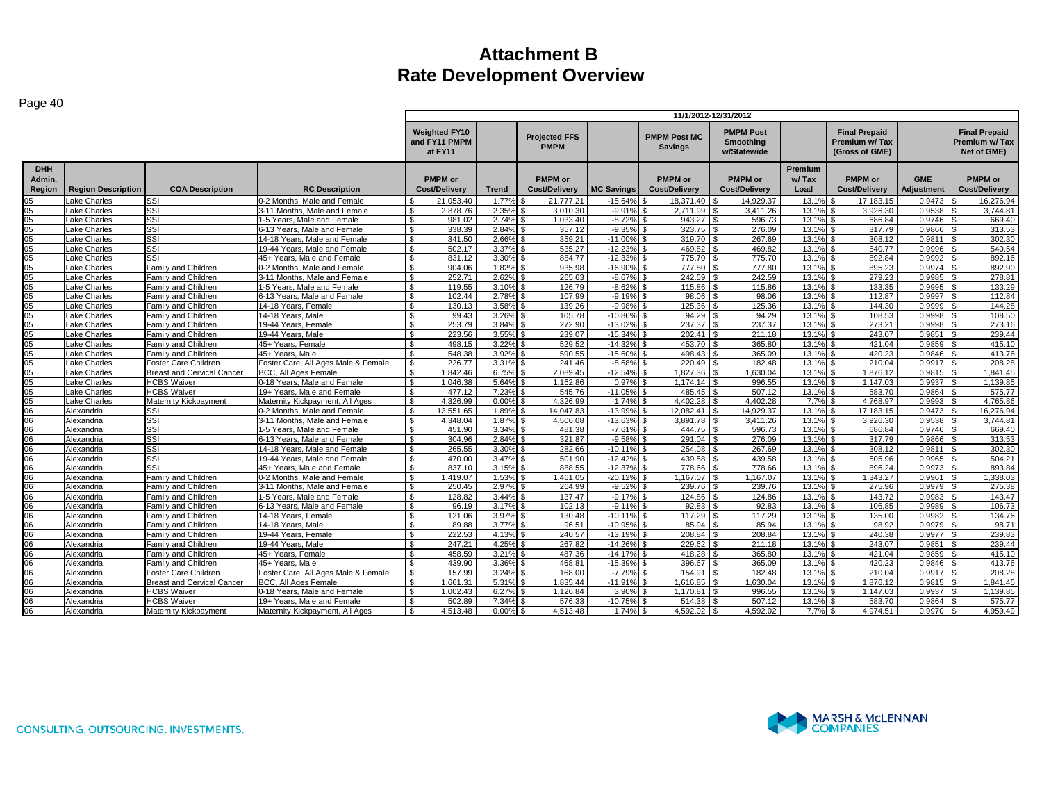|                                       |                           |                                   |                                     | 11/1/2012-12/31/2012                             |                   |                                     |                   |                                        |                                                     |                          |                                                         |                                 |                                                       |
|---------------------------------------|---------------------------|-----------------------------------|-------------------------------------|--------------------------------------------------|-------------------|-------------------------------------|-------------------|----------------------------------------|-----------------------------------------------------|--------------------------|---------------------------------------------------------|---------------------------------|-------------------------------------------------------|
|                                       |                           |                                   |                                     | <b>Weighted FY10</b><br>and FY11 PMPM<br>at FY11 |                   | <b>Projected FFS</b><br><b>PMPM</b> |                   | <b>PMPM Post MC</b><br><b>Savings</b>  | <b>PMPM Post</b><br><b>Smoothing</b><br>w/Statewide |                          | <b>Final Prepaid</b><br>Premium w/Tax<br>(Gross of GME) |                                 | <b>Final Prepaid</b><br>Premium w/ Tax<br>Net of GME) |
| <b>DHH</b><br>Admin.<br><b>Region</b> | <b>Region Description</b> | <b>COA Description</b>            | <b>RC Description</b>               | <b>PMPM</b> or<br><b>Cost/Delivery</b>           | <b>Trend</b>      | <b>PMPM</b> or<br>Cost/Delivery     | <b>MC Savings</b> | <b>PMPM</b> or<br><b>Cost/Delivery</b> | <b>PMPM</b> or<br><b>Cost/Delivery</b>              | Premium<br>w/Tax<br>Load | <b>PMPM</b> or<br><b>Cost/Delivery</b>                  | <b>GME</b><br><b>Adjustment</b> | <b>PMPM</b> or<br><b>Cost/Delivery</b>                |
| 05                                    | ake Charles.              | SSI                               | 0-2 Months, Male and Female         | 21,053.40                                        | 1.77%             | 21,777.21                           | $-15.64%$         | 18,371.40                              | 14,929.37                                           | 13.19                    | 17,183.15                                               | 0.9473                          | 16,276.94                                             |
| 05                                    | ake Charles               | SSI                               | 3-11 Months, Male and Female        | 2.878.76                                         | 2.35%             | 3.010.30                            | $-9.91%$          | 2,711.99                               | 3.411.26                                            | 13.1%                    | 3.926.30                                                | 0.9538                          | 3.744.81                                              |
| 05                                    | ake Charles               | SSI                               | 1-5 Years, Male and Female          | 981.02                                           | 2.74%             | 1.033.40                            | $-8.72%$          | 943.27                                 | 596.73                                              | 13.1%                    | 686.84                                                  | 0.9746                          | 669.40                                                |
| 05                                    | ake Charles               | SSI                               | 6-13 Years, Male and Female         | 338.39                                           | 2.84%             | 357.12                              | $-9.35%$          | 323.75                                 | 276.09                                              | 13.1%                    | 317.79                                                  | 0.9866                          | 313.53                                                |
| 05                                    | ake Charles               | SSI                               | 14-18 Years, Male and Female        | 341.50                                           | 2.669             | 359.21                              | $-11.00%$         | 319.70                                 | 267.69                                              | 13.1%                    | 308.12                                                  | 0.9811                          | 302.30                                                |
| 05                                    | ake Charles               | SSI                               | 19-44 Years, Male and Female        | ፍ<br>502.17                                      | 3.37%             | 535.27                              | $-12.23%$         | 469.82                                 | 469.82                                              | 13.1%                    | 540.77                                                  | 0.9996                          | 540.54                                                |
| 05                                    | ake Charles               | SSI                               | 45+ Years. Male and Female          | $\mathfrak{L}$<br>831.12                         | 3.30%             | 884.77                              | $-12.33%$         | 775.70                                 | 775.70                                              | 13.19                    | 892.84                                                  | 0.9992                          | 892.16<br>$\mathfrak{L}$                              |
| 05                                    | ake Charles               | Family and Children               | 0-2 Months, Male and Female         | $\mathfrak{L}$<br>904.06                         | 1.82%             | 935.98                              | $-16.90%$         | 777.80                                 | 777.80                                              | 13.19                    | 895.23                                                  | 0.9974                          | 892.90                                                |
| 05                                    | Lake Charles              | Family and Children               | 3-11 Months, Male and Female        | 252.71                                           | 2.62%             | 265.63                              | $-8.67%$          | 242.59                                 | 242.59                                              | 13.1%                    | 279.23                                                  | 0.9985                          | 278.81                                                |
| 05                                    | ake Charles.              | Family and Children               | 1-5 Years, Male and Female          | 119.55                                           | 3.10 <sup>6</sup> | 126.79                              | $-8.62%$          | 115.86                                 | 115.86                                              | 13.1%                    | 133.35                                                  | 0.9995                          | 133.29                                                |
| 05                                    | ake Charles               | Family and Children               | 6-13 Years. Male and Female         | 102.44<br>$\hat{\mathcal{L}}$                    | 2.78%             | 107.99                              | $-9.19%$          | 98.06                                  | 98.06                                               | 13.1%                    | 112.87                                                  | 0.9997                          | 112.84                                                |
| 05                                    | ake Charles               | Family and Children               | 14-18 Years, Female                 | 130.13<br>ፍ                                      | 3.58%             | 139.26                              | $-9.98%$          | 125.36                                 | 125.36                                              | 13.1%                    | 144.30                                                  | 0.9999                          | 144.28                                                |
| 05                                    | ake Charles               | Family and Children               | 14-18 Years, Male                   | 99.43<br>$\mathfrak{L}$                          | 3.26%             | 105.78                              | $-10.86%$         | 94.29<br><b>.S</b>                     | 94.29                                               | 13.1%                    | 108.53                                                  | 0.9998                          | 108.50<br>$\mathcal{F}$                               |
| 05                                    | ake Charles               | Family and Children               | 19-44 Years, Female                 | 253.79                                           | 3.84%             | 272.90                              | $-13.02%$         | 237.37                                 | 237.37                                              | 13.1%                    | 273.21                                                  | 0.9998                          | 273.16                                                |
| 05                                    | ake Charles               | Family and Children               | 19-44 Years, Male                   | 223.56                                           | 3.55%             | 239.07                              | $-15.34%$         | 202.41                                 | 211.18                                              | 13.1%                    | 243.07                                                  | 0.9851                          | 239.44                                                |
| 05                                    | ake Charles               | Family and Children               | 45+ Years. Female                   | 498.15<br>ፍ                                      | 3.22%             | 529.52                              | $-14.32%$         | 453.70<br>۱¢                           | 365.80                                              | 13.1%                    | 421.04                                                  | 0.9859                          | 415.10                                                |
| 05                                    | ake Charles               | Family and Children               | 45+ Years, Male                     | 548.38                                           | 3.92%             | 590.55                              | $-15.60%$         | 498.43                                 | 365.09                                              | 13.19                    | 420.23                                                  | 0.9846                          | 413.76                                                |
| 05                                    | ake Charles               | Foster Care Children              | Foster Care, All Ages Male & Female | 226.77<br>ፍ                                      | 3.31%             | 241.46                              | $-8.68%$          | 220.49                                 | 182.48                                              | 13.1%                    | 210.04                                                  | 0.9917                          | 208.28                                                |
| 05                                    | ake Charles               | <b>Breast and Cervical Cancer</b> | <b>BCC. All Ages Female</b>         | 1.842.46                                         | 6.75%             | 2.089.45                            | $-12.54%$         | 1.827.36                               | 1.630.04                                            | 13.19                    | 1.876.12                                                | 0.9815                          | 1.841.45<br>l \$                                      |
| 05                                    | ake Charles               | <b>HCBS</b> Waiver                | 0-18 Years, Male and Female         | 1,046.38                                         | 5.64%             | 1,162.86                            | 0.97%             | 1.174.14<br>l \$                       | 996.55                                              | 13.1%                    | 1.147.03                                                | 0.9937                          | 1,139.85<br>\$                                        |
| 05                                    | ake Charles               | <b>HCBS Waiver</b>                | 19+ Years. Male and Female          | 477.12                                           | 7.23%             | 545.76                              | $-11.05%$         | 485.45                                 | 507.12                                              | 13.1%                    | 583.70                                                  | 0.9864                          | 575.77                                                |
| 05                                    | ake Charles               | Maternity Kickpayment             | Maternity Kickpayment, All Ages     | 4.326.99                                         | 0.00%             | 4.326.99                            | 1.74%             | 4.402.28                               | 4.402.28                                            | 7.7%                     | 4.768.97                                                | 0.9993                          | 4.765.86                                              |
| 06                                    | Alexandria                | SSI                               | 0-2 Months, Male and Female         | 13,551.65<br>$\mathfrak{L}$                      | 1.89%             | 14.047.83                           | $-13.99%$         | 12.082.41                              | 14,929.37                                           | 13.19                    | 17.183.15                                               | 0.9473                          | 16,276.94                                             |
| 06                                    | Alexandria                | SSI                               | 3-11 Months, Male and Female        | $\hat{\mathcal{L}}$<br>4.348.04                  | 1.87%             | 4,506.08                            | $-13.63%$         | 3.891.78                               | 3,411.26                                            | 13.19                    | 3.926.30                                                | 0.9538                          | 3.744.81                                              |
| 06                                    | Alexandria                | SSI                               | 1-5 Years, Male and Female          | 451.90                                           | 3.34%             | 481.38                              | $-7.61%$          | 444.75                                 | 596.73                                              | 13.1%                    | 686.84                                                  | 0.9746                          | 669.40                                                |
| 06                                    | Alexandria                | SSI                               | 6-13 Years, Male and Female         | 304.96                                           | 2.84%             | 321.87                              | $-9.58%$          | 291.04                                 | 276.09                                              | 13.1%                    | 317.79                                                  | 0.9866                          | 313.53                                                |
| 06                                    | Alexandria                | SSI                               | 14-18 Years, Male and Female        | $\mathfrak{L}$<br>265.55                         | 3.30%             | 282.66                              | $-10.11%$         | 254.08                                 | 267.69                                              | 13.1%                    | 308.12                                                  | 0.9811                          | 302.30                                                |
| 06                                    | Alexandria                | SSI                               | 19-44 Years, Male and Female        | 470.00<br>$\mathbf{R}$                           | 3.47%             | 501.90                              | $-12.42%$         | 439.58                                 | 439.58                                              | 13.1%                    | 505.96                                                  | 0.9965                          | 504.21                                                |
| 06                                    | Alexandria                | SSI                               | 45+ Years, Male and Female          | 837.10<br>ፍ                                      | 3.15%             | 888.55                              | $-12.37%$         | 778.66                                 | 778.66                                              | 13.19                    | 896.24                                                  | 0.9973                          | 893.84                                                |
| 06                                    | Alexandria                | Family and Children               | 0-2 Months, Male and Female         | 1.419.07                                         | 1.53%             | 1.461.05                            | $-20.12%$         | 1.167.07<br>l S                        | 1.167.07                                            | 13.19                    | 1.343.27                                                | 0.9961                          | .338.03<br>- \$                                       |
| 06                                    | Alexandria                | Family and Children               | 3-11 Months, Male and Female        | 250.45                                           | 2.97%             | 264.99                              | $-9.52%$          | 239.76                                 | 239.76                                              | 13.1%                    | 275.96                                                  | 0.9979                          | 275.38                                                |
| 06                                    | Alexandria                | Family and Children               | 1-5 Years, Male and Female          | 128.82                                           | 3.44%             | 137.47                              | $-9.17%$          | 124.86                                 | 124.86                                              | 13.1%                    | 143.72                                                  | 0.9983                          | 143.47                                                |
| 06                                    | Alexandria                | Family and Children               | 6-13 Years. Male and Female         | 96.19<br>$\hat{\mathcal{L}}$                     | 3.17%             | 102.13                              | $-9.11%$          | 92.83                                  | 92.83                                               | 13.1%                    | 106.85                                                  | 0.9989                          | 106.73                                                |
| 06                                    | Alexandria                | Family and Children               | 14-18 Years, Female                 | 121.06<br>ፍ                                      | 3.97%             | 130.48                              | $-10.11%$         | 117.29                                 | 117.29                                              | 13.1%                    | 135.00                                                  | 0.9982                          | 134.76                                                |
| 06                                    | Alexandria                | Family and Children               | 14-18 Years, Male                   | $\mathfrak{L}$<br>89.88                          | 3.77%             | 96.51                               | $-10.95\%$ \$     | 85.94                                  | 85.94                                               | 13.1%                    | 98.92                                                   | 0.9979                          | 98.71                                                 |
| 06                                    | Alexandria                | Family and Children               | 19-44 Years, Female                 | 222.53                                           | 4.13%             | 240.57                              | $-13.19%$         | 208.84                                 | 208.84                                              | 13.1%                    | 240.38                                                  | 0.9977                          | 239.83                                                |
| 06                                    | Alexandria                | Family and Children               | 19-44 Years, Male                   | 247.21                                           | 4.25%             | 267.82                              | $-14.26%$         | 229.62                                 | 211.18                                              | 13.1%                    | 243.07                                                  | 0.9851                          | 239.44                                                |
| 06                                    | Alexandria                | Family and Children               | 45+ Years. Female                   | 458.59<br>$\mathfrak{L}$                         | 3.21%             | 487.36                              | $-14.17%$         | 418.28<br>۱۹.                          | 365.80                                              | 13.1%                    | 421.04                                                  | 0.9859                          | 415.10                                                |
| 06                                    | Alexandria                | Family and Children               | 45+ Years, Male                     | 439.90                                           | 3.36%             | 468.81                              | $-15.39%$         | 396.67                                 | 365.09                                              | 13.1%                    | 420.23                                                  | 0.9846                          | 413.76                                                |
| 06                                    | Alexandria                | Foster Care Children              | Foster Care, All Ages Male & Female | 157.99<br><b>¢</b>                               | 3.24%             | 168.00                              | $-7.79%$          | 154.91                                 | 182.48                                              | 13.1%                    | 210.04                                                  | 0.9917                          | 208.28                                                |
| 06                                    | Alexandria                | Breast and Cervical Cancer        | <b>BCC, All Ages Female</b>         | 1.661.31                                         | 5.319             | 1.835.44                            | $-11.91%$         | 1.616.85                               | 1.630.04                                            | 13.19                    | 1,876.12                                                | 0.9815                          | 1.841.45                                              |
| 06                                    | Alexandria                | <b>HCBS Waiver</b>                | 0-18 Years, Male and Female         | 1.002.43                                         | 6.27%             | 1.126.84                            | 3.90%             | 1.170.81                               | 996.55                                              | 13.1%                    | 1.147.03                                                | 0.9937                          | 1.139.85                                              |
| 06                                    | Alexandria                | <b>HCBS Waiver</b>                | 19+ Years. Male and Female          | 502.89                                           | 7.34%             | 576.33                              | $-10.75\%$ \$     | 514.38                                 | 507.12                                              | 13.1%                    | 583.70                                                  | 0.9864                          | 575.77                                                |
| 06                                    | Alexandria                | Maternity Kickpayment             | Maternity Kickpayment, All Ages     | 4.513.48                                         | 0.00%             | 4,513.48                            | 1.74%             | 4,592.02                               | 4.592.02                                            | 7.7%                     | 4,974.51                                                | 0.9970                          | 4,959.49                                              |

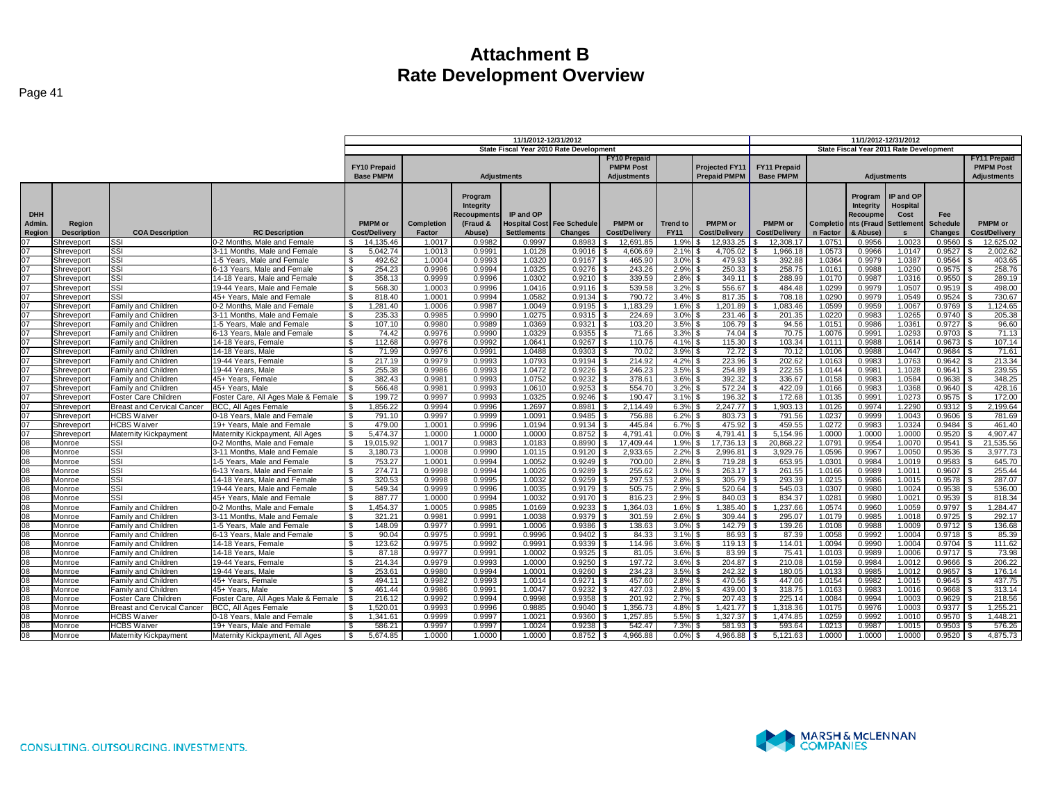|                 |                              |                                   |                                        | 11/1/2012-12/31/2012     |                      |                                |                    |                                       |                                                                                    |                 |                           |                       | 11/1/2012-12/31/2012  |                        |            |                        |                      |
|-----------------|------------------------------|-----------------------------------|----------------------------------------|--------------------------|----------------------|--------------------------------|--------------------|---------------------------------------|------------------------------------------------------------------------------------|-----------------|---------------------------|-----------------------|-----------------------|------------------------|------------|------------------------|----------------------|
|                 |                              |                                   |                                        |                          |                      |                                |                    |                                       | State Fiscal Year 2010 Rate Development<br>State Fiscal Year 2011 Rate Development |                 |                           |                       |                       |                        |            |                        |                      |
|                 |                              |                                   |                                        |                          |                      |                                |                    |                                       | <b>FY10 Prepaid</b>                                                                |                 |                           |                       |                       |                        |            |                        | <b>FY11 Prepaid</b>  |
|                 |                              |                                   |                                        | <b>FY10 Prepaid</b>      |                      |                                |                    |                                       | <b>PMPM Post</b>                                                                   |                 | <b>Projected FY11</b>     | <b>FY11 Prepaid</b>   |                       |                        |            |                        | <b>PMPM Post</b>     |
|                 |                              |                                   |                                        | <b>Base PMPM</b>         |                      | <b>Adjustments</b>             |                    |                                       | <b>Adjustments</b>                                                                 |                 | <b>Prepaid PMPM</b>       | <b>Base PMPM</b>      |                       | <b>Adjustments</b>     |            |                        | <b>Adjustments</b>   |
|                 |                              |                                   |                                        |                          |                      |                                |                    |                                       |                                                                                    |                 |                           |                       |                       |                        |            |                        |                      |
|                 |                              |                                   |                                        |                          |                      |                                |                    |                                       |                                                                                    |                 |                           |                       |                       |                        | IP and OP  |                        |                      |
|                 |                              |                                   |                                        |                          |                      | Program<br>Integrity           |                    |                                       |                                                                                    |                 |                           |                       |                       | Program                | Hospital   |                        |                      |
| <b>DHH</b>      |                              |                                   |                                        |                          |                      |                                | IP and OP          |                                       |                                                                                    |                 |                           |                       |                       | Integrity              |            |                        |                      |
| Admin.          |                              |                                   |                                        | <b>PMPM</b> or           |                      | <b>Recoupments</b><br>(Fraud & |                    |                                       | <b>PMPM</b> or                                                                     | <b>Trend to</b> | PMPM or                   | PMPM or               |                       | Recoupme<br>nts (Fraud | Cost       | Fee<br><b>Schedule</b> | PMPM or              |
|                 | Region<br><b>Description</b> | <b>COA Description</b>            | <b>RC Description</b>                  | <b>Cost/Delivery</b>     | Completion<br>Factor | Abuse)                         | <b>Settlements</b> | Hospital Cost Fee Schedule<br>Changes | <b>Cost/Delivery</b>                                                               | <b>FY11</b>     | <b>Cost/Delivery</b>      | <b>Cost/Delivery</b>  | Completio<br>n Factor | & Abuse)               | Settlement | <b>Changes</b>         | <b>Cost/Delivery</b> |
| Region          |                              | <b>SSI</b>                        | 0-2 Months, Male and Female            | 14,135.46                | 1.0017               | 0.9982                         |                    | 0.8983                                |                                                                                    | 1.9%            | 12,933.25                 |                       |                       | 0.9956                 | 1.0023     | 0.9560                 | 12,625.02            |
| 07              | Shreveport<br>Shreveport     | Issi                              | 3-11 Months, Male and Female           | 5.042.74<br>l \$         | 1.0013               | 0.9991                         | 0.9997<br>1.0128   | 0.9016                                | 12,691.85<br>4,606.69                                                              | 2.1%            | 4.705.02                  | 12,308.17<br>1,966.18 | 1.0751<br>1.0573      | 0.9966                 | 1.0147     | 0.9527                 | 2,002.62             |
| 07              | Shreveport                   | <b>SSI</b>                        | -5 Years. Male and Female              | 492.62<br><b>S</b>       | 1.0004               | 0.9993                         | 1.0320             | 0.9167                                | 465.90                                                                             | 3.0%            | 479.93                    | 392.88                | 1.0364                | 0.9979                 | 1.0387     | 0.9564                 | 403.65               |
| 07              |                              | <b>SSI</b>                        | 5-13 Years, Male and Female            | 254.23<br><b>S</b>       | 0.9996               | 0.9994                         | 1.0325             | 0.9276                                | 243.26                                                                             | 2.9%            | 250.33                    | 258.75                | 1.0161                | 0.9988                 | 1.0290     | 0.9575                 | 258.76               |
| 07              | Shreveport<br>Shreveport     | <b>SSI</b>                        | 14-18 Years, Male and Female           | 358.13<br><b>S</b>       | 0.9999               | 0.9996                         | 1.0302             | 0.9210                                | 339.59                                                                             | 2.8%            | $349.11$ \$               | 288.99                | 1.0170                | 0.9987                 | 1.0316     | 0.9550                 | 289.19               |
| 07              | Shreveport                   | <b>SSI</b>                        | 19-44 Years, Male and Female           | I \$<br>568.30           | 1.0003               | 0.9996                         | 1.0416             | 0.9116                                | 539.58                                                                             | 3.2%            | 556.67                    | 484.48                | 1.0299                | 0.9979                 | 1.0507     | 0.9519                 | 498.00               |
| 07              | Shreveport                   | SSI                               | 45+ Years. Male and Female             | <b>S</b><br>818.40       | 1.0001               | 0.9994                         | 1.0582             | 0.9134                                | 790.72                                                                             | 3.4%            | $817.35$ $\vert$ :        | 708.18                | 1.0290                | 0.9979                 | 1.0549     | 0.9524                 | 730.67               |
| 07              | Shreveport                   | Family and Children               | -2 Months, Male and Female             | <b>S</b><br>1.281.40     | 1.0006               | 0.9987                         | 1.0049             | 0.9195                                | 1.183.29                                                                           | 1.6%            | $1.201.89$ $\blacksquare$ | 1.083.46              | 1.0599                | 0.9959                 | 1.0067     | 0.9769                 | 1.124.65             |
| 07              | Shreveport                   | Family and Children               | 3-11 Months, Male and Female           | 235.33<br>l S            | 0.9985               | 0.9990                         | 1.0275             | 0.9315                                | 224.69                                                                             | 3.0%            |                           | 201.35                | 1.0220                | 0.9983                 | 1.0265     | 0.9740                 | 205.38               |
| 07              | Shreveport                   | <b>Family and Children</b>        | 1-5 Years, Male and Female             | l \$<br>107.10           | 0.9980               | 0.9989                         | 1.0369             | 0.9321                                | 103.20                                                                             | 3.5%            | $106.79$ S                | 94.56                 | 1.0151                | 0.9986                 | 1.0361     | 0.9727                 | 96.60                |
| 07              | Shreveport                   | <b>Family and Children</b>        | 6-13 Years, Male and Female            | l \$<br>74.42            | 0.9976               | 0.9990                         | 1.0329             | 0.9355                                | 71.66                                                                              | 3.3%            | $74.04$ S                 | 70.75                 | 1.0076                | 0.9991                 | 1.0293     | 0.9703                 | 71.13                |
| 07              | Shreveport                   | <b>Family and Children</b>        | 14-18 Years, Female                    | 112.68<br>l \$           | 0.9976               | 0.9992                         | 1.0641             | 0.9267                                | 110.76                                                                             | 4.1%            | 115.30                    | 103.34                | 1.0111                | 0.9988                 | 1.0614     | 0.9673                 | 107.14               |
| 07              | Shreveport                   | Family and Children               | 14-18 Years, Male                      | ΙS<br>71.99              | 0.9976               | 0.9991                         | 1.0488             | 0.9303                                | 70.02                                                                              | 3.9%            | 72.72                     | 70.12                 | 1.0106                | 0.9988                 | 1.0447     | 0.9684                 | 71.61                |
| $\overline{07}$ | Shreveport                   | <b>Family and Children</b>        | 19-44 Years, Female                    | 217.19<br><b>S</b>       | 0.9979               | 0.9993                         | 1.0793             | 0.9194                                | 214.92                                                                             | 4.2%            | 223.96                    | 202.62                | 1.0163                | 0.9983                 | 1.0763     | 0.9642                 | 213.34               |
| 07              | Shreveport                   | <b>Family and Children</b>        | 19-44 Years, Male                      | 255.38<br>l \$           | 0.9986               | 0.9993                         | 1.0472             | 0.9226                                | 246.23                                                                             | 3.5%            | 254.89                    | 222.55                | 1.0144                | 0.998                  | 1.1028     | 0.9641                 | 239.55               |
| 07              | Shreveport                   | <b>Family and Children</b>        | 45+ Years, Female                      | 382.43<br>l \$           | 0.9981               | 0.9993                         | 1.0752             | 0.9232                                | 378.61                                                                             | 3.6%            | $392.32$ \$               | 336.67                | 1.0158                | 0.9983                 | 1.0584     | 0.9638                 | 348.25               |
| 07              | Shreveport                   | <b>Family and Children</b>        | 45+ Years, Male                        | 566.48<br>-9             | 0.9981               | 0.9993                         | 1.0610             | 0.9253                                | 554.70                                                                             | 3.2%            |                           | 422.09                | 1.0166                | 0.9983                 | 1.0368     | 0.9640                 | 428.16               |
| 07              | Shreveport                   | Foster Care Children              | Foster Care, All Ages Male & Female \$ | 199.72                   | 0.9997               | 0.9993                         | 1.0325             | 0.9246                                | 190.47                                                                             | 3.1%            | 196.32 \$                 | 172.68                | 1.0135                | 0.9991                 | 1.0273     | 0.9575                 | 172.00               |
| 07              | Shreveport                   | <b>Breast and Cervical Cancer</b> | BCC, All Ages Female                   | 1,856.22<br>-S           | 0.9994               | 0.9996                         | 1.2697             | 0.8981                                | 2,114.49                                                                           | 6.3%            | $2,247.77$ \$<br>- \$     | 1,903.13              | 1.0126                | 0.9974                 | 1.2290     | 0.9312                 | 2,199.64             |
| 07              | Shreveport                   | <b>HCBS</b> Waiver                | 0-18 Years. Male and Female            | 791.10                   | 0.9997               | 0.9999                         | 1.0091             | 0.9485                                | 756.88                                                                             | 6.2%            | 803.73                    | 791.56                | 1.0237                | 0.9999                 | 1.0043     | 0.9606                 | 781.69               |
| 07              | Shreveport                   | <b>HCBS Waiver</b>                | 19+ Years, Male and Female             | 479.00<br>$\mathcal{S}$  | 1.0001               | 0.9996                         | 1.0194             | 0.9134                                | 445.84                                                                             | 6.7%            | 475.92                    | 459.55                | 1.0272                | 0.9983                 | 1.0324     | 0.9484                 | 461.40               |
| 07              | Shreveport                   | Maternity Kickpayment             | Maternity Kickpayment, All Ages        | $\mathbf{s}$<br>5.474.37 | 1.0000               | 1.0000                         | 1.0000             | 0.8752                                | 4.791.41                                                                           | 0.0%            | 4.791.41 $\frac{1}{3}$    | 5.154.96              | 1.0000                | 1.0000                 | 1.0000     | 0.9520                 | 4,907.47             |
| 08              | Monroe                       | Issi                              | -2 Months, Male and Female             | I \$<br>19.015.92        | 1.0017               | 0.9983                         | 1.0183             | 0.8990                                | 17.409.44                                                                          | 1.9%            | 17.736.13                 | 20.868.22             | 1.0791                | 0.9954                 | 1.0070     | 0.9541                 | 21.535.56            |
| 08              | Monroe                       | <b>SSI</b>                        | 3-11 Months, Male and Female           | l \$<br>3,180.73         | 1.0008               | 0.9990                         | 1.0115             | 0.9120                                | 2,933.65                                                                           | 2.2%            | $2,996.81$ \$             | 3,929.76              | 1.0596                | 0.9967                 | 1.0050     | 0.9536                 | 3,977.73             |
| 08              | Monroe                       | <b>SSI</b>                        | 1-5 Years, Male and Female             | <b>S</b><br>753.27       | 1.0001               | 0.9994                         | 1.0052             | 0.9249                                | 700.00                                                                             | 2.8%            | $719.28$ S                | 653.95                | 1.0301                | 0.9984                 | 1.001      | 0.9583                 | 645.70               |
| $\overline{08}$ | Monroe                       | <b>SSI</b>                        | 6-13 Years, Male and Female            | l \$<br>274.71           | 0.9998               | 0.9994                         | 1.0026             | 0.9289                                | 255.62                                                                             | 3.0%            | 263.17                    | 261.55                | 1.0166                | 0.9989                 | 1.001      | 0.9607                 | 255.44               |
| 08              | Monroe                       | <b>SSI</b>                        | 14-18 Years, Male and Female           | 320.53<br><b>S</b>       | 0.9998               | 0.9995                         | 1.0032             | 0.9259                                | 297.53                                                                             | 2.8%            | 305.79                    | 293.39                | 1.0215                | 0.9986                 | 1.001      | 0.9578                 | 287.07               |
| 08              | Monroe                       | <b>ISSI</b>                       | 19-44 Years, Male and Female           | l \$<br>549.34           | 0.9999               | 0.9996                         | 1.0035             | 0.9179                                | 505.75                                                                             | 2.9%            | 520.64                    | 545.03                | 1.0307                | 0.9980                 | 1.0024     | 0.9538                 | 536.00               |
| 80              | Monroe                       | Issi                              | 45+ Years, Male and Female             | l \$<br>887.77           | 1.0000               | 0.9994                         | 1.0032             | 0.9170                                | 816.23                                                                             | 2.9%            | 840.03                    | 834.37                | 1.0281                | 0.9980                 | 1.0021     | 0.9539                 | 818.34               |
| 08              | Monroe                       | Family and Children               | -2 Months, Male and Female             | .454.37<br><b>S</b>      | 1.0005               | 0.9985                         | 1.0169             | 0.9233                                | 1,364.03                                                                           | 1.6%            | 1.385.40                  | 1.237.66              | 1.0574                | 0.9960                 | 1.0059     | 0.9797                 | 1,284.47             |
| 80              | Monroe                       | Family and Children               | 3-11 Months, Male and Female           | $\sqrt{3}$<br>321.21     | 0.9981               | 0.9991                         | 1.0038             | 0.9379                                | 301.59                                                                             | 2.6%            | $309.44$ \$               | 295.07                | 1.0179                | 0.9985                 | 1.001      | 0.9725                 | 292.17               |
| 08              | Monroe                       | Family and Children               | 1-5 Years, Male and Female             | 148.09<br>l S            | 0.9977               | 0.9991                         | 1.0006             | 0.9386                                | 138.63                                                                             | 3.0%            | 142.79 $\frac{1}{2}$      | 139.26                | 1.0108                | 0.9988                 | 1.0009     | 0.9712                 | 136.68               |
| 08              | Monroe                       | Family and Children               | 6-13 Years. Male and Female            | 90.04<br>l S             | 0.9975               | 0.9991                         | 0.9996             | 0.9402                                | 84.33                                                                              | 3.1%            | $86.93$   \$              | 87.39                 | 1.0058                | 0.9992                 | 1.0004     | 0.9718                 | 85.39                |
| 08              | Monroe                       | <b>Family and Children</b>        | 14-18 Years, Female                    | 123.62<br>l S            | 0.9975               | 0.9992                         | 0.9991             | 0.9339                                | 114.96                                                                             | 3.6%            | 119.13                    | 114.01                | 1.0094                | 0.9990                 | 1.0004     | 0.9704                 | 111.62               |
| 08              | Monroe                       | <b>Family and Children</b>        | 14-18 Years, Male                      | S.<br>87.18              | 0.9977               | 0.9991                         | 1.0002             | 0.9325                                | 81.05                                                                              | 3.6%            | 83.99                     | 75.41                 | 1.0103                | 0.9989                 | 1.0006     | 0.9717                 | 73.98                |
| 80              | Monroe                       | Family and Children               | 19-44 Years, Female                    | 214.34<br>l s            | 0.9979               | 0.9993                         | 1.0000             | 0.9250                                | 197.72                                                                             | 3.6%            | 204.87                    | 210.08                | 1.0159                | 0.9984                 | 1.0012     | 0.9666                 | 206.22               |
| 08              | Monroe                       | Family and Children               | 19-44 Years, Male                      | 253.61                   | 0.9980               | 0.9994                         | 1.0001             | 0.9260                                | 234.23                                                                             | 3.5%            | 242.32                    | 180.05                | 1.0133                | 0.9985                 | 1.0012     | 0.9657                 | 176.14               |
| 80              | Monroe                       | Family and Children               | 45+ Years, Female                      | 494.11<br>l s            | 0.9982               | 0.9993                         | 1.0014             | 0.9271                                | 457.60                                                                             | 2.8%            | 470.56 \$                 | 447.06                | 1.0154                | 0.9982                 | 1.001      | 0.9645                 | 437.75               |
| 80              | Monroe                       | Family and Children               | 45+ Years, Male                        | 461.44                   | 0.9986               | 0.9991                         | 1.0047             | 0.9232                                | 427.03                                                                             | 2.8%            | 439.00                    | 318.75                | 1.0163                | 0.9983                 | 1.0016     | 0.9668                 | 313.14               |
| 08              | Monroe                       | Foster Care Children              | Foster Care, All Ages Male & Female    | 216.12                   | 0.9992               | 0.9994                         | 0.9998             | 0.9358                                | 201.92                                                                             | 2.7%            | 207.43                    | 225.14                | 1.0084                | 0.9994                 | 1.0003     | 0.9629                 | 218.56               |
| $\overline{08}$ | Monroe                       | Breast and Cervical Cancer        | <b>BCC, All Ages Female</b>            | 1,520.01<br>- \$         | 0.9993               | 0.9996                         | 0.9885             | 0.9040                                | 1,356.73                                                                           | 4.8%            |                           | 1,318.36              | 1.0175                | 0.9976                 | 1.0003     | 0.9377                 | 1,255.21             |
| 08              | Monroe                       | <b>HCBS Waiver</b>                | 0-18 Years, Male and Female            | ,341.61                  | 0.9999               | 0.9997                         | 1.0021             | 0.9360                                | 1,257.85                                                                           | 5.5%            | $1,327.37$                | 1.474.85              | 1.0259                | 0.9992                 | 1.001      | 0.9570                 | 1,448.21             |
| $\overline{08}$ | Monroe                       | <b>HCBS</b> Waiver                | 19+ Years. Male and Female             | 586.21<br>l \$           | 0.9997               | 0.9997                         | 1.0024             | 0.9238                                | 542.47                                                                             | 7.3%            | 581.93                    | 593.64                | 1.0213                | 0.9987                 | 1.001      | 0.9503                 | 576.26               |
| $\overline{08}$ | Monroe                       | <b>Maternity Kickpayment</b>      | Maternity Kickpayment, All Ages        | 5.674.85<br><b>S</b>     | 1.0000               | 1.0000                         | 1.0000             | 0.8752                                | 4.966.88                                                                           | 0.0%            | 4.966.88 $\vert$ \$<br>\$ | 5.121.63              | 1.0000                | 1.0000                 | 1.0000     | 0.9520                 | 4.875.73<br>l S      |

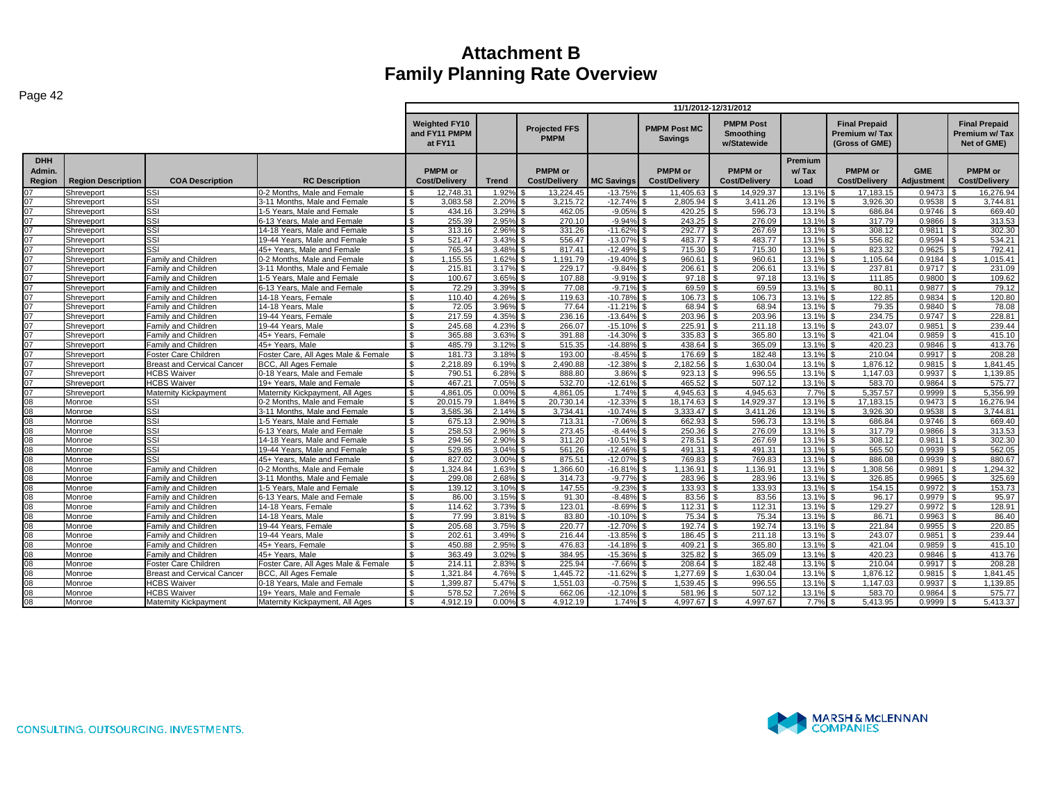| ≏ו<br>10 |
|----------|
|----------|

| - 50 -                         |                           |                                   |                                     |                                                  |              |                                        |                   |                                        | 11/1/2012-12/31/2012                                |                          |                                                         |                          |                                                      |
|--------------------------------|---------------------------|-----------------------------------|-------------------------------------|--------------------------------------------------|--------------|----------------------------------------|-------------------|----------------------------------------|-----------------------------------------------------|--------------------------|---------------------------------------------------------|--------------------------|------------------------------------------------------|
|                                |                           |                                   |                                     | <b>Weighted FY10</b><br>and FY11 PMPM<br>at FY11 |              | <b>Projected FFS</b><br><b>PMPM</b>    |                   | <b>PMPM Post MC</b><br><b>Savings</b>  | <b>PMPM Post</b><br><b>Smoothing</b><br>w/Statewide |                          | <b>Final Prepaid</b><br>Premium w/Tax<br>(Gross of GME) |                          | <b>Final Prepaid</b><br>Premium w/Tax<br>Net of GME) |
| <b>DHH</b><br>Admin.<br>Region | <b>Region Description</b> | <b>COA Description</b>            | <b>RC Description</b>               | <b>PMPM</b> or<br><b>Cost/Delivery</b>           | <b>Trend</b> | <b>PMPM</b> or<br><b>Cost/Delivery</b> | <b>MC Savings</b> | <b>PMPM</b> or<br><b>Cost/Delivery</b> | <b>PMPM</b> or<br><b>Cost/Delivery</b>              | Premium<br>w/Tax<br>Load | <b>PMPM</b> or<br><b>Cost/Delivery</b>                  | <b>GME</b><br>Adjustment | <b>PMPM</b> or<br>Cost/Delivery                      |
| 07                             | Shreveport                | SSI                               | 0-2 Months. Male and Female         | 12.748.3                                         | 1.92%        | 13.224.45                              | $-13.759$         | 11.405.63                              | 14.929.37                                           | 13.19                    | 17.183.15                                               | 0.9473                   | 16.276.94                                            |
| 07                             | Shreveport                | SSI                               | 3-11 Months, Male and Female        | 3,083.58                                         | 2.20%        | 3,215.72                               | $-12.749$         | 2,805.94                               | 3,411.26                                            | 13.1%                    | 3,926.30                                                | 0.9538                   | 3.744.81                                             |
| 07                             | Shreveport                | SSI                               | 1-5 Years. Male and Female          | £.<br>434.16                                     | 3.29%        | 462.05                                 | $-9.05%$          | 420.25                                 | 596.73                                              | 13.1%                    | 686.84                                                  | 0.9746                   | 669.40                                               |
| 07                             | Shreveport                | SSI                               | 6-13 Years, Male and Female         | 255.39<br>$\mathbf{\$}$                          | 2.95%        | 270.10                                 | $-9.94%$          | 243.25                                 | 276.09                                              | 13.1%                    | 317.79                                                  | 0.9866                   | 313.53                                               |
| 07                             | Shreveport                | SSI                               | 14-18 Years. Male and Female        | 313.16<br>\$                                     | 2.96%        | 331.26                                 | $-11.62%$         | 292.77                                 | 267.69                                              | 13.1%                    | 308.12                                                  | $0.9811$ \$              | 302.30                                               |
| 07                             | Shreveport                | SSI                               | 19-44 Years. Male and Female        | $\mathfrak{L}$<br>521.47                         | 3.43%        | 556.47                                 | $-13.07%$         | 483.77                                 | 483.77                                              | 13.1%                    | 556.82                                                  | 0.9594                   | 534.21                                               |
| 07                             | Shreveport                | SSI                               | 45+ Years. Male and Female          | 765.34                                           | 3.48%        | 817.41                                 | $-12.499$         | 715.30                                 | 715.30                                              | 13.19                    | 823.32                                                  | 0.9625                   | 792.41                                               |
| $\overline{07}$                | Shreveport                | <b>Family and Children</b>        | 0-2 Months, Male and Female         | 1.155.55<br>$\mathfrak{L}$                       | 1.62%        | 1.191.79                               | $-19.40%$         | 960.61                                 | 960.61                                              | 13.1%                    | 1.105.64                                                | 0.9184                   | 1.015.41                                             |
| 07                             | Shreveport                | Family and Children               | 3-11 Months. Male and Female        | $\mathfrak{L}$<br>215.81                         | 3.17%        | 229.17                                 | $-9.84%$          | 206.61                                 | 206.61                                              | 13.1%                    | 237.81                                                  | 0.9717                   | 231.09<br>$\mathbf{\hat{f}}$                         |
| 07                             | Shreveport                | Family and Children               | 1-5 Years. Male and Female          | 100.67                                           | 3.65%        | 107.88                                 | $-9.919$          | 97.18                                  | 97.18                                               | 13.1%                    | 111.85                                                  | 0.9800                   | 109.62                                               |
| 07                             | Shreveport                | Family and Children               | 6-13 Years, Male and Female         | 72.29                                            | 3.39%        | 77.08                                  | $-9.71%$          | 69.59                                  | 69.59                                               | 13.1%                    | 80.11                                                   | 0.9877                   | 79.12                                                |
| 07                             | Shreveport                | Family and Children               | 14-18 Years, Female                 | 110.40<br>$\hat{\mathcal{L}}$                    | 4.26%        | 119.63                                 | $-10.789$         | 106.73                                 | 106.73                                              | 13.1%                    | 122.85                                                  | 0.9834                   | 120.80                                               |
| $\overline{07}$                | Shreveport                | Family and Children               | 14-18 Years, Male                   | 72.05<br>\$                                      | 3.96%        | 77.64                                  | $-11.219$         | 68.94                                  | 68.94                                               | 13.1%                    | 79.35                                                   | 0.9840                   | 78.08                                                |
| 07                             | Shreveport                | Family and Children               | 19-44 Years, Female                 | 217.59                                           | 4.35%        | 236.16                                 | $-13.64%$         | 203.96                                 | 203.96                                              | 13.19                    | 234.75                                                  | 0.9747                   | 228.81                                               |
| 07                             | Shreveport                | Family and Children               | 19-44 Years, Male                   | 245.68                                           | 4.23%        | 266.07                                 | $-15.10%$         | 225.91                                 | 211.18                                              | 13.19                    | 243.07                                                  | 0.9851                   | 239.44                                               |
| 07                             | Shreveport                | Family and Children               | 45+ Years. Female                   | 365.88<br>\$                                     | 3.63%        | 391.88                                 | $-14.30%$         | 335.83                                 | 365.80                                              | 13.1%                    | 421.04                                                  | 0.9859                   | 415.10                                               |
| $\overline{07}$                | Shreveport                | Family and Children               | 45+ Years, Male                     | 485.79<br>$\mathcal{L}$                          | 3.12%        | 515.35                                 | $-14.88%$         | 438.64                                 | 365.09                                              | 13.19                    | 420.23                                                  | 0.9846                   | 413.76                                               |
| 07                             | Shreveport                | Foster Care Children              | Foster Care, All Ages Male & Female | $\mathbf{\$}$<br>181.73                          | 3.18%        | 193.00                                 | $-8.45%$          | 176.69                                 | 182.48                                              | 13.1%                    | 210.04                                                  | 0.9917                   | 208.28<br>l \$                                       |
| $\overline{07}$                | Shreveport                | <b>Breast and Cervical Cancer</b> | BCC, All Ages Female                | 2.218.89                                         | 6.19%        | 2.490.88                               | $-12.389$         | 2,182.56                               | 1,630.04                                            | 13.1%                    | 1.876.12                                                | 0.9815                   | 1.841.45                                             |
| 07                             | Shreveport                | <b>HCBS Waiver</b>                | 0-18 Years, Male and Female         | 790.51                                           | 6.28%        | 888.80                                 | 3.86%             | 923.13                                 | 996.55                                              | 13.1%                    | 1.147.03                                                | 0.9937                   | 1,139.85                                             |
| 07                             | Shreveport                | <b>HCBS Waiver</b>                | 19+ Years. Male and Female          | 467.21<br>\$                                     | 7.05%        | 532.70                                 | $-12.619$         | 465.52                                 | 507.12                                              | 13.1%                    | 583.70                                                  | 0.9864                   | 575.77                                               |
| 07                             | Shreveport                | Maternity Kickpayment             | Maternity Kickpayment, All Ages     | 4.861.05<br>$\mathfrak{L}$                       | 0.00%        | 4,861.05                               | 1.74%             | 4.945.63                               | 4.945.63                                            | 7.7%                     | 5.357.57                                                | 0.9999                   | 5.356.99                                             |
| 08                             | Monroe                    | SSI                               | 0-2 Months. Male and Female         | 20.015.79<br>-S                                  | 1.84%        | 20.730.14                              | $-12.339$         | 18.174.63                              | 14.929.37                                           | 13.19                    | 17.183.15                                               | 0.9473                   | 16.276.94                                            |
| 08                             | Monroe                    | SSI                               | 3-11 Months, Male and Female        | 3,585.36                                         | 2.14%        | 3.734.41                               | $-10.749$         | 3,333.47                               | 3,411.26                                            | 13.1%                    | 3.926.30                                                | 0.9538                   | 3.744.81                                             |
| 08                             | Monroe                    | SSI                               | 1-5 Years. Male and Female          | $\mathfrak{L}$<br>675.13                         | 2.90%        | 713.31                                 | $-7.069$          | 662.93                                 | 596.73                                              | 13.19                    | 686.84                                                  | 0.9746                   | 669.40                                               |
| $\overline{08}$                | Monroe                    | SSI                               | 6-13 Years, Male and Female         | $\mathfrak{L}$<br>258.53                         | 2.96%        | 273.45                                 | $-8.44%$          | 250.36                                 | 276.09                                              | 13.1%                    | 317.79                                                  | 0.9866                   | 313.53                                               |
| 08                             | Monroe                    | SSI                               | 14-18 Years. Male and Female        | \$<br>294.56                                     | 2.90%        | 311.20                                 | $-10.51%$         | 278.51                                 | 267.69                                              | 13.1%                    | 308.12                                                  | 0.9811                   | 302.30<br>l \$                                       |
| $\overline{08}$                | Monroe                    | SSI                               | 19-44 Years, Male and Female        | 529.85<br>-S                                     | 3.04%        | 561.26                                 | $-12.46%$         | 491.31                                 | 491.31                                              | 13.1%                    | 565.50                                                  | 0.9939                   | 562.05<br>\$                                         |
| 08                             | Monroe                    | SSI                               | 45+ Years. Male and Female          | 827.02                                           | 3.00%        | 875.51                                 | $-12.07%$         | 769.83                                 | 769.83                                              | 13.1%                    | 886.08                                                  | 0.9939                   | 880.67                                               |
| 08                             | Monroe                    | <b>Family and Children</b>        | 0-2 Months. Male and Female         | $\mathcal{L}$<br>1.324.84                        | 1.63%        | 1.366.60                               | $-16.81%$         | 1.136.91                               | 1.136.91                                            | 13.1%                    | 1.308.56                                                | 0.9891                   | 1.294.32                                             |
| 80                             | Monroe                    | Family and Children               | 3-11 Months, Male and Female        | 299.08<br>\$                                     | 2.68%        | 314.73                                 | $-9.77%$          | 283.96                                 | 283.96                                              | 13.1%                    | 326.85                                                  | 0.9965                   | 325.69                                               |
| 08                             | Monroe                    | Family and Children               | 1-5 Years, Male and Female          | 139.12                                           | 3.10%        | 147.55                                 | $-9.239$          | 133.93                                 | 133.93                                              | 13.19                    | 154.15                                                  | 0.9972                   | 153.73                                               |
| 08                             | Monroe                    | amily and Children                | 6-13 Years, Male and Female         | 86.00                                            | 3.15%        | 91.30                                  | $-8.48%$          | 83.56                                  | 83.56                                               | 13.19                    | 96.17                                                   | 0.9979                   | 95.97                                                |
| 08                             | Monroe                    | Family and Children               | 14-18 Years, Female                 | 114.62<br>\$                                     | 3.73%        | 123.01                                 | $-8.69%$          | 112.31                                 | 112.31                                              | 13.1%                    | 129.27                                                  | 0.9972                   | 128.91                                               |
| 08                             | Monroe                    | Family and Children               | 14-18 Years, Male                   | $\mathbf{R}$<br>77.99                            | 3.81%        | 83.80                                  | $-10.109$         | 75.34                                  | 75.34                                               | 13.19                    | 86.71                                                   | 0.9963                   | 86.40                                                |
| 08                             | Monroe                    | Family and Children               | 19-44 Years, Female                 | 205.68<br>\$                                     | 3.75%        | 220.77                                 | $-12.70%$         | 192.74                                 | 192.74                                              | 13.19                    | 221.84                                                  | 0.9955                   | 220.85                                               |
| 08                             | Monroe                    | Family and Children               | 19-44 Years, Male                   | 202.61                                           | 3.49%        | 216.44                                 | $-13.85%$         | 186.45                                 | 211.18                                              | 13.1%                    | 243.07                                                  | 0.9851                   | 239.44                                               |
| 08                             | Monroe                    | Family and Children               | 45+ Years. Female                   | 450.88<br>\$                                     | 2.95%        | 476.83                                 | $-14.18%$         | 409.21                                 | 365.80                                              | 13.1%                    | 421.04                                                  | 0.9859                   | 415.10                                               |
| 08                             | Monroe                    | Family and Children               | 45+ Years, Male                     | 363.49<br>$\mathcal{L}$                          | 3.02%        | 384.95                                 | $-15.36%$         | 325.82                                 | 365.09                                              | 13.1%                    | 420.23                                                  | 0.9846                   | 413.76                                               |
| 08                             | Monroe                    | Foster Care Children              | Foster Care, All Ages Male & Female | \$<br>214.11                                     | 2.83%        | 225.94                                 | $-7.66%$          | 208.64                                 | 182.48                                              | 13.1%                    | 210.04                                                  | 0.9917                   | 208.28<br>ፍ                                          |
| 08                             | Monroe                    | <b>Breast and Cervical Cancer</b> | <b>BCC, All Ages Female</b>         | 1,321.84                                         | 4.76%        | 1,445.72                               | $-11.629$         | 1.277.69                               | 1,630.04                                            | 13.1%                    | 1.876.12                                                | 0.9815                   | 1.841.45                                             |
| 08                             | Monroe                    | <b>HCBS Waiver</b>                | 0-18 Years. Male and Female         | 1.399.87                                         | 5.47%        | 1,551.03                               | $-0.75%$          | 1,539.45                               | 996.55                                              | 13.1%                    | 1.147.03                                                | 0.9937                   | 1.139.85                                             |
| 08                             | Monroe                    | <b>HCBS Waiver</b>                | 19+ Years. Male and Female          | 578.52<br>$\mathcal{L}$                          | 7.26%        | 662.06                                 | $-12.109$         | 581.96                                 | 507.12                                              | 13.1%                    | 583.70                                                  | 0.9864                   | 575.77                                               |
| 80                             | Monroe                    | Maternity Kickpayment             | Maternity Kickpayment, All Ages     | 4.912.19<br>$\mathcal{L}$                        | 0.00%        | 4,912.19                               | $1.74\%$ \$       | 4,997.67                               | 4.997.67                                            | 7.7%                     | 5.413.95                                                | 0.9999                   | 5.413.37<br>. ድ                                      |
|                                |                           |                                   |                                     |                                                  |              |                                        |                   |                                        |                                                     |                          |                                                         |                          |                                                      |

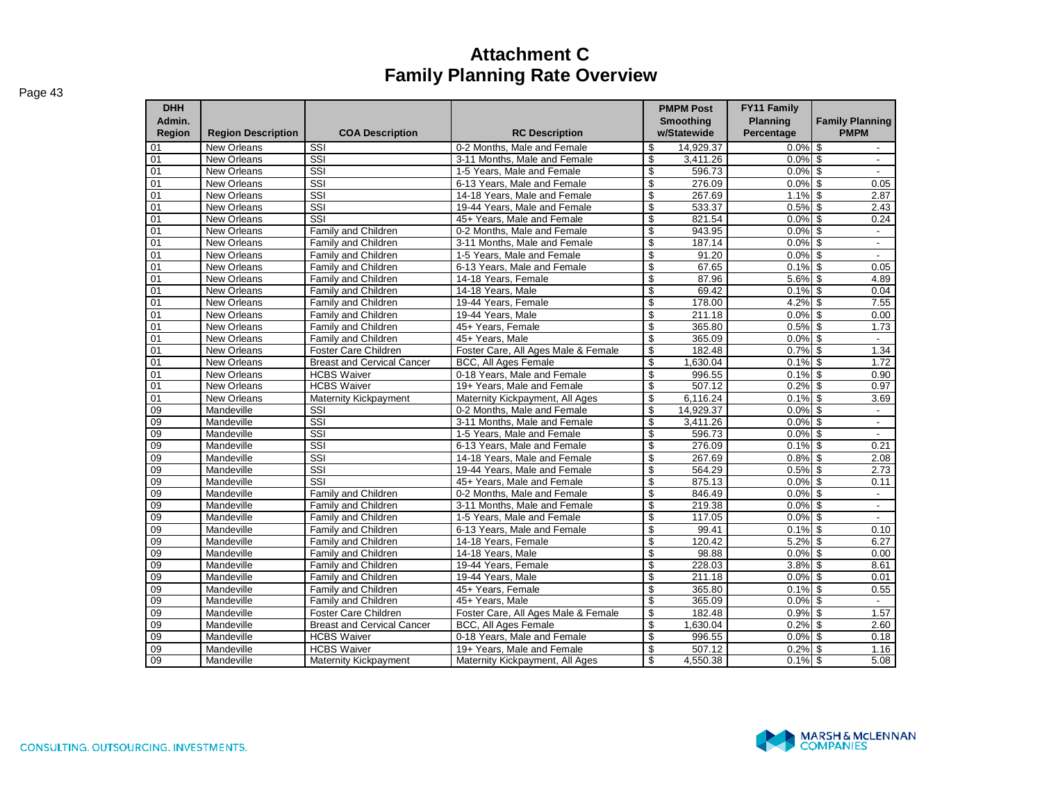| <b>DHH</b><br>Admin.<br><b>Region</b> | <b>Region Description</b>         | <b>COA Description</b>            | <b>RC Description</b>                                       |          | <b>PMPM Post</b><br><b>Smoothing</b><br>w/Statewide | FY11 Family<br><b>Planning</b><br>Percentage | <b>Family Planning</b><br><b>PMPM</b>      |
|---------------------------------------|-----------------------------------|-----------------------------------|-------------------------------------------------------------|----------|-----------------------------------------------------|----------------------------------------------|--------------------------------------------|
|                                       |                                   |                                   |                                                             |          |                                                     |                                              |                                            |
| 01<br>01                              | New Orleans<br><b>New Orleans</b> | SSI<br>SSI                        | 0-2 Months, Male and Female<br>3-11 Months, Male and Female | \$<br>\$ | 14,929.37                                           | $0.0\%$ \$<br>0.0%                           | $\mathfrak{S}$                             |
| 01                                    | New Orleans                       | SSI                               | 1-5 Years, Male and Female                                  | \$       | 3,411.26<br>596.73                                  | $0.0\%$ \$                                   | $\sim$<br>$\overline{\phantom{a}}$         |
| 01                                    | New Orleans                       | SSI                               | 6-13 Years. Male and Female                                 | \$       | 276.09                                              | $0.0\%$ \$                                   | 0.05                                       |
| 01                                    | New Orleans                       | SSI                               | 14-18 Years, Male and Female                                | \$       | 267.69                                              | $1.1\%$ \$                                   | 2.87                                       |
| 01                                    | <b>New Orleans</b>                | $\overline{\text{SSI}}$           | 19-44 Years, Male and Female                                | \$       | 533.37                                              | 0.5%                                         | \$<br>2.43                                 |
| 01                                    | New Orleans                       | SSI                               | 45+ Years, Male and Female                                  | \$       | 821.54                                              | 0.0%                                         | \$<br>0.24                                 |
| 01                                    | New Orleans                       | Family and Children               | 0-2 Months. Male and Female                                 | \$       | 943.95                                              | 0.0%                                         | $\mathfrak{S}$<br>$\mathcal{L}$            |
| 01                                    | <b>New Orleans</b>                | <b>Family and Children</b>        | 3-11 Months, Male and Female                                | \$       | 187.14                                              | 0.0%                                         | \$<br>$\overline{\phantom{a}}$             |
| 01                                    | New Orleans                       | Family and Children               | 1-5 Years. Male and Female                                  | \$       | 91.20                                               | 0.0%                                         | $\overline{\mathcal{S}}$                   |
| 01                                    | New Orleans                       | Family and Children               | 6-13 Years, Male and Female                                 | \$       | 67.65                                               | 0.1%                                         | \$<br>0.05                                 |
| $\overline{01}$                       | New Orleans                       | Family and Children               | 14-18 Years, Female                                         | \$       | 87.96                                               | 5.6%                                         | \$<br>4.89                                 |
| 01                                    | <b>New Orleans</b>                | Family and Children               | 14-18 Years, Male                                           | \$       | 69.42                                               | 0.1%                                         | \$<br>0.04                                 |
| 01                                    | New Orleans                       | Family and Children               | 19-44 Years, Female                                         | \$       | 178.00                                              | 4.2%                                         | $\mathsf{\$}$<br>7.55                      |
| 01                                    | New Orleans                       | Family and Children               | 19-44 Years, Male                                           | \$       | 211.18                                              | $0.0\%$ \$                                   | 0.00                                       |
| 01                                    | New Orleans                       | Family and Children               | 45+ Years, Female                                           | \$       | 365.80                                              | $0.5\%$ \$                                   | 1.73                                       |
| 01                                    | <b>New Orleans</b>                | <b>Family and Children</b>        | 45+ Years, Male                                             | \$       | 365.09                                              | 0.0%                                         | \$<br>$\overline{\phantom{a}}$             |
| $\overline{01}$                       | New Orleans                       | Foster Care Children              | Foster Care, All Ages Male & Female                         | \$       | 182.48                                              | 0.7%                                         | \$<br>1.34                                 |
| 01                                    | <b>New Orleans</b>                | <b>Breast and Cervical Cancer</b> | <b>BCC. All Ages Female</b>                                 | \$       | 1.630.04                                            | 0.1%                                         | \$<br>1.72                                 |
| 01                                    | New Orleans                       | <b>HCBS Waiver</b>                | 0-18 Years. Male and Female                                 | \$       | 996.55                                              | 0.1%                                         | $\mathfrak{S}$<br>0.90                     |
| 01                                    | New Orleans                       | <b>HCBS Waiver</b>                | 19+ Years. Male and Female                                  | \$       | 507.12                                              | 0.2%                                         | $\mathfrak{S}$<br>0.97                     |
| 01                                    | New Orleans                       | Maternity Kickpayment             | Maternity Kickpayment, All Ages                             | \$       | 6,116.24                                            | 0.1%                                         | \$<br>3.69                                 |
| 09                                    | Mandeville                        | SSI                               | 0-2 Months, Male and Female                                 | \$       | 14,929.37                                           | 0.0%                                         | \$<br>$\blacksquare$                       |
| 09                                    | Mandeville                        | $\overline{\text{SSI}}$           | 3-11 Months, Male and Female                                | \$       | 3,411.26                                            | 0.0%                                         | $\mathfrak s$<br>$\overline{\phantom{a}}$  |
| 09                                    | Mandeville                        | SSI                               | 1-5 Years. Male and Female                                  | \$       | 596.73                                              | $0.0\%$ \$                                   | $\overline{\phantom{a}}$                   |
| 09                                    | Mandeville                        | SSI                               | 6-13 Years. Male and Female                                 | \$       | 276.09                                              | $0.1\%$ \$                                   | 0.21                                       |
| $\overline{09}$                       | Mandeville                        | SSI                               | 14-18 Years, Male and Female                                | \$       | 267.69                                              | $0.8\%$ \$                                   | 2.08                                       |
| 09                                    | Mandeville                        | SSI                               | 19-44 Years, Male and Female                                | \$       | 564.29                                              | 0.5%                                         | \$<br>2.73                                 |
| 09                                    | Mandeville                        | SSI                               | 45+ Years. Male and Female                                  | \$       | 875.13                                              | 0.0%                                         | \$<br>0.11                                 |
| 09                                    | Mandeville                        | Family and Children               | 0-2 Months. Male and Female                                 | \$       | 846.49                                              | 0.0%                                         | $\mathfrak{S}$<br>$\overline{\phantom{a}}$ |
| 09                                    | Mandeville                        | <b>Family and Children</b>        | 3-11 Months. Male and Female                                | \$       | 219.38                                              | 0.0%                                         | $\mathfrak{S}$<br>$\blacksquare$           |
| 09                                    | Mandeville                        | Family and Children               | 1-5 Years. Male and Female                                  | \$       | 117.05                                              | 0.0%                                         | $\mathfrak{S}$                             |
| $\overline{09}$                       | Mandeville                        | <b>Family and Children</b>        | 6-13 Years, Male and Female                                 | \$       | 99.41                                               | 0.1%                                         | \$<br>0.10                                 |
| 09                                    | Mandeville                        | Family and Children               | 14-18 Years, Female                                         | \$       | 120.42                                              | 5.2%                                         | \$<br>6.27                                 |
| 09                                    | Mandeville                        | Family and Children               | 14-18 Years, Male                                           | \$       | 98.88                                               | 0.0%                                         | \$<br>0.00                                 |
| 09                                    | Mandeville                        | Family and Children               | 19-44 Years, Female                                         | \$       | 228.03                                              | 3.8%                                         | $\mathfrak{S}$<br>8.61                     |
| 09                                    | Mandeville                        | Family and Children               | 19-44 Years, Male                                           | \$       | 211.18                                              | 0.0%                                         | \$<br>0.01                                 |
| $\overline{09}$                       | Mandeville                        | Family and Children               | 45+ Years, Female                                           | \$       | 365.80                                              | $0.1\%$ \$                                   | 0.55                                       |
| 09                                    | Mandeville                        | Family and Children               | 45+ Years, Male                                             | \$       | 365.09                                              | 0.0%                                         | \$<br>$\sim$                               |
| $\overline{09}$                       | Mandeville                        | Foster Care Children              | Foster Care, All Ages Male & Female                         | \$       | 182.48                                              | 0.9%                                         | \$<br>1.57                                 |
| 09                                    | Mandeville                        | <b>Breast and Cervical Cancer</b> | <b>BCC. All Ages Female</b>                                 | \$       | 1.630.04                                            | 0.2%                                         | \$<br>2.60                                 |
| 09                                    | Mandeville                        | <b>HCBS Waiver</b>                | 0-18 Years. Male and Female                                 | \$       | 996.55                                              | 0.0%                                         | $\mathfrak{S}$<br>0.18                     |
| 09                                    | Mandeville                        | <b>HCBS Waiver</b>                | 19+ Years, Male and Female                                  | \$       | 507.12                                              | 0.2%                                         | $\mathfrak{S}$<br>1.16                     |
| 09                                    | Mandeville                        | <b>Maternity Kickpayment</b>      | Maternity Kickpayment, All Ages                             | \$       | 4,550.38                                            | $0.1\sqrt{8}$ \$                             | 5.08                                       |

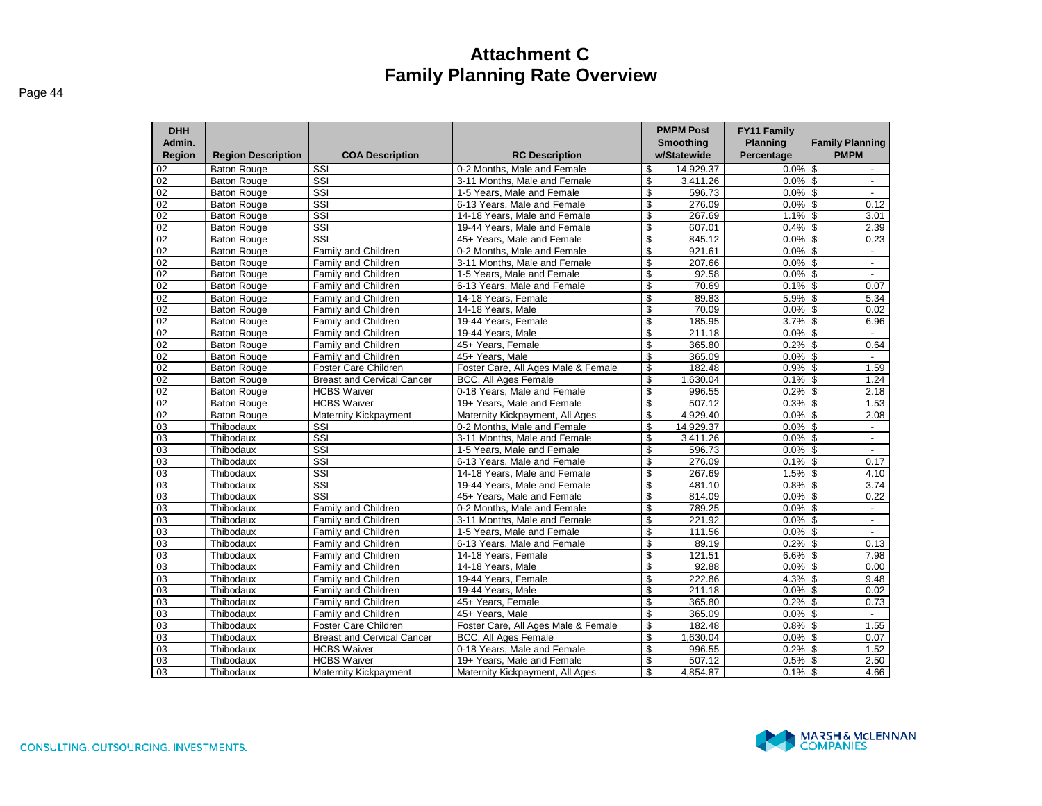| <b>DHH</b>       |                           |                                   |                                                              |                          | <b>PMPM Post</b>         | <b>FY11 Family</b>            |                                       |
|------------------|---------------------------|-----------------------------------|--------------------------------------------------------------|--------------------------|--------------------------|-------------------------------|---------------------------------------|
| Admin.<br>Region | <b>Region Description</b> | <b>COA Description</b>            | <b>RC Description</b>                                        |                          | Smoothing<br>w/Statewide | <b>Planning</b><br>Percentage | <b>Family Planning</b><br><b>PMPM</b> |
| 02               | <b>Baton Rouge</b>        | SSI                               | 0-2 Months. Male and Female                                  | \$                       | 14.929.37                | $0.0\%$ \$                    | $\sim$                                |
| 02               | <b>Baton Rouge</b>        | SSI                               | 3-11 Months, Male and Female                                 | \$                       | 3,411.26                 | $0.0\%$ \$                    | $\sim$                                |
| $\overline{02}$  | <b>Baton Rouge</b>        | $\overline{\text{SSI}}$           | 1-5 Years. Male and Female                                   | $\mathfrak{L}$           | 596.73                   | $0.0\%$ \$                    | $\sim$                                |
| 02               | <b>Baton Rouge</b>        | $\overline{\text{SSI}}$           | 6-13 Years, Male and Female                                  | \$                       | 276.09                   | $0.0\%$ \$                    | 0.12                                  |
| 02               | <b>Baton Rouge</b>        | $\overline{\text{SSI}}$           | 14-18 Years. Male and Female                                 | \$                       | 267.69                   | $1.1\%$ \$                    | 3.01                                  |
| 02               | <b>Baton Rouge</b>        | SSI                               | 19-44 Years, Male and Female                                 | \$                       | 607.01                   | $0.4\%$ \$                    | 2.39                                  |
| $\overline{02}$  | <b>Baton Rouge</b>        | $\overline{\text{SSI}}$           | 45+ Years, Male and Female                                   | $\overline{\mathcal{S}}$ | 845.12                   | $0.0\%$ \$                    | 0.23                                  |
| 02               | <b>Baton Rouge</b>        | Family and Children               | 0-2 Months, Male and Female                                  | $\overline{\mathcal{S}}$ | 921.61                   | $0.0\%$ \$                    | $\sim$                                |
| 02               | <b>Baton Rouge</b>        | Family and Children               | 3-11 Months, Male and Female                                 | \$                       | 207.66                   | $0.0\%$ \$                    | $\sim$                                |
| 02               | <b>Baton Rouge</b>        | Family and Children               | 1-5 Years, Male and Female                                   | \$                       | 92.58                    | $0.0\%$ \$                    | $\sim$                                |
| 02               | <b>Baton Rouge</b>        | Family and Children               | 6-13 Years, Male and Female                                  | \$                       | 70.69                    | $0.1\%$ \$                    | 0.07                                  |
| $\overline{02}$  | <b>Baton Rouge</b>        | Family and Children               | 14-18 Years, Female                                          | \$                       | 89.83                    | $5.9\%$ \$                    | 5.34                                  |
| 02               | <b>Baton Rouge</b>        | Family and Children               | 14-18 Years, Male                                            | \$                       | 70.09                    | $0.0\%$ \$                    | 0.02                                  |
| 02               | <b>Baton Rouge</b>        | Family and Children               | 19-44 Years, Female                                          | \$                       | 185.95                   | $3.7\%$ \$                    | 6.96                                  |
| 02               | <b>Baton Rouge</b>        | Family and Children               | 19-44 Years, Male                                            | \$                       | 211.18                   | $0.0\%$ \$                    | $\blacksquare$                        |
| 02               | <b>Baton Rouge</b>        | Family and Children               | 45+ Years. Female                                            | \$                       | 365.80                   | $0.2\%$ \$                    | 0.64                                  |
| 02               | <b>Baton Rouge</b>        | Family and Children               | 45+ Years. Male                                              | \$                       | 365.09                   | $0.0\%$ \$                    | $\blacksquare$                        |
| 02               | <b>Baton Rouge</b>        | Foster Care Children              | Foster Care, All Ages Male & Female                          | \$                       | 182.48                   | $0.9%$ \$                     | 1.59                                  |
| 02               | <b>Baton Rouge</b>        | <b>Breast and Cervical Cancer</b> | BCC, All Ages Female                                         | \$                       | 1,630.04                 | $0.1\%$ \$                    | 1.24                                  |
| 02               | <b>Baton Rouge</b>        | <b>HCBS Waiver</b>                | 0-18 Years, Male and Female                                  | \$                       | 996.55                   | $0.2%$ \$                     | 2.18                                  |
| $\overline{02}$  | <b>Baton Rouge</b>        | <b>HCBS Waiver</b>                | 19+ Years. Male and Female                                   | \$                       | 507.12                   | $0.3%$ \$                     | 1.53                                  |
| 02               | <b>Baton Rouge</b>        | <b>Maternity Kickpayment</b>      | Maternity Kickpayment. All Ages                              | \$                       | 4,929.40                 | $0.0\%$ \$                    | 2.08                                  |
| 03               | Thibodaux                 | SSI                               | 0-2 Months, Male and Female                                  | \$                       | 14,929.37                | $0.0\%$ \$                    |                                       |
| 03               | Thibodaux                 | SSI                               | 3-11 Months, Male and Female                                 | \$                       | 3,411.26                 | $0.0\%$ \$                    | $\overline{\phantom{a}}$              |
| $\overline{03}$  | Thibodaux                 | $\overline{\text{SSI}}$           | 1-5 Years, Male and Female                                   | \$                       | 596.73                   | $0.0\%$ \$                    |                                       |
| 03               | Thibodaux                 | $\overline{\text{ss}}$<br>SSI     | 6-13 Years, Male and Female                                  | $\overline{\mathcal{S}}$ | 276.09<br>267.69         | $0.1\%$ \$<br>1.5%            | 0.17                                  |
| 03<br>03         | Thibodaux                 | $\overline{\text{SSI}}$           | 14-18 Years, Male and Female<br>19-44 Years, Male and Female | \$<br>\$                 | 481.10                   | $0.8\%$ \$                    | \$<br>4.10<br>3.74                    |
| $\overline{03}$  | Thibodaux<br>Thibodaux    | $\overline{\text{SSI}}$           | 45+ Years, Male and Female                                   | \$                       | 814.09                   | $0.0\%$ \$                    | 0.22                                  |
| $\overline{03}$  | Thibodaux                 | Family and Children               | 0-2 Months. Male and Female                                  | \$                       | 789.25                   | $0.0\%$ \$                    | $\overline{\phantom{a}}$              |
| $\overline{03}$  | Thibodaux                 | Family and Children               | 3-11 Months. Male and Female                                 | \$                       | 221.92                   | $0.0\%$ \$                    | $\blacksquare$                        |
| 03               | Thibodaux                 | Family and Children               | 1-5 Years, Male and Female                                   | \$                       | 111.56                   | $0.0\%$ \$                    | $\blacksquare$                        |
| 03               | Thibodaux                 | Family and Children               | 6-13 Years, Male and Female                                  | \$                       | 89.19                    | $0.2\%$ \$                    | 0.13                                  |
| $\overline{03}$  | Thibodaux                 | Family and Children               | 14-18 Years, Female                                          | \$                       | 121.51                   | $6.6\%$ \$                    | 7.98                                  |
| $\overline{03}$  | Thibodaux                 | Family and Children               | 14-18 Years, Male                                            | $\overline{\mathcal{S}}$ | 92.88                    | $0.0\%$ \$                    | 0.00                                  |
| 03               | Thibodaux                 | Family and Children               | 19-44 Years, Female                                          | \$                       | 222.86                   | $4.3\%$ \$                    | 9.48                                  |
| 03               | Thibodaux                 | Family and Children               | 19-44 Years, Male                                            | \$                       | 211.18                   | $0.0\%$ \$                    | 0.02                                  |
| 03               | Thibodaux                 | Family and Children               | 45+ Years. Female                                            | \$                       | 365.80                   | $0.2\%$ \$                    | 0.73                                  |
| 03               | Thibodaux                 | Family and Children               | 45+ Years, Male                                              | \$                       | 365.09                   | $0.0\%$ \$                    | $\sim$                                |
| 03               | Thibodaux                 | Foster Care Children              | Foster Care, All Ages Male & Female                          | \$                       | 182.48                   | $0.8\%$ \$                    | 1.55                                  |
| 03               | Thibodaux                 | <b>Breast and Cervical Cancer</b> | <b>BCC, All Ages Female</b>                                  | \$                       | 1,630.04                 | $0.0\%$ \$                    | 0.07                                  |
| 03               | Thibodaux                 | <b>HCBS Waiver</b>                | 0-18 Years, Male and Female                                  | \$                       | 996.55                   | $0.2\%$ \$                    | 1.52                                  |
| 03               | Thibodaux                 | <b>HCBS Waiver</b>                | 19+ Years, Male and Female                                   | \$                       | 507.12                   | $0.5\%$ \$                    | 2.50                                  |
| 03               | Thibodaux                 | Maternity Kickpayment             | Maternity Kickpayment, All Ages                              | \$                       | 4,854.87                 | $0.1\%$ \$                    | 4.66                                  |

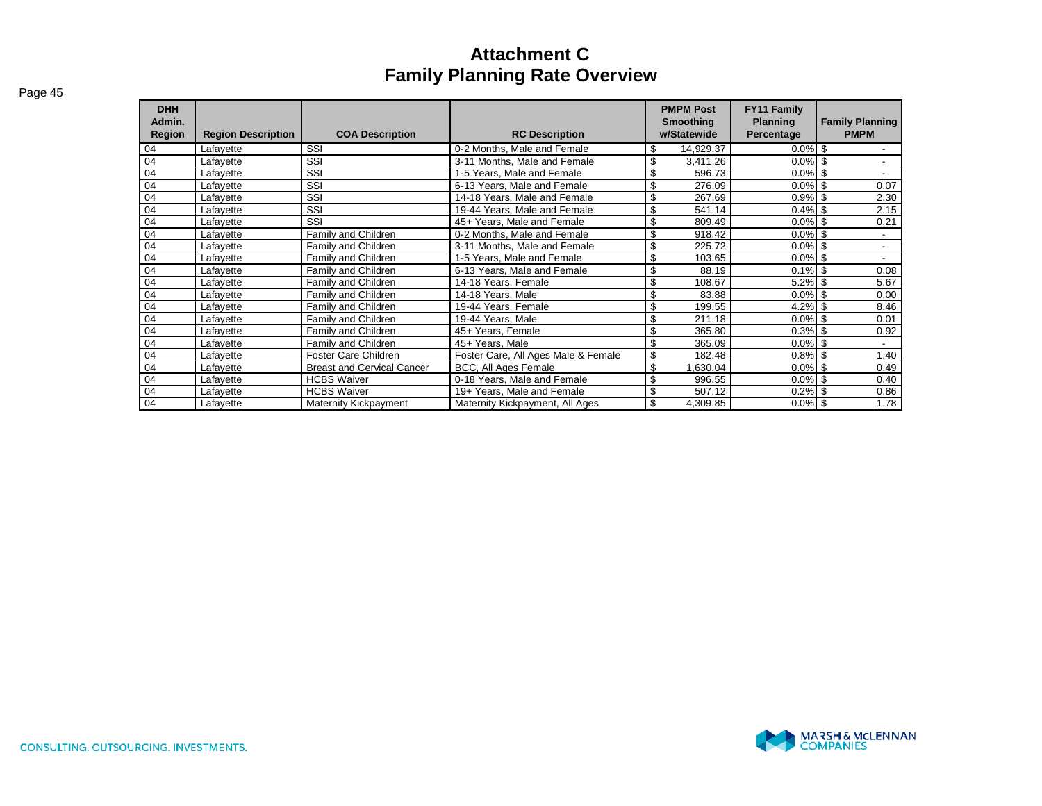| $Pa$ ae 45 |
|------------|
|------------|

| <b>DHH</b><br>Admin.<br>Region | <b>Region Description</b> | <b>COA Description</b>            | <b>RC Description</b>               | <b>PMPM Post</b><br><b>Smoothing</b><br>w/Statewide | <b>FY11 Family</b><br><b>Planning</b><br>Percentage | <b>Family Planning</b><br><b>PMPM</b> |
|--------------------------------|---------------------------|-----------------------------------|-------------------------------------|-----------------------------------------------------|-----------------------------------------------------|---------------------------------------|
| 04                             | Lafayette                 | SSI                               | 0-2 Months, Male and Female         | \$<br>14,929.37                                     | $0.0\%$                                             | -\$                                   |
| 04                             | Lafayette                 | SSI                               | 3-11 Months, Male and Female        | \$<br>3,411.26                                      | $0.0\%$ \$                                          | $\overline{\phantom{0}}$              |
| 04                             | Lafayette                 | SSI                               | 1-5 Years, Male and Female          | \$<br>596.73                                        | $0.0\%$                                             | -S                                    |
| 04                             | Lafayette                 | SSI                               | 6-13 Years, Male and Female         | \$<br>276.09                                        | 0.0%                                                | 0.07<br>-S                            |
| 04                             | Lafayette                 | SSI                               | 14-18 Years. Male and Female        | \$<br>267.69                                        | 0.9%                                                | 2.30<br>-S                            |
| 04                             | Lafayette                 | SSI                               | 19-44 Years, Male and Female        | \$<br>541.14                                        | 0.4%                                                | 2.15<br>-S                            |
| 04                             | Lafayette                 | SSI                               | 45+ Years, Male and Female          | \$<br>809.49                                        | 0.0%                                                | -S<br>0.21                            |
| 04                             | Lafayette                 | Family and Children               | 0-2 Months, Male and Female         | \$<br>918.42                                        | $0.0\%$                                             | -S                                    |
| 04                             | Lafayette                 | Family and Children               | 3-11 Months, Male and Female        | \$<br>225.72                                        | $0.0\%$                                             | -\$<br>$\overline{\phantom{0}}$       |
| 04                             | Lafayette                 | Family and Children               | 1-5 Years, Male and Female          | \$<br>103.65                                        | $0.0\%$                                             | \$                                    |
| 04                             | Lafayette                 | Family and Children               | 6-13 Years, Male and Female         | \$<br>88.19                                         | $0.1\%$ \$                                          | 0.08                                  |
| 04                             | Lafayette                 | Family and Children               | 14-18 Years, Female                 | \$<br>108.67                                        | 5.2%                                                | 5.67<br>-S                            |
| 04                             | Lafayette                 | Family and Children               | 14-18 Years, Male                   | \$<br>83.88                                         | 0.0%                                                | 0.00<br>-S                            |
| 04                             | Lafayette                 | Family and Children               | 19-44 Years, Female                 | \$<br>199.55                                        | 4.2%                                                | 8.46<br>\$                            |
| 04                             | Lafayette                 | Family and Children               | 19-44 Years, Male                   | \$<br>211.18                                        | 0.0%                                                | \$<br>0.01                            |
| 04                             | Lafayette                 | Family and Children               | 45+ Years, Female                   | \$<br>365.80                                        | $0.3\%$ \$                                          | 0.92                                  |
| 04                             | Lafayette                 | Family and Children               | 45+ Years, Male                     | \$<br>365.09                                        | $0.0\%$                                             | -S                                    |
| 04                             | Lafayette                 | Foster Care Children              | Foster Care, All Ages Male & Female | \$<br>182.48                                        | $0.8\%$ \$                                          | 1.40                                  |
| 04                             | Lafayette                 | <b>Breast and Cervical Cancer</b> | BCC, All Ages Female                | \$<br>1,630.04                                      | $0.0\%$                                             | -\$<br>0.49                           |
| 04                             | Lafayette                 | <b>HCBS Waiver</b>                | 0-18 Years, Male and Female         | \$<br>996.55                                        | $0.0\%$ \$                                          | 0.40                                  |
| 04                             | Lafayette                 | <b>HCBS Waiver</b>                | 19+ Years, Male and Female          | \$<br>507.12                                        | 0.2%                                                | 0.86<br>-S                            |
| 04                             | Lafayette                 | <b>Maternity Kickpayment</b>      | Maternity Kickpayment, All Ages     | \$<br>4,309.85                                      | $0.0\%$ \$                                          | 1.78                                  |

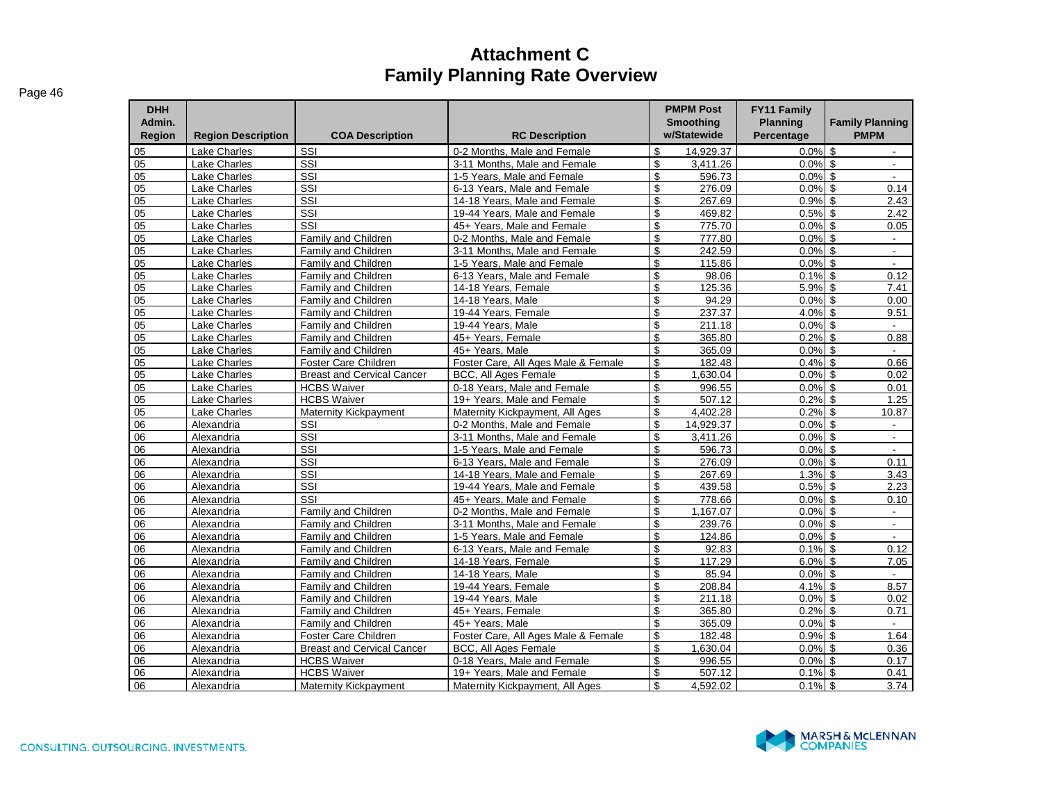| <b>DHH</b><br>Admin.<br>Region | <b>Region Description</b> | <b>COA Description</b>            | <b>RC Description</b>               | <b>PMPM Post</b><br>Smoothing<br>w/Statewide | <b>FY11 Family</b><br><b>Planning</b><br>Percentage | <b>Family Planning</b><br><b>PMPM</b> |
|--------------------------------|---------------------------|-----------------------------------|-------------------------------------|----------------------------------------------|-----------------------------------------------------|---------------------------------------|
| 05                             | <b>Lake Charles</b>       | SSI                               | 0-2 Months, Male and Female         | \$<br>14.929.37                              | $0.0\%$                                             | \$<br>$\sim$                          |
| 05                             | Lake Charles              | SSI                               | 3-11 Months. Male and Female        | \$<br>3,411.26                               | $0.0\%$ \$                                          | $\overline{\phantom{a}}$              |
| 05                             | <b>Lake Charles</b>       | SSI                               | 1-5 Years. Male and Female          | \$<br>596.73                                 | $0.0\%$ \$                                          | $\sim$                                |
| 05                             | Lake Charles              | SSI                               | 6-13 Years. Male and Female         | \$<br>276.09                                 | $0.0\%$ \$                                          | 0.14                                  |
| 05                             | <b>Lake Charles</b>       | SSI                               | 14-18 Years. Male and Female        | \$<br>267.69                                 | $0.9\%$ \$                                          | 2.43                                  |
| 05                             | Lake Charles              | SSI                               | 19-44 Years, Male and Female        | \$<br>469.82                                 | $0.5\%$ \$                                          | 2.42                                  |
| 05                             | Lake Charles              | SSI                               | 45+ Years, Male and Female          | \$<br>775.70                                 | $0.0\%$ \$                                          | 0.05                                  |
| 05                             | Lake Charles              | <b>Family and Children</b>        | 0-2 Months, Male and Female         | \$<br>777.80                                 | $0.0\%$ \$                                          | $\sim$                                |
| 05                             | Lake Charles              | Family and Children               | 3-11 Months, Male and Female        | \$<br>242.59                                 | 0.0%                                                | $\mathfrak{S}$<br>$\sim$              |
| 05                             | <b>Lake Charles</b>       | <b>Family and Children</b>        | 1-5 Years. Male and Female          | \$<br>115.86                                 | $0.0\%$ \$                                          | $\mathbf{r}$                          |
| 05                             | Lake Charles              | Family and Children               | 6-13 Years, Male and Female         | \$<br>98.06                                  | 0.1%                                                | $\sqrt{2}$<br>0.12                    |
| 05                             | <b>Lake Charles</b>       | Family and Children               | 14-18 Years, Female                 | \$<br>125.36                                 | 5.9%                                                | \$<br>7.41                            |
| 05                             | Lake Charles              | Family and Children               | 14-18 Years, Male                   | \$<br>94.29                                  | 0.0%                                                | $\sqrt{2}$<br>0.00                    |
| 05                             | <b>Lake Charles</b>       | Family and Children               | 19-44 Years, Female                 | \$<br>237.37                                 | 4.0%                                                | \$<br>9.51                            |
| 05                             | Lake Charles              | Family and Children               | 19-44 Years, Male                   | \$<br>211.18                                 | 0.0%                                                | $\sqrt{2}$                            |
| 05                             | <b>Lake Charles</b>       | Family and Children               | 45+ Years. Female                   | \$<br>365.80                                 | $0.2\%$ \$                                          | 0.88                                  |
| 05                             | <b>Lake Charles</b>       | Family and Children               | 45+ Years, Male                     | \$<br>365.09                                 | $0.0\%$ \$                                          | $\sim$                                |
| 05                             | Lake Charles              | Foster Care Children              | Foster Care, All Ages Male & Female | \$<br>182.48                                 | $0.4\%$ \$                                          | 0.66                                  |
| 05                             | Lake Charles              | <b>Breast and Cervical Cancer</b> | BCC, All Ages Female                | \$<br>1,630.04                               | $0.0\%$ \$                                          | 0.02                                  |
| 05                             | <b>Lake Charles</b>       | <b>HCBS Waiver</b>                | 0-18 Years. Male and Female         | \$<br>996.55                                 | $0.0\%$ \$                                          | 0.01                                  |
| 05                             | <b>Lake Charles</b>       | <b>HCBS Waiver</b>                | 19+ Years. Male and Female          | \$<br>507.12                                 | $0.2\%$ \$                                          | 1.25                                  |
| 05                             | <b>Lake Charles</b>       | Maternity Kickpayment             | Maternity Kickpayment, All Ages     | \$<br>4.402.28                               | 0.2%                                                | \$<br>10.87                           |
| 06                             | Alexandria                | SSI                               | 0-2 Months, Male and Female         | \$<br>14.929.37                              | $0.0\%$ \$                                          | $\sim$                                |
| 06                             | Alexandria                | SSI                               | 3-11 Months, Male and Female        | \$<br>3,411.26                               | 0.0%                                                | $\mathfrak{S}$<br>$\mathbf{r}$        |
| 06                             | Alexandria                | SSI                               | 1-5 Years. Male and Female          | \$<br>596.73                                 | $0.0\%$ \$                                          | $\sim$                                |
| 06                             | Alexandria                | SSI                               | 6-13 Years, Male and Female         | \$<br>276.09                                 | 0.0%                                                | \$<br>0.11                            |
| 06                             | Alexandria                | SSI                               | 14-18 Years. Male and Female        | \$<br>267.69                                 | 1.3%                                                | \$<br>3.43                            |
| 06                             | Alexandria                | SSI                               | 19-44 Years, Male and Female        | \$<br>439.58                                 | 0.5%                                                | \$<br>2.23                            |
| 06                             | Alexandria                | SSI                               | 45+ Years. Male and Female          | \$<br>778.66                                 | $0.0\%$ \$                                          | 0.10                                  |
| 06                             | Alexandria                | Family and Children               | 0-2 Months, Male and Female         | \$<br>1,167.07                               | $0.0\%$ \$                                          | $\sim$                                |
| 06                             | Alexandria                | <b>Family and Children</b>        | 3-11 Months, Male and Female        | \$<br>239.76                                 | $0.0\%$ \$                                          | $\sim$                                |
| 06                             | Alexandria                | Family and Children               | 1-5 Years, Male and Female          | \$<br>124.86                                 | $0.0\%$ \$                                          | $\sim$                                |
| 06                             | Alexandria                | <b>Family and Children</b>        | 6-13 Years. Male and Female         | \$<br>92.83                                  | 0.1%                                                | $\mathfrak{L}$<br>0.12                |
| 06                             | Alexandria                | <b>Family and Children</b>        | 14-18 Years, Female                 | \$<br>117.29                                 | 6.0%                                                | \$<br>7.05                            |
| 06                             | Alexandria                | Family and Children               | 14-18 Years, Male                   | \$<br>85.94                                  | 0.0%                                                | \$<br>$\sim$                          |
| 06                             | Alexandria                | <b>Family and Children</b>        | 19-44 Years, Female                 | \$<br>208.84                                 | 4.1%                                                | \$<br>8.57                            |
| 06                             | Alexandria                | <b>Family and Children</b>        | 19-44 Years, Male                   | \$<br>211.18                                 | 0.0%                                                | $\mathbf{s}$<br>0.02                  |
| 06                             | Alexandria                | <b>Family and Children</b>        | 45+ Years. Female                   | \$<br>365.80                                 | 0.2%                                                | $\mathfrak{s}$<br>0.71                |
| 06                             | Alexandria                | Family and Children               | 45+ Years, Male                     | \$<br>365.09                                 | 0.0%                                                | \$<br>$\overline{a}$                  |
| 06                             | Alexandria                | Foster Care Children              | Foster Care, All Ages Male & Female | \$<br>182.48                                 | 0.9%                                                | \$<br>1.64                            |
| 06                             | Alexandria                | <b>Breast and Cervical Cancer</b> | <b>BCC, All Ages Female</b>         | \$<br>1,630.04                               | 0.0%                                                | \$<br>0.36                            |
| 06                             | Alexandria                | <b>HCBS Waiver</b>                | 0-18 Years. Male and Female         | \$<br>996.55                                 | $0.0\%$ \$                                          | 0.17                                  |
| 06                             | Alexandria                | <b>HCBS Waiver</b>                | 19+ Years, Male and Female          | \$<br>507.12                                 | $0.1\%$ \$                                          | 0.41                                  |
| 06                             | Alexandria                | Maternity Kickpayment             | Maternity Kickpayment, All Ages     | \$<br>4.592.02                               | $0.1\%$ \$                                          | 3.74                                  |

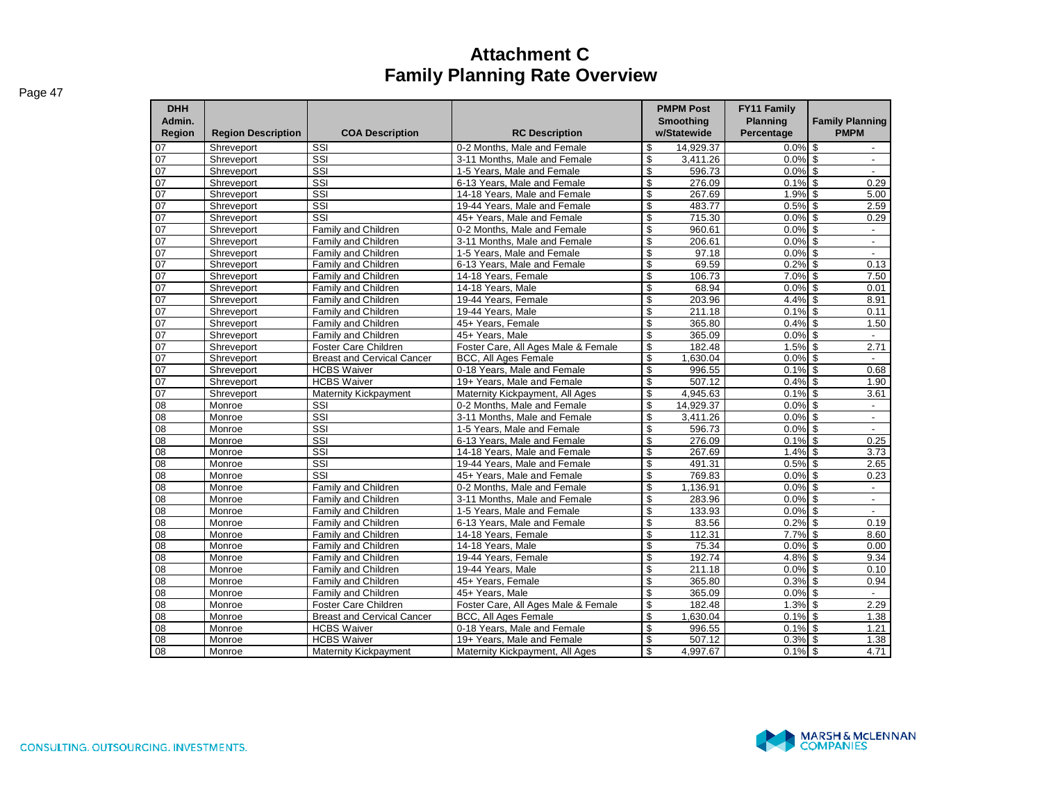| <b>DHH</b><br>Admin.<br>Region | <b>Region Description</b> | <b>COA Description</b>            | <b>RC Description</b>               | <b>PMPM Post</b><br><b>Smoothing</b><br>w/Statewide |           | <b>FY11 Family</b><br><b>Planning</b><br>Percentage | <b>Family Planning</b><br><b>PMPM</b> |
|--------------------------------|---------------------------|-----------------------------------|-------------------------------------|-----------------------------------------------------|-----------|-----------------------------------------------------|---------------------------------------|
| 07                             | Shreveport                | SSI                               | 0-2 Months, Male and Female         | \$                                                  | 14.929.37 | $0.0\%$ \$                                          |                                       |
| 07                             | Shreveport                | SSI                               | 3-11 Months. Male and Female        | \$                                                  | 3,411.26  | $0.0\%$ \$                                          | $\overline{\phantom{a}}$              |
| 07                             | Shreveport                | SSI                               | 1-5 Years, Male and Female          | \$                                                  | 596.73    | $0.0\%$ \$                                          | $\overline{a}$                        |
| 07                             | Shreveport                | SSI                               | 6-13 Years. Male and Female         | \$                                                  | 276.09    | $0.1\%$ \$                                          | 0.29                                  |
| 07                             | Shreveport                | SSI                               | 14-18 Years, Male and Female        | \$                                                  | 267.69    | 1.9%                                                | \$<br>5.00                            |
| 07                             | Shreveport                | SSI                               | 19-44 Years, Male and Female        | \$                                                  | 483.77    | 0.5%                                                | $\mathbb{S}$<br>2.59                  |
| 07                             | Shreveport                | SSI                               | 45+ Years. Male and Female          | \$                                                  | 715.30    | $0.0\%$ \$                                          | 0.29                                  |
| 07                             | Shreveport                | Family and Children               | 0-2 Months, Male and Female         | \$                                                  | 960.61    | $0.0\%$ \$                                          | $\blacksquare$                        |
| 07                             | Shreveport                | Family and Children               | 3-11 Months. Male and Female        | \$                                                  | 206.61    | $0.0\%$ \$                                          | $\overline{\phantom{a}}$              |
| 07                             | Shreveport                | Family and Children               | 1-5 Years, Male and Female          | \$                                                  | 97.18     | 0.0%                                                | \$                                    |
| 07                             | Shreveport                | Family and Children               | 6-13 Years, Male and Female         | \$                                                  | 69.59     | 0.2%                                                | \$<br>0.13                            |
| 07                             | Shreveport                | Family and Children               | 14-18 Years, Female                 | \$                                                  | 106.73    | $7.0\%$ \$                                          | 7.50                                  |
| 07                             | Shreveport                | Family and Children               | 14-18 Years, Male                   | $\overline{\mathcal{S}}$                            | 68.94     | $0.0\%$ \$                                          | 0.01                                  |
| $\overline{07}$                | Shreveport                | Family and Children               | 19-44 Years, Female                 | \$                                                  | 203.96    | $4.4\%$ \$                                          | 8.91                                  |
| 07                             | Shreveport                | Family and Children               | 19-44 Years, Male                   | \$                                                  | 211.18    | 0.1%                                                | \$<br>0.11                            |
| $\overline{07}$                | Shreveport                | Family and Children               | 45+ Years, Female                   | \$                                                  | 365.80    | $0.4\%$ \$                                          | 1.50                                  |
| $\overline{07}$                | Shreveport                | Family and Children               | 45+ Years, Male                     | $\overline{\mathbb{S}}$                             | 365.09    | $0.0\%$ \$                                          | $\blacksquare$                        |
| $\overline{07}$                | Shreveport                | Foster Care Children              | Foster Care, All Ages Male & Female | $\overline{\mathcal{S}}$                            | 182.48    | $1.5\%$ \$                                          | 2.71                                  |
| 07                             | Shreveport                | <b>Breast and Cervical Cancer</b> | BCC, All Ages Female                | $\overline{\mathcal{S}}$                            | 1.630.04  | $0.0\%$ \$                                          |                                       |
| $\overline{07}$                | Shreveport                | <b>HCBS Waiver</b>                | 0-18 Years, Male and Female         | \$                                                  | 996.55    | $0.1\%$ \$                                          | 0.68                                  |
| 07                             | Shreveport                | <b>HCBS Waiver</b>                | 19+ Years, Male and Female          | \$                                                  | 507.12    | $0.4\%$ \$                                          | 1.90                                  |
| $\overline{07}$                | Shreveport                | Maternity Kickpayment             | Maternity Kickpayment, All Ages     | $\overline{\mathcal{S}}$                            | 4.945.63  | $0.1\%$ \$                                          | 3.61                                  |
| 08                             | Monroe                    | SSI                               | 0-2 Months, Male and Female         | \$                                                  | 14,929.37 | $0.0\%$ \$                                          | $\overline{\phantom{a}}$              |
| 08                             | Monroe                    | $\overline{\text{ss}}$            | 3-11 Months. Male and Female        | \$                                                  | 3.411.26  | $0.0\%$ \$                                          | $\overline{\phantom{a}}$              |
| 08                             | Monroe                    | SSI                               | 1-5 Years, Male and Female          | \$                                                  | 596.73    | $0.0\%$ \$                                          | $\overline{\phantom{a}}$              |
| 08                             | Monroe                    | $\overline{\text{SSI}}$           | 6-13 Years, Male and Female         | \$                                                  | 276.09    | 0.1%                                                | \$<br>0.25                            |
| 08                             | Monroe                    | SSI                               | 14-18 Years. Male and Female        | \$                                                  | 267.69    | $1.4\%$ \$                                          | 3.73                                  |
| 08                             | Monroe                    | $\overline{\text{ss}}$            | 19-44 Years, Male and Female        | \$                                                  | 491.31    | $0.5\%$ \$                                          | 2.65                                  |
| 08                             | Monroe                    | SSI                               | 45+ Years. Male and Female          | \$                                                  | 769.83    | $0.0\%$ \$                                          | 0.23                                  |
| 08                             | Monroe                    | Family and Children               | 0-2 Months, Male and Female         | \$                                                  | 1,136.91  | $0.0\%$ \$                                          | $\overline{\phantom{a}}$              |
| 08                             | Monroe                    | Family and Children               | 3-11 Months, Male and Female        | \$                                                  | 283.96    | $0.0\%$ \$                                          | $\overline{\phantom{a}}$              |
| 08                             | Monroe                    | Family and Children               | 1-5 Years, Male and Female          | \$                                                  | 133.93    | $0.0\%$ \$                                          | $\overline{\phantom{a}}$              |
| 08                             | Monroe                    | Family and Children               | 6-13 Years, Male and Female         | $\overline{\mathcal{S}}$                            | 83.56     | $0.2\%$ \$                                          | 0.19                                  |
| 08                             | Monroe                    | Family and Children               | 14-18 Years, Female                 | \$                                                  | 112.31    | $7.7\%$ \$                                          | 8.60                                  |
| 08                             | Monroe                    | Family and Children               | 14-18 Years, Male                   | \$                                                  | 75.34     | 0.0%                                                | $\mathbb{S}$<br>0.00                  |
| 08                             | Monroe                    | Family and Children               | 19-44 Years, Female                 | \$                                                  | 192.74    | $4.8\%$ \$                                          | 9.34                                  |
| $\overline{08}$                | Monroe                    | Family and Children               | 19-44 Years, Male                   | $\overline{\mathbb{S}}$                             | 211.18    | 0.0%                                                | $\overline{\mathbb{S}}$<br>0.10       |
| 08                             | Monroe                    | Family and Children               | 45+ Years. Female                   | $\overline{\mathbb{S}}$                             | 365.80    | $0.3\%$ \$                                          | 0.94                                  |
| 08                             | Monroe                    | Family and Children               | 45+ Years, Male                     | $\overline{\mathcal{S}}$                            | 365.09    | $0.0\%$ \$                                          |                                       |
| 08                             | Monroe                    | Foster Care Children              | Foster Care, All Ages Male & Female | \$                                                  | 182.48    | $1.3\%$ \$                                          | 2.29                                  |
| 08                             | Monroe                    | <b>Breast and Cervical Cancer</b> | <b>BCC, All Ages Female</b>         | \$                                                  | 1,630.04  | $0.1\%$ \$                                          | 1.38                                  |
| 08                             | Monroe                    | <b>HCBS Waiver</b>                | 0-18 Years, Male and Female         | \$                                                  | 996.55    | $0.1\%$ \$                                          | 1.21                                  |
| 08                             | Monroe                    | <b>HCBS Waiver</b>                | 19+ Years, Male and Female          | \$                                                  | 507.12    | $0.3\%$ \$                                          | 1.38                                  |
| 08                             | Monroe                    | <b>Maternity Kickpayment</b>      | Maternity Kickpayment, All Ages     | \$                                                  | 4,997.67  | $0.1\%$ \$                                          | 4.71                                  |